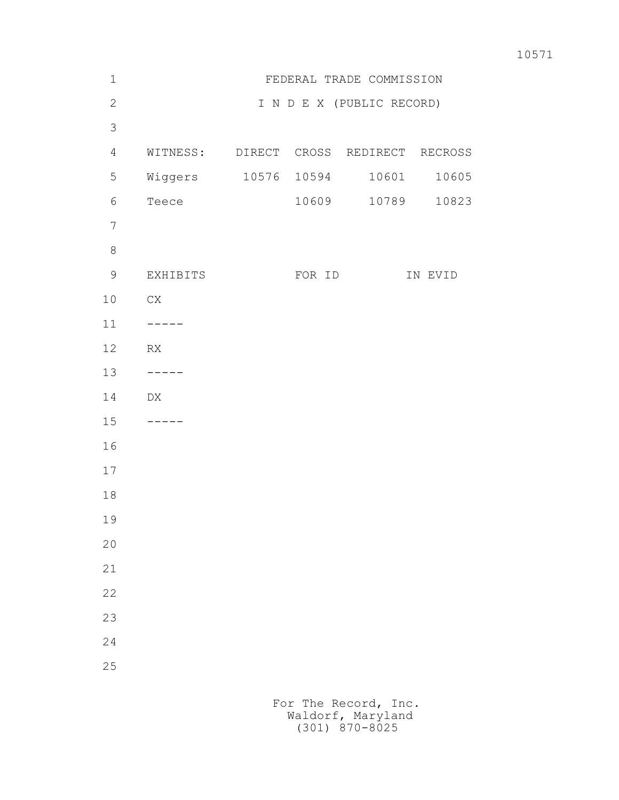| 10571 |
|-------|
|       |

| $\mathbf 1$    |                                        |        | FEDERAL TRADE COMMISSION  |         |
|----------------|----------------------------------------|--------|---------------------------|---------|
| $\mathbf{2}$   |                                        |        | I N D E X (PUBLIC RECORD) |         |
| 3              |                                        |        |                           |         |
| $\overline{4}$ | WITNESS: DIRECT CROSS REDIRECT RECROSS |        |                           |         |
| 5              | Wiggers 10576 10594                    |        | 10601                     | 10605   |
| 6              | Teece                                  | 10609  | 10789                     | 10823   |
| $\overline{7}$ |                                        |        |                           |         |
| $\,8\,$        |                                        |        |                           |         |
| $\mathsf 9$    | EXHIBITS                               | FOR ID |                           | IN EVID |
| $10$           | ${\rm CX}$                             |        |                           |         |
| $11$           | $-- - -$                               |        |                           |         |
| 12             | RX                                     |        |                           |         |
| 13             | -----                                  |        |                           |         |
| 14             | DX                                     |        |                           |         |
| 15             | -----                                  |        |                           |         |
| 16             |                                        |        |                           |         |
| $17$           |                                        |        |                           |         |
| $1\,8$         |                                        |        |                           |         |
| 19             |                                        |        |                           |         |
| 20             |                                        |        |                           |         |
| 21             |                                        |        |                           |         |
| 22             |                                        |        |                           |         |
| 23             |                                        |        |                           |         |
| 24             |                                        |        |                           |         |
| 25             |                                        |        |                           |         |
|                |                                        |        |                           |         |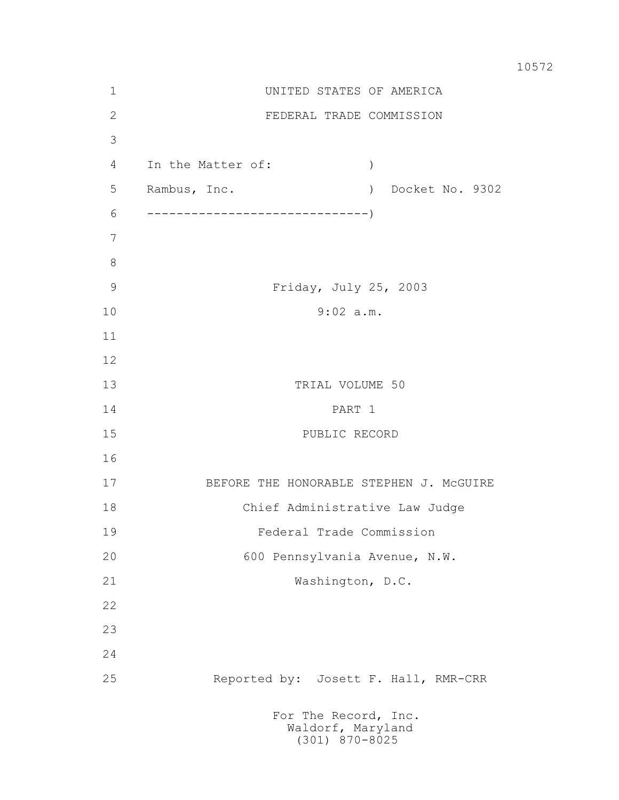| $\mathbf 1$   | UNITED STATES OF AMERICA                            |
|---------------|-----------------------------------------------------|
| 2             | FEDERAL TRADE COMMISSION                            |
| 3             |                                                     |
| 4             | In the Matter of:<br>$\left( \right)$               |
| 5             | Rambus, Inc.<br>Docket No. 9302<br>$\left( \right)$ |
| 6             |                                                     |
| 7             |                                                     |
| 8             |                                                     |
| $\mathcal{G}$ | Friday, July 25, 2003                               |
| 10            | $9:02$ a.m.                                         |
| 11            |                                                     |
| 12            |                                                     |
| 13            | TRIAL VOLUME 50                                     |
| 14            | PART 1                                              |
| 15            | PUBLIC RECORD                                       |
| 16            |                                                     |
| 17            | BEFORE THE HONORABLE STEPHEN J. MCGUIRE             |
| 18            | Chief Administrative Law Judge                      |
| 19            | Federal Trade Commission                            |
| 20            | 600 Pennsylvania Avenue, N.W.                       |
| 21            | Washington, D.C.                                    |
| 22            |                                                     |
| 23            |                                                     |
| 24            |                                                     |
| 25            | Reported by: Josett F. Hall, RMR-CRR                |
|               | For The Record, Inc.<br>Waldorf, Maryland           |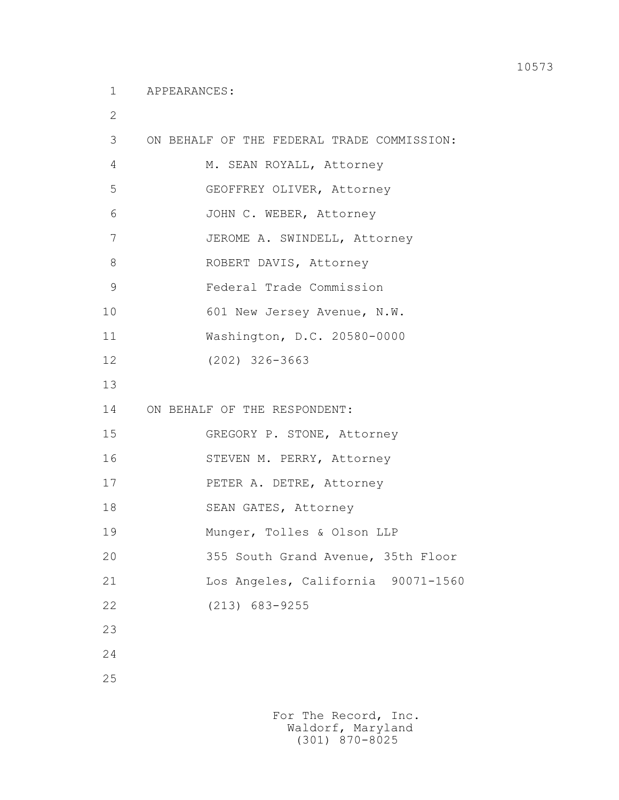2

| 3              | ON BEHALF OF THE FEDERAL TRADE COMMISSION: |
|----------------|--------------------------------------------|
| 4              | M. SEAN ROYALL, Attorney                   |
| 5              | GEOFFREY OLIVER, Attorney                  |
| 6              | JOHN C. WEBER, Attorney                    |
| $\overline{7}$ | JEROME A. SWINDELL, Attorney               |
| 8              | ROBERT DAVIS, Attorney                     |
| 9              | Federal Trade Commission                   |
| 10             | 601 New Jersey Avenue, N.W.                |
| 11             | Washington, D.C. 20580-0000                |
| 12             | $(202)$ 326-3663                           |
| 13             |                                            |
| 14             | ON BEHALF OF THE RESPONDENT:               |
| 15             | GREGORY P. STONE, Attorney                 |
| 16             | STEVEN M. PERRY, Attorney                  |
| 17             | PETER A. DETRE, Attorney                   |
| 18             | SEAN GATES, Attorney                       |
| 19             | Munger, Tolles & Olson LLP                 |
| 20             | 355 South Grand Avenue, 35th Floor         |
| 21             | Los Angeles, California<br>90071-1560      |
| 22             | $(213)$ 683-9255                           |
| 23             |                                            |
| 24             |                                            |
| 25             |                                            |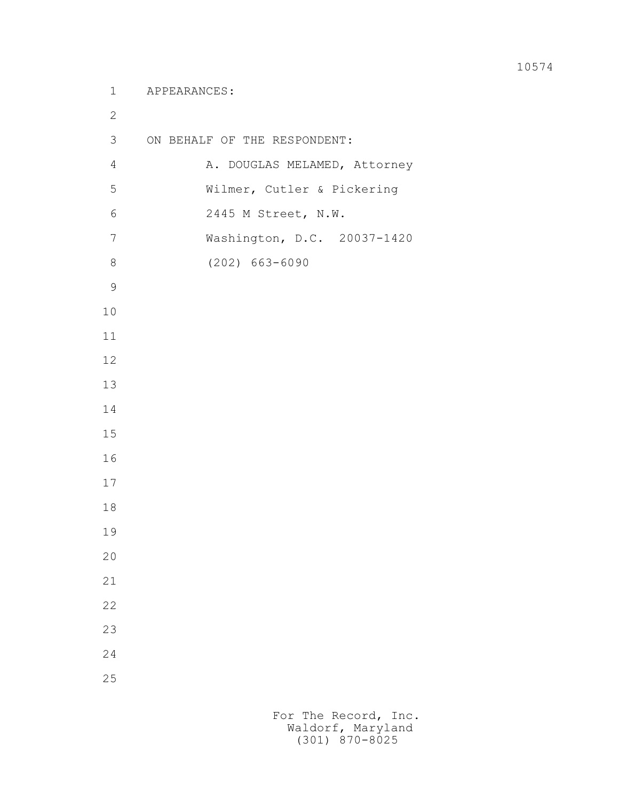3 ON BEHALF OF THE RESPONDENT: 4 A. DOUGLAS MELAMED, Attorney 5 Wilmer, Cutler & Pickering 6 2445 M Street, N.W. 7 Washington, D.C. 20037-1420 8 (202) 663-6090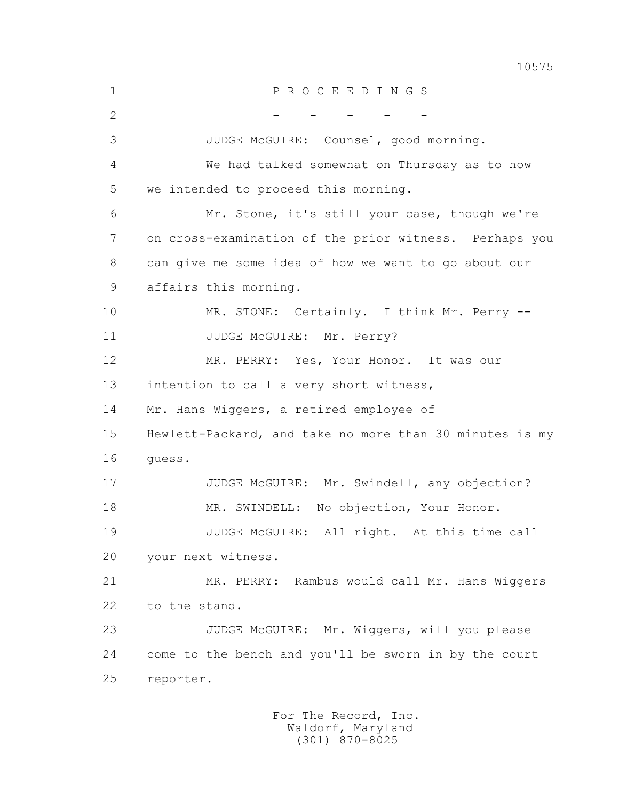1 P R O C E E D I N G S 2 - - - - - - - 3 JUDGE McGUIRE: Counsel, good morning. 4 We had talked somewhat on Thursday as to how 5 we intended to proceed this morning. 6 Mr. Stone, it's still your case, though we're 7 on cross-examination of the prior witness. Perhaps you 8 can give me some idea of how we want to go about our 9 affairs this morning. 10 MR. STONE: Certainly. I think Mr. Perry --11 JUDGE McGUIRE: Mr. Perry? 12 MR. PERRY: Yes, Your Honor. It was our 13 intention to call a very short witness, 14 Mr. Hans Wiggers, a retired employee of 15 Hewlett-Packard, and take no more than 30 minutes is my 16 guess. 17 JUDGE McGUIRE: Mr. Swindell, any objection? 18 MR. SWINDELL: No objection, Your Honor. 19 JUDGE McGUIRE: All right. At this time call 20 your next witness. 21 MR. PERRY: Rambus would call Mr. Hans Wiggers 22 to the stand. 23 JUDGE McGUIRE: Mr. Wiggers, will you please 24 come to the bench and you'll be sworn in by the court 25 reporter.

> For The Record, Inc. Waldorf, Maryland (301) 870-8025

10575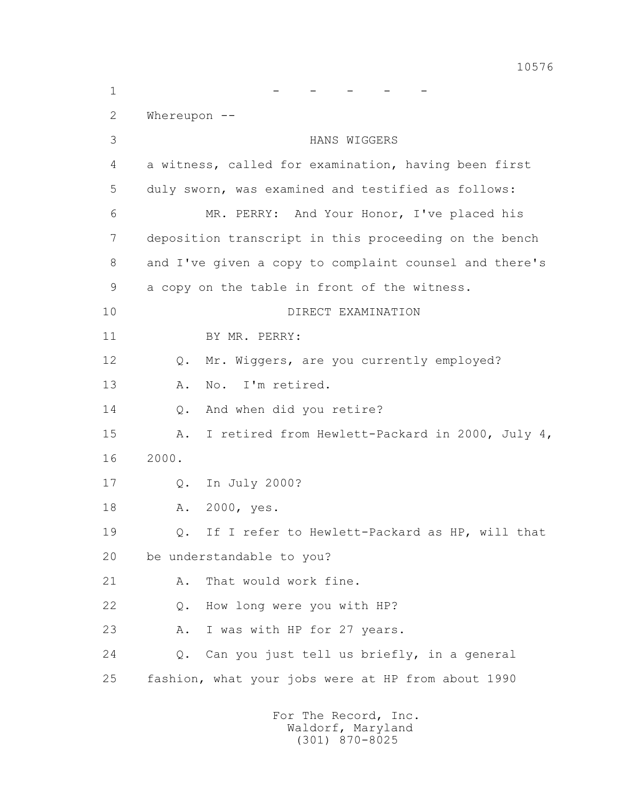1 - - - - - 2 Whereupon -- 3 HANS WIGGERS 4 a witness, called for examination, having been first 5 duly sworn, was examined and testified as follows: 6 MR. PERRY: And Your Honor, I've placed his 7 deposition transcript in this proceeding on the bench 8 and I've given a copy to complaint counsel and there's 9 a copy on the table in front of the witness. 10 DIRECT EXAMINATION 11 BY MR. PERRY: 12 Q. Mr. Wiggers, are you currently employed? 13 A. No. I'm retired. 14 Q. And when did you retire? 15 A. I retired from Hewlett-Packard in 2000, July 4, 16 2000. 17 Q. In July 2000? 18 A. 2000, yes. 19 Q. If I refer to Hewlett-Packard as HP, will that 20 be understandable to you? 21 A. That would work fine. 22 Q. How long were you with HP? 23 A. I was with HP for 27 years. 24 Q. Can you just tell us briefly, in a general 25 fashion, what your jobs were at HP from about 1990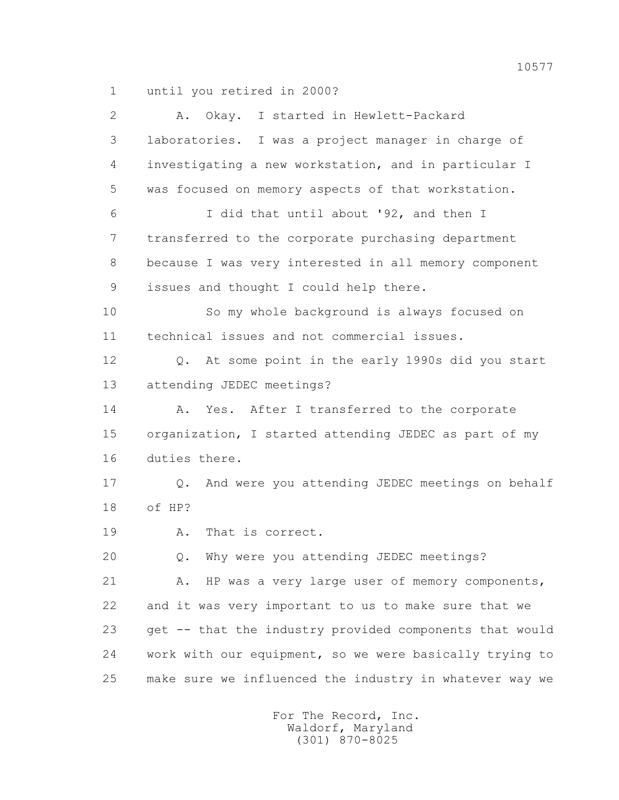1 until you retired in 2000?

| $\overline{2}$ | I started in Hewlett-Packard<br>Okay.<br>Α.                       |
|----------------|-------------------------------------------------------------------|
| 3              | laboratories. I was a project manager in charge of                |
| 4              | investigating a new workstation, and in particular I              |
| 5              | was focused on memory aspects of that workstation.                |
| 6              | I did that until about '92, and then I                            |
| 7              | transferred to the corporate purchasing department                |
| 8              | because I was very interested in all memory component             |
| 9              | issues and thought I could help there.                            |
| 10             | So my whole background is always focused on                       |
| 11             | technical issues and not commercial issues.                       |
| 12             | At some point in the early 1990s did you start<br>$Q_{\bullet}$   |
| 13             | attending JEDEC meetings?                                         |
| 14             | Yes. After I transferred to the corporate<br>Α.                   |
| 15             | organization, I started attending JEDEC as part of my             |
| 16             | duties there.                                                     |
| 17             | And were you attending JEDEC meetings on behalf<br>$\mathsf{Q}$ . |
| 18             | of HP?                                                            |
| 19             | That is correct.<br>Α.                                            |
| 20             | Why were you attending JEDEC meetings?<br>$Q$ .                   |
| 21             | HP was a very large user of memory components,<br>Α.              |
| 22             | and it was very important to us to make sure that we              |
| 23             | get -- that the industry provided components that would           |
| 24             | work with our equipment, so we were basically trying to           |
| 25             | make sure we influenced the industry in whatever way we           |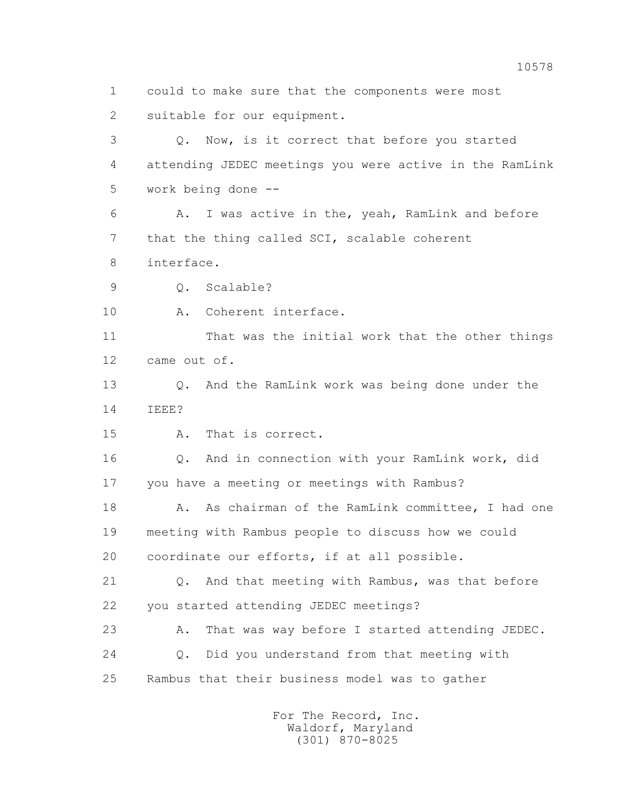1 could to make sure that the components were most 2 suitable for our equipment. 3 Q. Now, is it correct that before you started 4 attending JEDEC meetings you were active in the RamLink 5 work being done -- 6 A. I was active in the, yeah, RamLink and before 7 that the thing called SCI, scalable coherent 8 interface. 9 Q. Scalable? 10 A. Coherent interface. 11 That was the initial work that the other things 12 came out of. 13 Q. And the RamLink work was being done under the 14 IEEE? 15 A. That is correct. 16 Q. And in connection with your RamLink work, did 17 you have a meeting or meetings with Rambus? 18 A. As chairman of the RamLink committee, I had one 19 meeting with Rambus people to discuss how we could 20 coordinate our efforts, if at all possible. 21 Q. And that meeting with Rambus, was that before 22 you started attending JEDEC meetings? 23 A. That was way before I started attending JEDEC. 24 Q. Did you understand from that meeting with 25 Rambus that their business model was to gather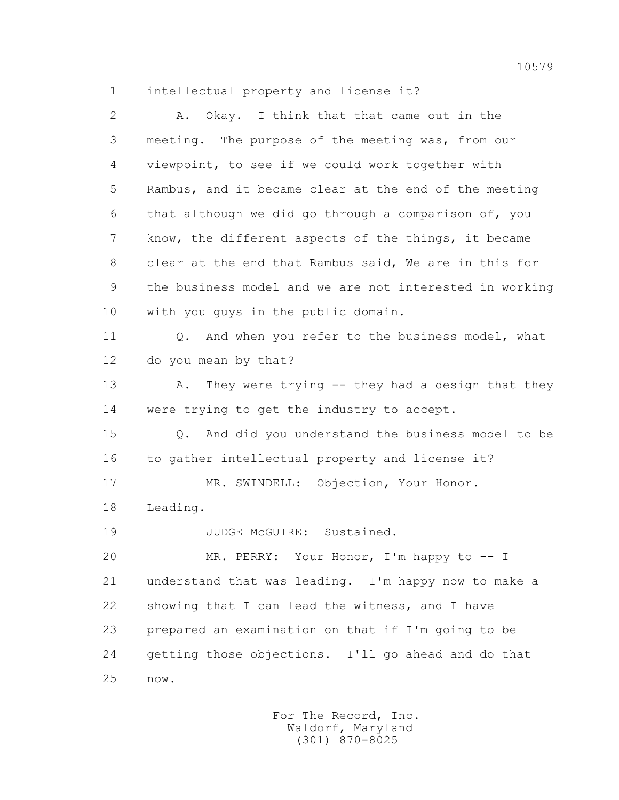1 intellectual property and license it?

| $\overline{2}$ | Okay. I think that that came out in the<br>Α.           |
|----------------|---------------------------------------------------------|
| 3              | meeting. The purpose of the meeting was, from our       |
| 4              | viewpoint, to see if we could work together with        |
| 5              | Rambus, and it became clear at the end of the meeting   |
| 6              | that although we did go through a comparison of, you    |
| 7              | know, the different aspects of the things, it became    |
| 8              | clear at the end that Rambus said, We are in this for   |
| 9              | the business model and we are not interested in working |
| 10             | with you guys in the public domain.                     |
| 11             | Q. And when you refer to the business model, what       |
| 12             | do you mean by that?                                    |
| 13             | They were trying -- they had a design that they<br>Α.   |
| 14             | were trying to get the industry to accept.              |
| 15             | Q. And did you understand the business model to be      |
| 16             | to gather intellectual property and license it?         |
| 17             | MR. SWINDELL: Objection, Your Honor.                    |
| 18             | Leading.                                                |
| 19             | JUDGE McGUIRE: Sustained.                               |
| 20             | MR. PERRY: Your Honor, I'm happy to -- I                |
| 21             | understand that was leading. I'm happy now to make a    |
| 22             | showing that I can lead the witness, and I have         |
| 23             | prepared an examination on that if I'm going to be      |
| 24             | getting those objections. I'll go ahead and do that     |
| 25             | $\texttt{now.}$                                         |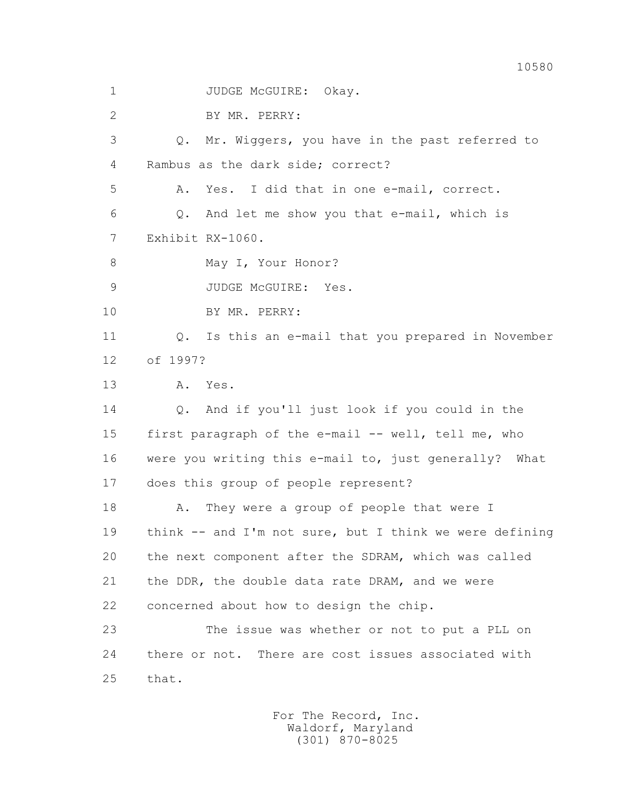1 JUDGE McGUIRE: Okay.

2 BY MR. PERRY:

 3 Q. Mr. Wiggers, you have in the past referred to 4 Rambus as the dark side; correct?

5 A. Yes. I did that in one e-mail, correct.

 6 Q. And let me show you that e-mail, which is 7 Exhibit RX-1060.

8 May I, Your Honor?

9 JUDGE McGUIRE: Yes.

10 BY MR. PERRY:

 11 Q. Is this an e-mail that you prepared in November 12 of 1997?

13 A. Yes.

 14 Q. And if you'll just look if you could in the 15 first paragraph of the e-mail -- well, tell me, who 16 were you writing this e-mail to, just generally? What 17 does this group of people represent?

18 A. They were a group of people that were I 19 think -- and I'm not sure, but I think we were defining 20 the next component after the SDRAM, which was called 21 the DDR, the double data rate DRAM, and we were 22 concerned about how to design the chip.

 23 The issue was whether or not to put a PLL on 24 there or not. There are cost issues associated with 25 that.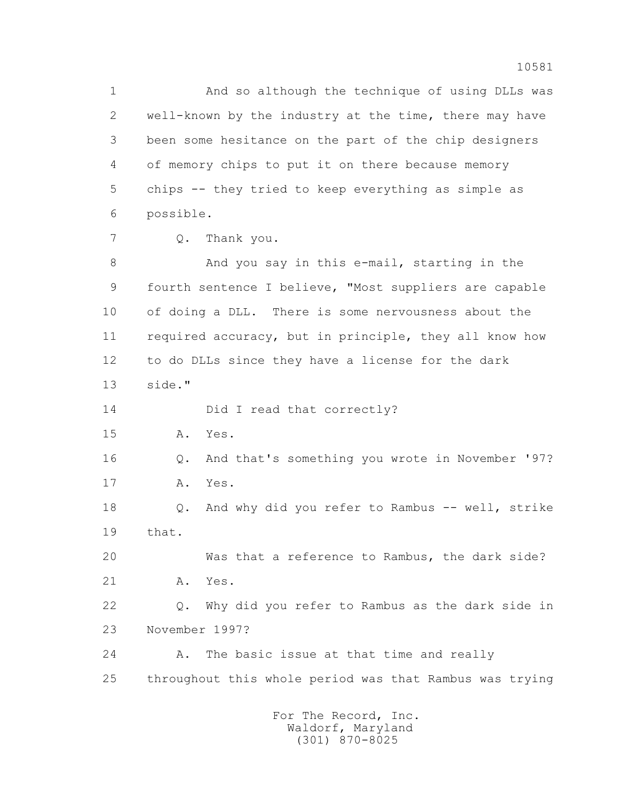1 And so although the technique of using DLLs was 2 well-known by the industry at the time, there may have 3 been some hesitance on the part of the chip designers 4 of memory chips to put it on there because memory 5 chips -- they tried to keep everything as simple as 6 possible.

7 Q. Thank you.

 8 And you say in this e-mail, starting in the 9 fourth sentence I believe, "Most suppliers are capable 10 of doing a DLL. There is some nervousness about the 11 required accuracy, but in principle, they all know how 12 to do DLLs since they have a license for the dark 13 side."

14 Did I read that correctly?

15 A. Yes.

 16 Q. And that's something you wrote in November '97? 17 A. Yes.

 18 Q. And why did you refer to Rambus -- well, strike 19 that.

 20 Was that a reference to Rambus, the dark side? 21 A. Yes.

 22 Q. Why did you refer to Rambus as the dark side in 23 November 1997?

 24 A. The basic issue at that time and really 25 throughout this whole period was that Rambus was trying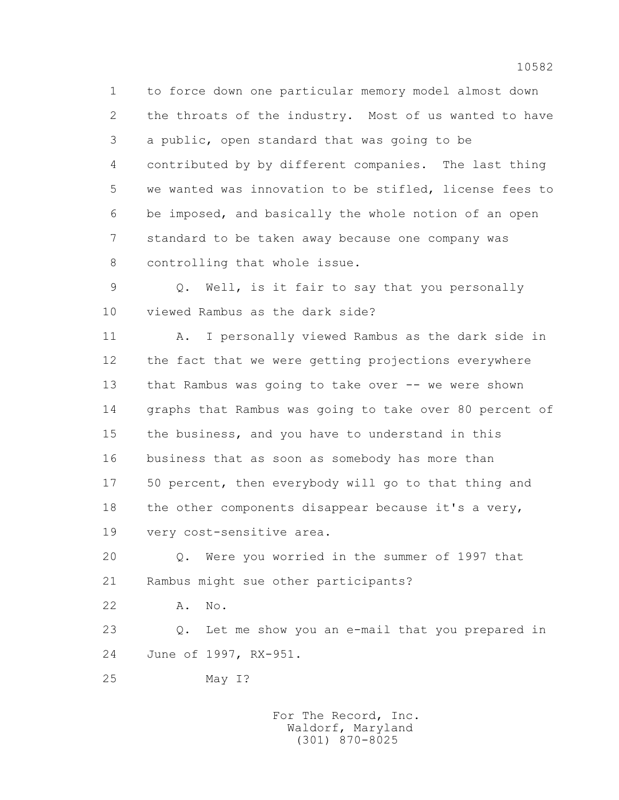1 to force down one particular memory model almost down 2 the throats of the industry. Most of us wanted to have 3 a public, open standard that was going to be 4 contributed by by different companies. The last thing 5 we wanted was innovation to be stifled, license fees to 6 be imposed, and basically the whole notion of an open 7 standard to be taken away because one company was 8 controlling that whole issue.

 9 Q. Well, is it fair to say that you personally 10 viewed Rambus as the dark side?

 11 A. I personally viewed Rambus as the dark side in 12 the fact that we were getting projections everywhere 13 that Rambus was going to take over -- we were shown 14 graphs that Rambus was going to take over 80 percent of 15 the business, and you have to understand in this 16 business that as soon as somebody has more than 17 50 percent, then everybody will go to that thing and 18 the other components disappear because it's a very, 19 very cost-sensitive area.

 20 Q. Were you worried in the summer of 1997 that 21 Rambus might sue other participants?

22 A. No.

 23 Q. Let me show you an e-mail that you prepared in 24 June of 1997, RX-951.

25 May I?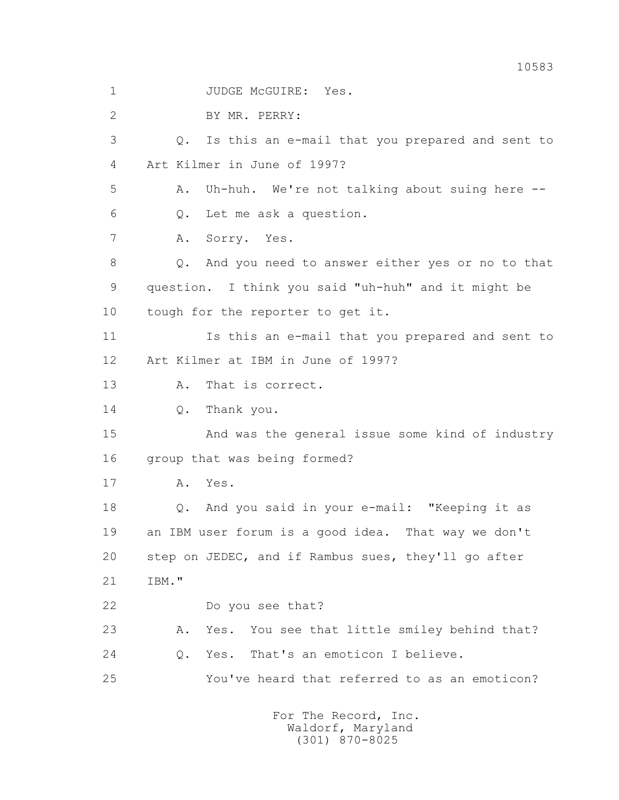10583 1 JUDGE McGUIRE: Yes. 2 BY MR. PERRY: 3 Q. Is this an e-mail that you prepared and sent to 4 Art Kilmer in June of 1997? 5 A. Uh-huh. We're not talking about suing here -- 6 Q. Let me ask a question. 7 A. Sorry. Yes. 8 Q. And you need to answer either yes or no to that 9 question. I think you said "uh-huh" and it might be 10 tough for the reporter to get it. 11 Is this an e-mail that you prepared and sent to 12 Art Kilmer at IBM in June of 1997? 13 A. That is correct. 14 Q. Thank you. 15 And was the general issue some kind of industry 16 group that was being formed? 17 A. Yes. 18 Q. And you said in your e-mail: "Keeping it as 19 an IBM user forum is a good idea. That way we don't 20 step on JEDEC, and if Rambus sues, they'll go after 21 IBM." 22 Do you see that? 23 A. Yes. You see that little smiley behind that? 24 Q. Yes. That's an emoticon I believe. 25 You've heard that referred to as an emoticon?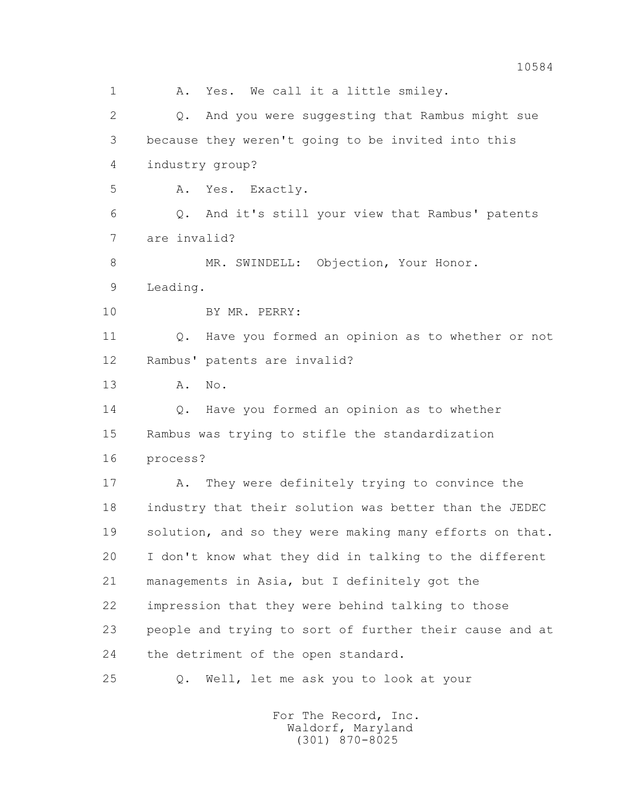1 A. Yes. We call it a little smiley. 2 Q. And you were suggesting that Rambus might sue 3 because they weren't going to be invited into this 4 industry group? 5 A. Yes. Exactly. 6 Q. And it's still your view that Rambus' patents 7 are invalid? 8 MR. SWINDELL: Objection, Your Honor. 9 Leading. 10 BY MR. PERRY: 11 Q. Have you formed an opinion as to whether or not 12 Rambus' patents are invalid? 13 A. No. 14 Q. Have you formed an opinion as to whether 15 Rambus was trying to stifle the standardization 16 process? 17 A. They were definitely trying to convince the 18 industry that their solution was better than the JEDEC 19 solution, and so they were making many efforts on that. 20 I don't know what they did in talking to the different 21 managements in Asia, but I definitely got the 22 impression that they were behind talking to those 23 people and trying to sort of further their cause and at 24 the detriment of the open standard. 25 Q. Well, let me ask you to look at your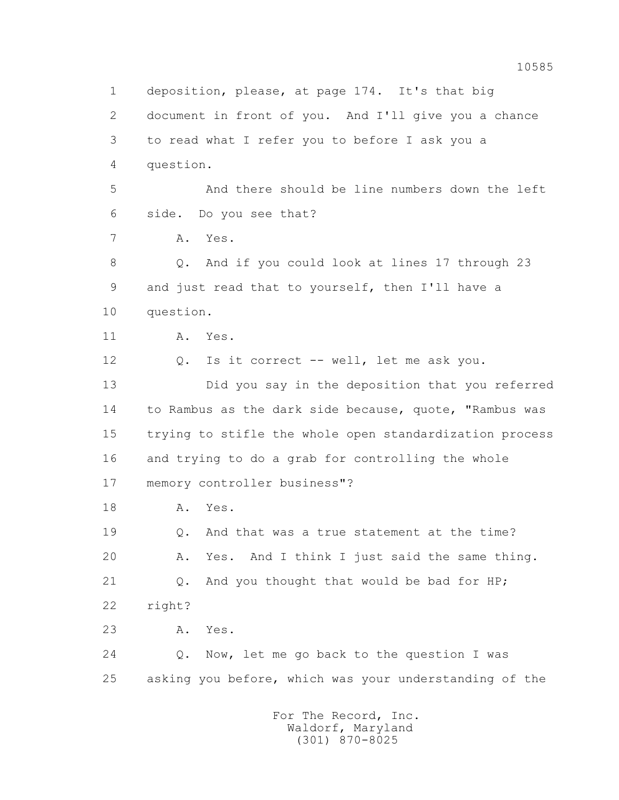1 deposition, please, at page 174. It's that big 2 document in front of you. And I'll give you a chance 3 to read what I refer you to before I ask you a 4 question. 5 And there should be line numbers down the left 6 side. Do you see that? 7 A. Yes. 8 Q. And if you could look at lines 17 through 23 9 and just read that to yourself, then I'll have a 10 question. 11 A. Yes. 12 Q. Is it correct -- well, let me ask you. 13 Did you say in the deposition that you referred 14 to Rambus as the dark side because, quote, "Rambus was 15 trying to stifle the whole open standardization process 16 and trying to do a grab for controlling the whole 17 memory controller business"? 18 A. Yes. 19 Q. And that was a true statement at the time? 20 A. Yes. And I think I just said the same thing. 21 Q. And you thought that would be bad for HP; 22 right? 23 A. Yes. 24 Q. Now, let me go back to the question I was 25 asking you before, which was your understanding of the For The Record, Inc.

 Waldorf, Maryland (301) 870-8025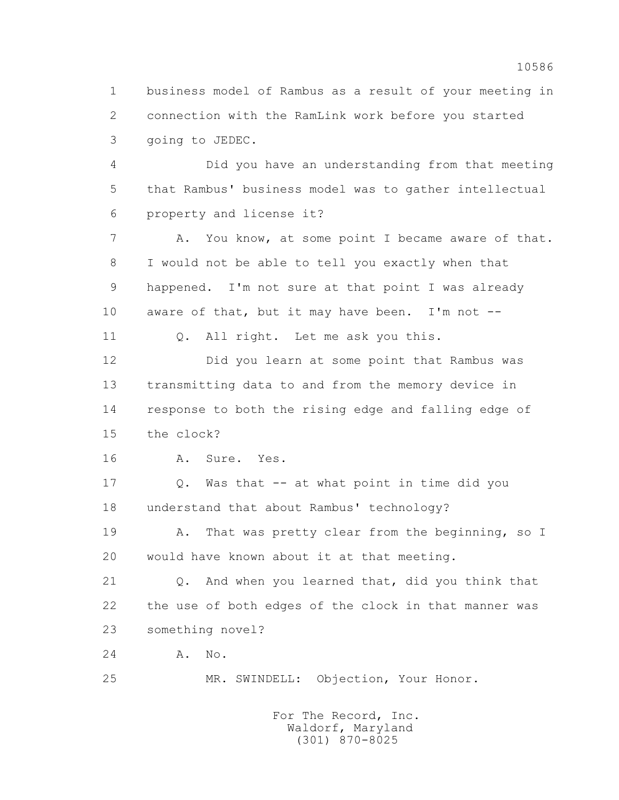1 business model of Rambus as a result of your meeting in 2 connection with the RamLink work before you started 3 going to JEDEC.

 4 Did you have an understanding from that meeting 5 that Rambus' business model was to gather intellectual 6 property and license it?

 7 A. You know, at some point I became aware of that. 8 I would not be able to tell you exactly when that 9 happened. I'm not sure at that point I was already 10 aware of that, but it may have been. I'm not --

11 0. All right. Let me ask you this.

 12 Did you learn at some point that Rambus was 13 transmitting data to and from the memory device in 14 response to both the rising edge and falling edge of 15 the clock?

16 A. Sure. Yes.

 17 Q. Was that -- at what point in time did you 18 understand that about Rambus' technology?

19 A. That was pretty clear from the beginning, so I 20 would have known about it at that meeting.

 21 Q. And when you learned that, did you think that 22 the use of both edges of the clock in that manner was 23 something novel?

24 A. No.

25 MR. SWINDELL: Objection, Your Honor.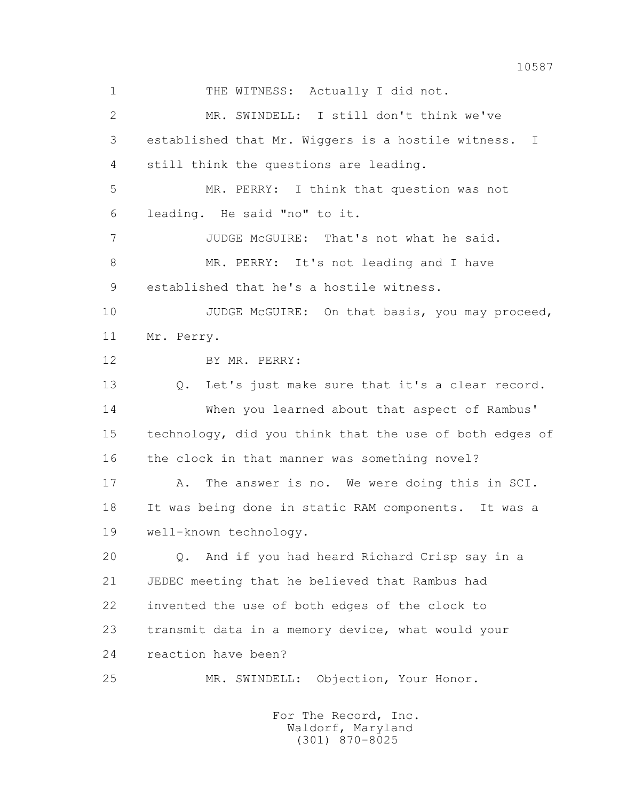1 THE WITNESS: Actually I did not. 2 MR. SWINDELL: I still don't think we've 3 established that Mr. Wiggers is a hostile witness. I 4 still think the questions are leading. 5 MR. PERRY: I think that question was not 6 leading. He said "no" to it. 7 JUDGE McGUIRE: That's not what he said. 8 MR. PERRY: It's not leading and I have 9 established that he's a hostile witness. 10 JUDGE McGUIRE: On that basis, you may proceed, 11 Mr. Perry. 12 BY MR. PERRY: 13 Q. Let's just make sure that it's a clear record. 14 When you learned about that aspect of Rambus' 15 technology, did you think that the use of both edges of 16 the clock in that manner was something novel? 17 A. The answer is no. We were doing this in SCI. 18 It was being done in static RAM components. It was a 19 well-known technology. 20 Q. And if you had heard Richard Crisp say in a 21 JEDEC meeting that he believed that Rambus had 22 invented the use of both edges of the clock to 23 transmit data in a memory device, what would your 24 reaction have been? 25 MR. SWINDELL: Objection, Your Honor.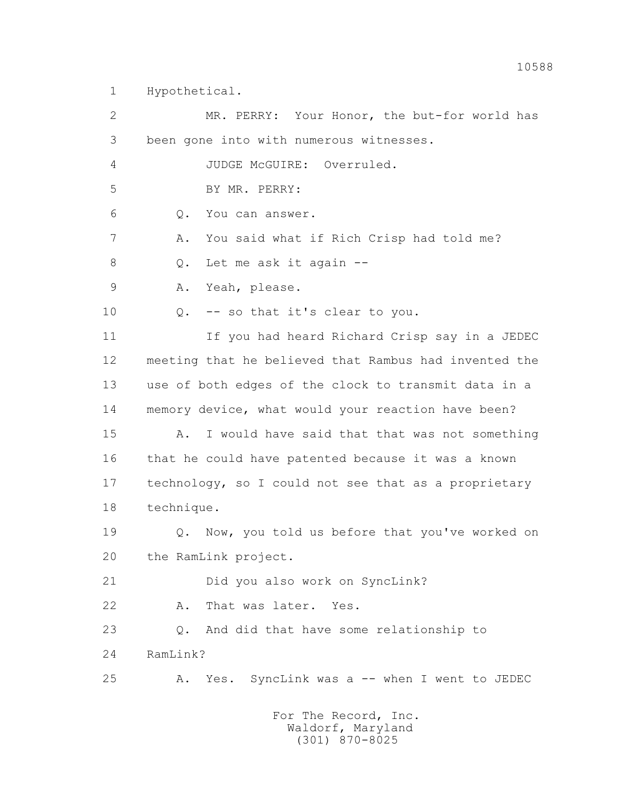1 Hypothetical.

 2 MR. PERRY: Your Honor, the but-for world has 3 been gone into with numerous witnesses. 4 JUDGE McGUIRE: Overruled. 5 BY MR. PERRY: 6 Q. You can answer. 7 A. You said what if Rich Crisp had told me? 8 Q. Let me ask it again -- 9 A. Yeah, please. 10 Q. -- so that it's clear to you. 11 If you had heard Richard Crisp say in a JEDEC 12 meeting that he believed that Rambus had invented the 13 use of both edges of the clock to transmit data in a 14 memory device, what would your reaction have been? 15 A. I would have said that that was not something 16 that he could have patented because it was a known 17 technology, so I could not see that as a proprietary 18 technique. 19 **Q.** Now, you told us before that you've worked on 20 the RamLink project. 21 Did you also work on SyncLink? 22 A. That was later. Yes. 23 Q. And did that have some relationship to 24 RamLink? 25 A. Yes. SyncLink was a -- when I went to JEDEC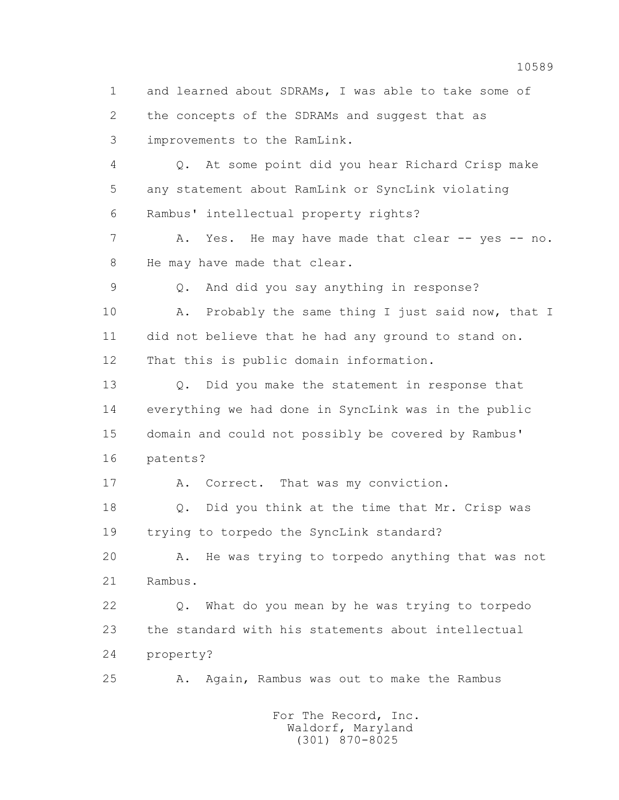1 and learned about SDRAMs, I was able to take some of 2 the concepts of the SDRAMs and suggest that as 3 improvements to the RamLink. 4 Q. At some point did you hear Richard Crisp make 5 any statement about RamLink or SyncLink violating 6 Rambus' intellectual property rights? 7 A. Yes. He may have made that clear -- yes -- no. 8 He may have made that clear. 9 Q. And did you say anything in response? 10 A. Probably the same thing I just said now, that I 11 did not believe that he had any ground to stand on. 12 That this is public domain information. 13 Q. Did you make the statement in response that 14 everything we had done in SyncLink was in the public 15 domain and could not possibly be covered by Rambus' 16 patents? 17 A. Correct. That was my conviction. 18 Q. Did you think at the time that Mr. Crisp was 19 trying to torpedo the SyncLink standard? 20 A. He was trying to torpedo anything that was not 21 Rambus. 22 Q. What do you mean by he was trying to torpedo 23 the standard with his statements about intellectual 24 property? 25 A. Again, Rambus was out to make the Rambus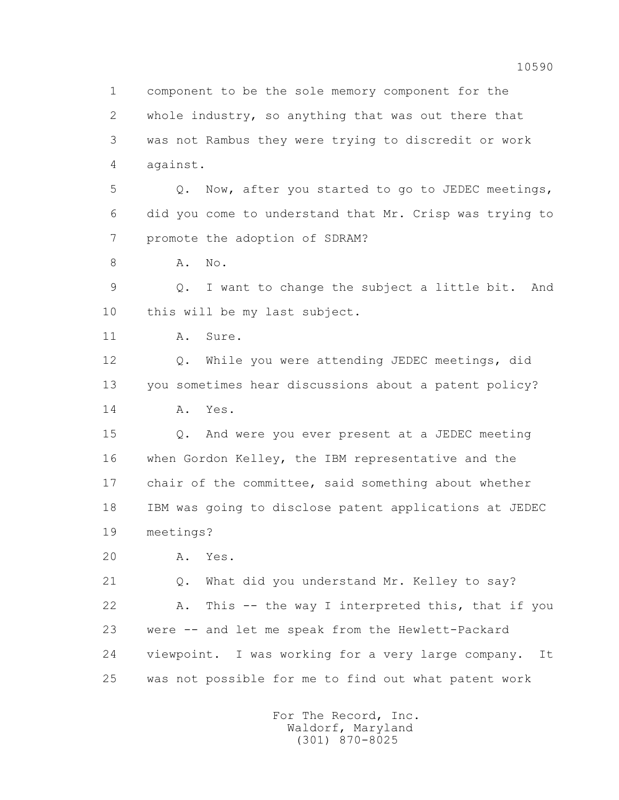1 component to be the sole memory component for the 2 whole industry, so anything that was out there that 3 was not Rambus they were trying to discredit or work 4 against.

 5 Q. Now, after you started to go to JEDEC meetings, 6 did you come to understand that Mr. Crisp was trying to 7 promote the adoption of SDRAM?

8 A. No.

 9 Q. I want to change the subject a little bit. And 10 this will be my last subject.

11 A. Sure.

 12 Q. While you were attending JEDEC meetings, did 13 you sometimes hear discussions about a patent policy? 14 A. Yes.

 15 Q. And were you ever present at a JEDEC meeting 16 when Gordon Kelley, the IBM representative and the 17 chair of the committee, said something about whether 18 IBM was going to disclose patent applications at JEDEC 19 meetings?

20 A. Yes.

 21 Q. What did you understand Mr. Kelley to say? 22 A. This -- the way I interpreted this, that if you 23 were -- and let me speak from the Hewlett-Packard 24 viewpoint. I was working for a very large company. It 25 was not possible for me to find out what patent work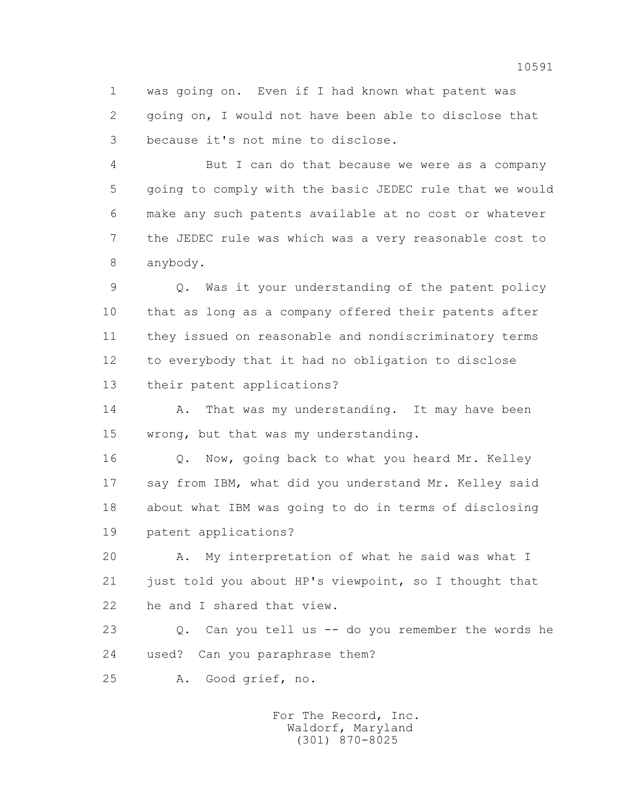1 was going on. Even if I had known what patent was 2 going on, I would not have been able to disclose that 3 because it's not mine to disclose.

 4 But I can do that because we were as a company 5 going to comply with the basic JEDEC rule that we would 6 make any such patents available at no cost or whatever 7 the JEDEC rule was which was a very reasonable cost to 8 anybody.

 9 Q. Was it your understanding of the patent policy 10 that as long as a company offered their patents after 11 they issued on reasonable and nondiscriminatory terms 12 to everybody that it had no obligation to disclose 13 their patent applications?

14 A. That was my understanding. It may have been 15 wrong, but that was my understanding.

 16 Q. Now, going back to what you heard Mr. Kelley 17 say from IBM, what did you understand Mr. Kelley said 18 about what IBM was going to do in terms of disclosing 19 patent applications?

 20 A. My interpretation of what he said was what I 21 just told you about HP's viewpoint, so I thought that 22 he and I shared that view.

 23 Q. Can you tell us -- do you remember the words he 24 used? Can you paraphrase them?

25 A. Good grief, no.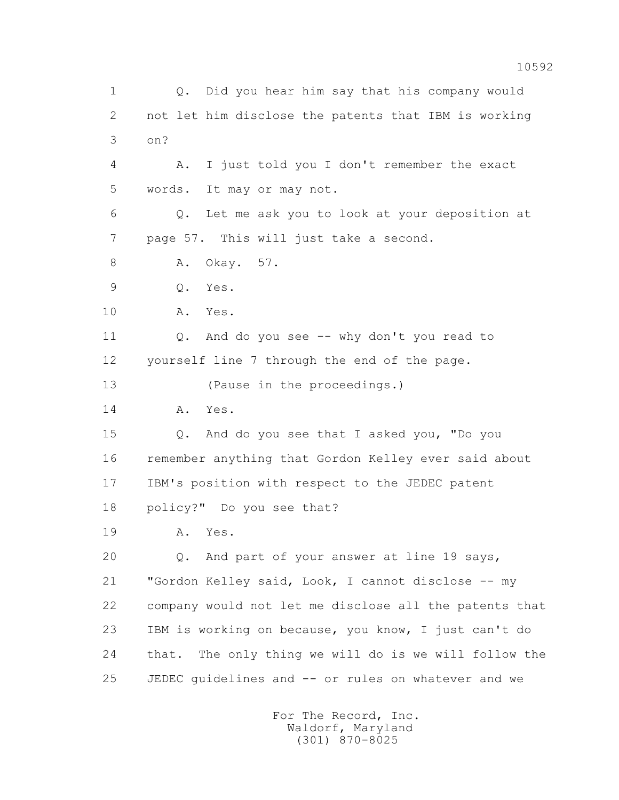1 Q. Did you hear him say that his company would 2 not let him disclose the patents that IBM is working 3 on? 4 A. I just told you I don't remember the exact 5 words. It may or may not. 6 Q. Let me ask you to look at your deposition at 7 page 57. This will just take a second. 8 A. Okay. 57. 9 Q. Yes. 10 A. Yes. 11 Q. And do you see -- why don't you read to 12 yourself line 7 through the end of the page. 13 (Pause in the proceedings.) 14 A. Yes. 15 Q. And do you see that I asked you, "Do you 16 remember anything that Gordon Kelley ever said about 17 IBM's position with respect to the JEDEC patent 18 policy?" Do you see that? 19 A. Yes. 20 Q. And part of your answer at line 19 says, 21 "Gordon Kelley said, Look, I cannot disclose -- my 22 company would not let me disclose all the patents that 23 IBM is working on because, you know, I just can't do 24 that. The only thing we will do is we will follow the 25 JEDEC guidelines and -- or rules on whatever and we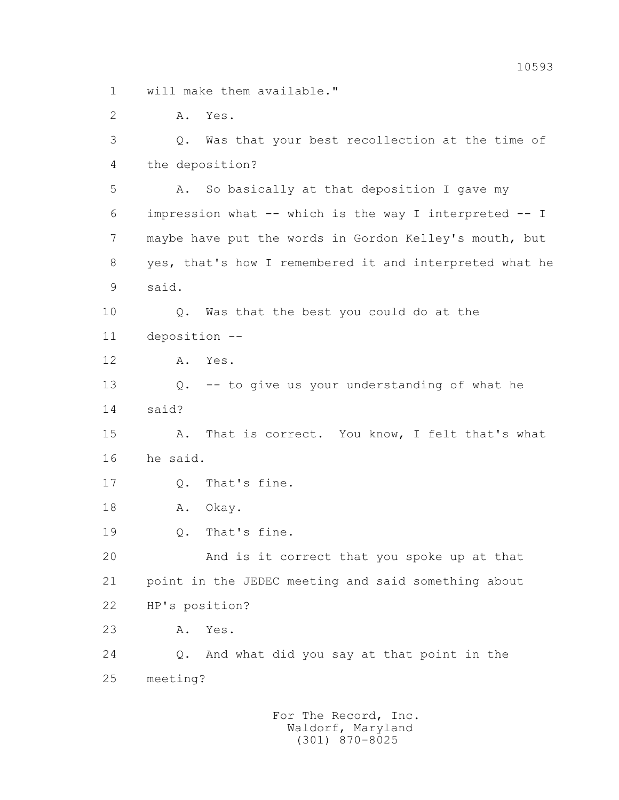1 will make them available."

2 A. Yes.

 3 Q. Was that your best recollection at the time of 4 the deposition? 5 A. So basically at that deposition I gave my 6 impression what -- which is the way I interpreted -- I 7 maybe have put the words in Gordon Kelley's mouth, but 8 yes, that's how I remembered it and interpreted what he 9 said. 10 Q. Was that the best you could do at the 11 deposition -- 12 A. Yes. 13 Q. -- to give us your understanding of what he 14 said? 15 A. That is correct. You know, I felt that's what 16 he said. 17 Q. That's fine. 18 A. Okay. 19 Q. That's fine. 20 And is it correct that you spoke up at that 21 point in the JEDEC meeting and said something about 22 HP's position? 23 A. Yes. 24 Q. And what did you say at that point in the 25 meeting?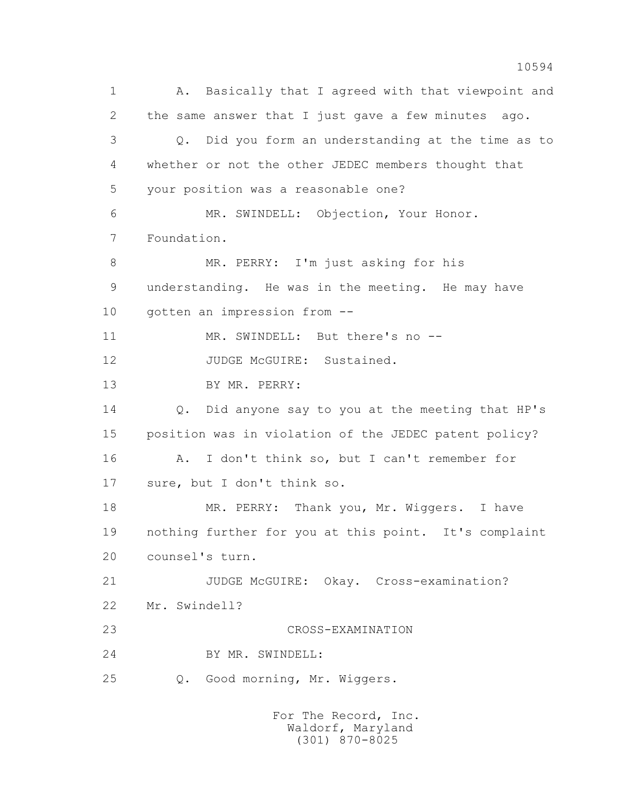1 A. Basically that I agreed with that viewpoint and 2 the same answer that I just gave a few minutes ago. 3 Q. Did you form an understanding at the time as to 4 whether or not the other JEDEC members thought that 5 your position was a reasonable one? 6 MR. SWINDELL: Objection, Your Honor. 7 Foundation. 8 MR. PERRY: I'm just asking for his 9 understanding. He was in the meeting. He may have 10 gotten an impression from -- 11 MR. SWINDELL: But there's no --12 JUDGE McGUIRE: Sustained. 13 BY MR. PERRY: 14 Q. Did anyone say to you at the meeting that HP's 15 position was in violation of the JEDEC patent policy? 16 A. I don't think so, but I can't remember for 17 sure, but I don't think so. 18 MR. PERRY: Thank you, Mr. Wiggers. I have 19 nothing further for you at this point. It's complaint 20 counsel's turn. 21 JUDGE McGUIRE: Okay. Cross-examination? 22 Mr. Swindell? 23 CROSS-EXAMINATION 24 BY MR. SWINDELL: 25 Q. Good morning, Mr. Wiggers.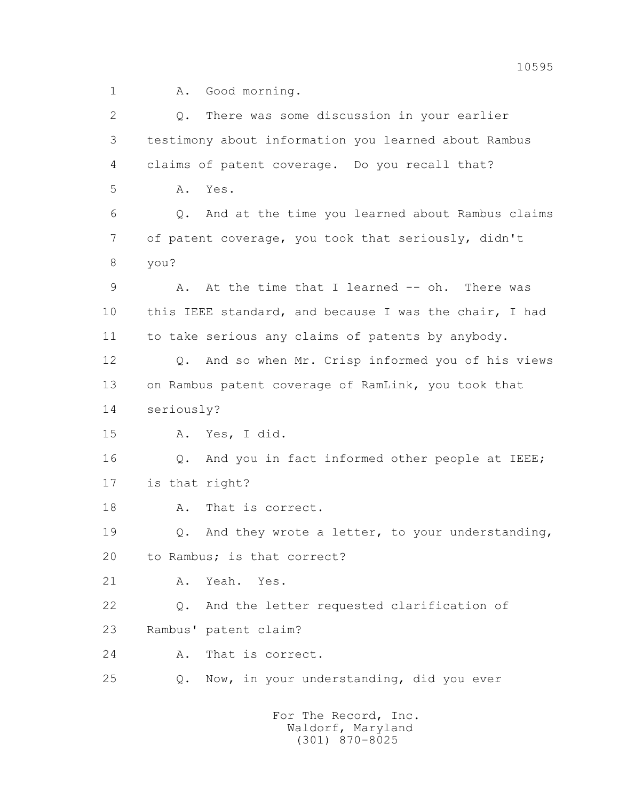1 A. Good morning.

| $\overline{2}$ | There was some discussion in your earlier<br>Q.            |
|----------------|------------------------------------------------------------|
| 3              | testimony about information you learned about Rambus       |
| 4              | claims of patent coverage. Do you recall that?             |
| 5              | Yes.<br>Α.                                                 |
| 6              | Q. And at the time you learned about Rambus claims         |
| $\overline{7}$ | of patent coverage, you took that seriously, didn't        |
| 8              | you?                                                       |
| 9              | A. At the time that I learned -- oh. There was             |
| 10             | this IEEE standard, and because I was the chair, I had     |
| 11             | to take serious any claims of patents by anybody.          |
| 12             | Q. And so when Mr. Crisp informed you of his views         |
| 13             | on Rambus patent coverage of RamLink, you took that        |
| 14             | seriously?                                                 |
| 15             | A. Yes, I did.                                             |
| 16             | Q. And you in fact informed other people at IEEE;          |
| 17             | is that right?                                             |
| 18             | That is correct.<br>Α.                                     |
| 19             | And they wrote a letter, to your understanding,<br>Q.      |
| 20             | to Rambus; is that correct?                                |
| 21             | Yeah. Yes.<br>Α.                                           |
| 22             | And the letter requested clarification of<br>$Q_{\bullet}$ |
| 23             | Rambus' patent claim?                                      |
| 24             | That is correct.<br>Α.                                     |
| 25             | Now, in your understanding, did you ever<br>Q.             |
|                | For The Record, Inc.<br>Waldorf, Maryland                  |

(301) 870-8025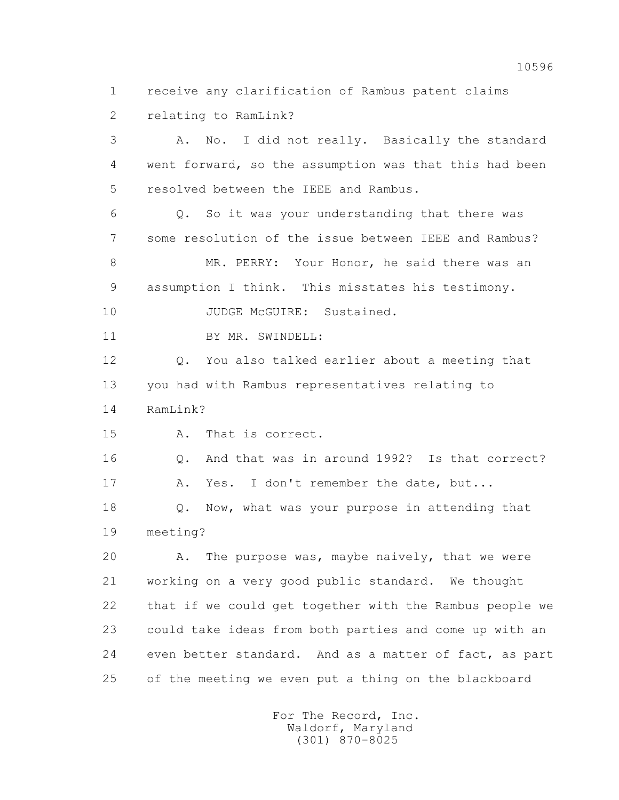1 receive any clarification of Rambus patent claims

2 relating to RamLink?

 3 A. No. I did not really. Basically the standard 4 went forward, so the assumption was that this had been 5 resolved between the IEEE and Rambus. 6 Q. So it was your understanding that there was 7 some resolution of the issue between IEEE and Rambus? 8 MR. PERRY: Your Honor, he said there was an 9 assumption I think. This misstates his testimony. 10 JUDGE McGUIRE: Sustained. 11 BY MR. SWINDELL: 12 Q. You also talked earlier about a meeting that 13 you had with Rambus representatives relating to 14 RamLink? 15 A. That is correct. 16 Q. And that was in around 1992? Is that correct? 17 A. Yes. I don't remember the date, but... 18 **Q.** Now, what was your purpose in attending that 19 meeting? 20 A. The purpose was, maybe naively, that we were 21 working on a very good public standard. We thought 22 that if we could get together with the Rambus people we 23 could take ideas from both parties and come up with an 24 even better standard. And as a matter of fact, as part 25 of the meeting we even put a thing on the blackboard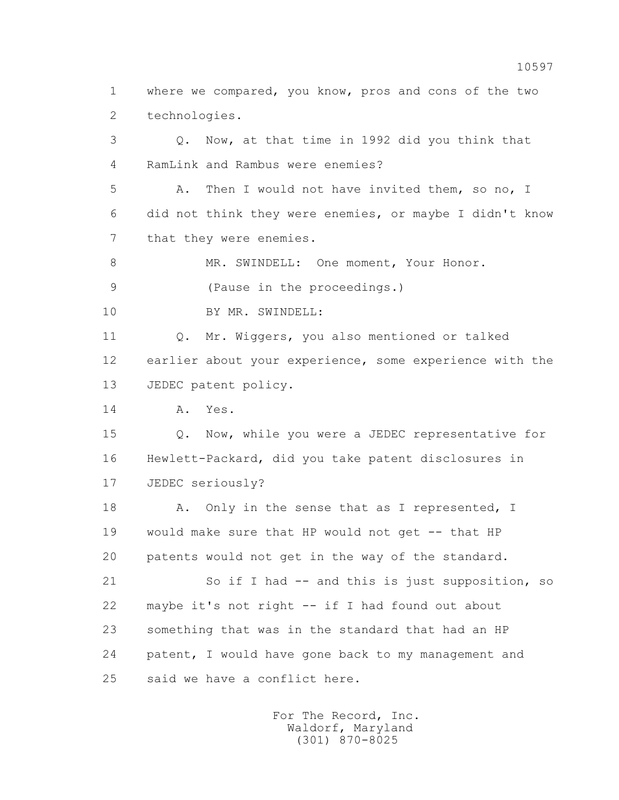1 where we compared, you know, pros and cons of the two 2 technologies.

 3 Q. Now, at that time in 1992 did you think that 4 RamLink and Rambus were enemies?

 5 A. Then I would not have invited them, so no, I 6 did not think they were enemies, or maybe I didn't know 7 that they were enemies.

8 MR. SWINDELL: One moment, Your Honor.

9 (Pause in the proceedings.)

10 BY MR. SWINDELL:

 11 Q. Mr. Wiggers, you also mentioned or talked 12 earlier about your experience, some experience with the 13 JEDEC patent policy.

14 A. Yes.

 15 Q. Now, while you were a JEDEC representative for 16 Hewlett-Packard, did you take patent disclosures in 17 JEDEC seriously?

18 A. Only in the sense that as I represented, I 19 would make sure that HP would not get -- that HP 20 patents would not get in the way of the standard.

 21 So if I had -- and this is just supposition, so 22 maybe it's not right -- if I had found out about 23 something that was in the standard that had an HP 24 patent, I would have gone back to my management and 25 said we have a conflict here.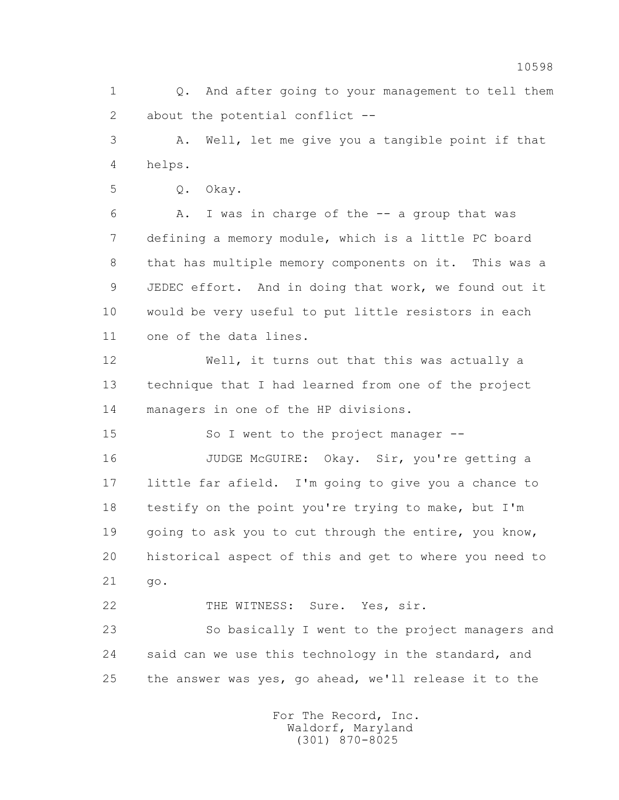1 Q. And after going to your management to tell them 2 about the potential conflict --

 3 A. Well, let me give you a tangible point if that 4 helps.

5 Q. Okay.

 6 A. I was in charge of the -- a group that was 7 defining a memory module, which is a little PC board 8 that has multiple memory components on it. This was a 9 JEDEC effort. And in doing that work, we found out it 10 would be very useful to put little resistors in each 11 one of the data lines.

 12 Well, it turns out that this was actually a 13 technique that I had learned from one of the project 14 managers in one of the HP divisions.

15 So I went to the project manager --

 16 JUDGE McGUIRE: Okay. Sir, you're getting a 17 little far afield. I'm going to give you a chance to 18 testify on the point you're trying to make, but I'm 19 going to ask you to cut through the entire, you know, 20 historical aspect of this and get to where you need to 21 go.

22 THE WITNESS: Sure. Yes, sir.

 23 So basically I went to the project managers and 24 said can we use this technology in the standard, and 25 the answer was yes, go ahead, we'll release it to the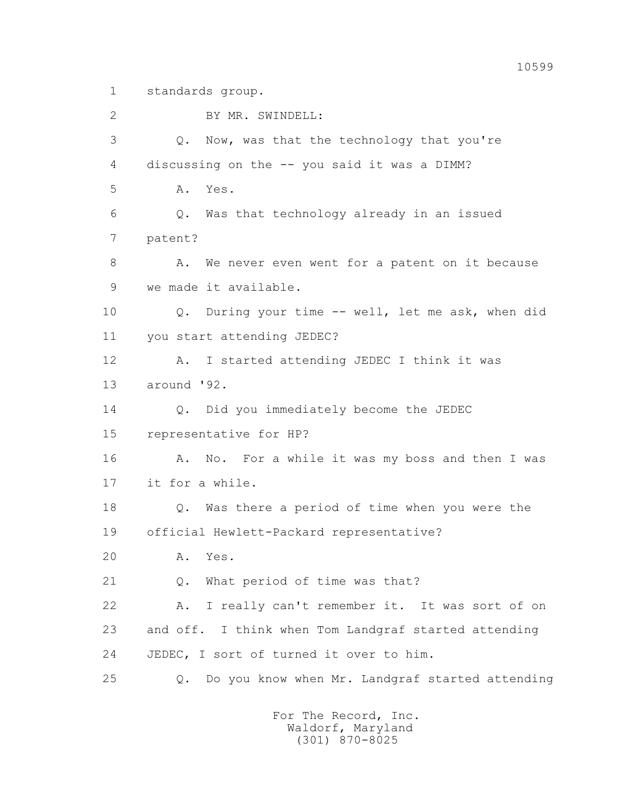1 standards group.

 2 BY MR. SWINDELL: 3 Q. Now, was that the technology that you're 4 discussing on the -- you said it was a DIMM? 5 A. Yes. 6 Q. Was that technology already in an issued 7 patent? 8 A. We never even went for a patent on it because 9 we made it available. 10 Q. During your time -- well, let me ask, when did 11 you start attending JEDEC? 12 A. I started attending JEDEC I think it was 13 around '92. 14 Q. Did you immediately become the JEDEC 15 representative for HP? 16 A. No. For a while it was my boss and then I was 17 it for a while. 18 Q. Was there a period of time when you were the 19 official Hewlett-Packard representative? 20 A. Yes. 21 Q. What period of time was that? 22 A. I really can't remember it. It was sort of on 23 and off. I think when Tom Landgraf started attending 24 JEDEC, I sort of turned it over to him. 25 Q. Do you know when Mr. Landgraf started attending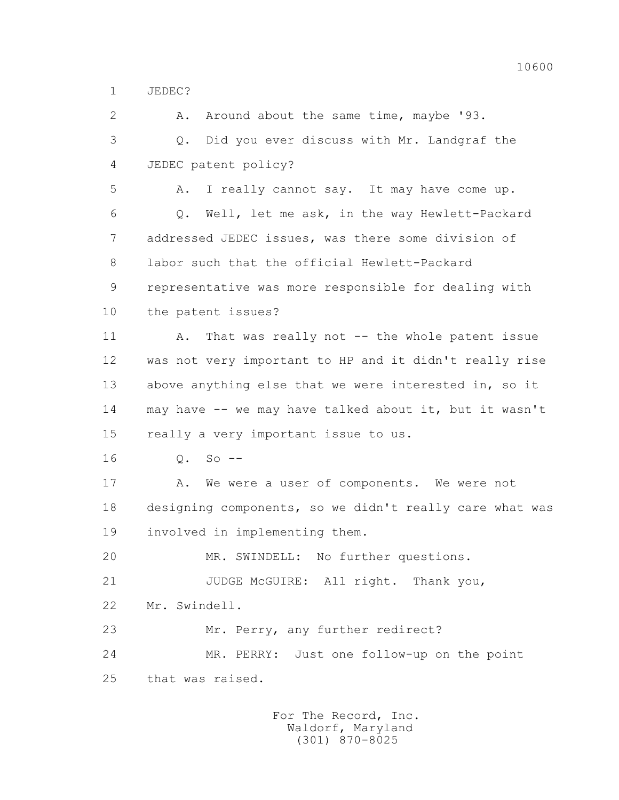1 JEDEC?

2 A. Around about the same time, maybe '93. 3 Q. Did you ever discuss with Mr. Landgraf the 4 JEDEC patent policy? 5 A. I really cannot say. It may have come up. 6 Q. Well, let me ask, in the way Hewlett-Packard 7 addressed JEDEC issues, was there some division of 8 labor such that the official Hewlett-Packard 9 representative was more responsible for dealing with 10 the patent issues? 11 A. That was really not -- the whole patent issue 12 was not very important to HP and it didn't really rise 13 above anything else that we were interested in, so it 14 may have -- we may have talked about it, but it wasn't 15 really a very important issue to us. 16 Q. So -- 17 A. We were a user of components. We were not 18 designing components, so we didn't really care what was 19 involved in implementing them. 20 MR. SWINDELL: No further questions. 21 JUDGE McGUIRE: All right. Thank you, 22 Mr. Swindell. 23 Mr. Perry, any further redirect? 24 MR. PERRY: Just one follow-up on the point 25 that was raised.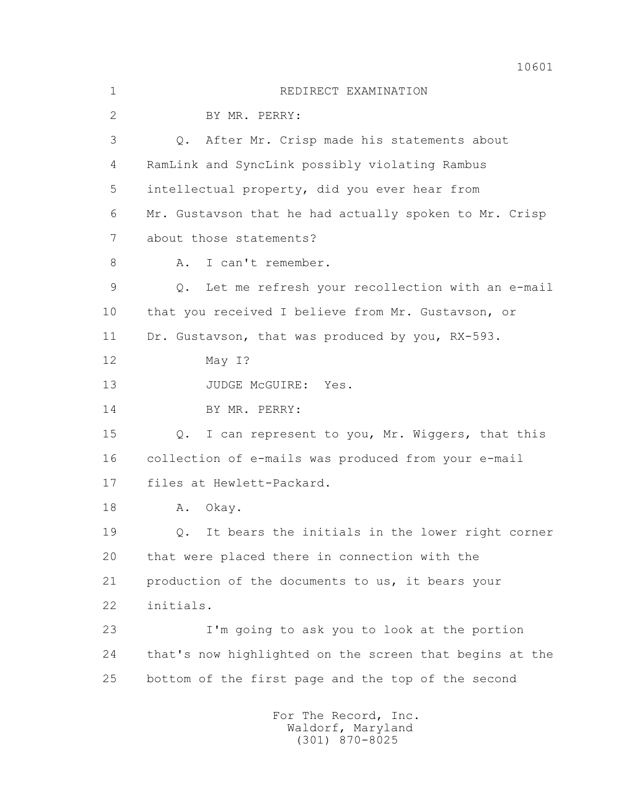1 REDIRECT EXAMINATION 2 BY MR. PERRY: 3 Q. After Mr. Crisp made his statements about 4 RamLink and SyncLink possibly violating Rambus 5 intellectual property, did you ever hear from 6 Mr. Gustavson that he had actually spoken to Mr. Crisp 7 about those statements? 8 A. I can't remember. 9 Q. Let me refresh your recollection with an e-mail 10 that you received I believe from Mr. Gustavson, or 11 Dr. Gustavson, that was produced by you, RX-593. 12 May I? 13 JUDGE McGUIRE: Yes. 14 BY MR. PERRY: 15 Q. I can represent to you, Mr. Wiggers, that this 16 collection of e-mails was produced from your e-mail 17 files at Hewlett-Packard. 18 A. Okay. 19 Q. It bears the initials in the lower right corner 20 that were placed there in connection with the 21 production of the documents to us, it bears your 22 initials. 23 I'm going to ask you to look at the portion 24 that's now highlighted on the screen that begins at the 25 bottom of the first page and the top of the second For The Record, Inc. Waldorf, Maryland

(301) 870-8025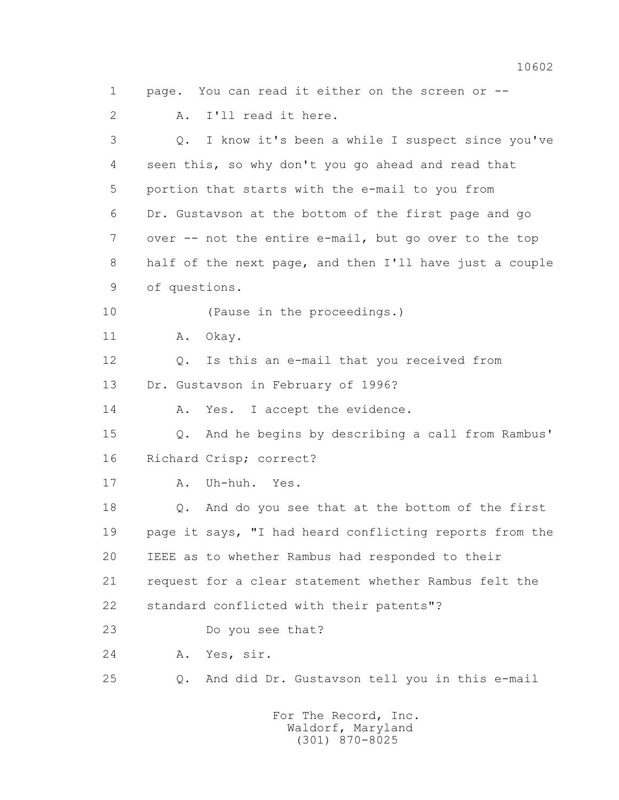3 Q. I know it's been a while I suspect since you've 4 seen this, so why don't you go ahead and read that 5 portion that starts with the e-mail to you from 6 Dr. Gustavson at the bottom of the first page and go 7 over -- not the entire e-mail, but go over to the top 8 half of the next page, and then I'll have just a couple 9 of questions. 10 (Pause in the proceedings.) 11 A. Okay. 12 Q. Is this an e-mail that you received from 13 Dr. Gustavson in February of 1996? 14 A. Yes. I accept the evidence. 15 Q. And he begins by describing a call from Rambus' 16 Richard Crisp; correct? 17 A. Uh-huh. Yes. 18 Q. And do you see that at the bottom of the first 19 page it says, "I had heard conflicting reports from the 20 IEEE as to whether Rambus had responded to their

1 page. You can read it either on the screen or --

2 A. I'll read it here.

21 request for a clear statement whether Rambus felt the

22 standard conflicted with their patents"?

23 Do you see that?

24 A. Yes, sir.

25 Q. And did Dr. Gustavson tell you in this e-mail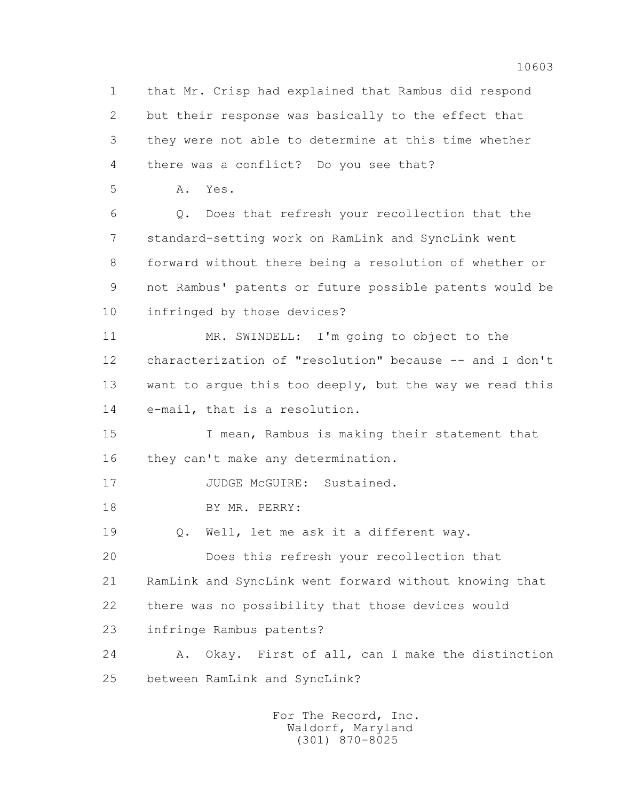1 that Mr. Crisp had explained that Rambus did respond 2 but their response was basically to the effect that 3 they were not able to determine at this time whether 4 there was a conflict? Do you see that? 5 A. Yes. 6 Q. Does that refresh your recollection that the 7 standard-setting work on RamLink and SyncLink went 8 forward without there being a resolution of whether or 9 not Rambus' patents or future possible patents would be 10 infringed by those devices? 11 MR. SWINDELL: I'm going to object to the 12 characterization of "resolution" because -- and I don't 13 want to argue this too deeply, but the way we read this 14 e-mail, that is a resolution. 15 I mean, Rambus is making their statement that 16 they can't make any determination. 17 JUDGE McGUIRE: Sustained. 18 BY MR. PERRY: 19 Q. Well, let me ask it a different way. 20 Does this refresh your recollection that 21 RamLink and SyncLink went forward without knowing that 22 there was no possibility that those devices would 23 infringe Rambus patents? 24 A. Okay. First of all, can I make the distinction 25 between RamLink and SyncLink?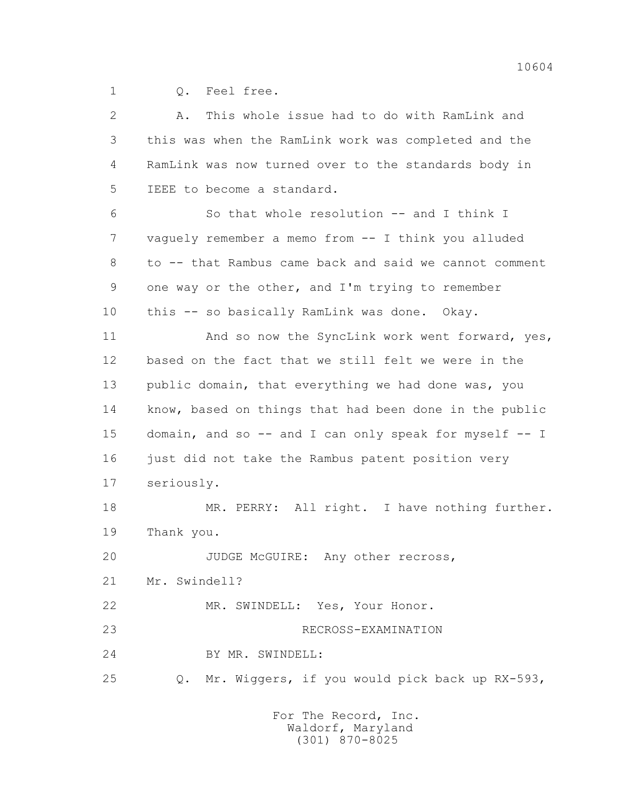1 Q. Feel free.

| $\overline{2}$ | This whole issue had to do with RamLink and<br>Α.      |
|----------------|--------------------------------------------------------|
| 3              | this was when the RamLink work was completed and the   |
| 4              | RamLink was now turned over to the standards body in   |
| 5              | IEEE to become a standard.                             |
| 6              | So that whole resolution -- and I think I              |
| 7              | vaguely remember a memo from -- I think you alluded    |
| 8              | to -- that Rambus came back and said we cannot comment |
| 9              | one way or the other, and I'm trying to remember       |
| 10             | this -- so basically RamLink was done. Okay.           |
| 11             | And so now the SyncLink work went forward, yes,        |
| 12             | based on the fact that we still felt we were in the    |
| 13             | public domain, that everything we had done was, you    |
| 14             | know, based on things that had been done in the public |
| 15             | domain, and so -- and I can only speak for myself -- I |
| 16             | just did not take the Rambus patent position very      |
| 17             | seriously.                                             |
| 18             | MR. PERRY: All right. I have nothing further.          |
| 19             | Thank you.                                             |
| 20             | JUDGE McGUIRE: Any other recross,                      |
| 21             | Mr. Swindell?                                          |
| 22             | MR. SWINDELL: Yes, Your Honor.                         |
| 23             | RECROSS-EXAMINATION                                    |
| 24             | BY MR. SWINDELL:                                       |
| 25             | Mr. Wiggers, if you would pick back up RX-593,<br>Q.   |
|                |                                                        |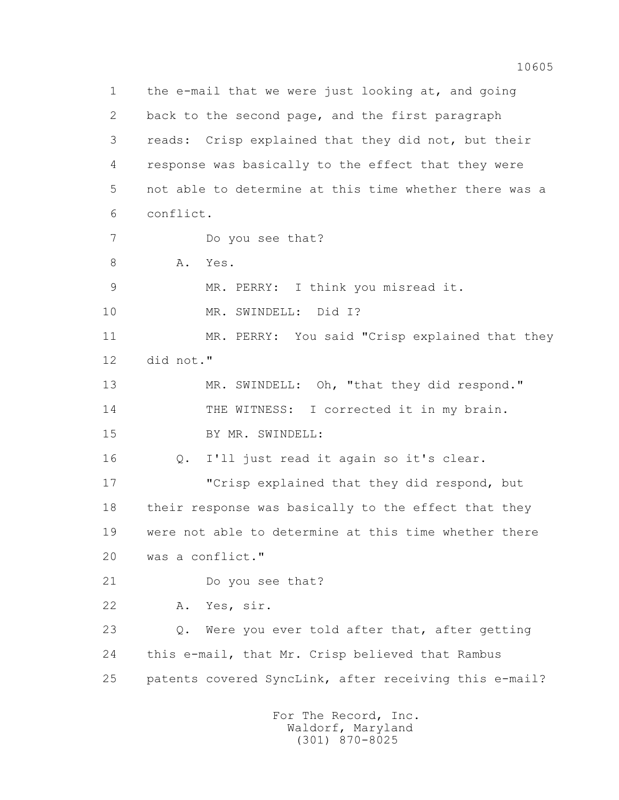1 the e-mail that we were just looking at, and going 2 back to the second page, and the first paragraph 3 reads: Crisp explained that they did not, but their 4 response was basically to the effect that they were 5 not able to determine at this time whether there was a 6 conflict. 7 Do you see that? 8 A. Yes. 9 MR. PERRY: I think you misread it. 10 MR. SWINDELL: Did I? 11 MR. PERRY: You said "Crisp explained that they 12 did not." 13 MR. SWINDELL: Oh, "that they did respond." 14 THE WITNESS: I corrected it in my brain. 15 BY MR. SWINDELL: 16 Q. I'll just read it again so it's clear. 17 "Crisp explained that they did respond, but 18 their response was basically to the effect that they 19 were not able to determine at this time whether there 20 was a conflict." 21 Do you see that? 22 A. Yes, sir. 23 Q. Were you ever told after that, after getting 24 this e-mail, that Mr. Crisp believed that Rambus 25 patents covered SyncLink, after receiving this e-mail? For The Record, Inc.

 Waldorf, Maryland (301) 870-8025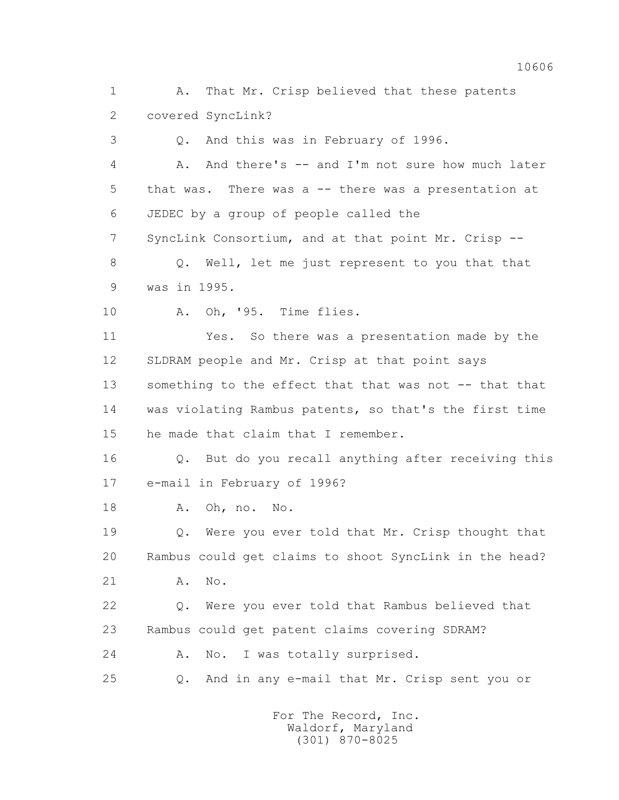1 A. That Mr. Crisp believed that these patents 2 covered SyncLink?

3 Q. And this was in February of 1996.

 4 A. And there's -- and I'm not sure how much later 5 that was. There was a -- there was a presentation at 6 JEDEC by a group of people called the

7 SyncLink Consortium, and at that point Mr. Crisp --

 8 Q. Well, let me just represent to you that that 9 was in 1995.

10 A. Oh, '95. Time flies.

 11 Yes. So there was a presentation made by the 12 SLDRAM people and Mr. Crisp at that point says 13 something to the effect that that was not -- that that 14 was violating Rambus patents, so that's the first time 15 he made that claim that I remember.

 16 Q. But do you recall anything after receiving this 17 e-mail in February of 1996?

18 A. Oh, no. No.

 19 Q. Were you ever told that Mr. Crisp thought that 20 Rambus could get claims to shoot SyncLink in the head?

21 A. No.

 22 Q. Were you ever told that Rambus believed that 23 Rambus could get patent claims covering SDRAM?

24 A. No. I was totally surprised.

25 Q. And in any e-mail that Mr. Crisp sent you or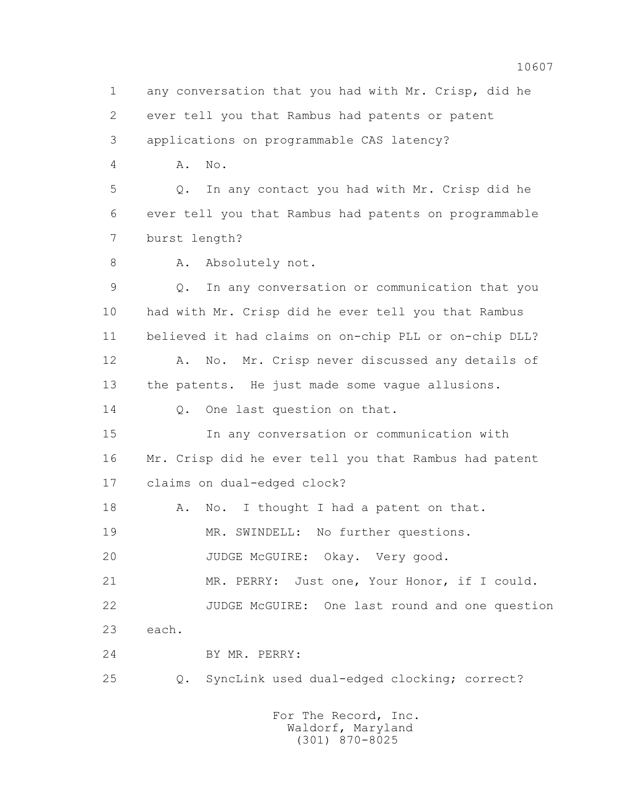1 any conversation that you had with Mr. Crisp, did he 2 ever tell you that Rambus had patents or patent 3 applications on programmable CAS latency? 4 A. No. 5 Q. In any contact you had with Mr. Crisp did he 6 ever tell you that Rambus had patents on programmable 7 burst length? 8 A. Absolutely not. 9 Q. In any conversation or communication that you 10 had with Mr. Crisp did he ever tell you that Rambus 11 believed it had claims on on-chip PLL or on-chip DLL? 12 A. No. Mr. Crisp never discussed any details of 13 the patents. He just made some vague allusions. 14 0. One last question on that. 15 In any conversation or communication with 16 Mr. Crisp did he ever tell you that Rambus had patent 17 claims on dual-edged clock? 18 A. No. I thought I had a patent on that. 19 MR. SWINDELL: No further questions. 20 JUDGE McGUIRE: Okay. Very good. 21 MR. PERRY: Just one, Your Honor, if I could. 22 JUDGE McGUIRE: One last round and one question 23 each. 24 BY MR. PERRY: 25 Q. SyncLink used dual-edged clocking; correct?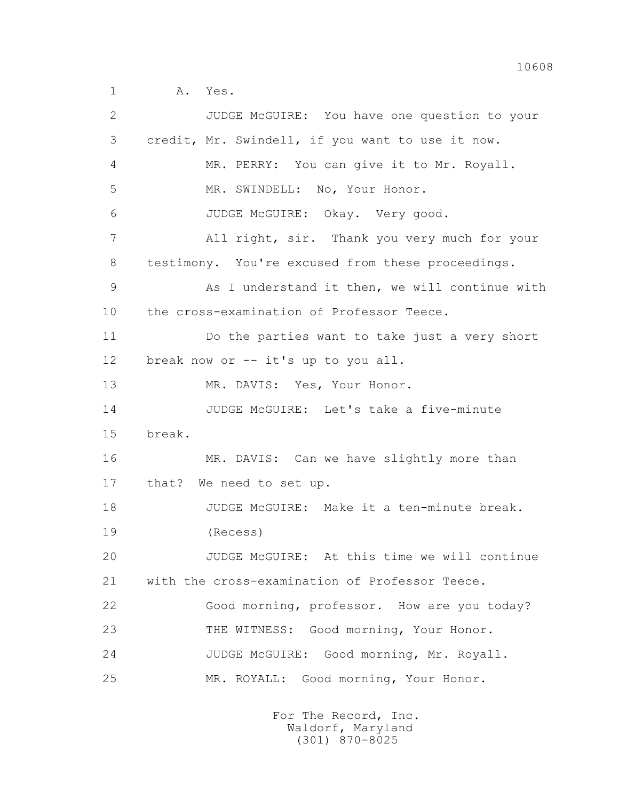2 JUDGE McGUIRE: You have one question to your 3 credit, Mr. Swindell, if you want to use it now. 4 MR. PERRY: You can give it to Mr. Royall. 5 MR. SWINDELL: No, Your Honor. 6 JUDGE McGUIRE: Okay. Very good. 7 All right, sir. Thank you very much for your 8 testimony. You're excused from these proceedings. 9 As I understand it then, we will continue with 10 the cross-examination of Professor Teece. 11 Do the parties want to take just a very short 12 break now or -- it's up to you all. 13 MR. DAVIS: Yes, Your Honor. 14 JUDGE McGUIRE: Let's take a five-minute 15 break. 16 MR. DAVIS: Can we have slightly more than 17 that? We need to set up. 18 JUDGE McGUIRE: Make it a ten-minute break. 19 (Recess) 20 JUDGE McGUIRE: At this time we will continue 21 with the cross-examination of Professor Teece. 22 Good morning, professor. How are you today? 23 THE WITNESS: Good morning, Your Honor. 24 JUDGE McGUIRE: Good morning, Mr. Royall. 25 MR. ROYALL: Good morning, Your Honor.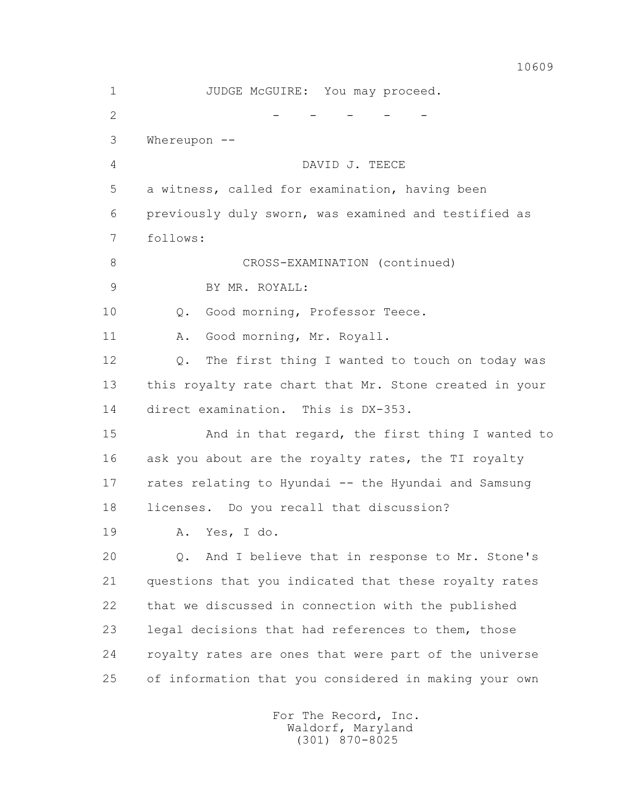1 JUDGE McGUIRE: You may proceed.  $2$  - - - - - - 3 Whereupon -- 4 DAVID J. TEECE 5 a witness, called for examination, having been 6 previously duly sworn, was examined and testified as 7 follows: 8 CROSS-EXAMINATION (continued) 9 BY MR. ROYALL: 10 Q. Good morning, Professor Teece. 11 A. Good morning, Mr. Royall. 12 Q. The first thing I wanted to touch on today was 13 this royalty rate chart that Mr. Stone created in your 14 direct examination. This is DX-353. 15 And in that regard, the first thing I wanted to 16 ask you about are the royalty rates, the TI royalty 17 rates relating to Hyundai -- the Hyundai and Samsung 18 licenses. Do you recall that discussion? 19 A. Yes, I do. 20 Q. And I believe that in response to Mr. Stone's 21 questions that you indicated that these royalty rates 22 that we discussed in connection with the published 23 legal decisions that had references to them, those 24 royalty rates are ones that were part of the universe 25 of information that you considered in making your own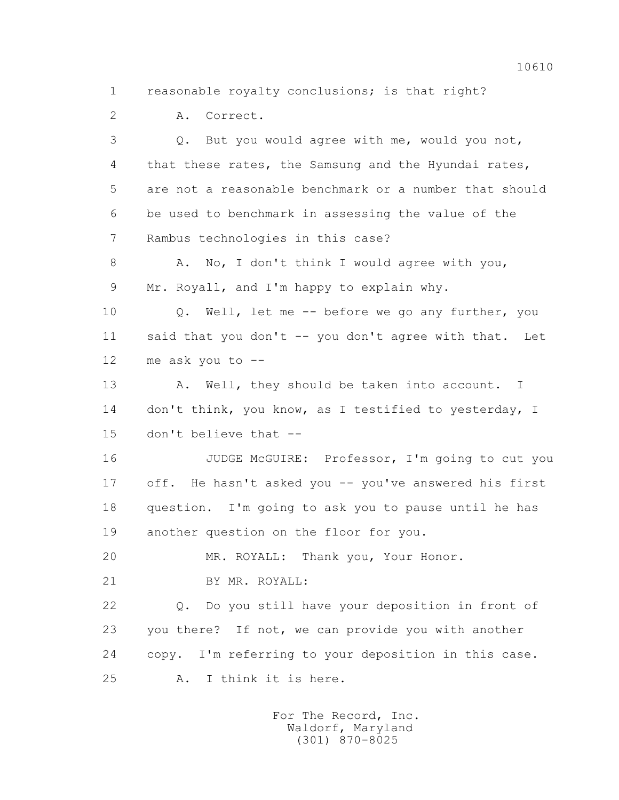1 reasonable royalty conclusions; is that right?

2 A. Correct.

 3 Q. But you would agree with me, would you not, 4 that these rates, the Samsung and the Hyundai rates, 5 are not a reasonable benchmark or a number that should 6 be used to benchmark in assessing the value of the 7 Rambus technologies in this case? 8 A. No, I don't think I would agree with you, 9 Mr. Royall, and I'm happy to explain why. 10 Q. Well, let me -- before we go any further, you 11 said that you don't -- you don't agree with that. Let 12 me ask you to -- 13 A. Well, they should be taken into account. I 14 don't think, you know, as I testified to yesterday, I 15 don't believe that -- 16 JUDGE McGUIRE: Professor, I'm going to cut you 17 off. He hasn't asked you -- you've answered his first 18 question. I'm going to ask you to pause until he has 19 another question on the floor for you. 20 MR. ROYALL: Thank you, Your Honor. 21 BY MR. ROYALL: 22 Q. Do you still have your deposition in front of 23 you there? If not, we can provide you with another 24 copy. I'm referring to your deposition in this case. 25 A. I think it is here.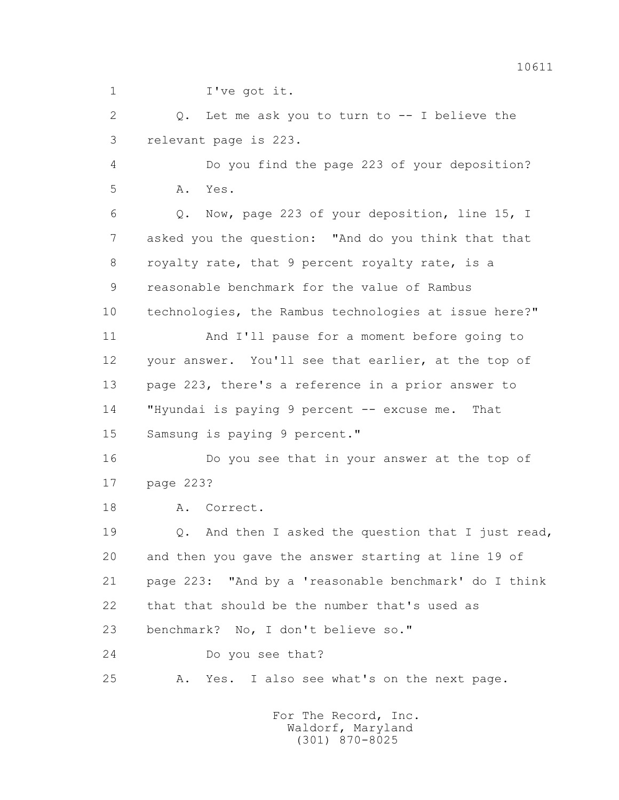1 I've got it.

 2 Q. Let me ask you to turn to -- I believe the 3 relevant page is 223.

 4 Do you find the page 223 of your deposition? 5 A. Yes.

 6 Q. Now, page 223 of your deposition, line 15, I 7 asked you the question: "And do you think that that 8 royalty rate, that 9 percent royalty rate, is a 9 reasonable benchmark for the value of Rambus 10 technologies, the Rambus technologies at issue here?" 11 And I'll pause for a moment before going to 12 your answer. You'll see that earlier, at the top of 13 page 223, there's a reference in a prior answer to 14 "Hyundai is paying 9 percent -- excuse me. That 15 Samsung is paying 9 percent."

 16 Do you see that in your answer at the top of 17 page 223?

18 A. Correct.

19 Q. And then I asked the question that I just read, 20 and then you gave the answer starting at line 19 of 21 page 223: "And by a 'reasonable benchmark' do I think 22 that that should be the number that's used as 23 benchmark? No, I don't believe so."

24 Do you see that?

25 A. Yes. I also see what's on the next page.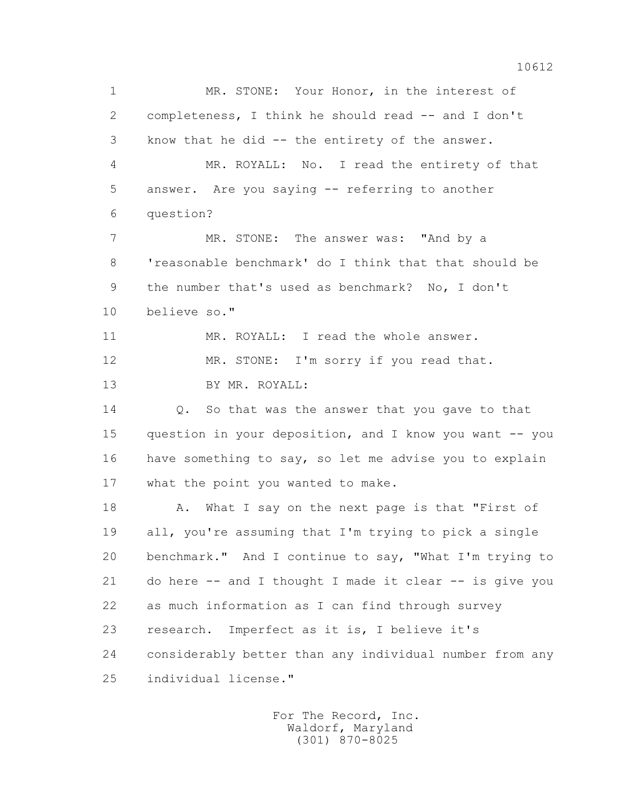1 MR. STONE: Your Honor, in the interest of 2 completeness, I think he should read -- and I don't 3 know that he did -- the entirety of the answer. 4 MR. ROYALL: No. I read the entirety of that 5 answer. Are you saying -- referring to another 6 question? 7 MR. STONE: The answer was: "And by a 8 'reasonable benchmark' do I think that that should be 9 the number that's used as benchmark? No, I don't 10 believe so." 11 MR. ROYALL: I read the whole answer. 12 MR. STONE: I'm sorry if you read that. 13 BY MR. ROYALL: 14 Q. So that was the answer that you gave to that 15 question in your deposition, and I know you want -- you 16 have something to say, so let me advise you to explain 17 what the point you wanted to make. 18 A. What I say on the next page is that "First of 19 all, you're assuming that I'm trying to pick a single 20 benchmark." And I continue to say, "What I'm trying to 21 do here -- and I thought I made it clear -- is give you 22 as much information as I can find through survey 23 research. Imperfect as it is, I believe it's 24 considerably better than any individual number from any 25 individual license."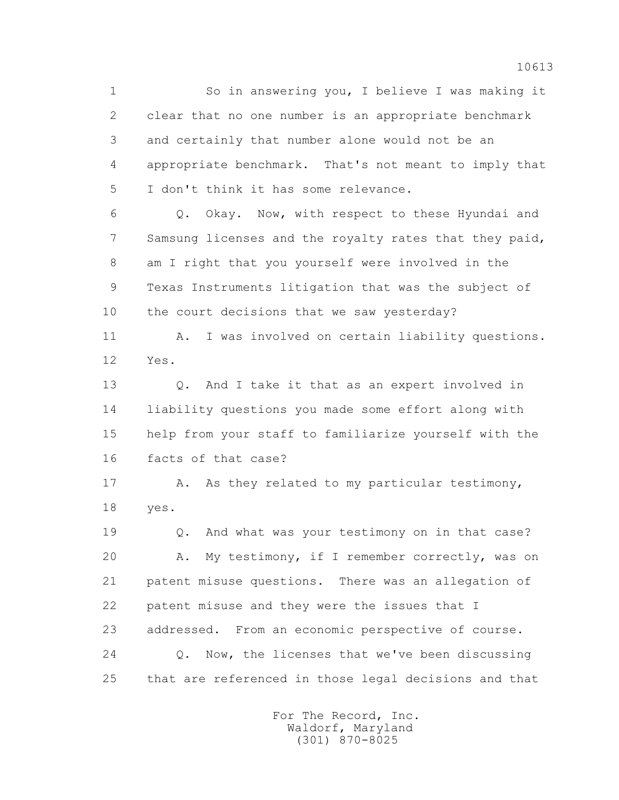1 So in answering you, I believe I was making it 2 clear that no one number is an appropriate benchmark 3 and certainly that number alone would not be an 4 appropriate benchmark. That's not meant to imply that 5 I don't think it has some relevance.

 6 Q. Okay. Now, with respect to these Hyundai and 7 Samsung licenses and the royalty rates that they paid, 8 am I right that you yourself were involved in the 9 Texas Instruments litigation that was the subject of 10 the court decisions that we saw yesterday?

11 A. I was involved on certain liability questions. 12 Yes.

 13 Q. And I take it that as an expert involved in 14 liability questions you made some effort along with 15 help from your staff to familiarize yourself with the 16 facts of that case?

17 A. As they related to my particular testimony, 18 yes.

 19 Q. And what was your testimony on in that case? 20 A. My testimony, if I remember correctly, was on 21 patent misuse questions. There was an allegation of 22 patent misuse and they were the issues that I 23 addressed. From an economic perspective of course. 24 Q. Now, the licenses that we've been discussing 25 that are referenced in those legal decisions and that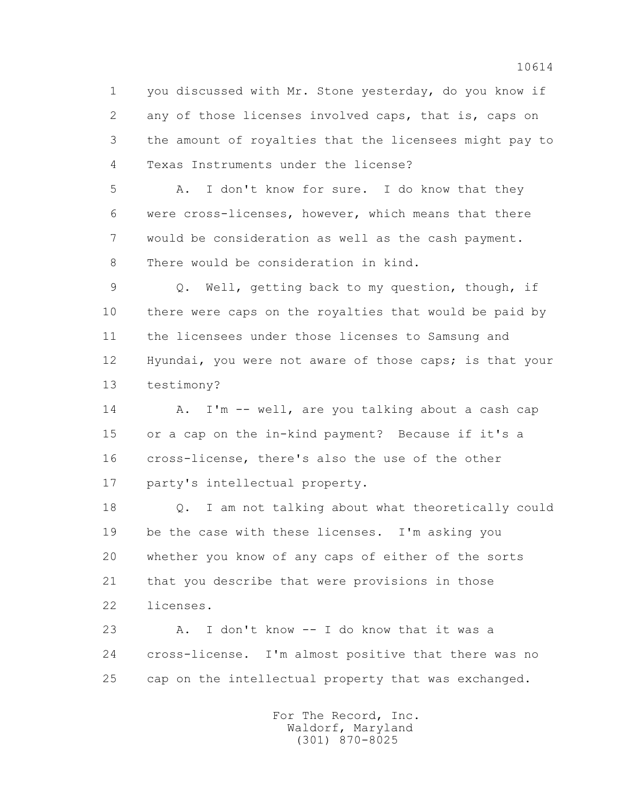1 you discussed with Mr. Stone yesterday, do you know if 2 any of those licenses involved caps, that is, caps on 3 the amount of royalties that the licensees might pay to 4 Texas Instruments under the license?

 5 A. I don't know for sure. I do know that they 6 were cross-licenses, however, which means that there 7 would be consideration as well as the cash payment. 8 There would be consideration in kind.

 9 Q. Well, getting back to my question, though, if 10 there were caps on the royalties that would be paid by 11 the licensees under those licenses to Samsung and 12 Hyundai, you were not aware of those caps; is that your 13 testimony?

14 A. I'm -- well, are you talking about a cash cap 15 or a cap on the in-kind payment? Because if it's a 16 cross-license, there's also the use of the other 17 party's intellectual property.

 18 Q. I am not talking about what theoretically could 19 be the case with these licenses. I'm asking you 20 whether you know of any caps of either of the sorts 21 that you describe that were provisions in those 22 licenses.

 23 A. I don't know -- I do know that it was a 24 cross-license. I'm almost positive that there was no 25 cap on the intellectual property that was exchanged.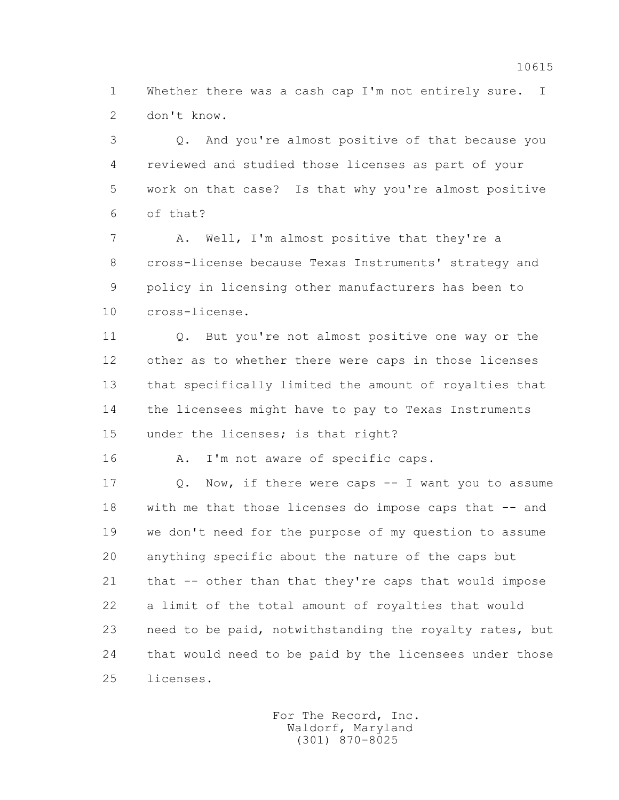1 Whether there was a cash cap I'm not entirely sure. I 2 don't know.

 3 Q. And you're almost positive of that because you 4 reviewed and studied those licenses as part of your 5 work on that case? Is that why you're almost positive 6 of that?

 7 A. Well, I'm almost positive that they're a 8 cross-license because Texas Instruments' strategy and 9 policy in licensing other manufacturers has been to 10 cross-license.

 11 Q. But you're not almost positive one way or the 12 other as to whether there were caps in those licenses 13 that specifically limited the amount of royalties that 14 the licensees might have to pay to Texas Instruments 15 under the licenses; is that right?

16 A. I'm not aware of specific caps.

 17 Q. Now, if there were caps -- I want you to assume 18 with me that those licenses do impose caps that -- and 19 we don't need for the purpose of my question to assume 20 anything specific about the nature of the caps but 21 that -- other than that they're caps that would impose 22 a limit of the total amount of royalties that would 23 need to be paid, notwithstanding the royalty rates, but 24 that would need to be paid by the licensees under those 25 licenses.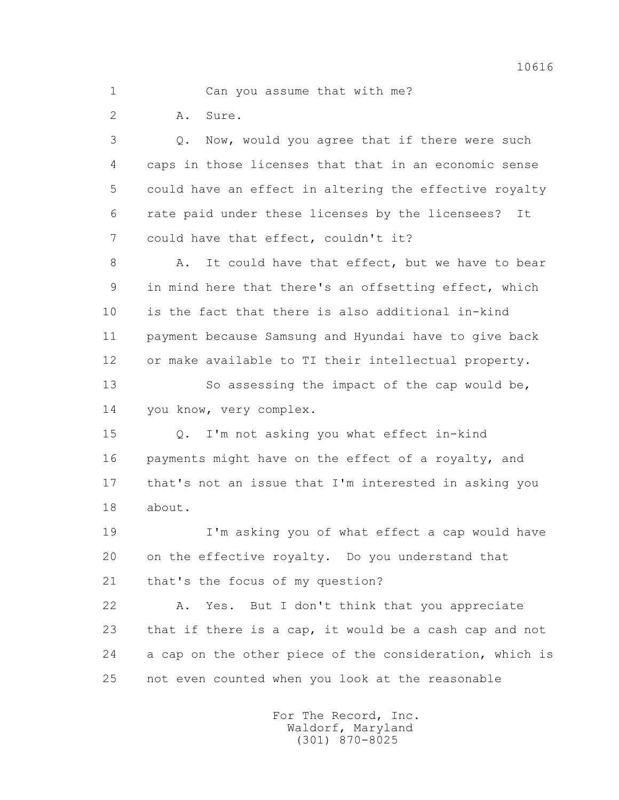1 Can you assume that with me?

2 A. Sure.

 3 Q. Now, would you agree that if there were such 4 caps in those licenses that that in an economic sense 5 could have an effect in altering the effective royalty 6 rate paid under these licenses by the licensees? It 7 could have that effect, couldn't it?

8 A. It could have that effect, but we have to bear 9 in mind here that there's an offsetting effect, which 10 is the fact that there is also additional in-kind 11 payment because Samsung and Hyundai have to give back 12 or make available to TI their intellectual property. 13 So assessing the impact of the cap would be,

14 you know, very complex.

 15 Q. I'm not asking you what effect in-kind 16 payments might have on the effect of a royalty, and 17 that's not an issue that I'm interested in asking you 18 about.

 19 I'm asking you of what effect a cap would have 20 on the effective royalty. Do you understand that 21 that's the focus of my question?

 22 A. Yes. But I don't think that you appreciate 23 that if there is a cap, it would be a cash cap and not 24 a cap on the other piece of the consideration, which is 25 not even counted when you look at the reasonable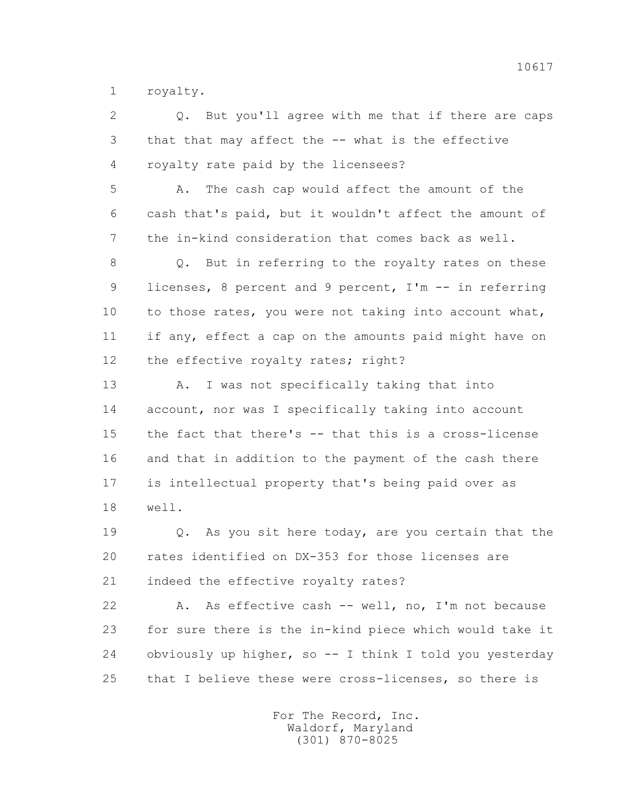1 royalty.

 2 Q. But you'll agree with me that if there are caps 3 that that may affect the -- what is the effective 4 royalty rate paid by the licensees? 5 A. The cash cap would affect the amount of the 6 cash that's paid, but it wouldn't affect the amount of 7 the in-kind consideration that comes back as well. 8 Q. But in referring to the royalty rates on these 9 licenses, 8 percent and 9 percent, I'm -- in referring 10 to those rates, you were not taking into account what, 11 if any, effect a cap on the amounts paid might have on 12 the effective royalty rates; right? 13 A. I was not specifically taking that into 14 account, nor was I specifically taking into account 15 the fact that there's -- that this is a cross-license 16 and that in addition to the payment of the cash there 17 is intellectual property that's being paid over as 18 well. 19 Q. As you sit here today, are you certain that the 20 rates identified on DX-353 for those licenses are 21 indeed the effective royalty rates? 22 A. As effective cash -- well, no, I'm not because 23 for sure there is the in-kind piece which would take it 24 obviously up higher, so -- I think I told you yesterday

> For The Record, Inc. Waldorf, Maryland (301) 870-8025

25 that I believe these were cross-licenses, so there is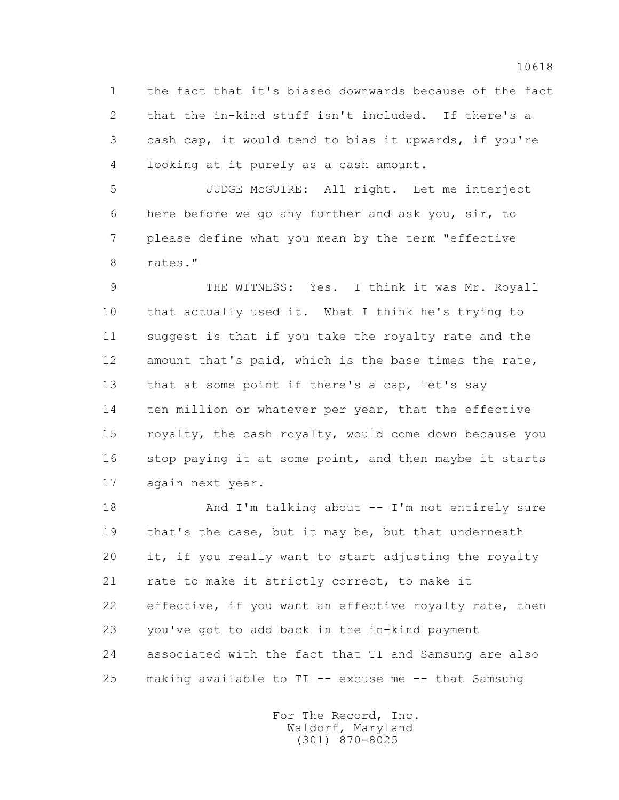1 the fact that it's biased downwards because of the fact 2 that the in-kind stuff isn't included. If there's a 3 cash cap, it would tend to bias it upwards, if you're 4 looking at it purely as a cash amount.

 5 JUDGE McGUIRE: All right. Let me interject 6 here before we go any further and ask you, sir, to 7 please define what you mean by the term "effective 8 rates."

 9 THE WITNESS: Yes. I think it was Mr. Royall 10 that actually used it. What I think he's trying to 11 suggest is that if you take the royalty rate and the 12 amount that's paid, which is the base times the rate, 13 that at some point if there's a cap, let's say 14 ten million or whatever per year, that the effective 15 royalty, the cash royalty, would come down because you 16 stop paying it at some point, and then maybe it starts 17 again next year.

18 And I'm talking about -- I'm not entirely sure 19 that's the case, but it may be, but that underneath 20 it, if you really want to start adjusting the royalty 21 rate to make it strictly correct, to make it 22 effective, if you want an effective royalty rate, then 23 you've got to add back in the in-kind payment 24 associated with the fact that TI and Samsung are also 25 making available to TI -- excuse me -- that Samsung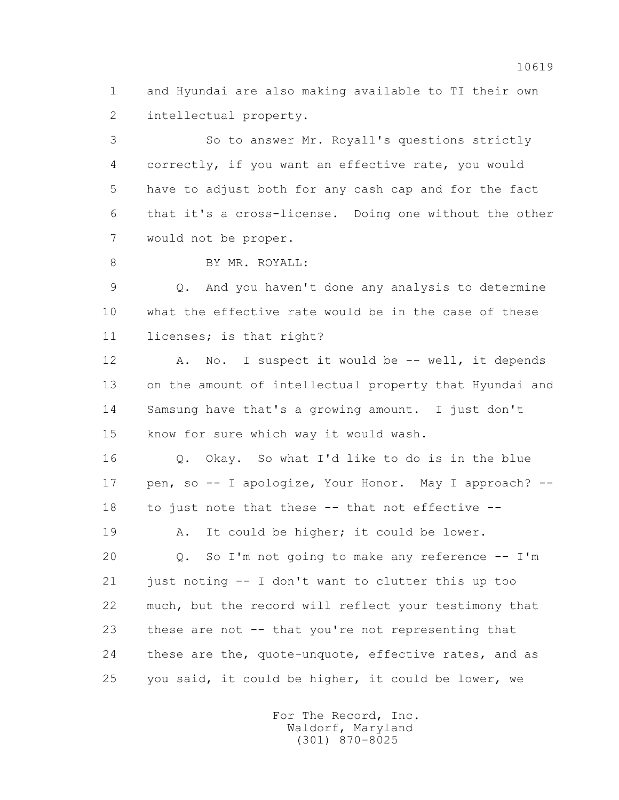1 and Hyundai are also making available to TI their own 2 intellectual property.

 3 So to answer Mr. Royall's questions strictly 4 correctly, if you want an effective rate, you would 5 have to adjust both for any cash cap and for the fact 6 that it's a cross-license. Doing one without the other 7 would not be proper.

8 BY MR. ROYALL:

 9 Q. And you haven't done any analysis to determine 10 what the effective rate would be in the case of these 11 licenses; is that right?

12 A. No. I suspect it would be -- well, it depends 13 on the amount of intellectual property that Hyundai and 14 Samsung have that's a growing amount. I just don't 15 know for sure which way it would wash.

 16 Q. Okay. So what I'd like to do is in the blue 17 pen, so -- I apologize, Your Honor. May I approach? -- 18 to just note that these -- that not effective --

19 A. It could be higher; it could be lower.

20 0. So I'm not going to make any reference -- I'm 21 just noting -- I don't want to clutter this up too 22 much, but the record will reflect your testimony that 23 these are not -- that you're not representing that 24 these are the, quote-unquote, effective rates, and as 25 you said, it could be higher, it could be lower, we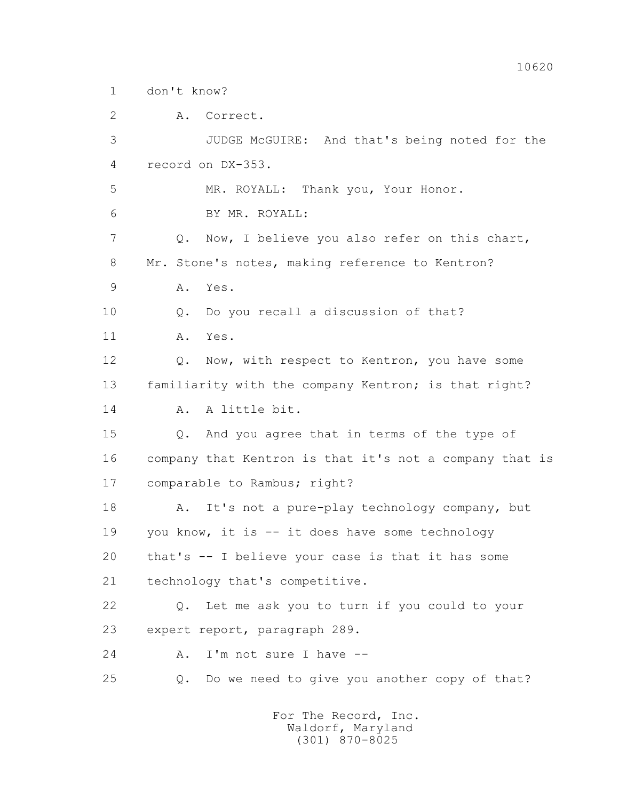1 don't know?

 2 A. Correct. 3 JUDGE McGUIRE: And that's being noted for the 4 record on DX-353. 5 MR. ROYALL: Thank you, Your Honor. 6 BY MR. ROYALL: 7 Q. Now, I believe you also refer on this chart, 8 Mr. Stone's notes, making reference to Kentron? 9 A. Yes. 10 Q. Do you recall a discussion of that? 11 A. Yes. 12 Q. Now, with respect to Kentron, you have some 13 familiarity with the company Kentron; is that right? 14 A. A little bit. 15 Q. And you agree that in terms of the type of 16 company that Kentron is that it's not a company that is 17 comparable to Rambus; right? 18 A. It's not a pure-play technology company, but 19 you know, it is -- it does have some technology 20 that's -- I believe your case is that it has some 21 technology that's competitive. 22 Q. Let me ask you to turn if you could to your 23 expert report, paragraph 289. 24 A. I'm not sure I have --25 Q. Do we need to give you another copy of that?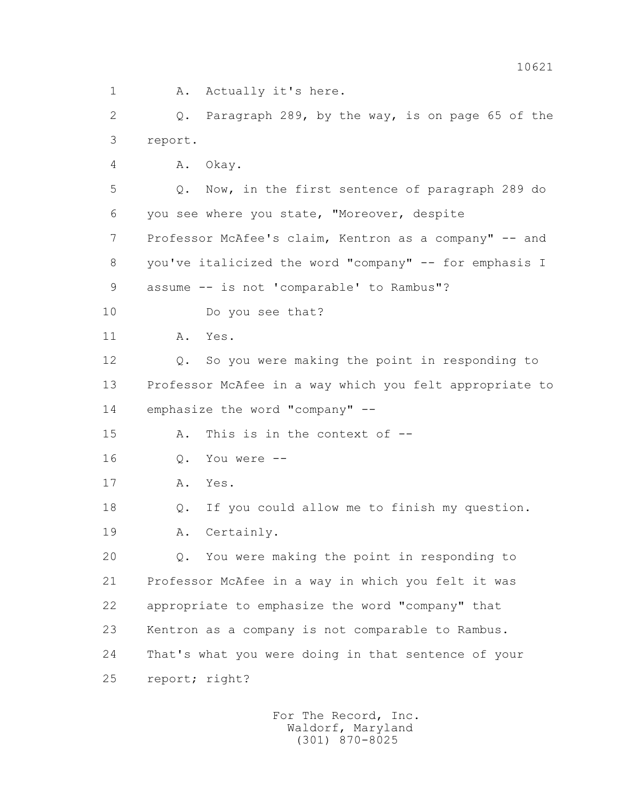1 A. Actually it's here.

 2 Q. Paragraph 289, by the way, is on page 65 of the 3 report.

4 A. Okay.

 5 Q. Now, in the first sentence of paragraph 289 do 6 you see where you state, "Moreover, despite 7 Professor McAfee's claim, Kentron as a company" -- and 8 you've italicized the word "company" -- for emphasis I 9 assume -- is not 'comparable' to Rambus"?

10 Do you see that?

11 A. Yes.

 12 Q. So you were making the point in responding to 13 Professor McAfee in a way which you felt appropriate to 14 emphasize the word "company" --

15 A. This is in the context of --

16 Q. You were --

17 A. Yes.

 18 Q. If you could allow me to finish my question. 19 A. Certainly.

 20 Q. You were making the point in responding to 21 Professor McAfee in a way in which you felt it was 22 appropriate to emphasize the word "company" that 23 Kentron as a company is not comparable to Rambus. 24 That's what you were doing in that sentence of your 25 report; right?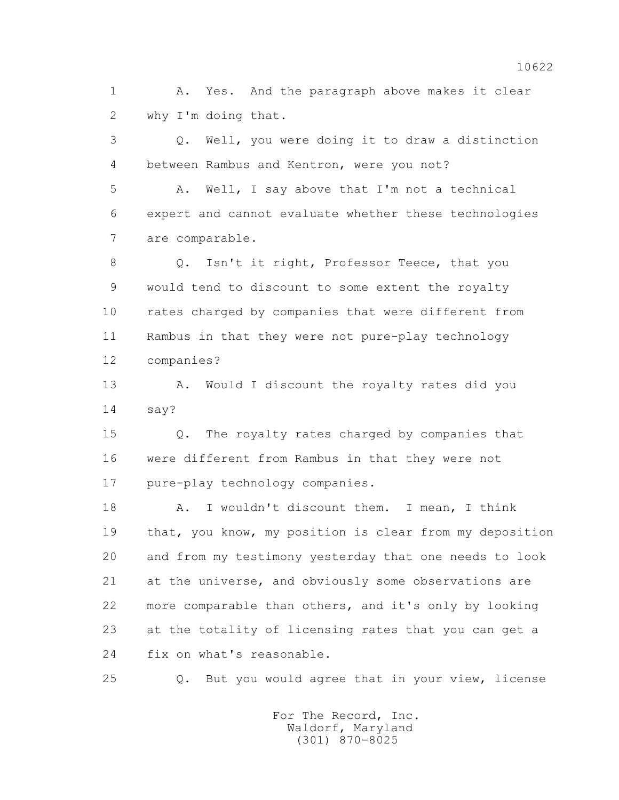1 A. Yes. And the paragraph above makes it clear 2 why I'm doing that.

 3 Q. Well, you were doing it to draw a distinction 4 between Rambus and Kentron, were you not?

 5 A. Well, I say above that I'm not a technical 6 expert and cannot evaluate whether these technologies 7 are comparable.

 8 Q. Isn't it right, Professor Teece, that you 9 would tend to discount to some extent the royalty 10 rates charged by companies that were different from 11 Rambus in that they were not pure-play technology 12 companies?

 13 A. Would I discount the royalty rates did you 14 say?

 15 Q. The royalty rates charged by companies that 16 were different from Rambus in that they were not 17 pure-play technology companies.

 18 A. I wouldn't discount them. I mean, I think 19 that, you know, my position is clear from my deposition 20 and from my testimony yesterday that one needs to look 21 at the universe, and obviously some observations are 22 more comparable than others, and it's only by looking 23 at the totality of licensing rates that you can get a 24 fix on what's reasonable.

25 Q. But you would agree that in your view, license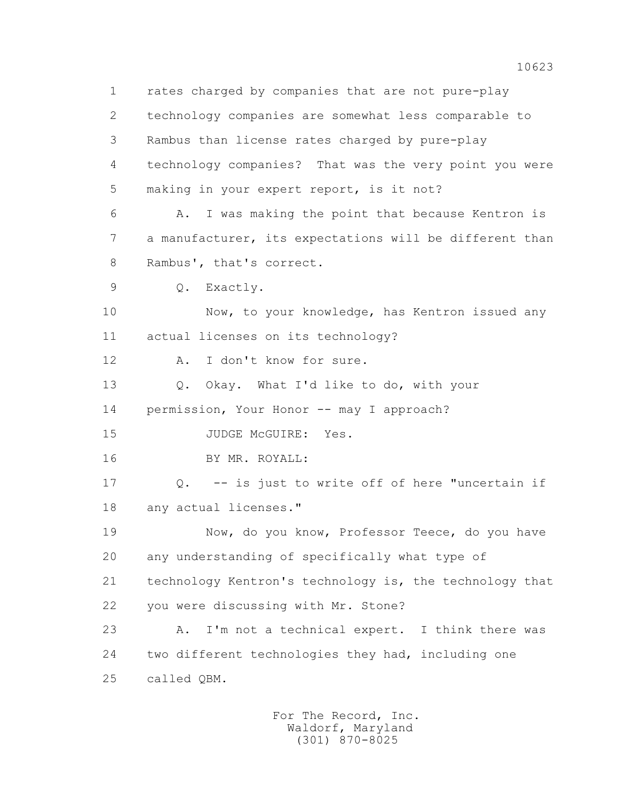1 rates charged by companies that are not pure-play 2 technology companies are somewhat less comparable to 3 Rambus than license rates charged by pure-play 4 technology companies? That was the very point you were 5 making in your expert report, is it not? 6 A. I was making the point that because Kentron is 7 a manufacturer, its expectations will be different than 8 Rambus', that's correct. 9 Q. Exactly. 10 Now, to your knowledge, has Kentron issued any 11 actual licenses on its technology? 12 A. I don't know for sure. 13 Q. Okay. What I'd like to do, with your 14 permission, Your Honor -- may I approach? 15 JUDGE McGUIRE: Yes. 16 BY MR. ROYALL: 17 Q. -- is just to write off of here "uncertain if 18 any actual licenses." 19 Now, do you know, Professor Teece, do you have 20 any understanding of specifically what type of 21 technology Kentron's technology is, the technology that 22 you were discussing with Mr. Stone? 23 A. I'm not a technical expert. I think there was 24 two different technologies they had, including one 25 called QBM.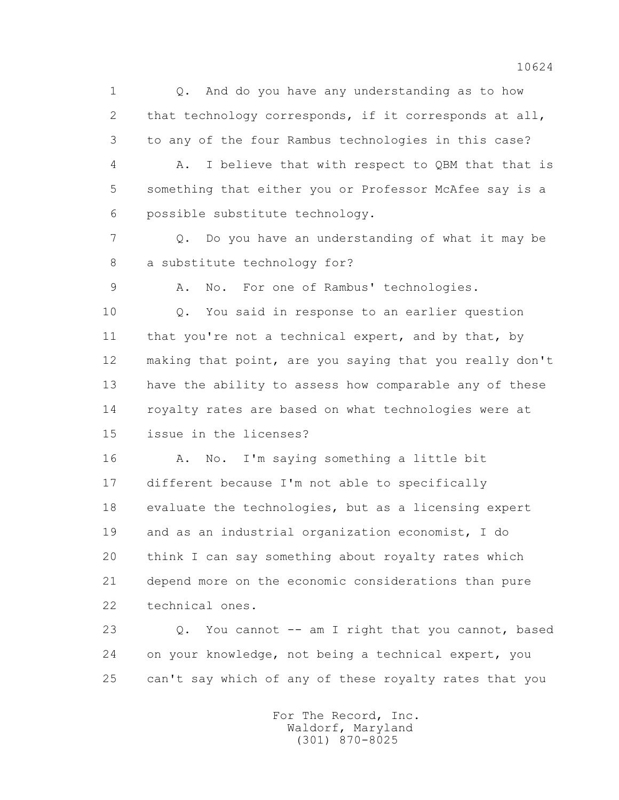1 Q. And do you have any understanding as to how 2 that technology corresponds, if it corresponds at all, 3 to any of the four Rambus technologies in this case?

 4 A. I believe that with respect to QBM that that is 5 something that either you or Professor McAfee say is a 6 possible substitute technology.

 7 Q. Do you have an understanding of what it may be 8 a substitute technology for?

9 A. No. For one of Rambus' technologies.

 10 Q. You said in response to an earlier question 11 that you're not a technical expert, and by that, by 12 making that point, are you saying that you really don't 13 have the ability to assess how comparable any of these 14 royalty rates are based on what technologies were at 15 issue in the licenses?

 16 A. No. I'm saying something a little bit 17 different because I'm not able to specifically 18 evaluate the technologies, but as a licensing expert 19 and as an industrial organization economist, I do 20 think I can say something about royalty rates which 21 depend more on the economic considerations than pure 22 technical ones.

 23 Q. You cannot -- am I right that you cannot, based 24 on your knowledge, not being a technical expert, you 25 can't say which of any of these royalty rates that you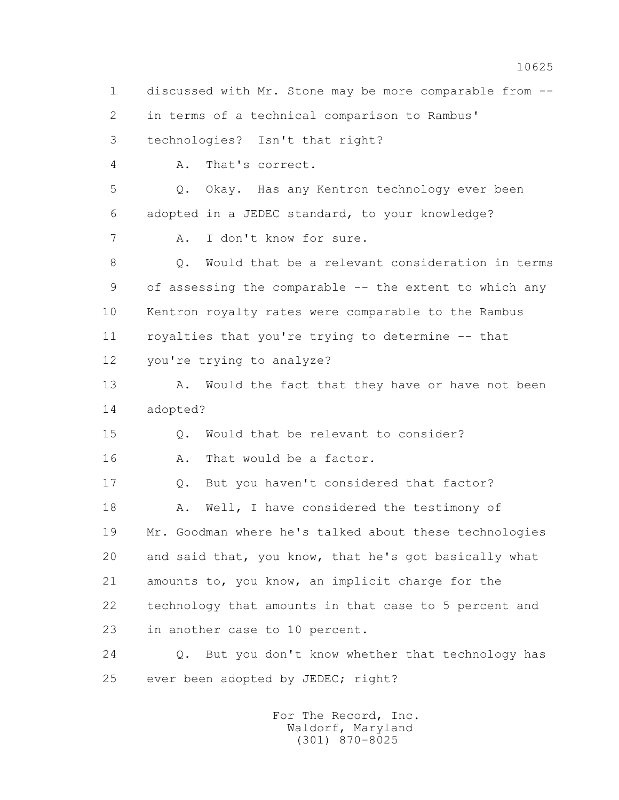1 discussed with Mr. Stone may be more comparable from -- 2 in terms of a technical comparison to Rambus' 3 technologies? Isn't that right? 4 A. That's correct. 5 Q. Okay. Has any Kentron technology ever been 6 adopted in a JEDEC standard, to your knowledge? 7 A. I don't know for sure. 8 Q. Would that be a relevant consideration in terms 9 of assessing the comparable -- the extent to which any 10 Kentron royalty rates were comparable to the Rambus 11 royalties that you're trying to determine -- that 12 you're trying to analyze? 13 A. Would the fact that they have or have not been 14 adopted? 15 Q. Would that be relevant to consider? 16 A. That would be a factor. 17 0. But you haven't considered that factor? 18 A. Well, I have considered the testimony of 19 Mr. Goodman where he's talked about these technologies 20 and said that, you know, that he's got basically what 21 amounts to, you know, an implicit charge for the 22 technology that amounts in that case to 5 percent and 23 in another case to 10 percent. 24 Q. But you don't know whether that technology has 25 ever been adopted by JEDEC; right?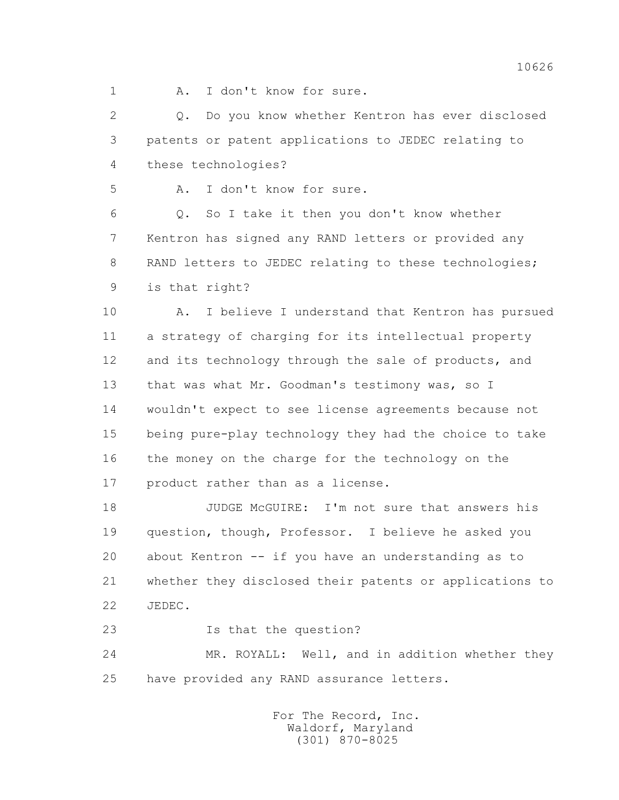1 A. I don't know for sure.

 2 Q. Do you know whether Kentron has ever disclosed 3 patents or patent applications to JEDEC relating to 4 these technologies?

5 A. I don't know for sure.

 6 Q. So I take it then you don't know whether 7 Kentron has signed any RAND letters or provided any 8 RAND letters to JEDEC relating to these technologies; 9 is that right?

 10 A. I believe I understand that Kentron has pursued 11 a strategy of charging for its intellectual property 12 and its technology through the sale of products, and 13 that was what Mr. Goodman's testimony was, so I 14 wouldn't expect to see license agreements because not 15 being pure-play technology they had the choice to take 16 the money on the charge for the technology on the 17 product rather than as a license.

 18 JUDGE McGUIRE: I'm not sure that answers his 19 question, though, Professor. I believe he asked you 20 about Kentron -- if you have an understanding as to 21 whether they disclosed their patents or applications to 22 JEDEC.

23 Is that the question?

 24 MR. ROYALL: Well, and in addition whether they 25 have provided any RAND assurance letters.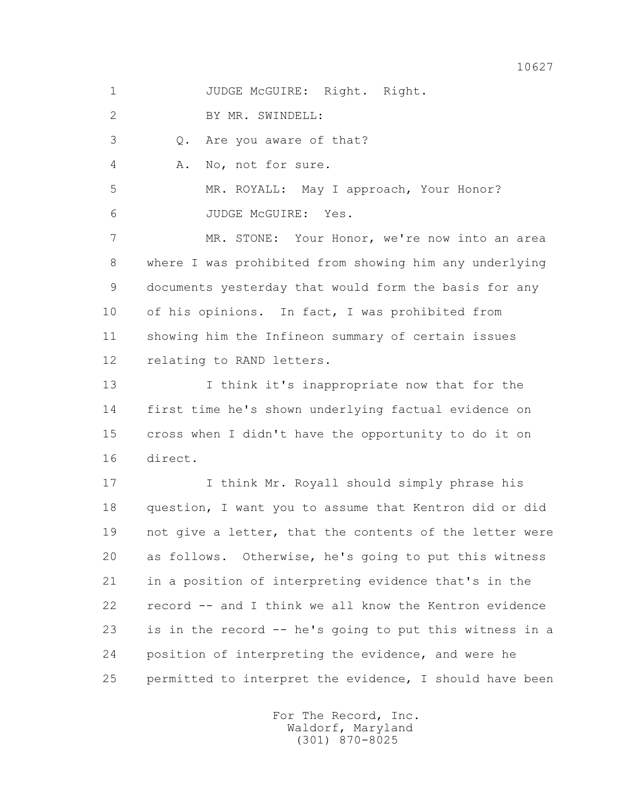1 JUDGE McGUIRE: Right. Right.

2 BY MR. SWINDELL:

3 Q. Are you aware of that?

4 A. No, not for sure.

 5 MR. ROYALL: May I approach, Your Honor? 6 JUDGE McGUIRE: Yes.

 7 MR. STONE: Your Honor, we're now into an area 8 where I was prohibited from showing him any underlying 9 documents yesterday that would form the basis for any 10 of his opinions. In fact, I was prohibited from 11 showing him the Infineon summary of certain issues 12 relating to RAND letters.

 13 I think it's inappropriate now that for the 14 first time he's shown underlying factual evidence on 15 cross when I didn't have the opportunity to do it on 16 direct.

17 I think Mr. Royall should simply phrase his 18 question, I want you to assume that Kentron did or did 19 not give a letter, that the contents of the letter were 20 as follows. Otherwise, he's going to put this witness 21 in a position of interpreting evidence that's in the 22 record -- and I think we all know the Kentron evidence 23 is in the record -- he's going to put this witness in a 24 position of interpreting the evidence, and were he 25 permitted to interpret the evidence, I should have been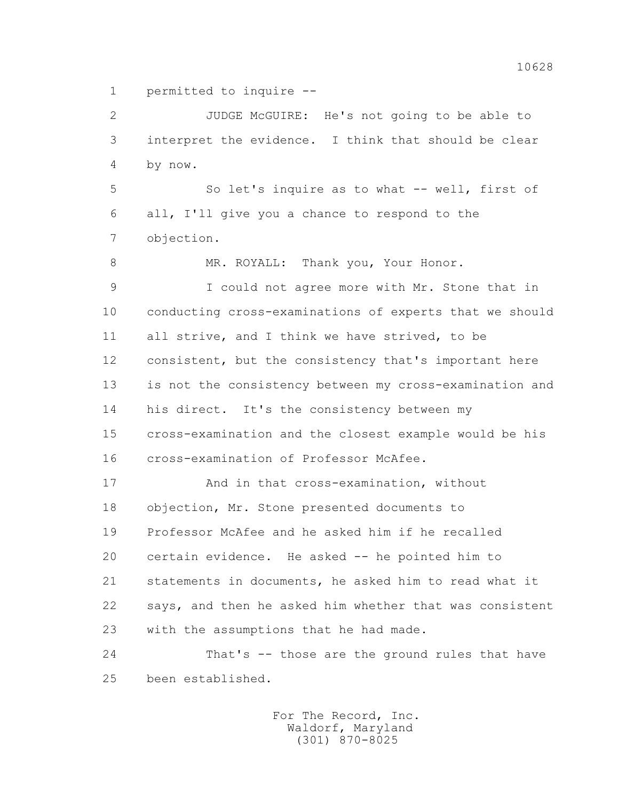1 permitted to inquire --

 2 JUDGE McGUIRE: He's not going to be able to 3 interpret the evidence. I think that should be clear 4 by now.

 5 So let's inquire as to what -- well, first of 6 all, I'll give you a chance to respond to the 7 objection.

8 MR. ROYALL: Thank you, Your Honor.

 9 I could not agree more with Mr. Stone that in 10 conducting cross-examinations of experts that we should 11 all strive, and I think we have strived, to be 12 consistent, but the consistency that's important here 13 is not the consistency between my cross-examination and 14 his direct. It's the consistency between my 15 cross-examination and the closest example would be his 16 cross-examination of Professor McAfee.

 17 And in that cross-examination, without 18 objection, Mr. Stone presented documents to 19 Professor McAfee and he asked him if he recalled 20 certain evidence. He asked -- he pointed him to 21 statements in documents, he asked him to read what it 22 says, and then he asked him whether that was consistent 23 with the assumptions that he had made.

 24 That's -- those are the ground rules that have 25 been established.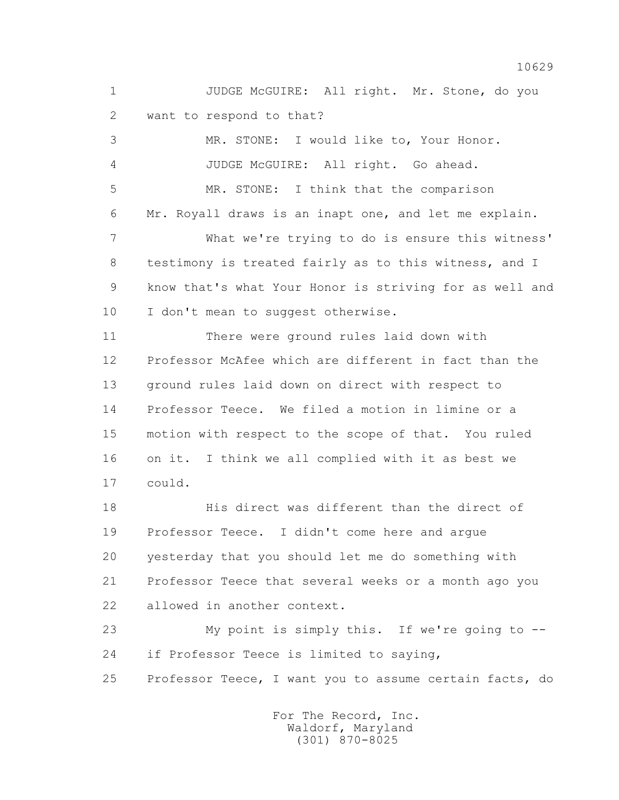1 JUDGE McGUIRE: All right. Mr. Stone, do you 2 want to respond to that?

 3 MR. STONE: I would like to, Your Honor. 4 JUDGE McGUIRE: All right. Go ahead. 5 MR. STONE: I think that the comparison 6 Mr. Royall draws is an inapt one, and let me explain. 7 What we're trying to do is ensure this witness' 8 testimony is treated fairly as to this witness, and I 9 know that's what Your Honor is striving for as well and 10 I don't mean to suggest otherwise. 11 There were ground rules laid down with 12 Professor McAfee which are different in fact than the 13 ground rules laid down on direct with respect to 14 Professor Teece. We filed a motion in limine or a 15 motion with respect to the scope of that. You ruled 16 on it. I think we all complied with it as best we 17 could. 18 His direct was different than the direct of 19 Professor Teece. I didn't come here and argue 20 yesterday that you should let me do something with 21 Professor Teece that several weeks or a month ago you

22 allowed in another context.

 23 My point is simply this. If we're going to -- 24 if Professor Teece is limited to saying,

25 Professor Teece, I want you to assume certain facts, do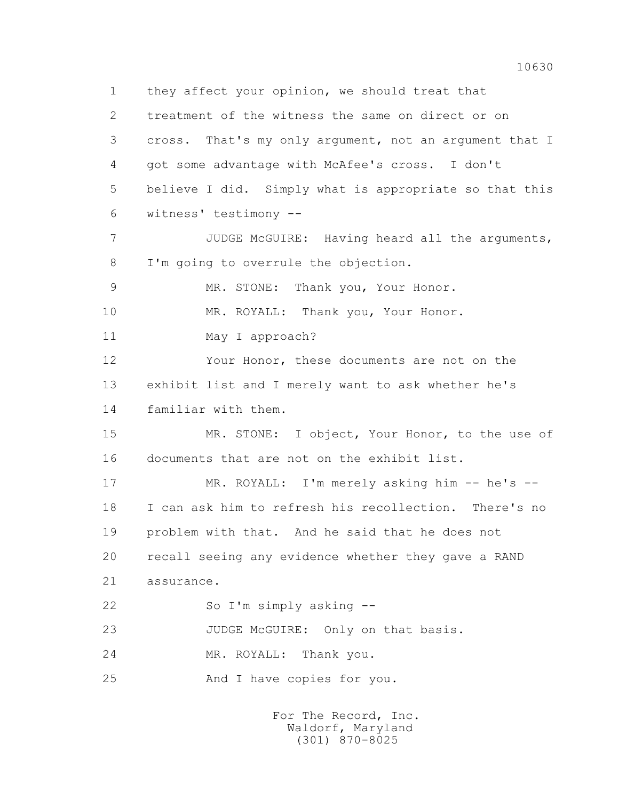1 they affect your opinion, we should treat that 2 treatment of the witness the same on direct or on 3 cross. That's my only argument, not an argument that I 4 got some advantage with McAfee's cross. I don't 5 believe I did. Simply what is appropriate so that this 6 witness' testimony -- 7 JUDGE McGUIRE: Having heard all the arguments, 8 I'm going to overrule the objection. 9 MR. STONE: Thank you, Your Honor. 10 MR. ROYALL: Thank you, Your Honor. 11 May I approach? 12 Your Honor, these documents are not on the 13 exhibit list and I merely want to ask whether he's 14 familiar with them. 15 MR. STONE: I object, Your Honor, to the use of 16 documents that are not on the exhibit list. 17 MR. ROYALL: I'm merely asking him -- he's -- 18 I can ask him to refresh his recollection. There's no 19 problem with that. And he said that he does not 20 recall seeing any evidence whether they gave a RAND 21 assurance. 22 So I'm simply asking -- 23 JUDGE McGUIRE: Only on that basis. 24 MR. ROYALL: Thank you. 25 And I have copies for you.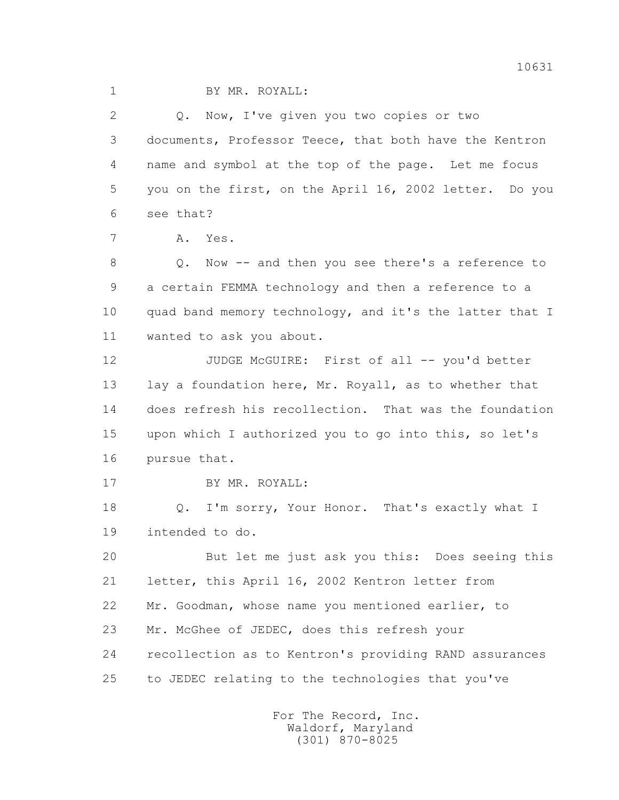2 Q. Now, I've given you two copies or two 3 documents, Professor Teece, that both have the Kentron 4 name and symbol at the top of the page. Let me focus 5 you on the first, on the April 16, 2002 letter. Do you 6 see that?

7 A. Yes.

 8 Q. Now -- and then you see there's a reference to 9 a certain FEMMA technology and then a reference to a 10 quad band memory technology, and it's the latter that I 11 wanted to ask you about.

12 JUDGE McGUIRE: First of all -- you'd better 13 lay a foundation here, Mr. Royall, as to whether that 14 does refresh his recollection. That was the foundation 15 upon which I authorized you to go into this, so let's 16 pursue that.

17 BY MR. ROYALL:

18 Q. I'm sorry, Your Honor. That's exactly what I 19 intended to do.

 20 But let me just ask you this: Does seeing this 21 letter, this April 16, 2002 Kentron letter from 22 Mr. Goodman, whose name you mentioned earlier, to 23 Mr. McGhee of JEDEC, does this refresh your 24 recollection as to Kentron's providing RAND assurances 25 to JEDEC relating to the technologies that you've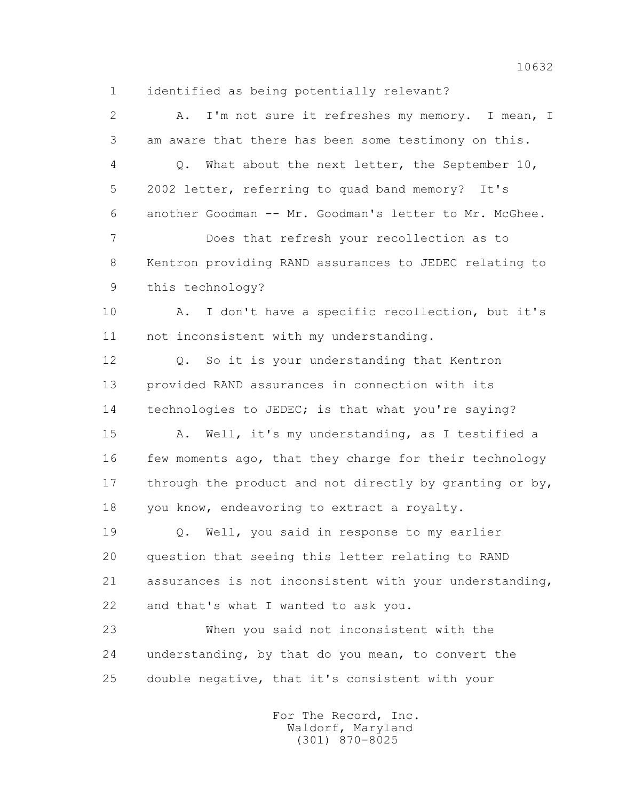1 identified as being potentially relevant?

 2 A. I'm not sure it refreshes my memory. I mean, I 3 am aware that there has been some testimony on this. 4 Q. What about the next letter, the September 10, 5 2002 letter, referring to quad band memory? It's 6 another Goodman -- Mr. Goodman's letter to Mr. McGhee. 7 Does that refresh your recollection as to 8 Kentron providing RAND assurances to JEDEC relating to 9 this technology? 10 A. I don't have a specific recollection, but it's 11 not inconsistent with my understanding. 12 Q. So it is your understanding that Kentron 13 provided RAND assurances in connection with its 14 technologies to JEDEC; is that what you're saying? 15 A. Well, it's my understanding, as I testified a 16 few moments ago, that they charge for their technology 17 through the product and not directly by granting or by, 18 you know, endeavoring to extract a royalty. 19 Q. Well, you said in response to my earlier 20 question that seeing this letter relating to RAND 21 assurances is not inconsistent with your understanding, 22 and that's what I wanted to ask you. 23 When you said not inconsistent with the 24 understanding, by that do you mean, to convert the 25 double negative, that it's consistent with your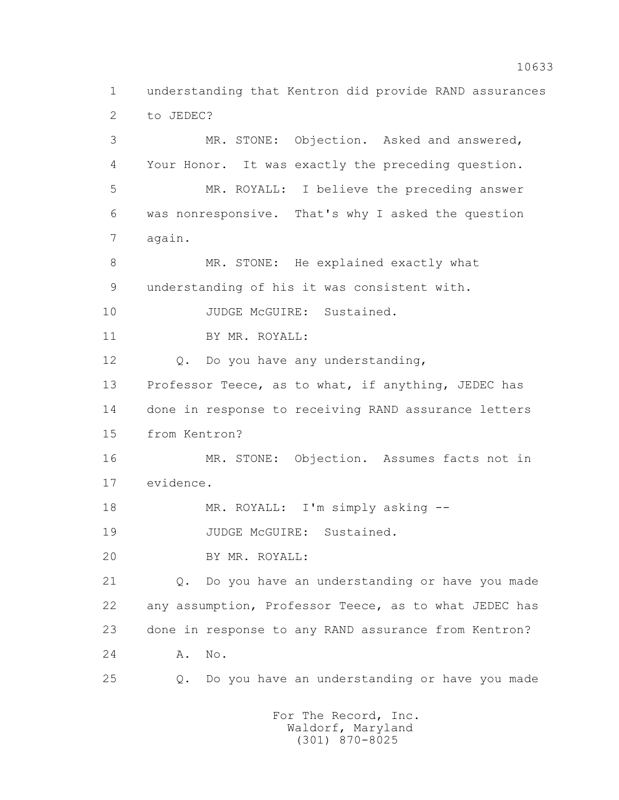1 understanding that Kentron did provide RAND assurances 2 to JEDEC? 3 MR. STONE: Objection. Asked and answered, 4 Your Honor. It was exactly the preceding question. 5 MR. ROYALL: I believe the preceding answer 6 was nonresponsive. That's why I asked the question 7 again. 8 MR. STONE: He explained exactly what 9 understanding of his it was consistent with. 10 JUDGE McGUIRE: Sustained. 11 BY MR. ROYALL: 12 Q. Do you have any understanding, 13 Professor Teece, as to what, if anything, JEDEC has 14 done in response to receiving RAND assurance letters 15 from Kentron? 16 MR. STONE: Objection. Assumes facts not in 17 evidence. 18 MR. ROYALL: I'm simply asking --19 JUDGE McGUIRE: Sustained. 20 BY MR. ROYALL: 21 Q. Do you have an understanding or have you made 22 any assumption, Professor Teece, as to what JEDEC has 23 done in response to any RAND assurance from Kentron? 24 A. No. 25 Q. Do you have an understanding or have you made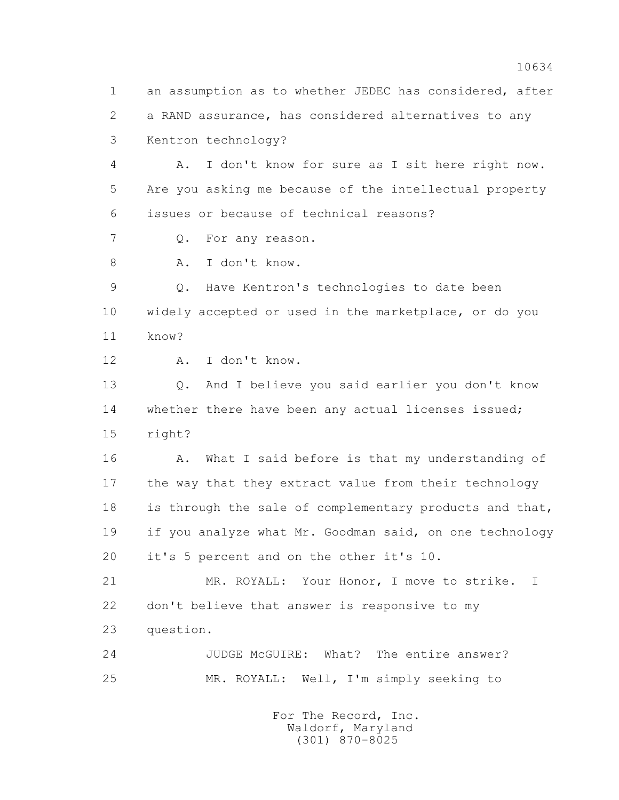1 an assumption as to whether JEDEC has considered, after 2 a RAND assurance, has considered alternatives to any 3 Kentron technology?

 4 A. I don't know for sure as I sit here right now. 5 Are you asking me because of the intellectual property 6 issues or because of technical reasons?

7 Q. For any reason.

8 A. I don't know.

 9 Q. Have Kentron's technologies to date been 10 widely accepted or used in the marketplace, or do you 11 know?

12 A. I don't know.

 13 Q. And I believe you said earlier you don't know 14 whether there have been any actual licenses issued; 15 right?

16 A. What I said before is that my understanding of 17 the way that they extract value from their technology 18 is through the sale of complementary products and that, 19 if you analyze what Mr. Goodman said, on one technology 20 it's 5 percent and on the other it's 10.

 21 MR. ROYALL: Your Honor, I move to strike. I 22 don't believe that answer is responsive to my 23 question.

 24 JUDGE McGUIRE: What? The entire answer? 25 MR. ROYALL: Well, I'm simply seeking to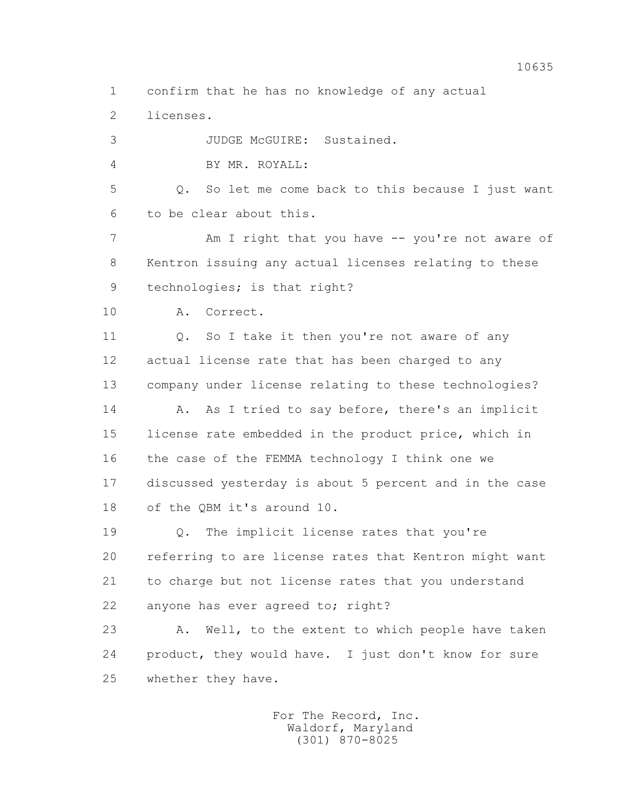1 confirm that he has no knowledge of any actual

2 licenses.

 3 JUDGE McGUIRE: Sustained. 4 BY MR. ROYALL: 5 Q. So let me come back to this because I just want 6 to be clear about this. 7 Am I right that you have -- you're not aware of 8 Kentron issuing any actual licenses relating to these 9 technologies; is that right? 10 A. Correct. 11 0. So I take it then you're not aware of any 12 actual license rate that has been charged to any 13 company under license relating to these technologies? 14 A. As I tried to say before, there's an implicit 15 license rate embedded in the product price, which in 16 the case of the FEMMA technology I think one we 17 discussed yesterday is about 5 percent and in the case 18 of the QBM it's around 10. 19 Q. The implicit license rates that you're 20 referring to are license rates that Kentron might want 21 to charge but not license rates that you understand 22 anyone has ever agreed to; right? 23 A. Well, to the extent to which people have taken

 24 product, they would have. I just don't know for sure 25 whether they have.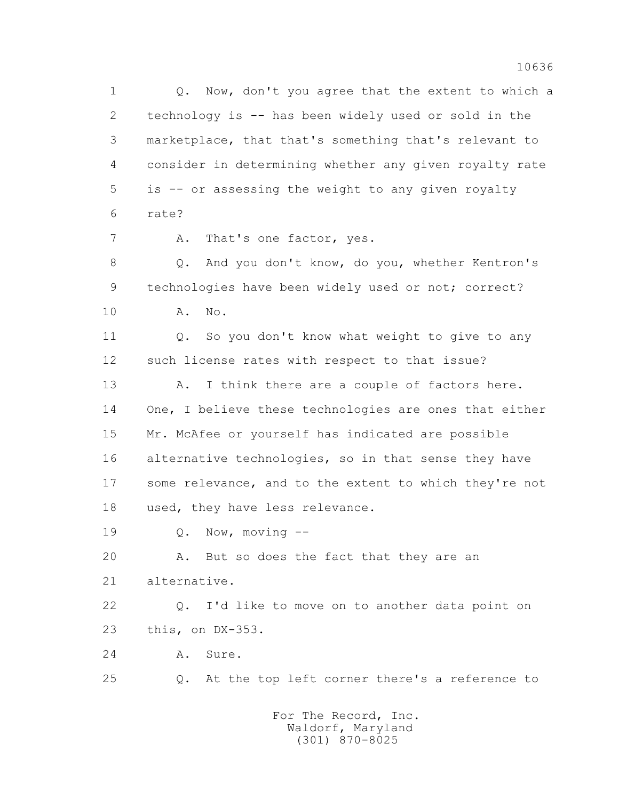1 0. Now, don't you agree that the extent to which a 2 technology is -- has been widely used or sold in the 3 marketplace, that that's something that's relevant to 4 consider in determining whether any given royalty rate 5 is -- or assessing the weight to any given royalty 6 rate?

7 A. That's one factor, yes.

 8 Q. And you don't know, do you, whether Kentron's 9 technologies have been widely used or not; correct? 10 A. No.

11 0. So you don't know what weight to give to any 12 such license rates with respect to that issue?

13 A. I think there are a couple of factors here. 14 One, I believe these technologies are ones that either 15 Mr. McAfee or yourself has indicated are possible 16 alternative technologies, so in that sense they have 17 some relevance, and to the extent to which they're not 18 used, they have less relevance.

19 Q. Now, moving --

20 A. But so does the fact that they are an 21 alternative.

 22 Q. I'd like to move on to another data point on 23 this, on DX-353.

24 A. Sure.

25 Q. At the top left corner there's a reference to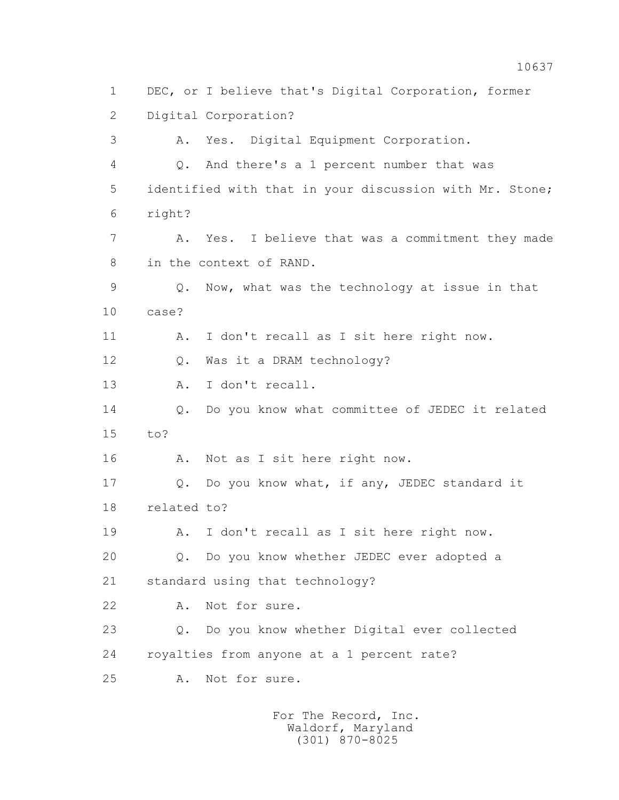1 DEC, or I believe that's Digital Corporation, former 2 Digital Corporation? 3 A. Yes. Digital Equipment Corporation. 4 Q. And there's a 1 percent number that was 5 identified with that in your discussion with Mr. Stone; 6 right? 7 A. Yes. I believe that was a commitment they made 8 in the context of RAND. 9 Q. Now, what was the technology at issue in that 10 case? 11 A. I don't recall as I sit here right now. 12 Q. Was it a DRAM technology? 13 A. I don't recall. 14 Q. Do you know what committee of JEDEC it related 15 to? 16 A. Not as I sit here right now. 17 Q. Do you know what, if any, JEDEC standard it 18 related to? 19 A. I don't recall as I sit here right now. 20 Q. Do you know whether JEDEC ever adopted a 21 standard using that technology? 22 A. Not for sure. 23 Q. Do you know whether Digital ever collected 24 royalties from anyone at a 1 percent rate? 25 A. Not for sure.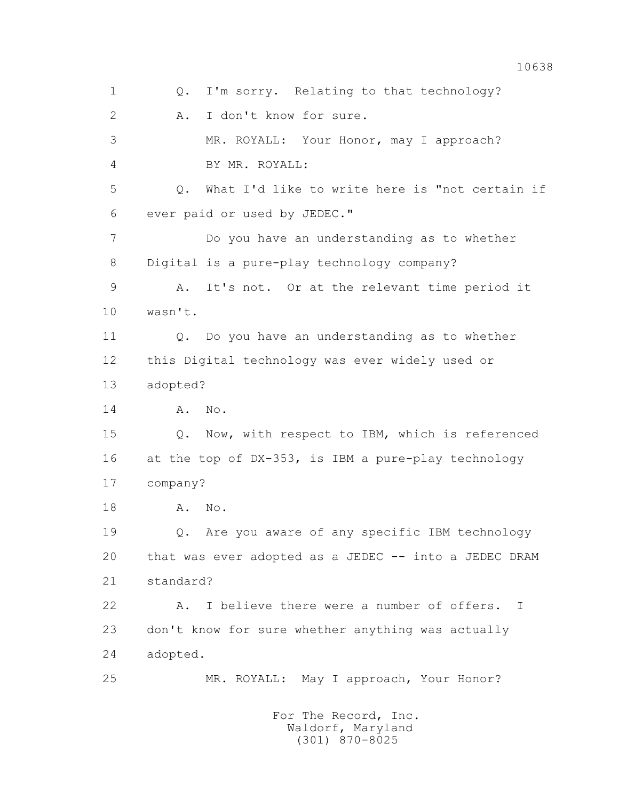1 Q. I'm sorry. Relating to that technology? 2 A. I don't know for sure. 3 MR. ROYALL: Your Honor, may I approach? 4 BY MR. ROYALL: 5 Q. What I'd like to write here is "not certain if 6 ever paid or used by JEDEC." 7 Do you have an understanding as to whether 8 Digital is a pure-play technology company? 9 A. It's not. Or at the relevant time period it 10 wasn't. 11 Q. Do you have an understanding as to whether 12 this Digital technology was ever widely used or 13 adopted? 14 A. No. 15 Q. Now, with respect to IBM, which is referenced 16 at the top of DX-353, is IBM a pure-play technology 17 company? 18 A. No. 19 Q. Are you aware of any specific IBM technology 20 that was ever adopted as a JEDEC -- into a JEDEC DRAM 21 standard? 22 A. I believe there were a number of offers. I 23 don't know for sure whether anything was actually 24 adopted. 25 MR. ROYALL: May I approach, Your Honor? For The Record, Inc. Waldorf, Maryland

(301) 870-8025

10638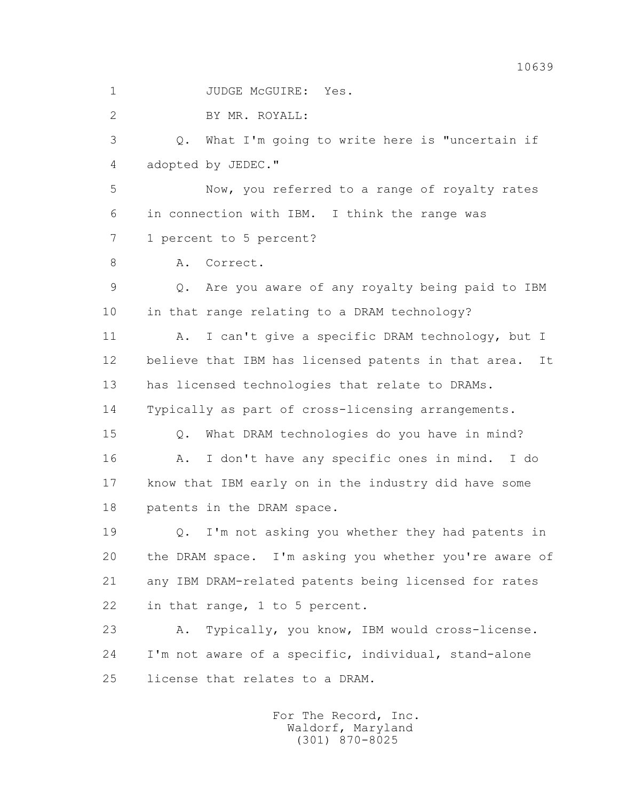1 JUDGE McGUIRE: Yes.

2 BY MR. ROYALL:

 3 Q. What I'm going to write here is "uncertain if 4 adopted by JEDEC."

 5 Now, you referred to a range of royalty rates 6 in connection with IBM. I think the range was 7 1 percent to 5 percent?

8 A. Correct.

 9 Q. Are you aware of any royalty being paid to IBM 10 in that range relating to a DRAM technology?

 11 A. I can't give a specific DRAM technology, but I 12 believe that IBM has licensed patents in that area. It 13 has licensed technologies that relate to DRAMs. 14 Typically as part of cross-licensing arrangements.

 15 Q. What DRAM technologies do you have in mind? 16 A. I don't have any specific ones in mind. I do 17 know that IBM early on in the industry did have some 18 patents in the DRAM space.

 19 Q. I'm not asking you whether they had patents in 20 the DRAM space. I'm asking you whether you're aware of 21 any IBM DRAM-related patents being licensed for rates 22 in that range, 1 to 5 percent.

 23 A. Typically, you know, IBM would cross-license. 24 I'm not aware of a specific, individual, stand-alone 25 license that relates to a DRAM.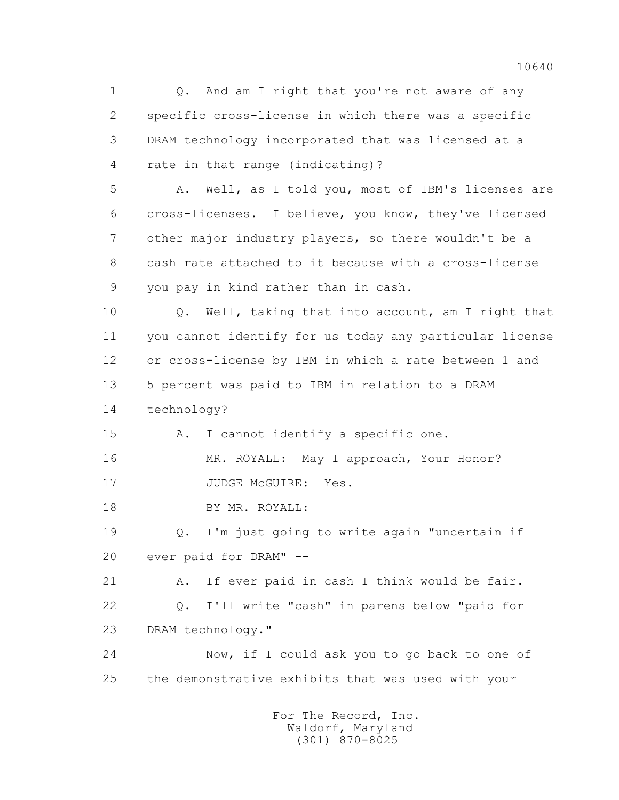1 0. And am I right that you're not aware of any 2 specific cross-license in which there was a specific 3 DRAM technology incorporated that was licensed at a 4 rate in that range (indicating)? 5 A. Well, as I told you, most of IBM's licenses are 6 cross-licenses. I believe, you know, they've licensed 7 other major industry players, so there wouldn't be a 8 cash rate attached to it because with a cross-license 9 you pay in kind rather than in cash. 10 Q. Well, taking that into account, am I right that 11 you cannot identify for us today any particular license 12 or cross-license by IBM in which a rate between 1 and 13 5 percent was paid to IBM in relation to a DRAM 14 technology? 15 A. I cannot identify a specific one. 16 MR. ROYALL: May I approach, Your Honor? 17 JUDGE McGUIRE: Yes. 18 BY MR. ROYALL: 19 Q. I'm just going to write again "uncertain if 20 ever paid for DRAM" -- 21 A. If ever paid in cash I think would be fair. 22 Q. I'll write "cash" in parens below "paid for 23 DRAM technology." 24 Now, if I could ask you to go back to one of 25 the demonstrative exhibits that was used with your For The Record, Inc.

> Waldorf, Maryland (301) 870-8025

10640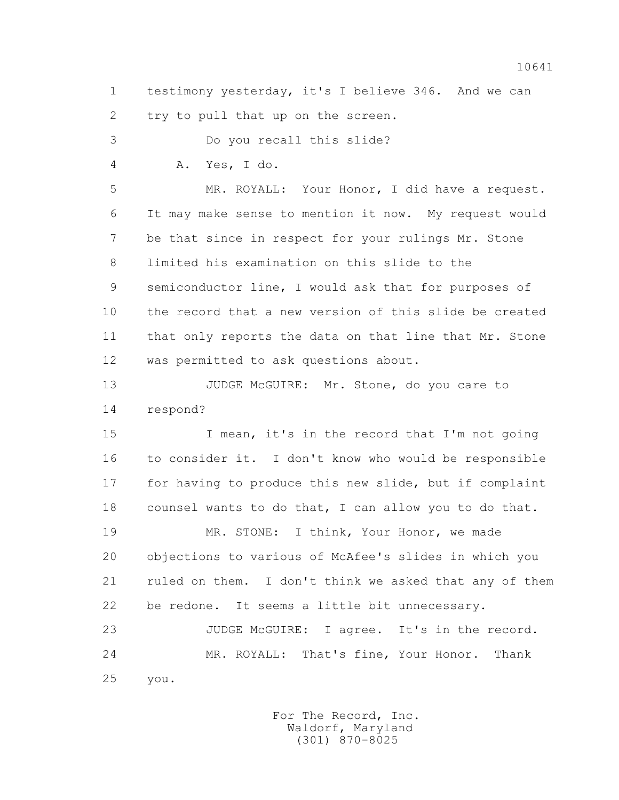1 testimony yesterday, it's I believe 346. And we can 2 try to pull that up on the screen.

 3 Do you recall this slide? 4 A. Yes, I do. 5 MR. ROYALL: Your Honor, I did have a request. 6 It may make sense to mention it now. My request would 7 be that since in respect for your rulings Mr. Stone 8 limited his examination on this slide to the 9 semiconductor line, I would ask that for purposes of 10 the record that a new version of this slide be created 11 that only reports the data on that line that Mr. Stone 12 was permitted to ask questions about. 13 JUDGE McGUIRE: Mr. Stone, do you care to 14 respond? 15 I mean, it's in the record that I'm not going 16 to consider it. I don't know who would be responsible 17 for having to produce this new slide, but if complaint 18 counsel wants to do that, I can allow you to do that. 19 MR. STONE: I think, Your Honor, we made 20 objections to various of McAfee's slides in which you 21 ruled on them. I don't think we asked that any of them

23 JUDGE McGUIRE: I agree. It's in the record. 24 MR. ROYALL: That's fine, Your Honor. Thank 25 you.

22 be redone. It seems a little bit unnecessary.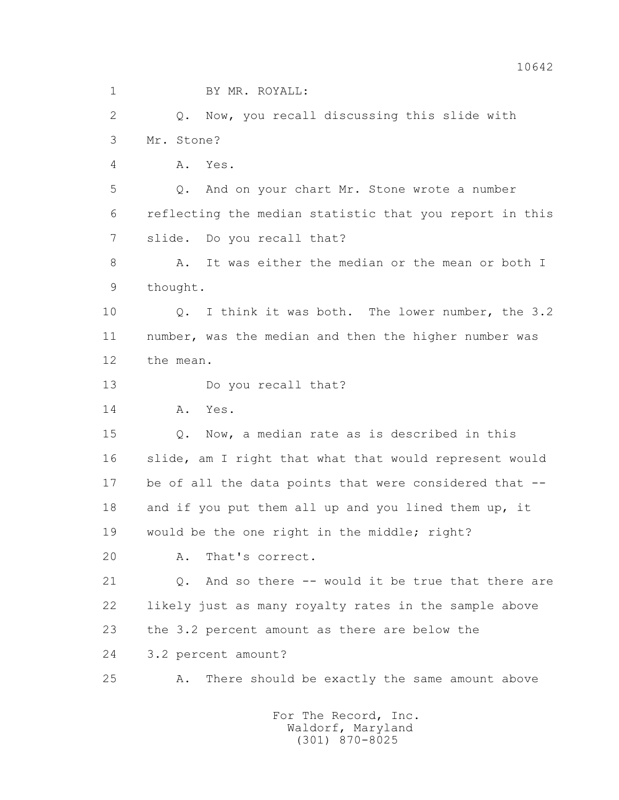| $\mathbf 1$    | BY MR. ROYALL:                                                   |
|----------------|------------------------------------------------------------------|
| $\overline{2}$ | Q. Now, you recall discussing this slide with                    |
| 3              | Mr. Stone?                                                       |
| 4              | Yes.<br>Α.                                                       |
| 5              | Q. And on your chart Mr. Stone wrote a number                    |
| 6              | reflecting the median statistic that you report in this          |
| 7              | slide. Do you recall that?                                       |
| 8              | It was either the median or the mean or both I<br>Α.             |
| 9              | thought.                                                         |
| 10             | I think it was both. The lower number, the 3.2<br>Q.             |
| 11             | number, was the median and then the higher number was            |
| 12             | the mean.                                                        |
| 13             | Do you recall that?                                              |
| 14             | Yes.<br>Α.                                                       |
| 15             | Now, a median rate as is described in this<br>Q.                 |
| 16             | slide, am I right that what that would represent would           |
| 17             | be of all the data points that were considered that --           |
| 18             | and if you put them all up and you lined them up, it             |
| 19             | would be the one right in the middle; right?                     |
| 20             | That's correct.<br>Α.                                            |
| 21             | And so there -- would it be true that there are<br>$Q_{\bullet}$ |
| 22             | likely just as many royalty rates in the sample above            |
| 23             | the 3.2 percent amount as there are below the                    |
| 24             | 3.2 percent amount?                                              |
| 25             | There should be exactly the same amount above<br>Α.              |
|                | For The Record, Inc.                                             |

Waldorf, Maryland (301) 870-8025

10642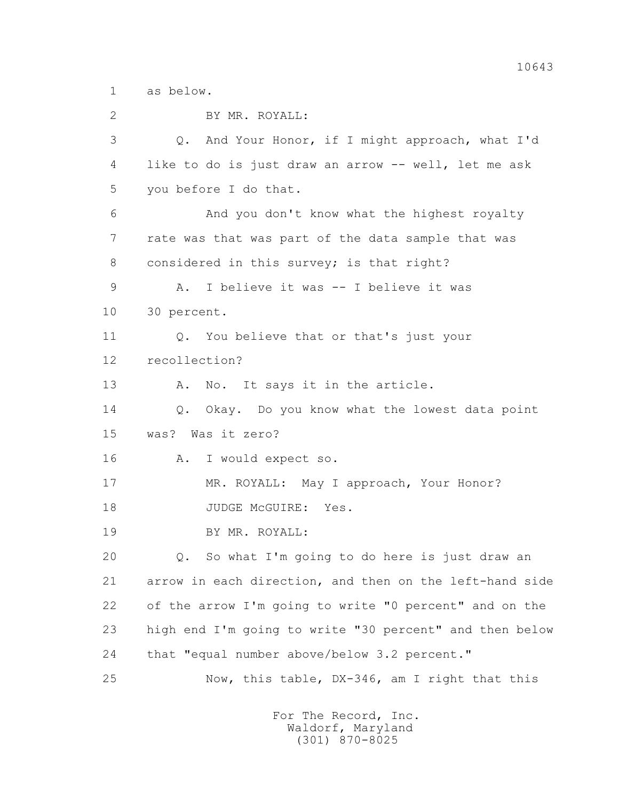1 as below.

 2 BY MR. ROYALL: 3 Q. And Your Honor, if I might approach, what I'd 4 like to do is just draw an arrow -- well, let me ask 5 you before I do that. 6 And you don't know what the highest royalty 7 rate was that was part of the data sample that was 8 considered in this survey; is that right? 9 A. I believe it was -- I believe it was 10 30 percent. 11 0. You believe that or that's just your 12 recollection? 13 A. No. It says it in the article. 14 Q. Okay. Do you know what the lowest data point 15 was? Was it zero? 16 A. I would expect so. 17 MR. ROYALL: May I approach, Your Honor? 18 JUDGE McGUIRE: Yes. 19 BY MR. ROYALL: 20 Q. So what I'm going to do here is just draw an 21 arrow in each direction, and then on the left-hand side 22 of the arrow I'm going to write "0 percent" and on the 23 high end I'm going to write "30 percent" and then below 24 that "equal number above/below 3.2 percent." 25 Now, this table, DX-346, am I right that this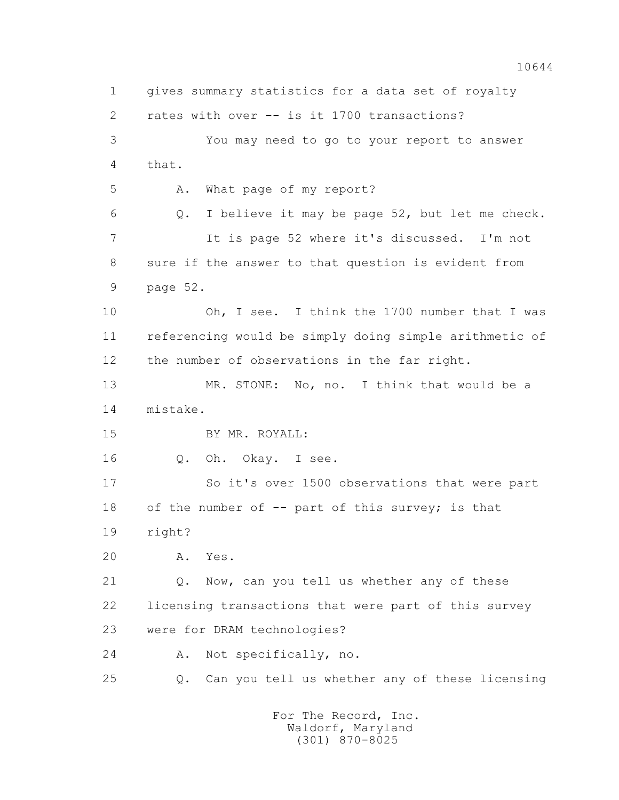1 gives summary statistics for a data set of royalty 2 rates with over -- is it 1700 transactions? 3 You may need to go to your report to answer 4 that. 5 A. What page of my report? 6 Q. I believe it may be page 52, but let me check. 7 It is page 52 where it's discussed. I'm not 8 sure if the answer to that question is evident from 9 page 52. 10 Oh, I see. I think the 1700 number that I was 11 referencing would be simply doing simple arithmetic of 12 the number of observations in the far right. 13 MR. STONE: No, no. I think that would be a 14 mistake. 15 BY MR. ROYALL: 16 Q. Oh. Okay. I see. 17 So it's over 1500 observations that were part 18 of the number of -- part of this survey; is that 19 right? 20 A. Yes. 21 Q. Now, can you tell us whether any of these 22 licensing transactions that were part of this survey 23 were for DRAM technologies? 24 A. Not specifically, no. 25 Q. Can you tell us whether any of these licensing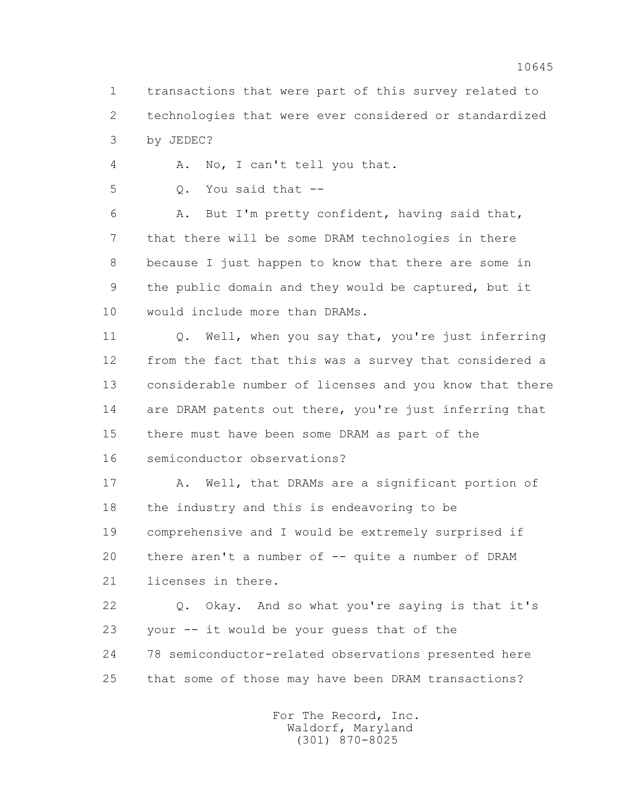1 transactions that were part of this survey related to 2 technologies that were ever considered or standardized 3 by JEDEC?

4 A. No, I can't tell you that.

5 Q. You said that --

 6 A. But I'm pretty confident, having said that, 7 that there will be some DRAM technologies in there 8 because I just happen to know that there are some in 9 the public domain and they would be captured, but it 10 would include more than DRAMs.

 11 Q. Well, when you say that, you're just inferring 12 from the fact that this was a survey that considered a 13 considerable number of licenses and you know that there 14 are DRAM patents out there, you're just inferring that 15 there must have been some DRAM as part of the 16 semiconductor observations?

17 A. Well, that DRAMs are a significant portion of 18 the industry and this is endeavoring to be 19 comprehensive and I would be extremely surprised if 20 there aren't a number of -- quite a number of DRAM 21 licenses in there.

 22 Q. Okay. And so what you're saying is that it's 23 your -- it would be your guess that of the 24 78 semiconductor-related observations presented here 25 that some of those may have been DRAM transactions?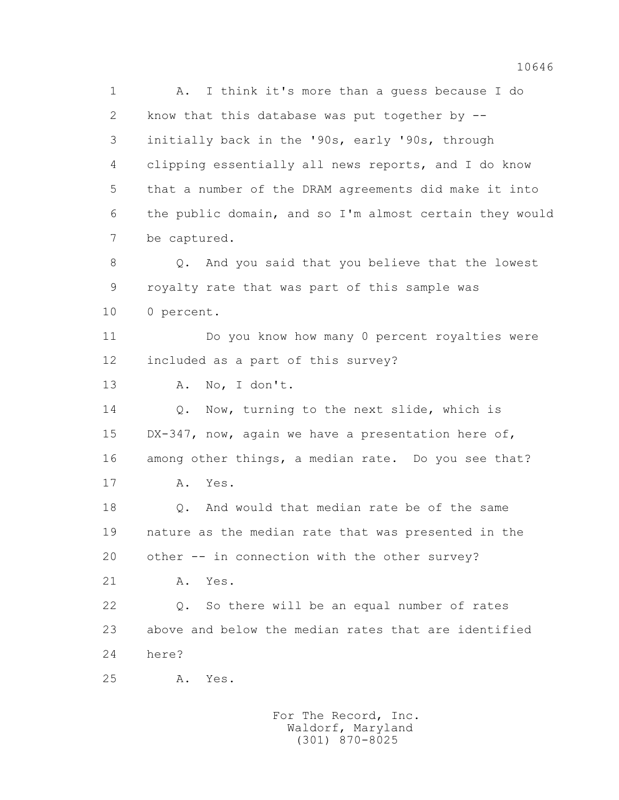1 A. I think it's more than a guess because I do 2 know that this database was put together by -- 3 initially back in the '90s, early '90s, through 4 clipping essentially all news reports, and I do know 5 that a number of the DRAM agreements did make it into 6 the public domain, and so I'm almost certain they would 7 be captured. 8 Q. And you said that you believe that the lowest 9 royalty rate that was part of this sample was 10 0 percent. 11 Do you know how many 0 percent royalties were 12 included as a part of this survey? 13 A. No, I don't. 14 Q. Now, turning to the next slide, which is 15 DX-347, now, again we have a presentation here of, 16 among other things, a median rate. Do you see that? 17 A. Yes. 18 0. And would that median rate be of the same 19 nature as the median rate that was presented in the 20 other -- in connection with the other survey? 21 A. Yes. 22 Q. So there will be an equal number of rates 23 above and below the median rates that are identified 24 here? 25 A. Yes.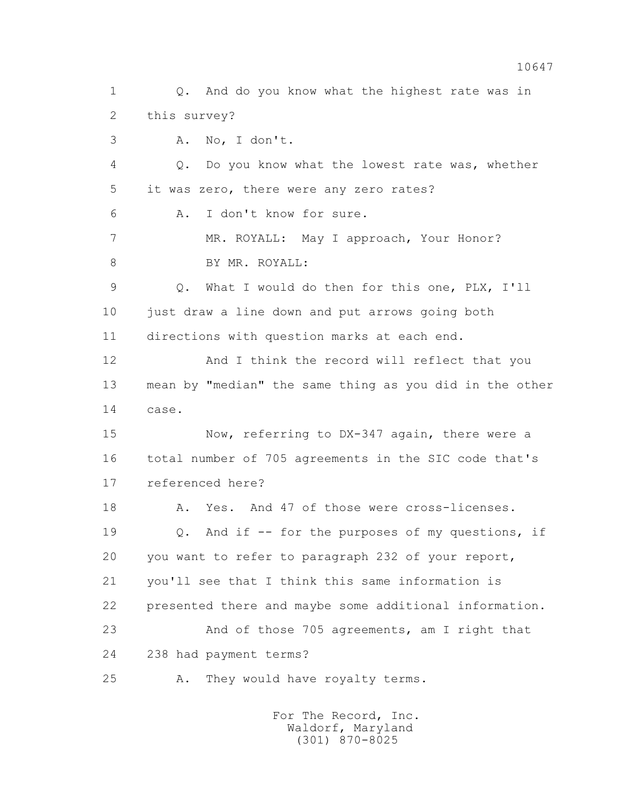1 0. And do you know what the highest rate was in 2 this survey? 3 A. No, I don't. 4 Q. Do you know what the lowest rate was, whether 5 it was zero, there were any zero rates? 6 A. I don't know for sure. 7 MR. ROYALL: May I approach, Your Honor? 8 BY MR. ROYALL: 9 Q. What I would do then for this one, PLX, I'll 10 just draw a line down and put arrows going both 11 directions with question marks at each end. 12 And I think the record will reflect that you 13 mean by "median" the same thing as you did in the other 14 case. 15 Now, referring to DX-347 again, there were a 16 total number of 705 agreements in the SIC code that's 17 referenced here? 18 A. Yes. And 47 of those were cross-licenses. 19 Q. And if -- for the purposes of my questions, if 20 you want to refer to paragraph 232 of your report, 21 you'll see that I think this same information is 22 presented there and maybe some additional information. 23 And of those 705 agreements, am I right that 24 238 had payment terms? 25 A. They would have royalty terms.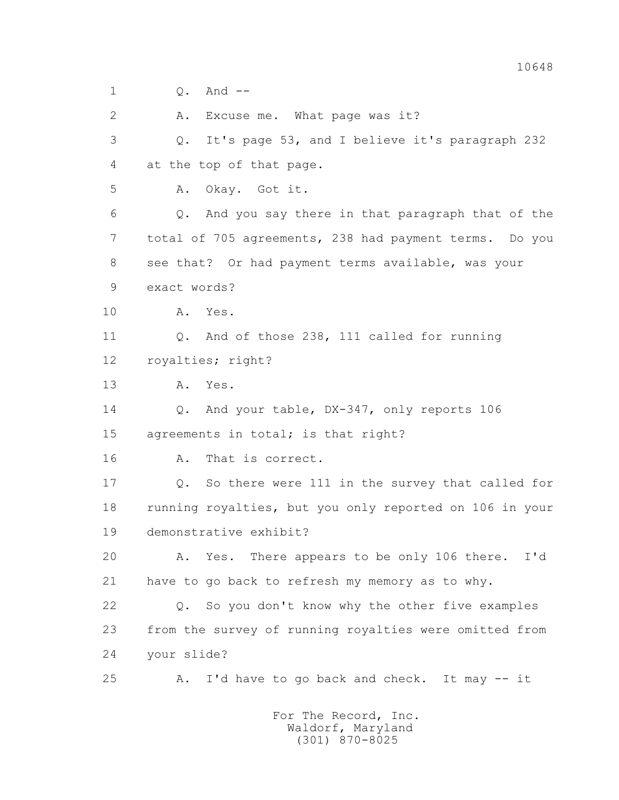$1 \qquad \qquad \Omega$ . And  $-$ 

2 A. Excuse me. What page was it?

 3 Q. It's page 53, and I believe it's paragraph 232 4 at the top of that page. 5 A. Okay. Got it. 6 Q. And you say there in that paragraph that of the 7 total of 705 agreements, 238 had payment terms. Do you 8 see that? Or had payment terms available, was your 9 exact words?

10 A. Yes.

 11 Q. And of those 238, 111 called for running 12 royalties; right?

13 A. Yes.

 14 Q. And your table, DX-347, only reports 106 15 agreements in total; is that right?

16 A. That is correct.

17 0. So there were 111 in the survey that called for 18 running royalties, but you only reported on 106 in your 19 demonstrative exhibit?

 20 A. Yes. There appears to be only 106 there. I'd 21 have to go back to refresh my memory as to why.

 22 Q. So you don't know why the other five examples 23 from the survey of running royalties were omitted from 24 your slide?

25 A. I'd have to go back and check. It may -- it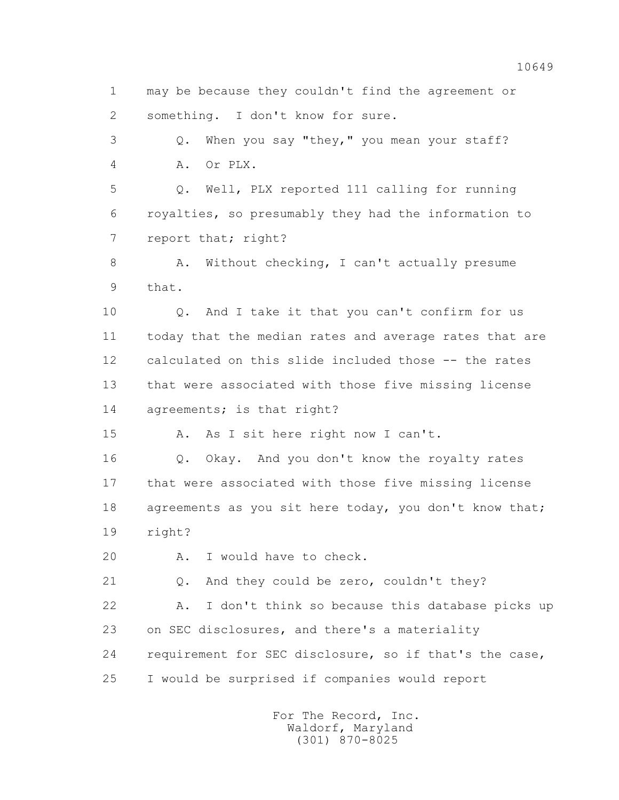1 may be because they couldn't find the agreement or 2 something. I don't know for sure.

 3 Q. When you say "they," you mean your staff? 4 A. Or PLX.

 5 Q. Well, PLX reported 111 calling for running 6 royalties, so presumably they had the information to 7 report that; right?

8 A. Without checking, I can't actually presume 9 that.

 10 Q. And I take it that you can't confirm for us 11 today that the median rates and average rates that are 12 calculated on this slide included those -- the rates 13 that were associated with those five missing license 14 agreements; is that right?

15 A. As I sit here right now I can't.

 16 Q. Okay. And you don't know the royalty rates 17 that were associated with those five missing license 18 agreements as you sit here today, you don't know that; 19 right?

20 A. I would have to check.

21 Q. And they could be zero, couldn't they?

 22 A. I don't think so because this database picks up 23 on SEC disclosures, and there's a materiality 24 requirement for SEC disclosure, so if that's the case, 25 I would be surprised if companies would report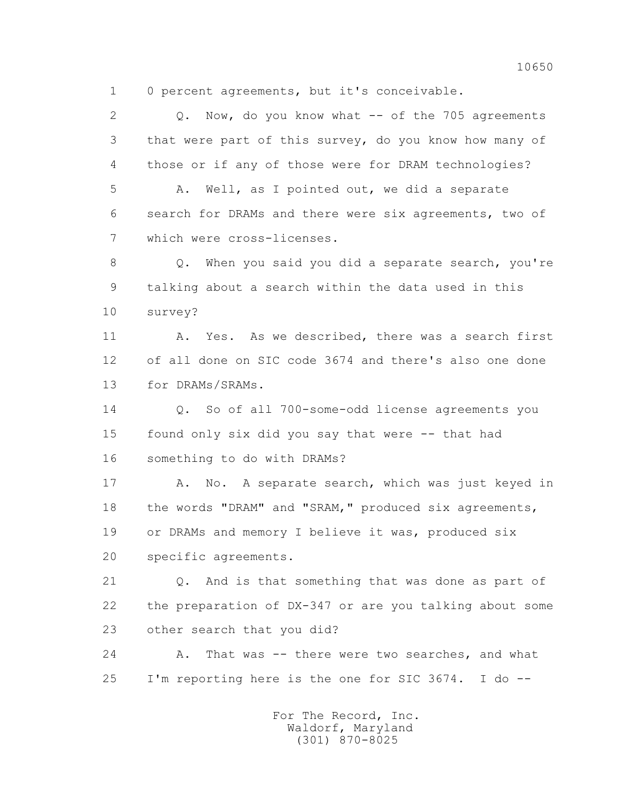1 0 percent agreements, but it's conceivable.

2 Q. Now, do you know what -- of the 705 agreements 3 that were part of this survey, do you know how many of 4 those or if any of those were for DRAM technologies?

 5 A. Well, as I pointed out, we did a separate 6 search for DRAMs and there were six agreements, two of 7 which were cross-licenses.

 8 Q. When you said you did a separate search, you're 9 talking about a search within the data used in this 10 survey?

11 A. Yes. As we described, there was a search first 12 of all done on SIC code 3674 and there's also one done 13 for DRAMs/SRAMs.

 14 Q. So of all 700-some-odd license agreements you 15 found only six did you say that were -- that had 16 something to do with DRAMs?

17 A. No. A separate search, which was just keyed in 18 the words "DRAM" and "SRAM," produced six agreements, 19 or DRAMs and memory I believe it was, produced six 20 specific agreements.

 21 Q. And is that something that was done as part of 22 the preparation of DX-347 or are you talking about some 23 other search that you did?

 24 A. That was -- there were two searches, and what 25 I'm reporting here is the one for SIC 3674. I do --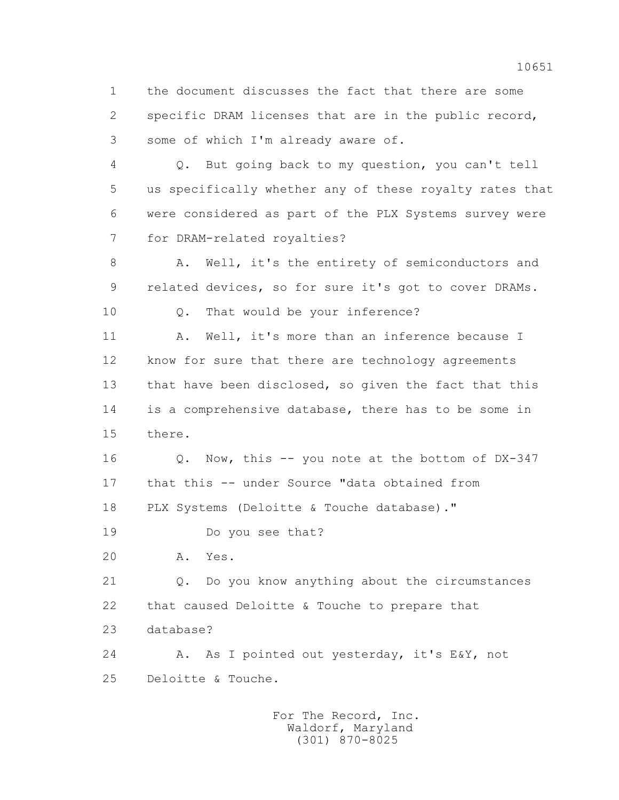1 the document discusses the fact that there are some 2 specific DRAM licenses that are in the public record, 3 some of which I'm already aware of.

 4 Q. But going back to my question, you can't tell 5 us specifically whether any of these royalty rates that 6 were considered as part of the PLX Systems survey were 7 for DRAM-related royalties?

 8 A. Well, it's the entirety of semiconductors and 9 related devices, so for sure it's got to cover DRAMs.

10 Q. That would be your inference?

11 A. Well, it's more than an inference because I 12 know for sure that there are technology agreements 13 that have been disclosed, so given the fact that this 14 is a comprehensive database, there has to be some in 15 there.

 16 Q. Now, this -- you note at the bottom of DX-347 17 that this -- under Source "data obtained from 18 PLX Systems (Deloitte & Touche database)."

19 Do you see that?

20 A. Yes.

 21 Q. Do you know anything about the circumstances 22 that caused Deloitte & Touche to prepare that 23 database?

 24 A. As I pointed out yesterday, it's E&Y, not 25 Deloitte & Touche.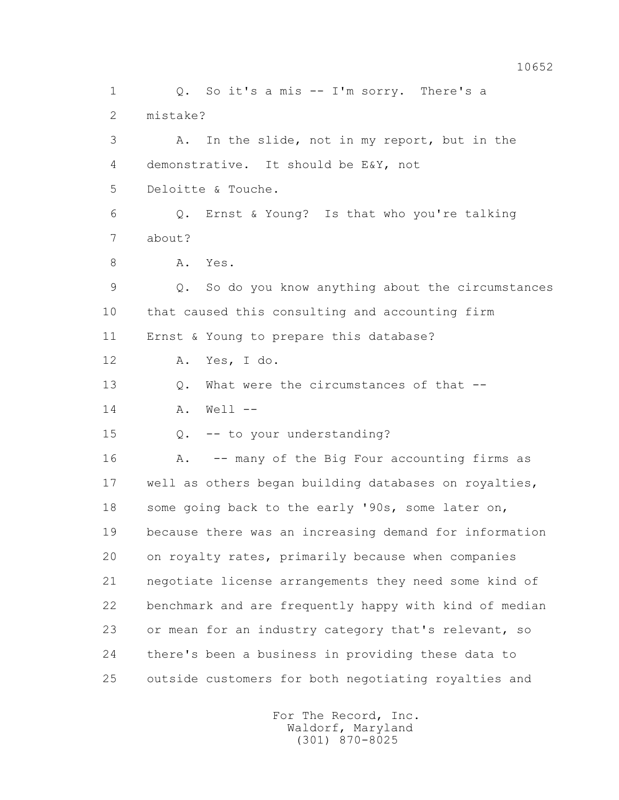1 0. So it's a mis -- I'm sorry. There's a 2 mistake? 3 A. In the slide, not in my report, but in the 4 demonstrative. It should be E&Y, not 5 Deloitte & Touche. 6 Q. Ernst & Young? Is that who you're talking 7 about? 8 A. Yes. 9 Q. So do you know anything about the circumstances 10 that caused this consulting and accounting firm 11 Ernst & Young to prepare this database? 12 A. Yes, I do. 13 O. What were the circumstances of that -- 14 A. Well -- 15 Q. -- to your understanding? 16 A. -- many of the Big Four accounting firms as 17 well as others began building databases on royalties, 18 some going back to the early '90s, some later on, 19 because there was an increasing demand for information 20 on royalty rates, primarily because when companies 21 negotiate license arrangements they need some kind of 22 benchmark and are frequently happy with kind of median 23 or mean for an industry category that's relevant, so 24 there's been a business in providing these data to 25 outside customers for both negotiating royalties and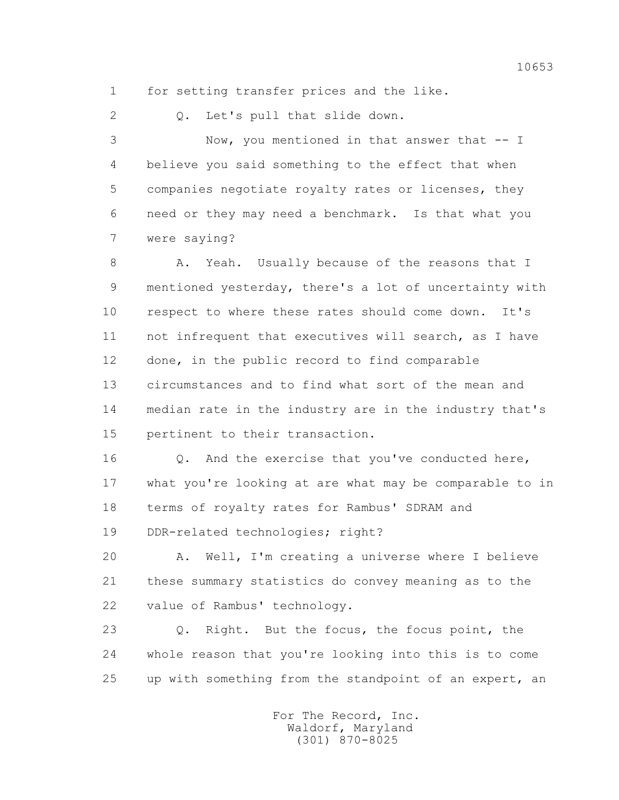1 for setting transfer prices and the like.

2 Q. Let's pull that slide down.

 3 Now, you mentioned in that answer that -- I 4 believe you said something to the effect that when 5 companies negotiate royalty rates or licenses, they 6 need or they may need a benchmark. Is that what you 7 were saying?

 8 A. Yeah. Usually because of the reasons that I 9 mentioned yesterday, there's a lot of uncertainty with 10 respect to where these rates should come down. It's 11 not infrequent that executives will search, as I have 12 done, in the public record to find comparable 13 circumstances and to find what sort of the mean and 14 median rate in the industry are in the industry that's 15 pertinent to their transaction.

16 0. And the exercise that you've conducted here, 17 what you're looking at are what may be comparable to in 18 terms of royalty rates for Rambus' SDRAM and

19 DDR-related technologies; right?

 20 A. Well, I'm creating a universe where I believe 21 these summary statistics do convey meaning as to the 22 value of Rambus' technology.

 23 Q. Right. But the focus, the focus point, the 24 whole reason that you're looking into this is to come 25 up with something from the standpoint of an expert, an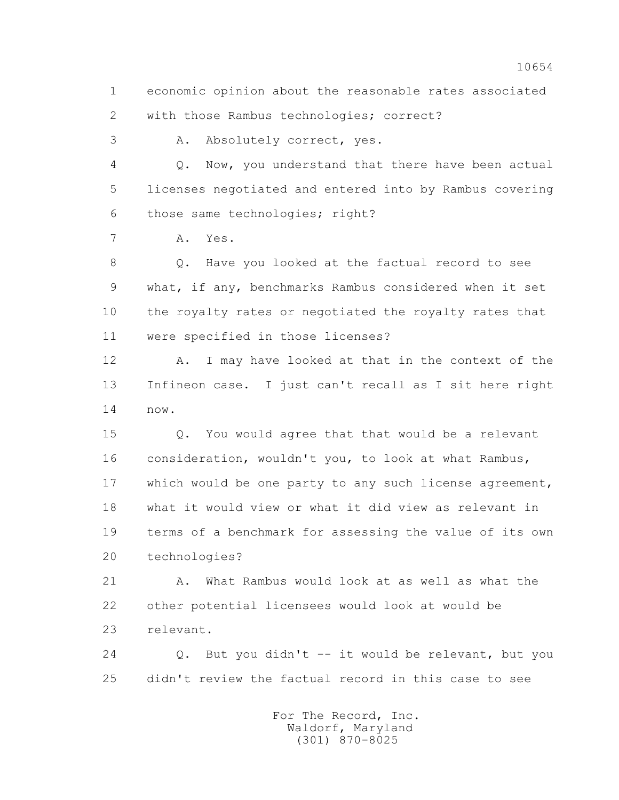1 economic opinion about the reasonable rates associated 2 with those Rambus technologies; correct?

3 A. Absolutely correct, yes.

 4 Q. Now, you understand that there have been actual 5 licenses negotiated and entered into by Rambus covering 6 those same technologies; right?

7 A. Yes.

 8 Q. Have you looked at the factual record to see 9 what, if any, benchmarks Rambus considered when it set 10 the royalty rates or negotiated the royalty rates that 11 were specified in those licenses?

12 A. I may have looked at that in the context of the 13 Infineon case. I just can't recall as I sit here right 14 now.

 15 Q. You would agree that that would be a relevant 16 consideration, wouldn't you, to look at what Rambus, 17 which would be one party to any such license agreement, 18 what it would view or what it did view as relevant in 19 terms of a benchmark for assessing the value of its own 20 technologies?

21 A. What Rambus would look at as well as what the 22 other potential licensees would look at would be 23 relevant.

 24 Q. But you didn't -- it would be relevant, but you 25 didn't review the factual record in this case to see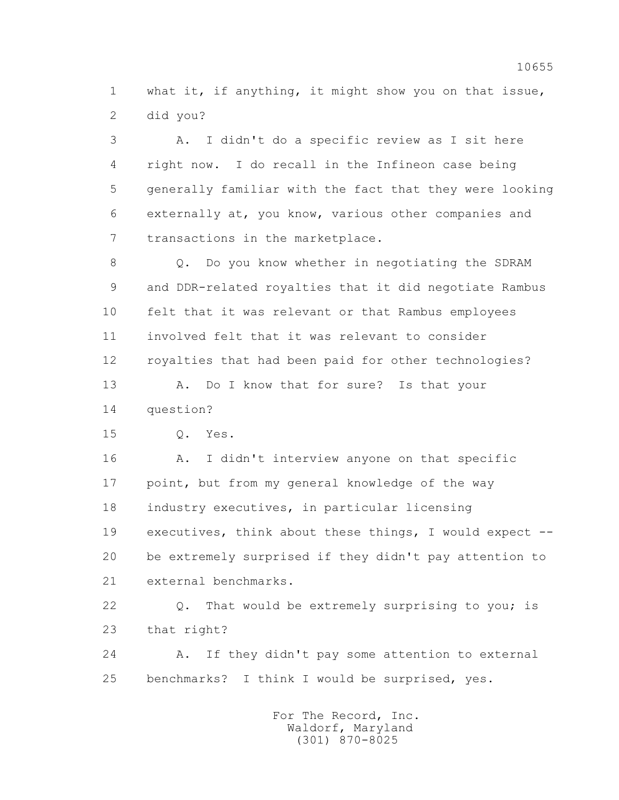1 what it, if anything, it might show you on that issue, 2 did you?

 3 A. I didn't do a specific review as I sit here 4 right now. I do recall in the Infineon case being 5 generally familiar with the fact that they were looking 6 externally at, you know, various other companies and 7 transactions in the marketplace.

 8 Q. Do you know whether in negotiating the SDRAM 9 and DDR-related royalties that it did negotiate Rambus 10 felt that it was relevant or that Rambus employees 11 involved felt that it was relevant to consider 12 royalties that had been paid for other technologies? 13 A. Do I know that for sure? Is that your

14 question?

15 Q. Yes.

 16 A. I didn't interview anyone on that specific 17 point, but from my general knowledge of the way 18 industry executives, in particular licensing 19 executives, think about these things, I would expect -- 20 be extremely surprised if they didn't pay attention to 21 external benchmarks.

 22 Q. That would be extremely surprising to you; is 23 that right?

 24 A. If they didn't pay some attention to external 25 benchmarks? I think I would be surprised, yes.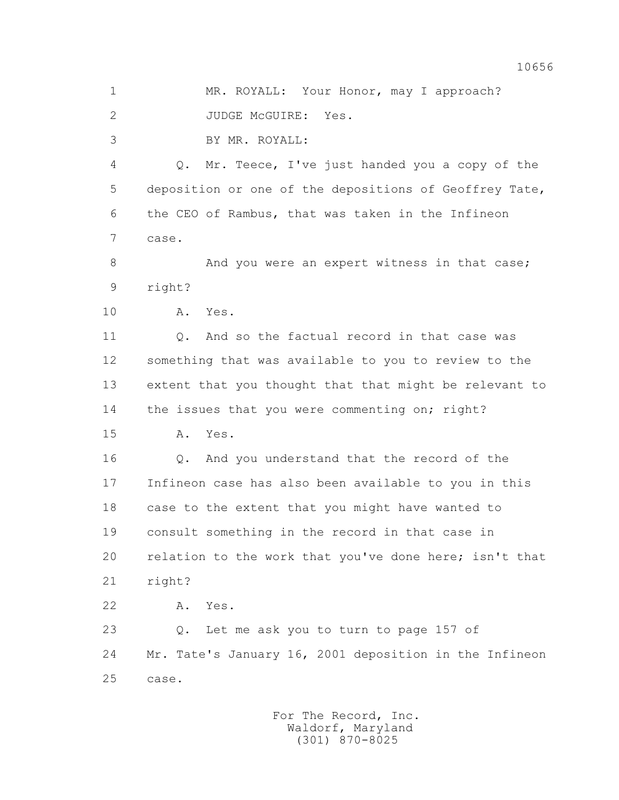1 MR. ROYALL: Your Honor, may I approach?

2 JUDGE McGUIRE: Yes.

3 BY MR. ROYALL:

 4 Q. Mr. Teece, I've just handed you a copy of the 5 deposition or one of the depositions of Geoffrey Tate, 6 the CEO of Rambus, that was taken in the Infineon 7 case.

8 And you were an expert witness in that case; 9 right?

10 A. Yes.

 11 Q. And so the factual record in that case was 12 something that was available to you to review to the 13 extent that you thought that that might be relevant to 14 the issues that you were commenting on; right?

15 A. Yes.

 16 Q. And you understand that the record of the 17 Infineon case has also been available to you in this 18 case to the extent that you might have wanted to 19 consult something in the record in that case in 20 relation to the work that you've done here; isn't that 21 right?

22 A. Yes.

 23 Q. Let me ask you to turn to page 157 of 24 Mr. Tate's January 16, 2001 deposition in the Infineon 25 case.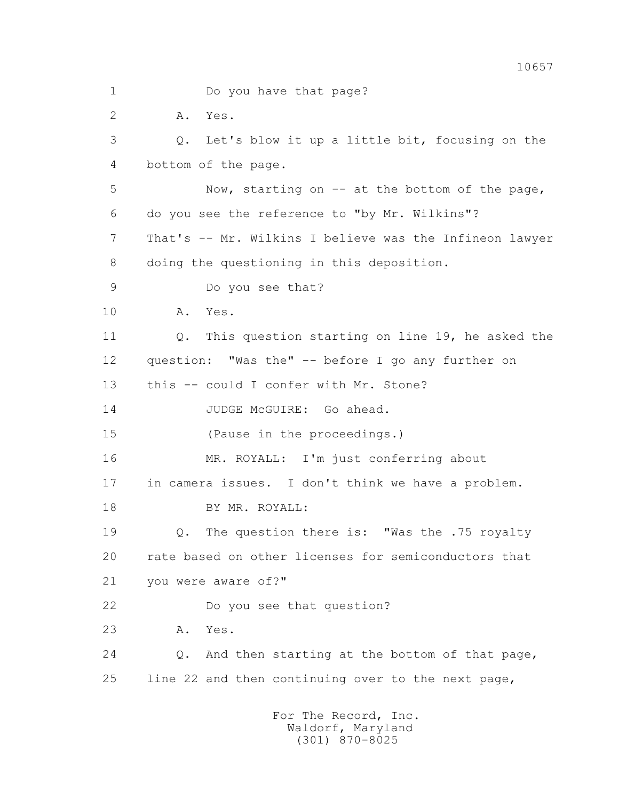1 Do you have that page? 2 A. Yes. 3 Q. Let's blow it up a little bit, focusing on the 4 bottom of the page. 5 Now, starting on -- at the bottom of the page, 6 do you see the reference to "by Mr. Wilkins"? 7 That's -- Mr. Wilkins I believe was the Infineon lawyer 8 doing the questioning in this deposition. 9 Do you see that? 10 A. Yes. 11 Q. This question starting on line 19, he asked the 12 question: "Was the" -- before I go any further on 13 this -- could I confer with Mr. Stone? 14 JUDGE McGUIRE: Go ahead. 15 (Pause in the proceedings.) 16 MR. ROYALL: I'm just conferring about 17 in camera issues. I don't think we have a problem. 18 BY MR. ROYALL: 19 Q. The question there is: "Was the .75 royalty 20 rate based on other licenses for semiconductors that 21 you were aware of?" 22 Do you see that question? 23 A. Yes. 24 Q. And then starting at the bottom of that page, 25 line 22 and then continuing over to the next page, For The Record, Inc.

 Waldorf, Maryland (301) 870-8025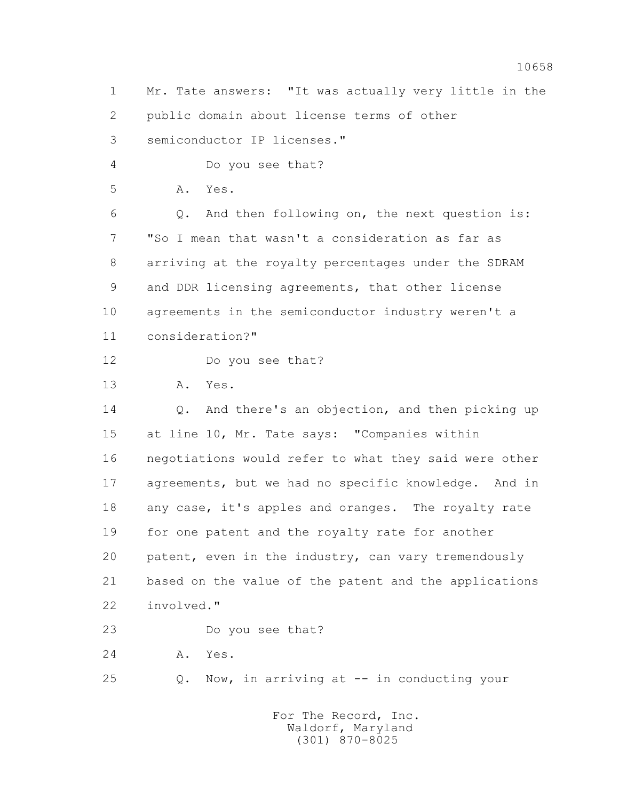1 Mr. Tate answers: "It was actually very little in the 2 public domain about license terms of other 3 semiconductor IP licenses."

4 Do you see that?

5 A. Yes.

 6 Q. And then following on, the next question is: 7 "So I mean that wasn't a consideration as far as 8 arriving at the royalty percentages under the SDRAM 9 and DDR licensing agreements, that other license 10 agreements in the semiconductor industry weren't a 11 consideration?"

12 Do you see that?

13 A. Yes.

 14 Q. And there's an objection, and then picking up 15 at line 10, Mr. Tate says: "Companies within 16 negotiations would refer to what they said were other 17 agreements, but we had no specific knowledge. And in 18 any case, it's apples and oranges. The royalty rate 19 for one patent and the royalty rate for another 20 patent, even in the industry, can vary tremendously 21 based on the value of the patent and the applications 22 involved."

23 Do you see that?

24 A. Yes.

25 Q. Now, in arriving at -- in conducting your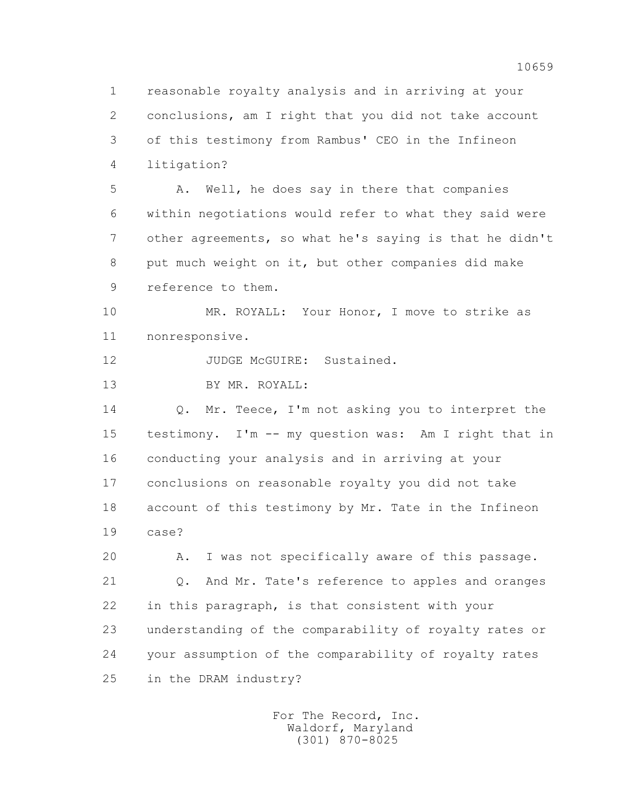1 reasonable royalty analysis and in arriving at your 2 conclusions, am I right that you did not take account 3 of this testimony from Rambus' CEO in the Infineon 4 litigation? 5 A. Well, he does say in there that companies 6 within negotiations would refer to what they said were 7 other agreements, so what he's saying is that he didn't 8 put much weight on it, but other companies did make 9 reference to them. 10 MR. ROYALL: Your Honor, I move to strike as 11 nonresponsive. 12 JUDGE McGUIRE: Sustained. 13 BY MR. ROYALL: 14 Q. Mr. Teece, I'm not asking you to interpret the 15 testimony. I'm -- my question was: Am I right that in 16 conducting your analysis and in arriving at your 17 conclusions on reasonable royalty you did not take 18 account of this testimony by Mr. Tate in the Infineon 19 case? 20 A. I was not specifically aware of this passage. 21 Q. And Mr. Tate's reference to apples and oranges 22 in this paragraph, is that consistent with your 23 understanding of the comparability of royalty rates or 24 your assumption of the comparability of royalty rates 25 in the DRAM industry?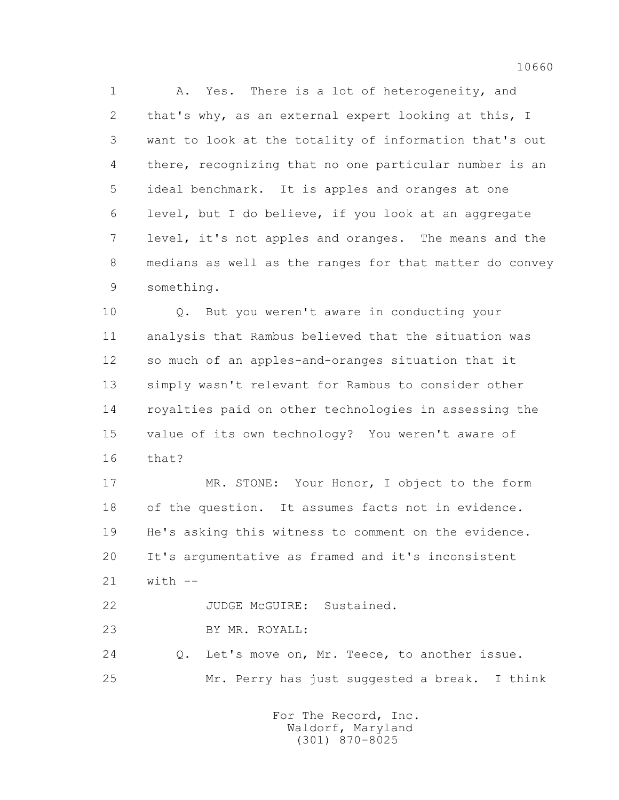1 A. Yes. There is a lot of heterogeneity, and 2 that's why, as an external expert looking at this, I 3 want to look at the totality of information that's out 4 there, recognizing that no one particular number is an 5 ideal benchmark. It is apples and oranges at one 6 level, but I do believe, if you look at an aggregate 7 level, it's not apples and oranges. The means and the 8 medians as well as the ranges for that matter do convey 9 something.

 10 Q. But you weren't aware in conducting your 11 analysis that Rambus believed that the situation was 12 so much of an apples-and-oranges situation that it 13 simply wasn't relevant for Rambus to consider other 14 royalties paid on other technologies in assessing the 15 value of its own technology? You weren't aware of 16 that?

 17 MR. STONE: Your Honor, I object to the form 18 of the question. It assumes facts not in evidence. 19 He's asking this witness to comment on the evidence. 20 It's argumentative as framed and it's inconsistent 21 with --

22 JUDGE McGUIRE: Sustained.

23 BY MR. ROYALL:

 24 Q. Let's move on, Mr. Teece, to another issue. 25 Mr. Perry has just suggested a break. I think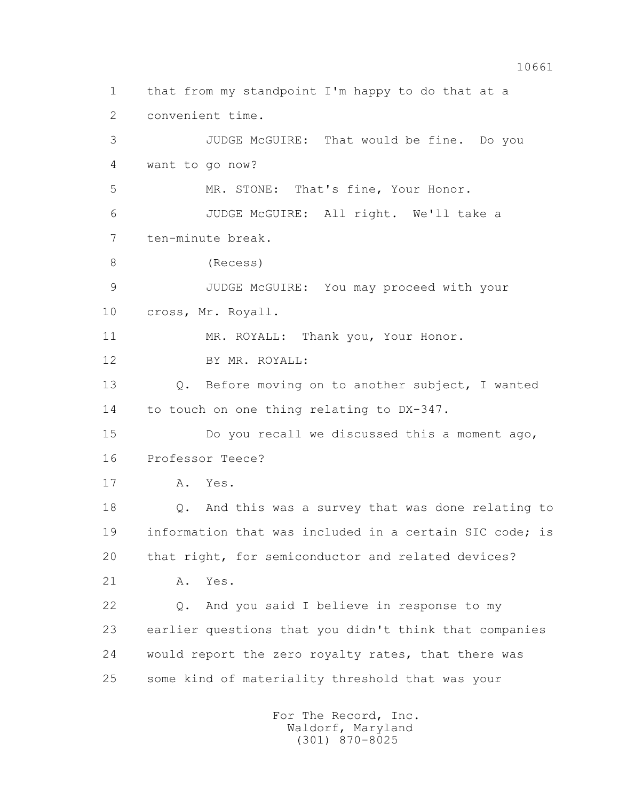1 that from my standpoint I'm happy to do that at a 2 convenient time. 3 JUDGE McGUIRE: That would be fine. Do you 4 want to go now? 5 MR. STONE: That's fine, Your Honor. 6 JUDGE McGUIRE: All right. We'll take a 7 ten-minute break. 8 (Recess) 9 JUDGE McGUIRE: You may proceed with your 10 cross, Mr. Royall. 11 MR. ROYALL: Thank you, Your Honor. 12 BY MR. ROYALL: 13 Q. Before moving on to another subject, I wanted 14 to touch on one thing relating to DX-347. 15 Do you recall we discussed this a moment ago, 16 Professor Teece? 17 A. Yes. 18 Q. And this was a survey that was done relating to 19 information that was included in a certain SIC code; is 20 that right, for semiconductor and related devices? 21 A. Yes. 22 Q. And you said I believe in response to my 23 earlier questions that you didn't think that companies 24 would report the zero royalty rates, that there was 25 some kind of materiality threshold that was your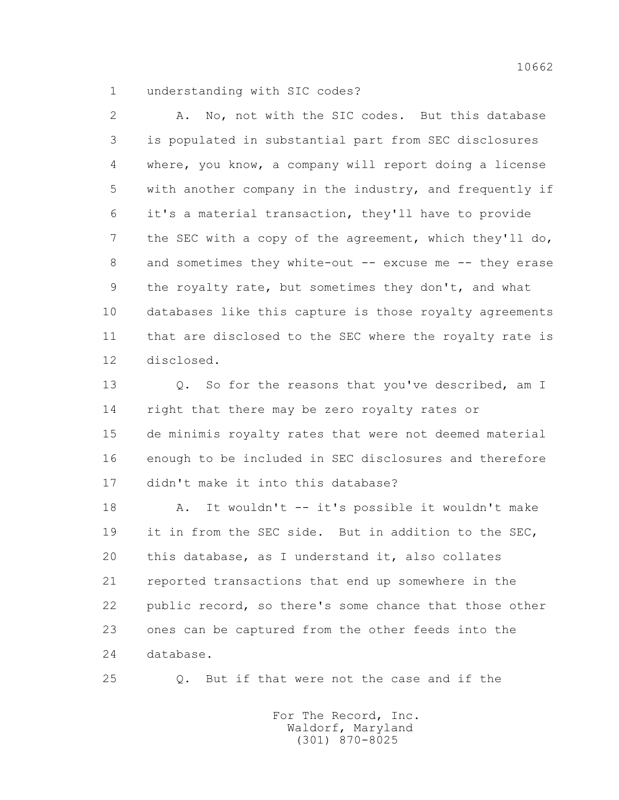1 understanding with SIC codes?

 2 A. No, not with the SIC codes. But this database 3 is populated in substantial part from SEC disclosures 4 where, you know, a company will report doing a license 5 with another company in the industry, and frequently if 6 it's a material transaction, they'll have to provide 7 the SEC with a copy of the agreement, which they'll do, 8 and sometimes they white-out -- excuse me -- they erase 9 the royalty rate, but sometimes they don't, and what 10 databases like this capture is those royalty agreements 11 that are disclosed to the SEC where the royalty rate is 12 disclosed.

13 0. So for the reasons that you've described, am I 14 right that there may be zero royalty rates or 15 de minimis royalty rates that were not deemed material 16 enough to be included in SEC disclosures and therefore 17 didn't make it into this database?

18 A. It wouldn't -- it's possible it wouldn't make 19 it in from the SEC side. But in addition to the SEC, 20 this database, as I understand it, also collates 21 reported transactions that end up somewhere in the 22 public record, so there's some chance that those other 23 ones can be captured from the other feeds into the 24 database.

25 Q. But if that were not the case and if the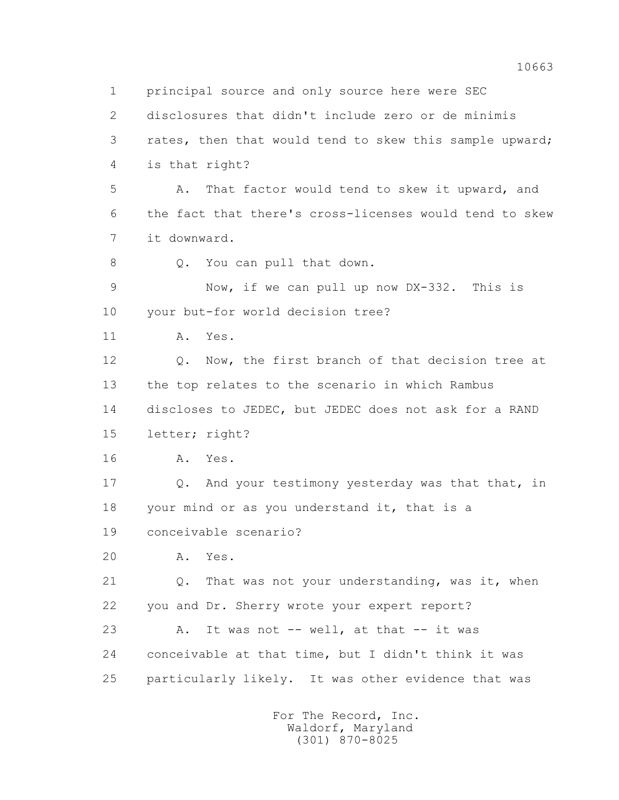1 principal source and only source here were SEC 2 disclosures that didn't include zero or de minimis 3 rates, then that would tend to skew this sample upward; 4 is that right? 5 A. That factor would tend to skew it upward, and 6 the fact that there's cross-licenses would tend to skew 7 it downward. 8 Q. You can pull that down. 9 Now, if we can pull up now DX-332. This is 10 your but-for world decision tree? 11 A. Yes. 12 Q. Now, the first branch of that decision tree at 13 the top relates to the scenario in which Rambus 14 discloses to JEDEC, but JEDEC does not ask for a RAND 15 letter; right? 16 A. Yes. 17 Q. And your testimony yesterday was that that, in 18 your mind or as you understand it, that is a 19 conceivable scenario? 20 A. Yes. 21 Q. That was not your understanding, was it, when 22 you and Dr. Sherry wrote your expert report? 23 A. It was not -- well, at that -- it was 24 conceivable at that time, but I didn't think it was 25 particularly likely. It was other evidence that was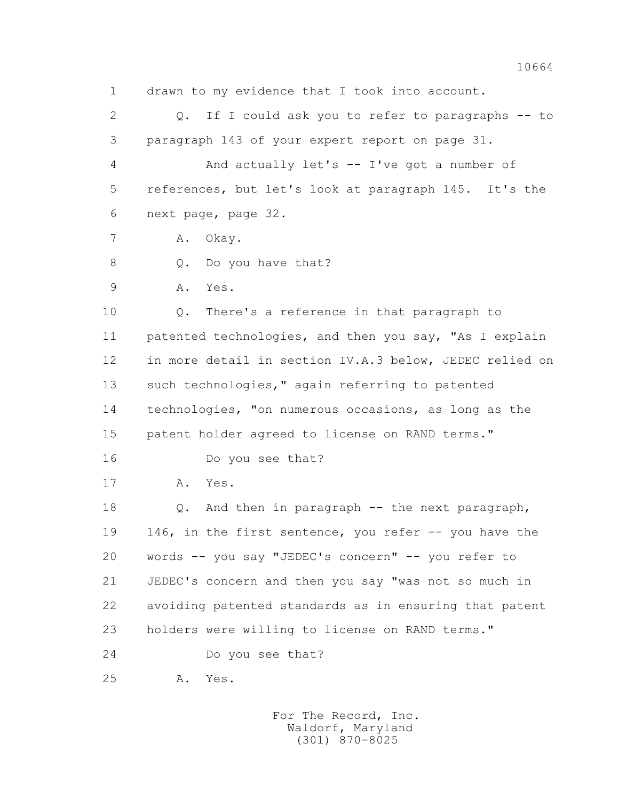1 drawn to my evidence that I took into account. 2 Q. If I could ask you to refer to paragraphs -- to 3 paragraph 143 of your expert report on page 31. 4 And actually let's -- I've got a number of 5 references, but let's look at paragraph 145. It's the 6 next page, page 32. 7 A. Okay. 8 Q. Do you have that? 9 A. Yes. 10 Q. There's a reference in that paragraph to 11 patented technologies, and then you say, "As I explain 12 in more detail in section IV.A.3 below, JEDEC relied on 13 such technologies," again referring to patented 14 technologies, "on numerous occasions, as long as the 15 patent holder agreed to license on RAND terms." 16 Do you see that? 17 A. Yes. 18 Q. And then in paragraph -- the next paragraph, 19 146, in the first sentence, you refer -- you have the 20 words -- you say "JEDEC's concern" -- you refer to 21 JEDEC's concern and then you say "was not so much in 22 avoiding patented standards as in ensuring that patent 23 holders were willing to license on RAND terms." 24 Do you see that? 25 A. Yes.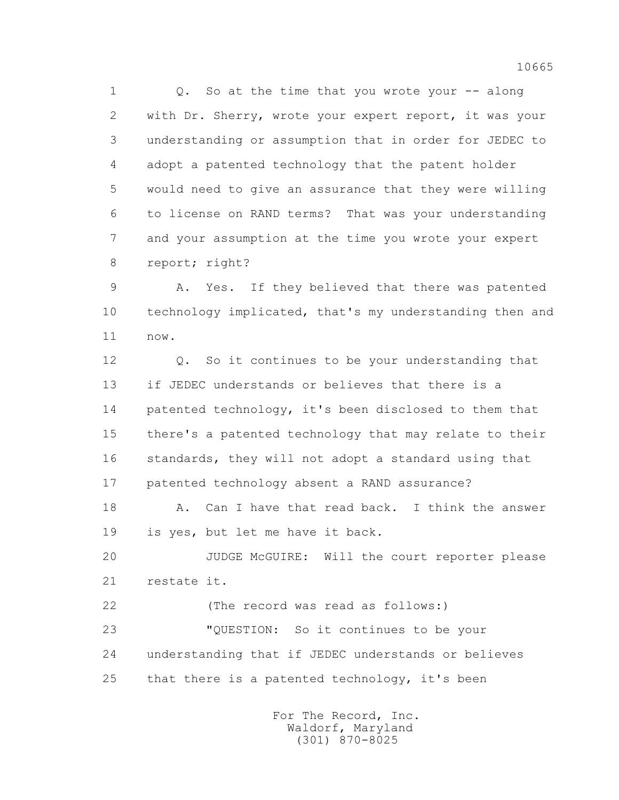1 0. So at the time that you wrote your -- along 2 with Dr. Sherry, wrote your expert report, it was your 3 understanding or assumption that in order for JEDEC to 4 adopt a patented technology that the patent holder 5 would need to give an assurance that they were willing 6 to license on RAND terms? That was your understanding 7 and your assumption at the time you wrote your expert 8 report; right?

 9 A. Yes. If they believed that there was patented 10 technology implicated, that's my understanding then and 11 now.

 12 Q. So it continues to be your understanding that 13 if JEDEC understands or believes that there is a 14 patented technology, it's been disclosed to them that 15 there's a patented technology that may relate to their 16 standards, they will not adopt a standard using that 17 patented technology absent a RAND assurance?

18 A. Can I have that read back. I think the answer 19 is yes, but let me have it back.

 20 JUDGE McGUIRE: Will the court reporter please 21 restate it.

 22 (The record was read as follows:) 23 "QUESTION: So it continues to be your 24 understanding that if JEDEC understands or believes 25 that there is a patented technology, it's been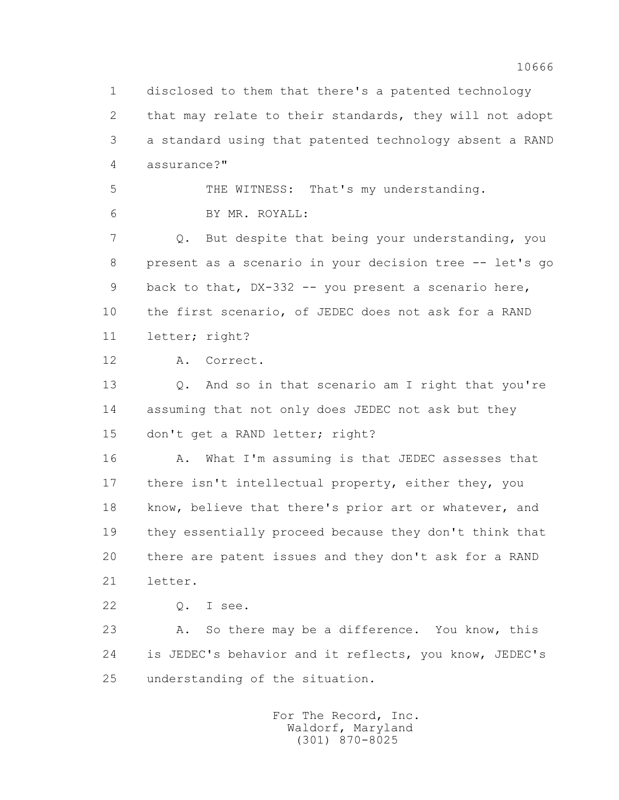1 disclosed to them that there's a patented technology 2 that may relate to their standards, they will not adopt 3 a standard using that patented technology absent a RAND 4 assurance?" 5 THE WITNESS: That's my understanding. 6 BY MR. ROYALL: 7 Q. But despite that being your understanding, you 8 present as a scenario in your decision tree -- let's go 9 back to that, DX-332 -- you present a scenario here, 10 the first scenario, of JEDEC does not ask for a RAND 11 letter; right? 12 A. Correct. 13 Q. And so in that scenario am I right that you're 14 assuming that not only does JEDEC not ask but they 15 don't get a RAND letter; right? 16 A. What I'm assuming is that JEDEC assesses that 17 there isn't intellectual property, either they, you 18 know, believe that there's prior art or whatever, and 19 they essentially proceed because they don't think that 20 there are patent issues and they don't ask for a RAND 21 letter. 22 Q. I see. 23 A. So there may be a difference. You know, this 24 is JEDEC's behavior and it reflects, you know, JEDEC's 25 understanding of the situation.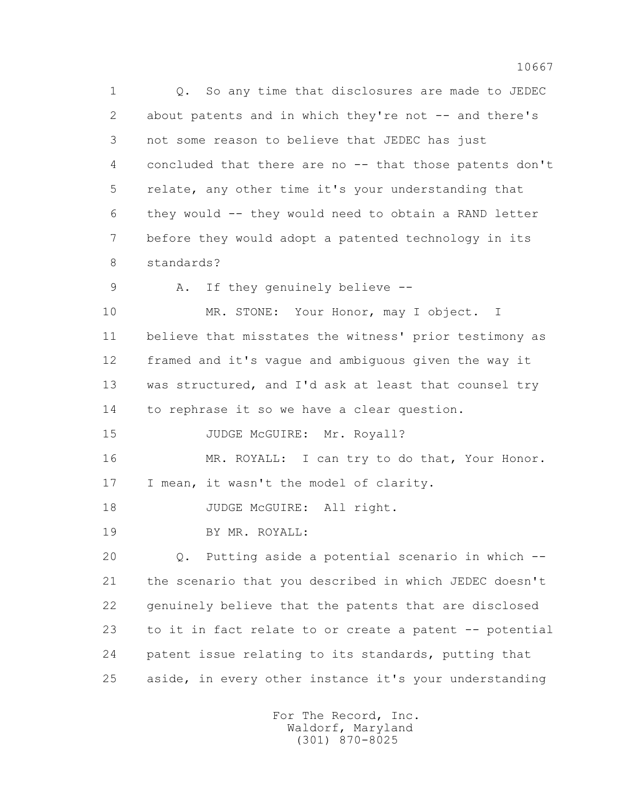1 Q. So any time that disclosures are made to JEDEC 2 about patents and in which they're not -- and there's 3 not some reason to believe that JEDEC has just 4 concluded that there are no -- that those patents don't 5 relate, any other time it's your understanding that 6 they would -- they would need to obtain a RAND letter 7 before they would adopt a patented technology in its 8 standards?

9 A. If they genuinely believe --

10 MR. STONE: Your Honor, may I object. I 11 believe that misstates the witness' prior testimony as 12 framed and it's vague and ambiguous given the way it 13 was structured, and I'd ask at least that counsel try 14 to rephrase it so we have a clear question.

15 JUDGE McGUIRE: Mr. Royall?

 16 MR. ROYALL: I can try to do that, Your Honor. 17 I mean, it wasn't the model of clarity.

18 JUDGE McGUIRE: All right.

19 BY MR. ROYALL:

 20 Q. Putting aside a potential scenario in which -- 21 the scenario that you described in which JEDEC doesn't 22 genuinely believe that the patents that are disclosed 23 to it in fact relate to or create a patent -- potential 24 patent issue relating to its standards, putting that 25 aside, in every other instance it's your understanding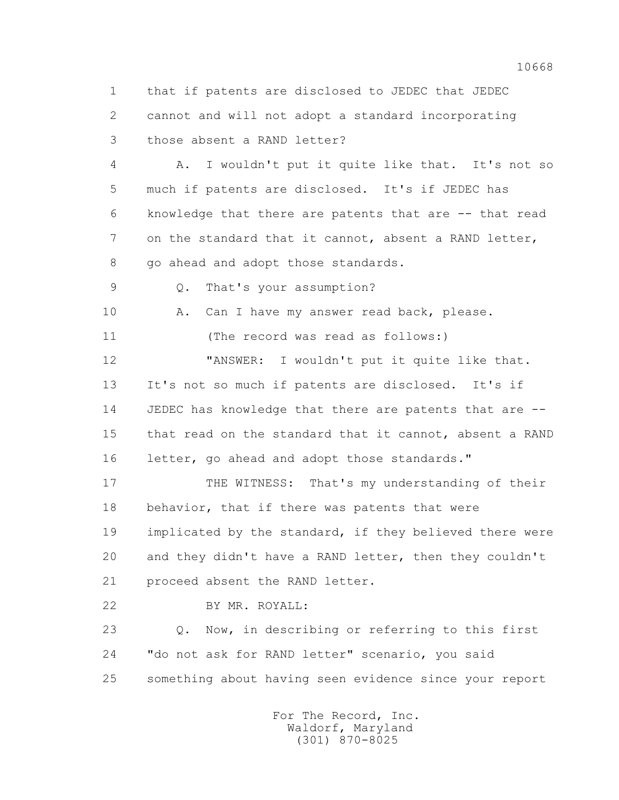1 that if patents are disclosed to JEDEC that JEDEC 2 cannot and will not adopt a standard incorporating 3 those absent a RAND letter?

 4 A. I wouldn't put it quite like that. It's not so 5 much if patents are disclosed. It's if JEDEC has 6 knowledge that there are patents that are -- that read 7 on the standard that it cannot, absent a RAND letter, 8 go ahead and adopt those standards.

9 Q. That's your assumption?

10 A. Can I have my answer read back, please.

11 (The record was read as follows:)

 12 "ANSWER: I wouldn't put it quite like that. 13 It's not so much if patents are disclosed. It's if 14 JEDEC has knowledge that there are patents that are -- 15 that read on the standard that it cannot, absent a RAND 16 letter, go ahead and adopt those standards."

17 THE WITNESS: That's my understanding of their 18 behavior, that if there was patents that were 19 implicated by the standard, if they believed there were 20 and they didn't have a RAND letter, then they couldn't 21 proceed absent the RAND letter.

22 BY MR. ROYALL:

 23 Q. Now, in describing or referring to this first 24 "do not ask for RAND letter" scenario, you said 25 something about having seen evidence since your report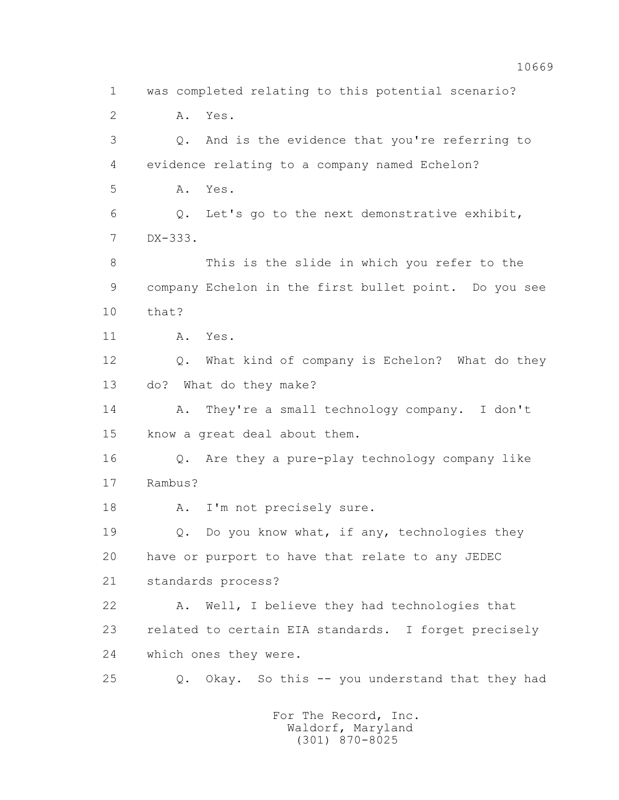1 was completed relating to this potential scenario? 2 A. Yes. 3 Q. And is the evidence that you're referring to 4 evidence relating to a company named Echelon? 5 A. Yes. 6 Q. Let's go to the next demonstrative exhibit, 7 DX-333. 8 This is the slide in which you refer to the 9 company Echelon in the first bullet point. Do you see 10 that? 11 A. Yes. 12 Q. What kind of company is Echelon? What do they 13 do? What do they make? 14 A. They're a small technology company. I don't 15 know a great deal about them. 16 Q. Are they a pure-play technology company like 17 Rambus? 18 A. I'm not precisely sure. 19 Q. Do you know what, if any, technologies they 20 have or purport to have that relate to any JEDEC 21 standards process? 22 A. Well, I believe they had technologies that 23 related to certain EIA standards. I forget precisely 24 which ones they were. 25 Q. Okay. So this -- you understand that they had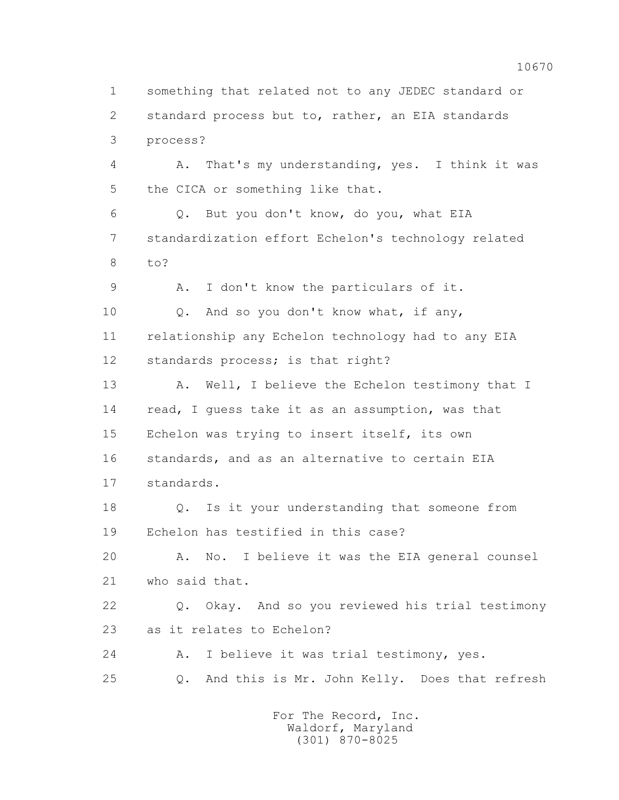2 standard process but to, rather, an EIA standards 3 process? 4 A. That's my understanding, yes. I think it was 5 the CICA or something like that. 6 Q. But you don't know, do you, what EIA 7 standardization effort Echelon's technology related 8 to? 9 A. I don't know the particulars of it. 10 Q. And so you don't know what, if any, 11 relationship any Echelon technology had to any EIA 12 standards process; is that right? 13 A. Well, I believe the Echelon testimony that I 14 read, I guess take it as an assumption, was that 15 Echelon was trying to insert itself, its own 16 standards, and as an alternative to certain EIA 17 standards. 18 Q. Is it your understanding that someone from 19 Echelon has testified in this case? 20 A. No. I believe it was the EIA general counsel 21 who said that. 22 Q. Okay. And so you reviewed his trial testimony 23 as it relates to Echelon? 24 A. I believe it was trial testimony, yes. 25 Q. And this is Mr. John Kelly. Does that refresh

1 something that related not to any JEDEC standard or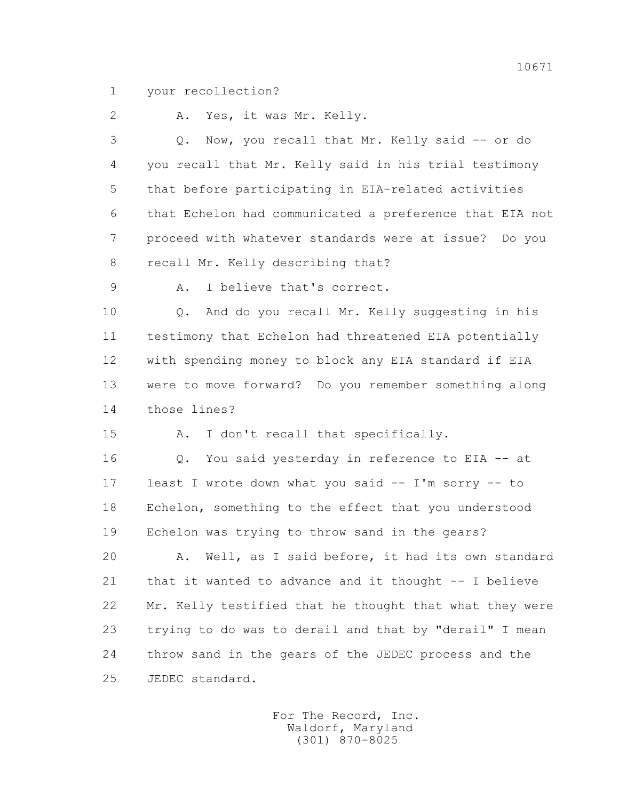1 your recollection?

2 A. Yes, it was Mr. Kelly.

 3 Q. Now, you recall that Mr. Kelly said -- or do 4 you recall that Mr. Kelly said in his trial testimony 5 that before participating in EIA-related activities 6 that Echelon had communicated a preference that EIA not 7 proceed with whatever standards were at issue? Do you 8 recall Mr. Kelly describing that?

9 A. I believe that's correct.

 10 Q. And do you recall Mr. Kelly suggesting in his 11 testimony that Echelon had threatened EIA potentially 12 with spending money to block any EIA standard if EIA 13 were to move forward? Do you remember something along 14 those lines?

15 A. I don't recall that specifically.

 16 Q. You said yesterday in reference to EIA -- at 17 least I wrote down what you said -- I'm sorry -- to 18 Echelon, something to the effect that you understood 19 Echelon was trying to throw sand in the gears?

 20 A. Well, as I said before, it had its own standard 21 that it wanted to advance and it thought -- I believe 22 Mr. Kelly testified that he thought that what they were 23 trying to do was to derail and that by "derail" I mean 24 throw sand in the gears of the JEDEC process and the 25 JEDEC standard.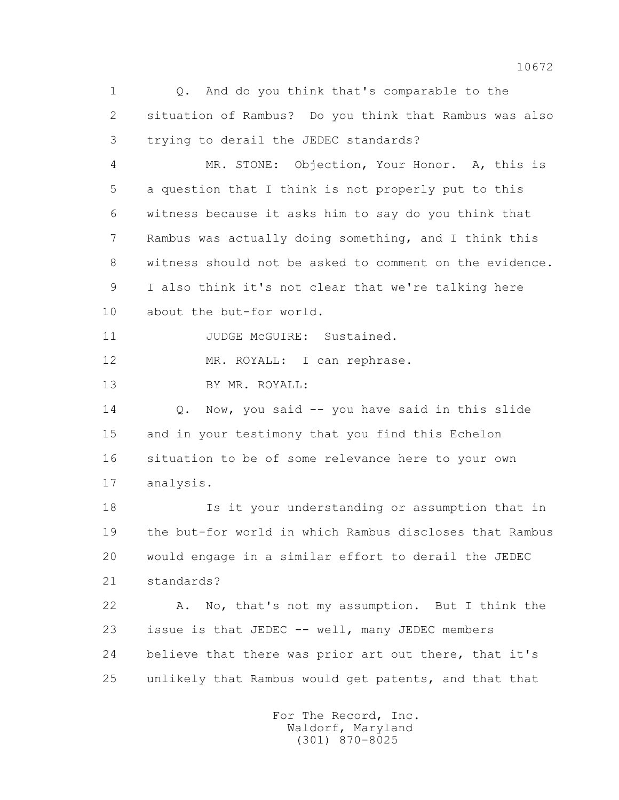1 Q. And do you think that's comparable to the 2 situation of Rambus? Do you think that Rambus was also 3 trying to derail the JEDEC standards?

 4 MR. STONE: Objection, Your Honor. A, this is 5 a question that I think is not properly put to this 6 witness because it asks him to say do you think that 7 Rambus was actually doing something, and I think this 8 witness should not be asked to comment on the evidence. 9 I also think it's not clear that we're talking here 10 about the but-for world.

11 JUDGE McGUIRE: Sustained.

12 MR. ROYALL: I can rephrase.

13 BY MR. ROYALL:

 14 Q. Now, you said -- you have said in this slide 15 and in your testimony that you find this Echelon 16 situation to be of some relevance here to your own 17 analysis.

 18 Is it your understanding or assumption that in 19 the but-for world in which Rambus discloses that Rambus 20 would engage in a similar effort to derail the JEDEC 21 standards?

 22 A. No, that's not my assumption. But I think the 23 issue is that JEDEC -- well, many JEDEC members 24 believe that there was prior art out there, that it's 25 unlikely that Rambus would get patents, and that that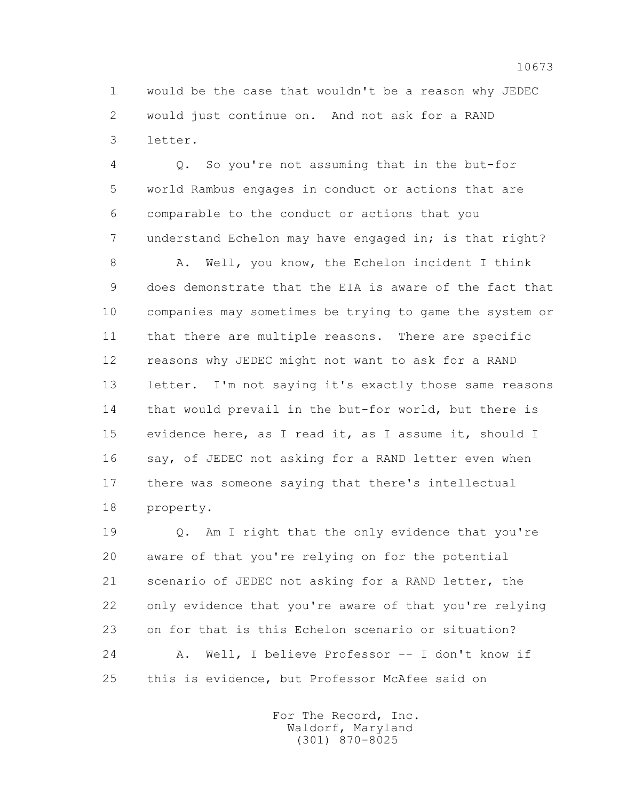1 would be the case that wouldn't be a reason why JEDEC 2 would just continue on. And not ask for a RAND 3 letter.

 4 Q. So you're not assuming that in the but-for 5 world Rambus engages in conduct or actions that are 6 comparable to the conduct or actions that you 7 understand Echelon may have engaged in; is that right?

8 A. Well, you know, the Echelon incident I think 9 does demonstrate that the EIA is aware of the fact that 10 companies may sometimes be trying to game the system or 11 that there are multiple reasons. There are specific 12 reasons why JEDEC might not want to ask for a RAND 13 letter. I'm not saying it's exactly those same reasons 14 that would prevail in the but-for world, but there is 15 evidence here, as I read it, as I assume it, should I 16 say, of JEDEC not asking for a RAND letter even when 17 there was someone saying that there's intellectual 18 property.

 19 Q. Am I right that the only evidence that you're 20 aware of that you're relying on for the potential 21 scenario of JEDEC not asking for a RAND letter, the 22 only evidence that you're aware of that you're relying 23 on for that is this Echelon scenario or situation? 24 A. Well, I believe Professor -- I don't know if 25 this is evidence, but Professor McAfee said on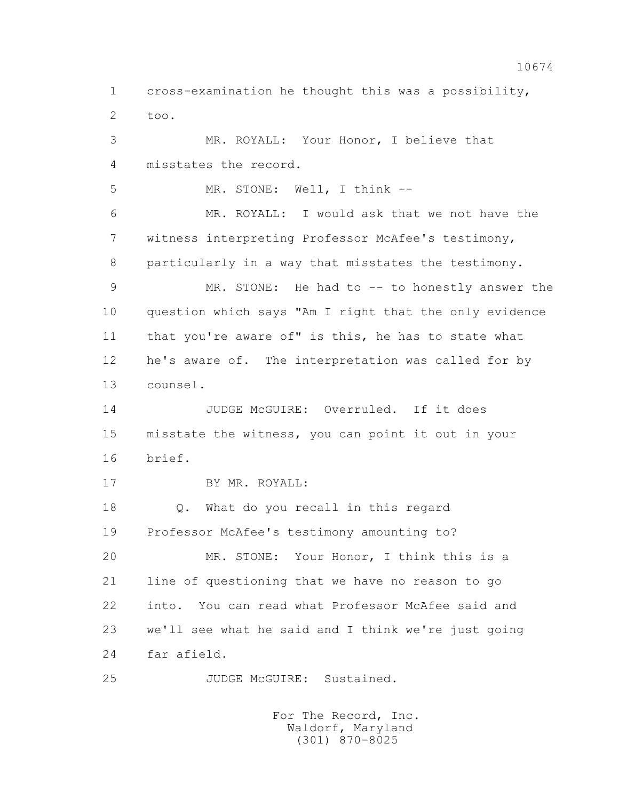1 cross-examination he thought this was a possibility, 2 too.

 3 MR. ROYALL: Your Honor, I believe that 4 misstates the record.

5 MR. STONE: Well, I think --

 6 MR. ROYALL: I would ask that we not have the 7 witness interpreting Professor McAfee's testimony, 8 particularly in a way that misstates the testimony.

 9 MR. STONE: He had to -- to honestly answer the 10 question which says "Am I right that the only evidence 11 that you're aware of" is this, he has to state what 12 he's aware of. The interpretation was called for by 13 counsel.

14 JUDGE McGUIRE: Overruled. If it does 15 misstate the witness, you can point it out in your 16 brief.

17 BY MR. ROYALL:

 18 Q. What do you recall in this regard 19 Professor McAfee's testimony amounting to?

 20 MR. STONE: Your Honor, I think this is a 21 line of questioning that we have no reason to go 22 into. You can read what Professor McAfee said and 23 we'll see what he said and I think we're just going 24 far afield.

25 JUDGE McGUIRE: Sustained.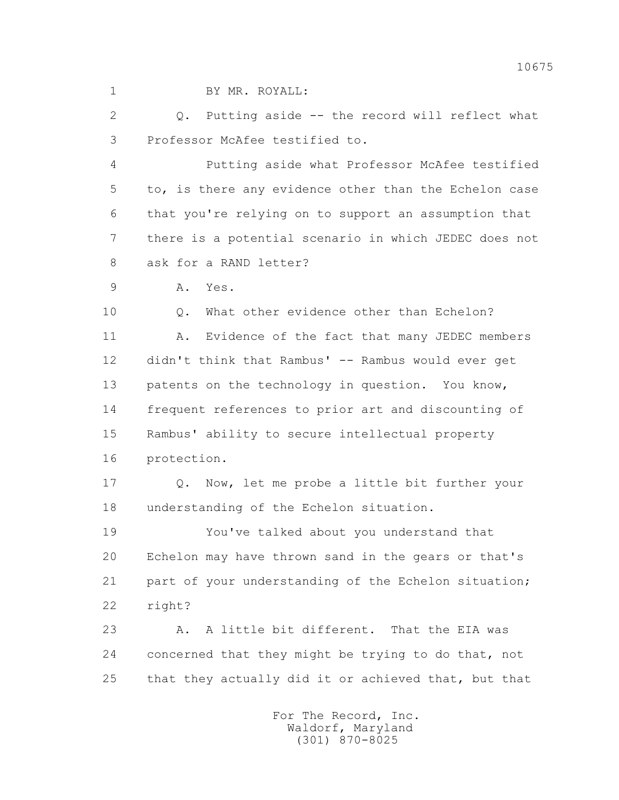1 BY MR. ROYALL:

 2 Q. Putting aside -- the record will reflect what 3 Professor McAfee testified to.

 4 Putting aside what Professor McAfee testified 5 to, is there any evidence other than the Echelon case 6 that you're relying on to support an assumption that 7 there is a potential scenario in which JEDEC does not 8 ask for a RAND letter?

9 A. Yes.

10 0. What other evidence other than Echelon? 11 A. Evidence of the fact that many JEDEC members 12 didn't think that Rambus' -- Rambus would ever get 13 patents on the technology in question. You know, 14 frequent references to prior art and discounting of 15 Rambus' ability to secure intellectual property 16 protection.

 17 Q. Now, let me probe a little bit further your 18 understanding of the Echelon situation.

 19 You've talked about you understand that 20 Echelon may have thrown sand in the gears or that's 21 part of your understanding of the Echelon situation; 22 right?

 23 A. A little bit different. That the EIA was 24 concerned that they might be trying to do that, not 25 that they actually did it or achieved that, but that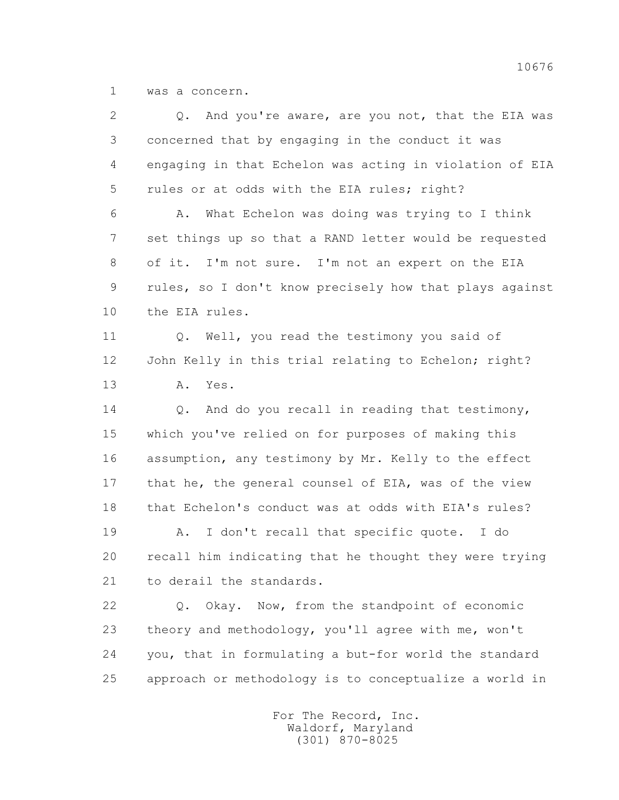1 was a concern.

| And you're aware, are you not, that the EIA was<br>Q.   |
|---------------------------------------------------------|
| concerned that by engaging in the conduct it was        |
| engaging in that Echelon was acting in violation of EIA |
| rules or at odds with the EIA rules; right?             |
| What Echelon was doing was trying to I think<br>Α.      |
| set things up so that a RAND letter would be requested  |
| of it. I'm not sure. I'm not an expert on the EIA       |
| rules, so I don't know precisely how that plays against |
| the EIA rules.                                          |
| Well, you read the testimony you said of<br>Q.          |
| John Kelly in this trial relating to Echelon; right?    |
| Yes.<br>Α.                                              |
| And do you recall in reading that testimony,<br>Q.      |
| which you've relied on for purposes of making this      |
| assumption, any testimony by Mr. Kelly to the effect    |
| that he, the general counsel of EIA, was of the view    |
| that Echelon's conduct was at odds with EIA's rules?    |
| I don't recall that specific quote. I do<br>Α.          |
| recall him indicating that he thought they were trying  |
| to derail the standards.                                |
| Okay. Now, from the standpoint of economic<br>$Q$ .     |
|                                                         |
| theory and methodology, you'll agree with me, won't     |
| you, that in formulating a but-for world the standard   |
|                                                         |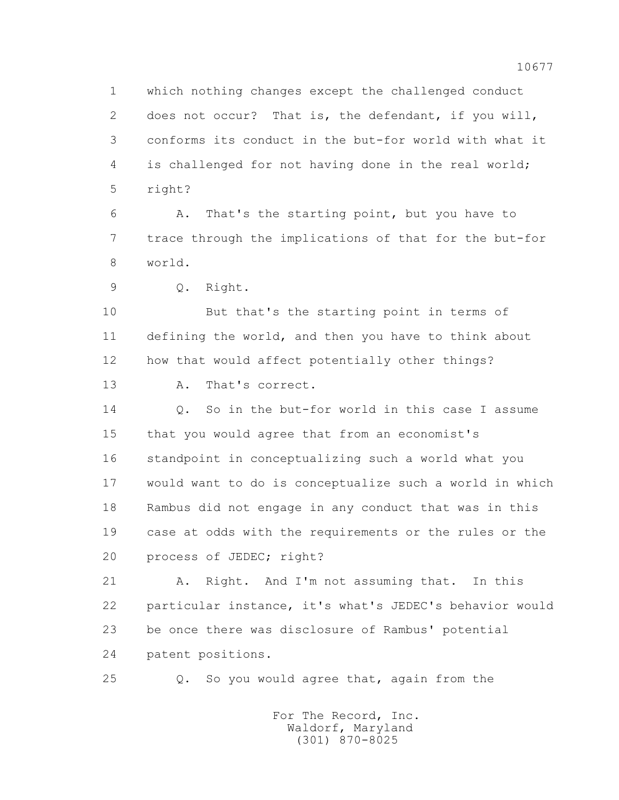1 which nothing changes except the challenged conduct 2 does not occur? That is, the defendant, if you will, 3 conforms its conduct in the but-for world with what it 4 is challenged for not having done in the real world; 5 right?

 6 A. That's the starting point, but you have to 7 trace through the implications of that for the but-for 8 world.

9 Q. Right.

 10 But that's the starting point in terms of 11 defining the world, and then you have to think about 12 how that would affect potentially other things? 13 A. That's correct.

 14 Q. So in the but-for world in this case I assume 15 that you would agree that from an economist's 16 standpoint in conceptualizing such a world what you 17 would want to do is conceptualize such a world in which 18 Rambus did not engage in any conduct that was in this 19 case at odds with the requirements or the rules or the 20 process of JEDEC; right?

 21 A. Right. And I'm not assuming that. In this 22 particular instance, it's what's JEDEC's behavior would 23 be once there was disclosure of Rambus' potential 24 patent positions.

25 Q. So you would agree that, again from the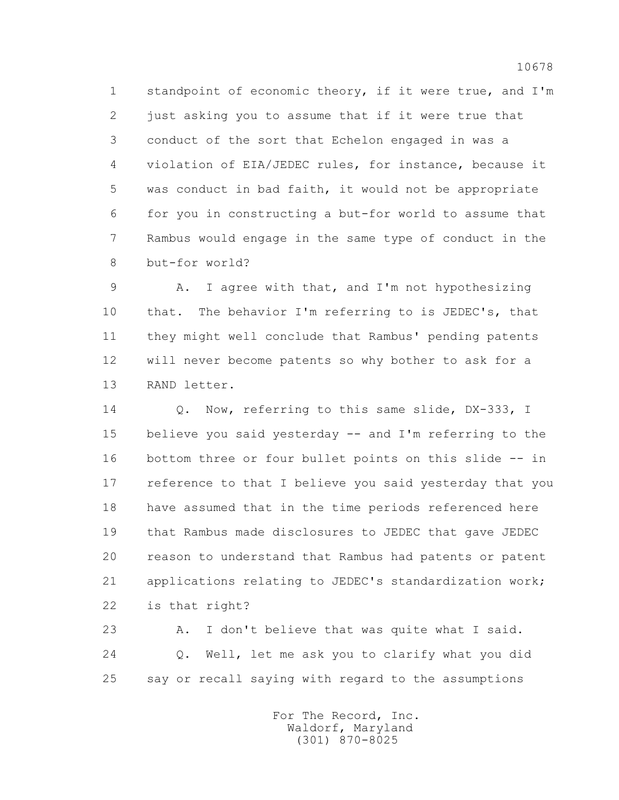1 standpoint of economic theory, if it were true, and I'm 2 just asking you to assume that if it were true that 3 conduct of the sort that Echelon engaged in was a 4 violation of EIA/JEDEC rules, for instance, because it 5 was conduct in bad faith, it would not be appropriate 6 for you in constructing a but-for world to assume that 7 Rambus would engage in the same type of conduct in the 8 but-for world?

9 A. I agree with that, and I'm not hypothesizing 10 that. The behavior I'm referring to is JEDEC's, that 11 they might well conclude that Rambus' pending patents 12 will never become patents so why bother to ask for a 13 RAND letter.

 14 Q. Now, referring to this same slide, DX-333, I 15 believe you said yesterday -- and I'm referring to the 16 bottom three or four bullet points on this slide -- in 17 reference to that I believe you said yesterday that you 18 have assumed that in the time periods referenced here 19 that Rambus made disclosures to JEDEC that gave JEDEC 20 reason to understand that Rambus had patents or patent 21 applications relating to JEDEC's standardization work; 22 is that right?

23 A. I don't believe that was quite what I said. 24 Q. Well, let me ask you to clarify what you did 25 say or recall saying with regard to the assumptions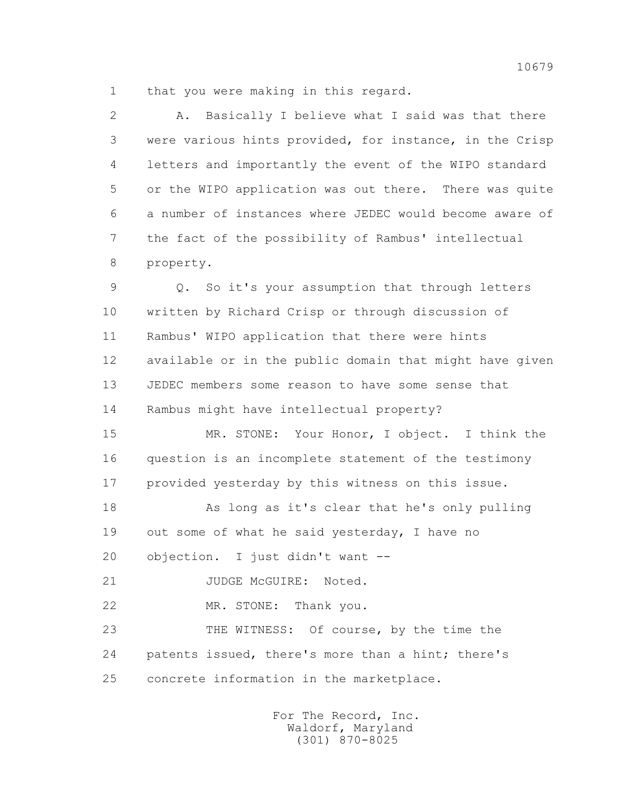1 that you were making in this regard.

 2 A. Basically I believe what I said was that there 3 were various hints provided, for instance, in the Crisp 4 letters and importantly the event of the WIPO standard 5 or the WIPO application was out there. There was quite 6 a number of instances where JEDEC would become aware of 7 the fact of the possibility of Rambus' intellectual 8 property.

 9 Q. So it's your assumption that through letters 10 written by Richard Crisp or through discussion of 11 Rambus' WIPO application that there were hints 12 available or in the public domain that might have given 13 JEDEC members some reason to have some sense that 14 Rambus might have intellectual property?

 15 MR. STONE: Your Honor, I object. I think the 16 question is an incomplete statement of the testimony 17 provided yesterday by this witness on this issue.

 18 As long as it's clear that he's only pulling 19 out some of what he said yesterday, I have no 20 objection. I just didn't want --

21 JUDGE McGUIRE: Noted.

22 MR. STONE: Thank you.

 23 THE WITNESS: Of course, by the time the 24 patents issued, there's more than a hint; there's 25 concrete information in the marketplace.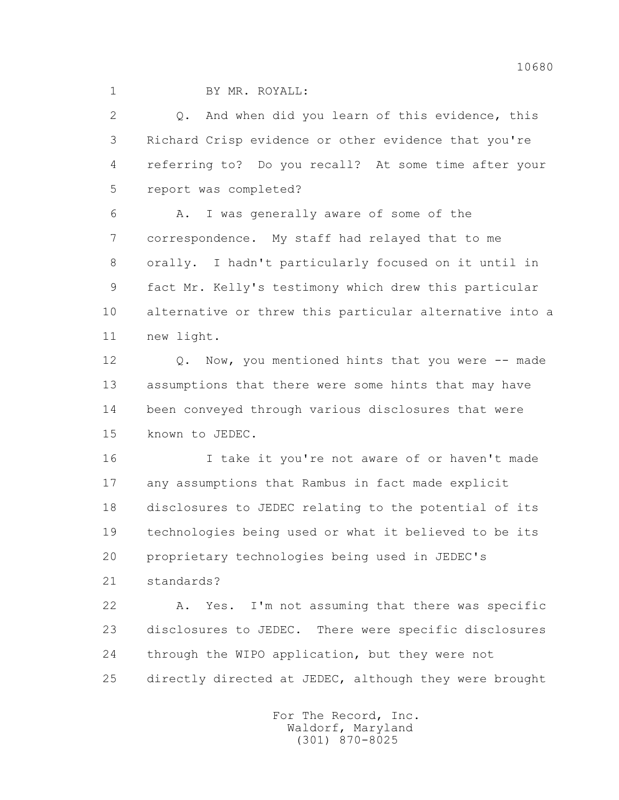1 BY MR. ROYALL:

 2 Q. And when did you learn of this evidence, this 3 Richard Crisp evidence or other evidence that you're 4 referring to? Do you recall? At some time after your 5 report was completed?

 6 A. I was generally aware of some of the 7 correspondence. My staff had relayed that to me 8 orally. I hadn't particularly focused on it until in 9 fact Mr. Kelly's testimony which drew this particular 10 alternative or threw this particular alternative into a 11 new light.

12 Q. Now, you mentioned hints that you were -- made 13 assumptions that there were some hints that may have 14 been conveyed through various disclosures that were 15 known to JEDEC.

 16 I take it you're not aware of or haven't made 17 any assumptions that Rambus in fact made explicit 18 disclosures to JEDEC relating to the potential of its 19 technologies being used or what it believed to be its 20 proprietary technologies being used in JEDEC's

21 standards?

 22 A. Yes. I'm not assuming that there was specific 23 disclosures to JEDEC. There were specific disclosures 24 through the WIPO application, but they were not 25 directly directed at JEDEC, although they were brought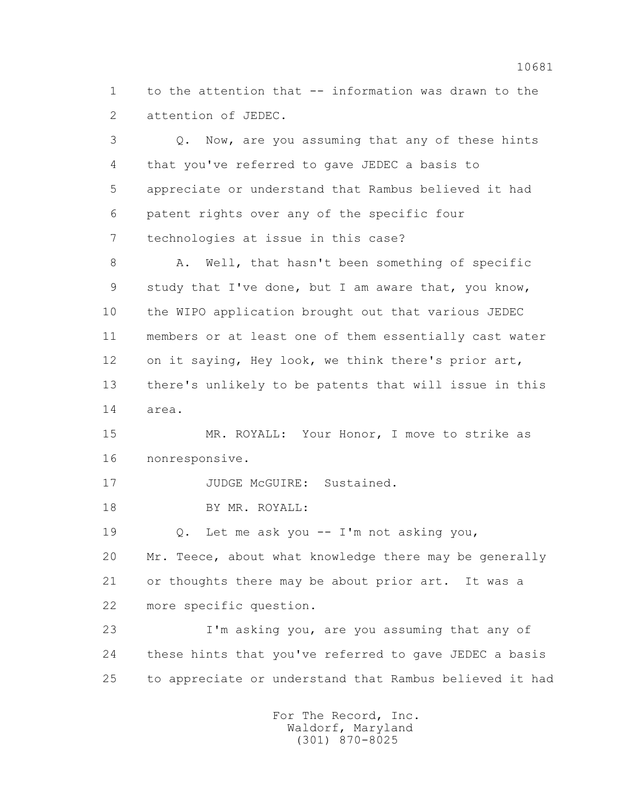1 to the attention that -- information was drawn to the 2 attention of JEDEC.

 3 Q. Now, are you assuming that any of these hints 4 that you've referred to gave JEDEC a basis to 5 appreciate or understand that Rambus believed it had 6 patent rights over any of the specific four 7 technologies at issue in this case?

 8 A. Well, that hasn't been something of specific 9 study that I've done, but I am aware that, you know, 10 the WIPO application brought out that various JEDEC 11 members or at least one of them essentially cast water 12 on it saying, Hey look, we think there's prior art, 13 there's unlikely to be patents that will issue in this 14 area.

 15 MR. ROYALL: Your Honor, I move to strike as 16 nonresponsive.

17 JUDGE McGUIRE: Sustained.

18 BY MR. ROYALL:

 19 Q. Let me ask you -- I'm not asking you, 20 Mr. Teece, about what knowledge there may be generally 21 or thoughts there may be about prior art. It was a 22 more specific question.

 23 I'm asking you, are you assuming that any of 24 these hints that you've referred to gave JEDEC a basis 25 to appreciate or understand that Rambus believed it had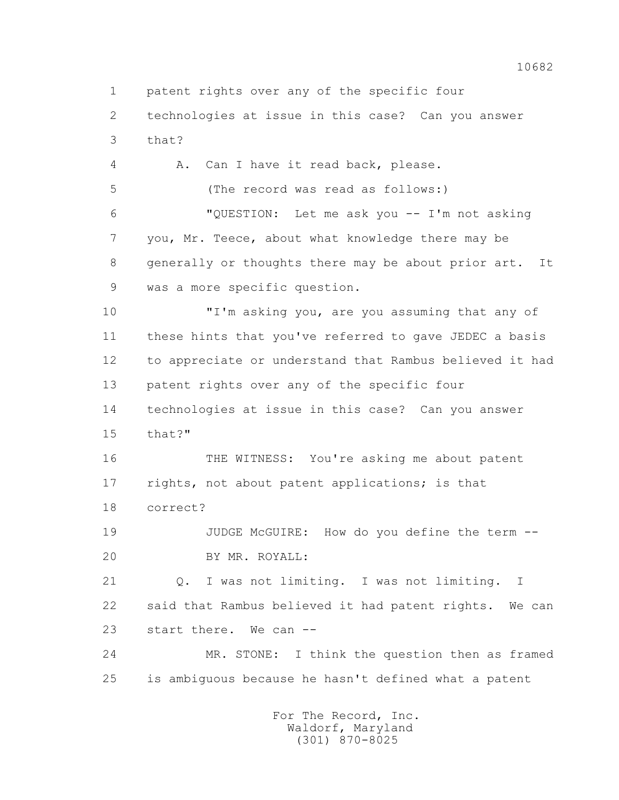1 patent rights over any of the specific four

 2 technologies at issue in this case? Can you answer 3 that?

 4 A. Can I have it read back, please. 5 (The record was read as follows:) 6 "QUESTION: Let me ask you -- I'm not asking 7 you, Mr. Teece, about what knowledge there may be 8 generally or thoughts there may be about prior art. It 9 was a more specific question.

 10 "I'm asking you, are you assuming that any of 11 these hints that you've referred to gave JEDEC a basis 12 to appreciate or understand that Rambus believed it had 13 patent rights over any of the specific four 14 technologies at issue in this case? Can you answer 15 that?"

 16 THE WITNESS: You're asking me about patent 17 rights, not about patent applications; is that 18 correct?

 19 JUDGE McGUIRE: How do you define the term -- 20 BY MR. ROYALL:

 21 Q. I was not limiting. I was not limiting. I 22 said that Rambus believed it had patent rights. We can 23 start there. We can --

 24 MR. STONE: I think the question then as framed 25 is ambiguous because he hasn't defined what a patent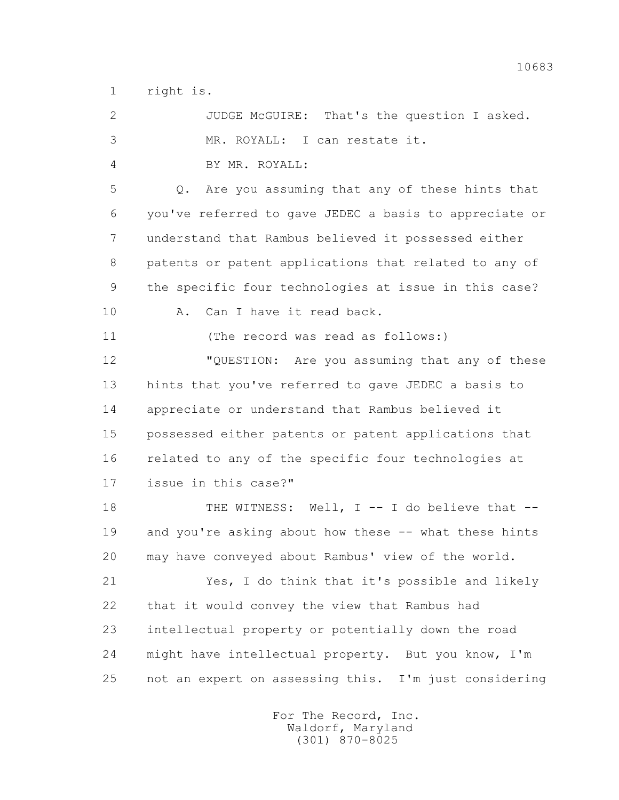1 right is.

| $\overline{2}$ | JUDGE McGUIRE: That's the question I asked.            |
|----------------|--------------------------------------------------------|
| 3              | MR. ROYALL: I can restate it.                          |
| 4              | BY MR. ROYALL:                                         |
| 5              | Are you assuming that any of these hints that<br>$Q$ . |
| 6              | you've referred to gave JEDEC a basis to appreciate or |
| 7              | understand that Rambus believed it possessed either    |
| 8              | patents or patent applications that related to any of  |
| 9              | the specific four technologies at issue in this case?  |
| 10             | Can I have it read back.<br>Α.                         |
| 11             | (The record was read as follows:)                      |
| 12             | "QUESTION: Are you assuming that any of these          |
| 13             | hints that you've referred to gave JEDEC a basis to    |
| 14             | appreciate or understand that Rambus believed it       |
| 15             | possessed either patents or patent applications that   |
| 16             | related to any of the specific four technologies at    |
| 17             | issue in this case?"                                   |
| 18             | THE WITNESS: Well, I -- I do believe that --           |
| 19             | and you're asking about how these -- what these hints  |
| 20             | may have conveyed about Rambus' view of the world.     |
| 21             | Yes, I do think that it's possible and likely          |
| 22             | that it would convey the view that Rambus had          |
| 23             | intellectual property or potentially down the road     |
| 24             | might have intellectual property. But you know, I'm    |
| 25             | not an expert on assessing this. I'm just considering  |
|                |                                                        |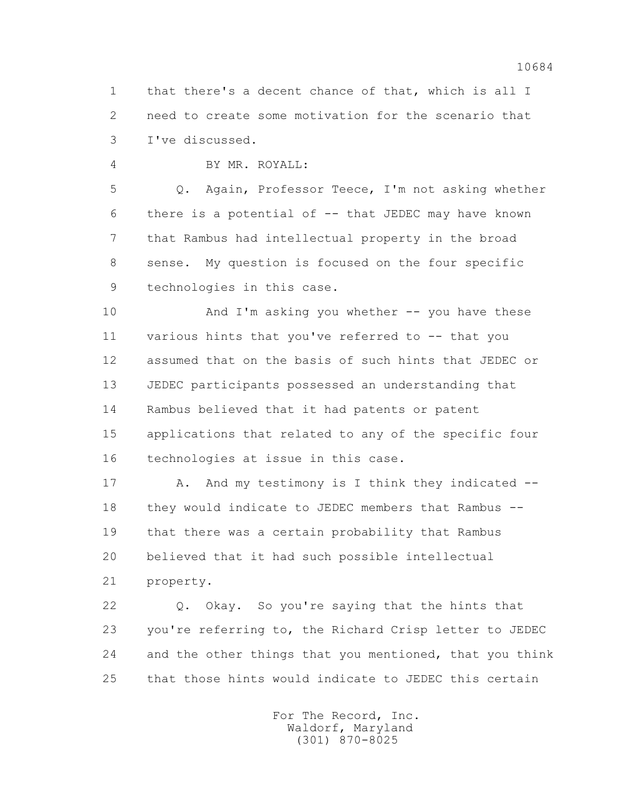1 that there's a decent chance of that, which is all I 2 need to create some motivation for the scenario that 3 I've discussed.

4 BY MR. ROYALL:

 5 Q. Again, Professor Teece, I'm not asking whether 6 there is a potential of -- that JEDEC may have known 7 that Rambus had intellectual property in the broad 8 sense. My question is focused on the four specific 9 technologies in this case.

 10 And I'm asking you whether -- you have these 11 various hints that you've referred to -- that you 12 assumed that on the basis of such hints that JEDEC or 13 JEDEC participants possessed an understanding that 14 Rambus believed that it had patents or patent 15 applications that related to any of the specific four 16 technologies at issue in this case.

17 A. And my testimony is I think they indicated -- 18 they would indicate to JEDEC members that Rambus -- 19 that there was a certain probability that Rambus 20 believed that it had such possible intellectual 21 property.

 22 Q. Okay. So you're saying that the hints that 23 you're referring to, the Richard Crisp letter to JEDEC 24 and the other things that you mentioned, that you think 25 that those hints would indicate to JEDEC this certain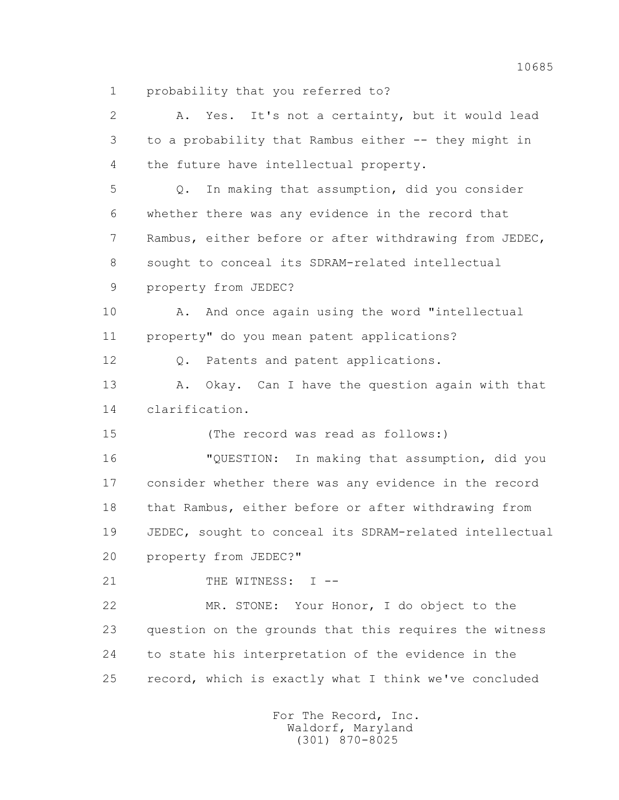1 probability that you referred to?

 2 A. Yes. It's not a certainty, but it would lead 3 to a probability that Rambus either -- they might in 4 the future have intellectual property. 5 Q. In making that assumption, did you consider 6 whether there was any evidence in the record that 7 Rambus, either before or after withdrawing from JEDEC, 8 sought to conceal its SDRAM-related intellectual 9 property from JEDEC? 10 A. And once again using the word "intellectual 11 property" do you mean patent applications? 12 Q. Patents and patent applications. 13 A. Okay. Can I have the question again with that 14 clarification. 15 (The record was read as follows:) 16 "QUESTION: In making that assumption, did you 17 consider whether there was any evidence in the record 18 that Rambus, either before or after withdrawing from 19 JEDEC, sought to conceal its SDRAM-related intellectual 20 property from JEDEC?" 21 THE WITNESS: I -- 22 MR. STONE: Your Honor, I do object to the 23 question on the grounds that this requires the witness 24 to state his interpretation of the evidence in the 25 record, which is exactly what I think we've concluded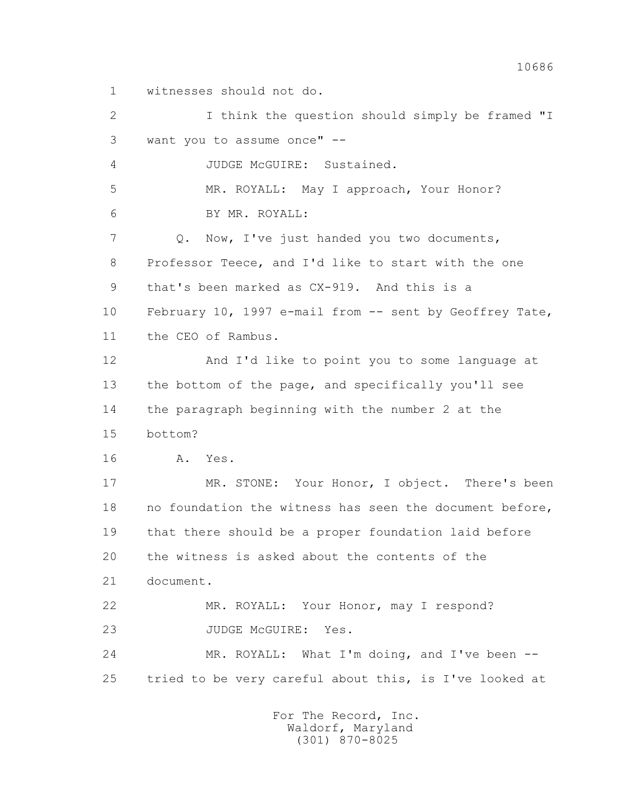1 witnesses should not do.

 2 I think the question should simply be framed "I 3 want you to assume once" -- 4 JUDGE McGUIRE: Sustained. 5 MR. ROYALL: May I approach, Your Honor? 6 BY MR. ROYALL: 7 Q. Now, I've just handed you two documents, 8 Professor Teece, and I'd like to start with the one 9 that's been marked as CX-919. And this is a 10 February 10, 1997 e-mail from -- sent by Geoffrey Tate, 11 the CEO of Rambus. 12 And I'd like to point you to some language at 13 the bottom of the page, and specifically you'll see 14 the paragraph beginning with the number 2 at the 15 bottom? 16 A. Yes. 17 MR. STONE: Your Honor, I object. There's been 18 no foundation the witness has seen the document before, 19 that there should be a proper foundation laid before 20 the witness is asked about the contents of the 21 document. 22 MR. ROYALL: Your Honor, may I respond? 23 JUDGE McGUIRE: Yes. 24 MR. ROYALL: What I'm doing, and I've been -- 25 tried to be very careful about this, is I've looked at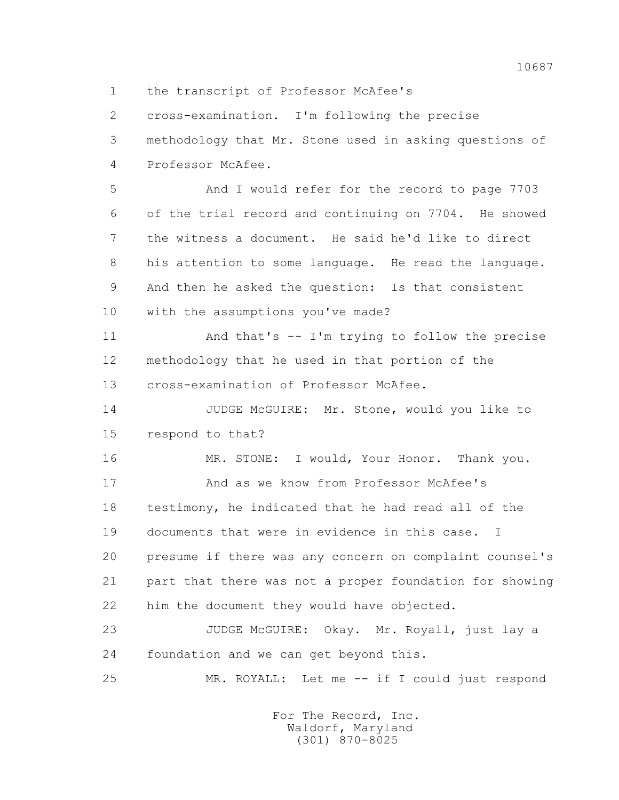2 cross-examination. I'm following the precise 3 methodology that Mr. Stone used in asking questions of 4 Professor McAfee.

1 the transcript of Professor McAfee's

 5 And I would refer for the record to page 7703 6 of the trial record and continuing on 7704. He showed 7 the witness a document. He said he'd like to direct 8 his attention to some language. He read the language. 9 And then he asked the question: Is that consistent 10 with the assumptions you've made?

 11 And that's -- I'm trying to follow the precise 12 methodology that he used in that portion of the 13 cross-examination of Professor McAfee.

 14 JUDGE McGUIRE: Mr. Stone, would you like to 15 respond to that?

16 MR. STONE: I would, Your Honor. Thank you. 17 And as we know from Professor McAfee's 18 testimony, he indicated that he had read all of the 19 documents that were in evidence in this case. I 20 presume if there was any concern on complaint counsel's 21 part that there was not a proper foundation for showing 22 him the document they would have objected.

23 JUDGE McGUIRE: Okay. Mr. Royall, just lay a 24 foundation and we can get beyond this.

25 MR. ROYALL: Let me -- if I could just respond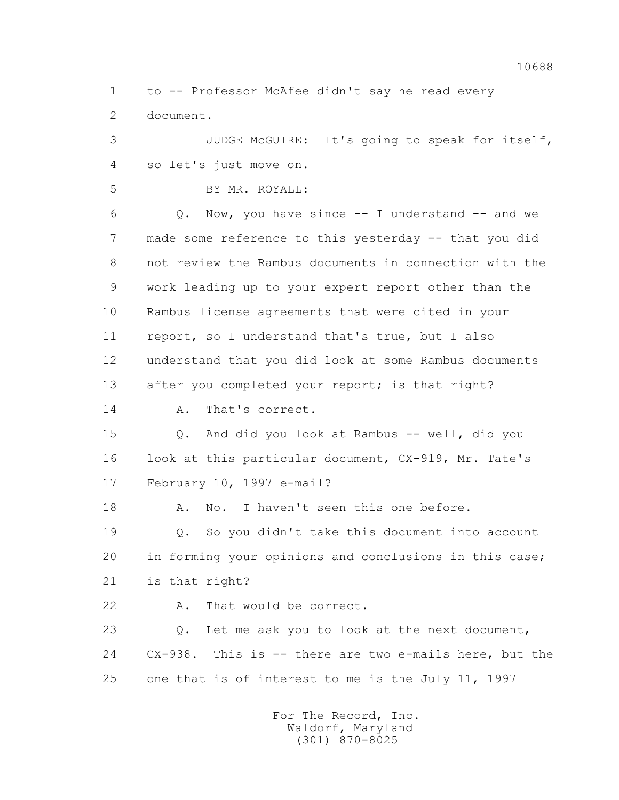1 to -- Professor McAfee didn't say he read every 2 document.

 3 JUDGE McGUIRE: It's going to speak for itself, 4 so let's just move on.

5 BY MR. ROYALL:

 $6$  Q. Now, you have since  $-$  I understand  $-$  and we 7 made some reference to this yesterday -- that you did 8 not review the Rambus documents in connection with the 9 work leading up to your expert report other than the 10 Rambus license agreements that were cited in your 11 report, so I understand that's true, but I also 12 understand that you did look at some Rambus documents 13 after you completed your report; is that right?

14 A. That's correct.

 15 Q. And did you look at Rambus -- well, did you 16 look at this particular document, CX-919, Mr. Tate's 17 February 10, 1997 e-mail?

18 A. No. I haven't seen this one before.

 19 Q. So you didn't take this document into account 20 in forming your opinions and conclusions in this case; 21 is that right?

22 A. That would be correct.

 23 Q. Let me ask you to look at the next document, 24 CX-938. This is -- there are two e-mails here, but the 25 one that is of interest to me is the July 11, 1997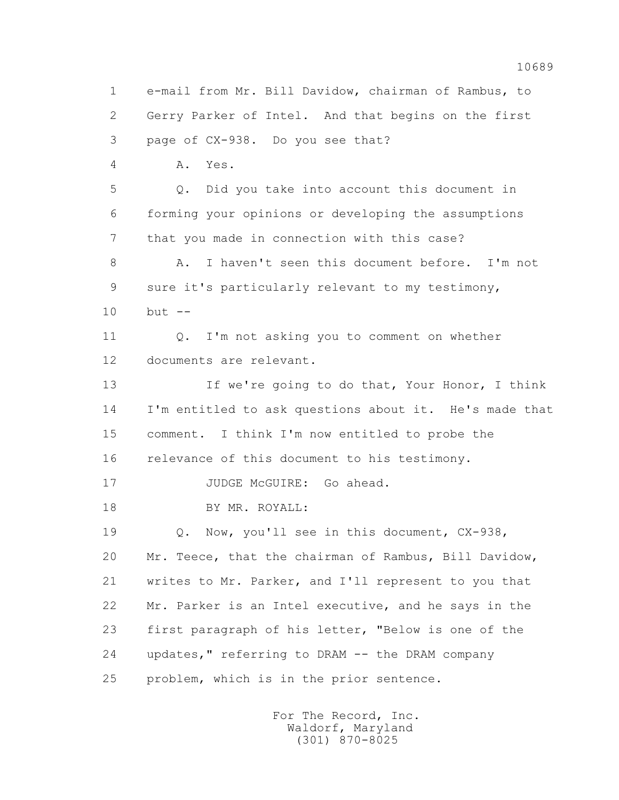1 e-mail from Mr. Bill Davidow, chairman of Rambus, to 2 Gerry Parker of Intel. And that begins on the first 3 page of CX-938. Do you see that? 4 A. Yes. 5 Q. Did you take into account this document in 6 forming your opinions or developing the assumptions 7 that you made in connection with this case? 8 A. I haven't seen this document before. I'm not 9 sure it's particularly relevant to my testimony, 10 but -- 11 0. I'm not asking you to comment on whether 12 documents are relevant. 13 If we're going to do that, Your Honor, I think 14 I'm entitled to ask questions about it. He's made that 15 comment. I think I'm now entitled to probe the 16 relevance of this document to his testimony. 17 JUDGE McGUIRE: Go ahead. 18 BY MR. ROYALL: 19 Q. Now, you'll see in this document, CX-938, 20 Mr. Teece, that the chairman of Rambus, Bill Davidow, 21 writes to Mr. Parker, and I'll represent to you that 22 Mr. Parker is an Intel executive, and he says in the 23 first paragraph of his letter, "Below is one of the 24 updates," referring to DRAM -- the DRAM company 25 problem, which is in the prior sentence.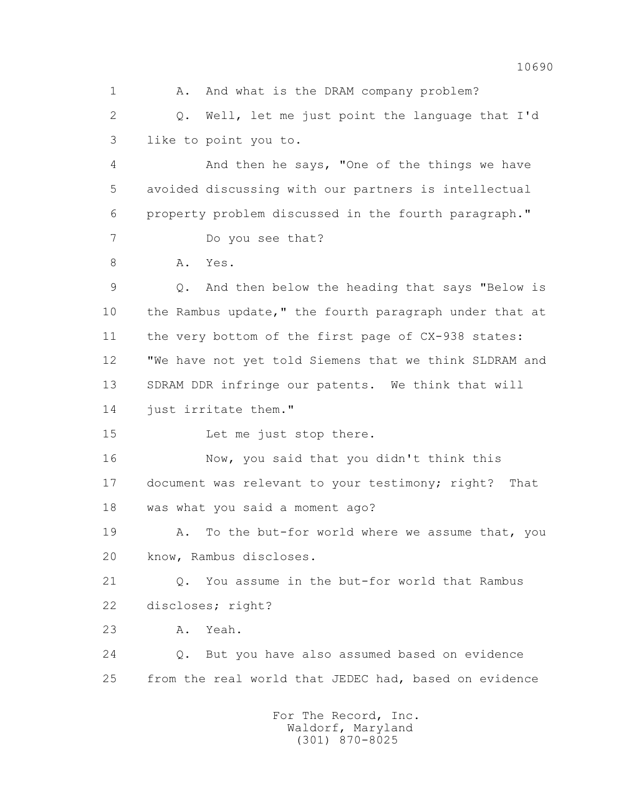1 A. And what is the DRAM company problem? 2 Q. Well, let me just point the language that I'd 3 like to point you to. 4 And then he says, "One of the things we have 5 avoided discussing with our partners is intellectual 6 property problem discussed in the fourth paragraph." 7 Do you see that? 8 A. Yes. 9 Q. And then below the heading that says "Below is 10 the Rambus update," the fourth paragraph under that at 11 the very bottom of the first page of CX-938 states: 12 "We have not yet told Siemens that we think SLDRAM and 13 SDRAM DDR infringe our patents. We think that will 14 just irritate them." 15 Let me just stop there. 16 Now, you said that you didn't think this 17 document was relevant to your testimony; right? That 18 was what you said a moment ago? 19 A. To the but-for world where we assume that, you 20 know, Rambus discloses. 21 Q. You assume in the but-for world that Rambus 22 discloses; right? 23 A. Yeah. 24 Q. But you have also assumed based on evidence 25 from the real world that JEDEC had, based on evidence For The Record, Inc.

 Waldorf, Maryland (301) 870-8025

10690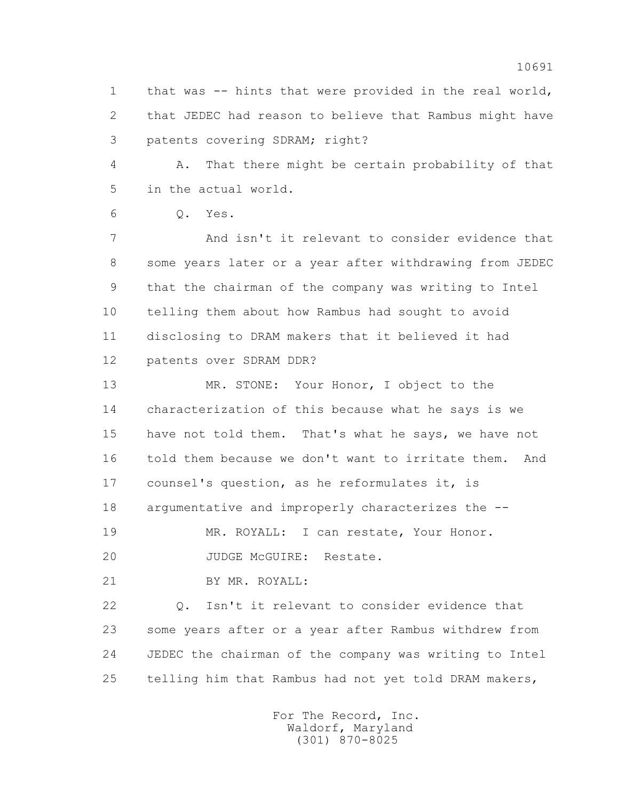1 that was -- hints that were provided in the real world, 2 that JEDEC had reason to believe that Rambus might have 3 patents covering SDRAM; right?

 4 A. That there might be certain probability of that 5 in the actual world.

6 Q. Yes.

 7 And isn't it relevant to consider evidence that 8 some years later or a year after withdrawing from JEDEC 9 that the chairman of the company was writing to Intel 10 telling them about how Rambus had sought to avoid 11 disclosing to DRAM makers that it believed it had 12 patents over SDRAM DDR?

 13 MR. STONE: Your Honor, I object to the 14 characterization of this because what he says is we 15 have not told them. That's what he says, we have not 16 told them because we don't want to irritate them. And 17 counsel's question, as he reformulates it, is 18 argumentative and improperly characterizes the --

 19 MR. ROYALL: I can restate, Your Honor. 20 JUDGE McGUIRE: Restate.

21 BY MR. ROYALL:

 22 Q. Isn't it relevant to consider evidence that 23 some years after or a year after Rambus withdrew from 24 JEDEC the chairman of the company was writing to Intel 25 telling him that Rambus had not yet told DRAM makers,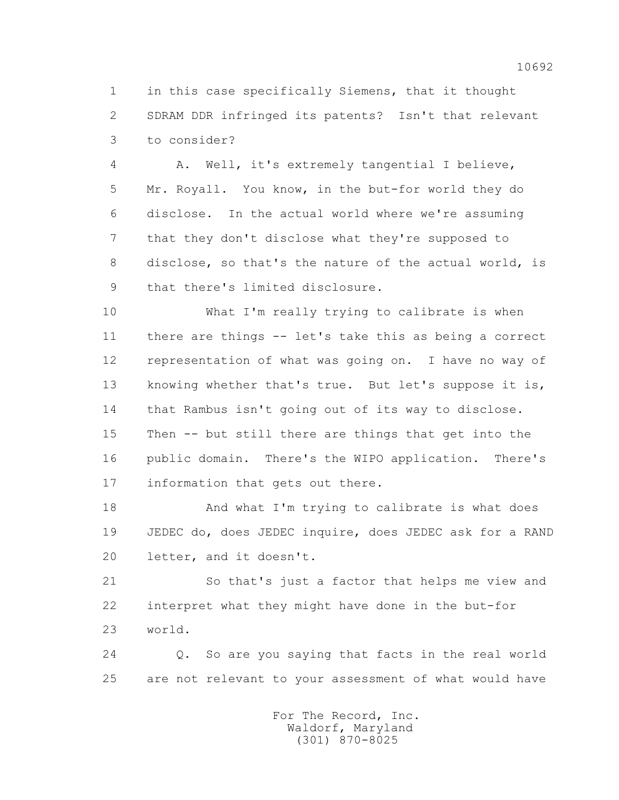1 in this case specifically Siemens, that it thought 2 SDRAM DDR infringed its patents? Isn't that relevant 3 to consider?

 4 A. Well, it's extremely tangential I believe, 5 Mr. Royall. You know, in the but-for world they do 6 disclose. In the actual world where we're assuming 7 that they don't disclose what they're supposed to 8 disclose, so that's the nature of the actual world, is 9 that there's limited disclosure.

 10 What I'm really trying to calibrate is when 11 there are things -- let's take this as being a correct 12 representation of what was going on. I have no way of 13 knowing whether that's true. But let's suppose it is, 14 that Rambus isn't going out of its way to disclose. 15 Then -- but still there are things that get into the 16 public domain. There's the WIPO application. There's 17 information that gets out there.

 18 And what I'm trying to calibrate is what does 19 JEDEC do, does JEDEC inquire, does JEDEC ask for a RAND 20 letter, and it doesn't.

 21 So that's just a factor that helps me view and 22 interpret what they might have done in the but-for 23 world.

 24 Q. So are you saying that facts in the real world 25 are not relevant to your assessment of what would have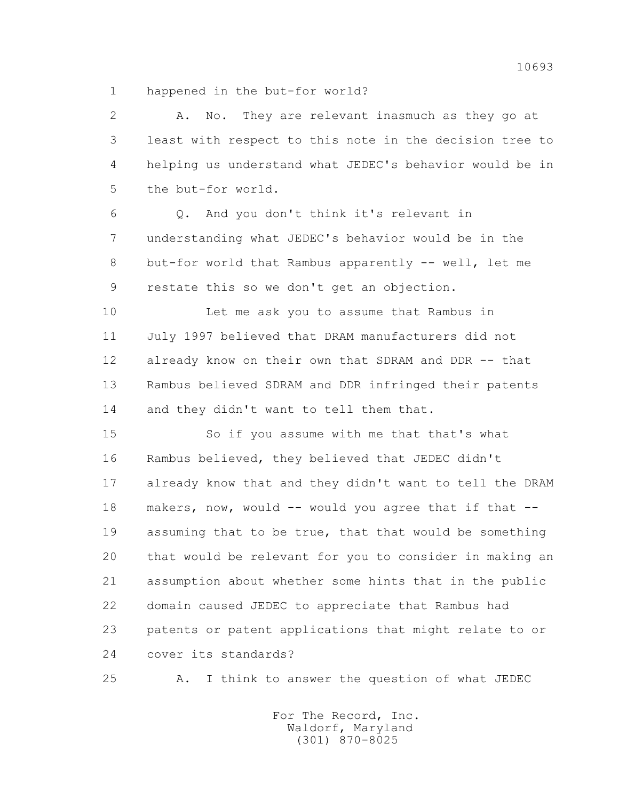1 happened in the but-for world?

 2 A. No. They are relevant inasmuch as they go at 3 least with respect to this note in the decision tree to 4 helping us understand what JEDEC's behavior would be in 5 the but-for world.

 6 Q. And you don't think it's relevant in 7 understanding what JEDEC's behavior would be in the 8 but-for world that Rambus apparently -- well, let me 9 restate this so we don't get an objection.

 10 Let me ask you to assume that Rambus in 11 July 1997 believed that DRAM manufacturers did not 12 already know on their own that SDRAM and DDR -- that 13 Rambus believed SDRAM and DDR infringed their patents 14 and they didn't want to tell them that.

 15 So if you assume with me that that's what 16 Rambus believed, they believed that JEDEC didn't 17 already know that and they didn't want to tell the DRAM 18 makers, now, would -- would you agree that if that -- 19 assuming that to be true, that that would be something 20 that would be relevant for you to consider in making an 21 assumption about whether some hints that in the public 22 domain caused JEDEC to appreciate that Rambus had 23 patents or patent applications that might relate to or 24 cover its standards?

25 A. I think to answer the question of what JEDEC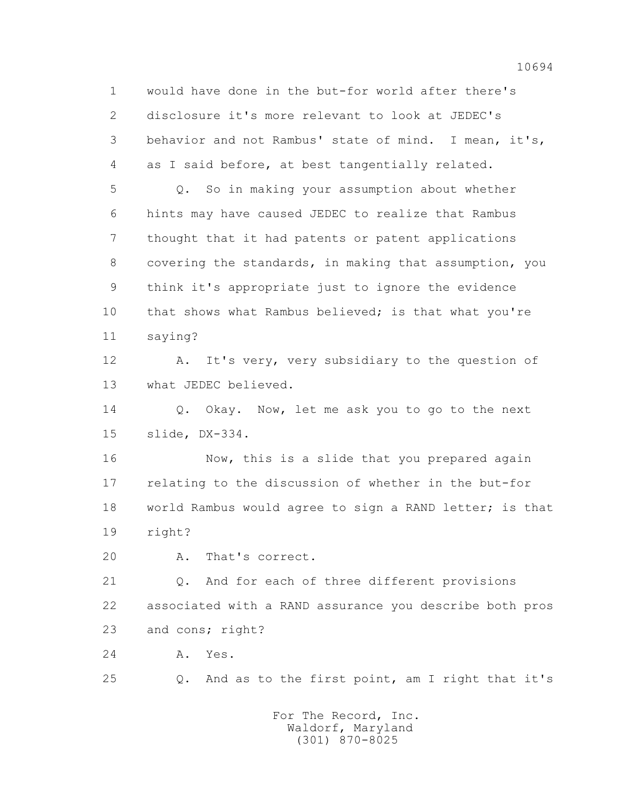1 would have done in the but-for world after there's 2 disclosure it's more relevant to look at JEDEC's 3 behavior and not Rambus' state of mind. I mean, it's, 4 as I said before, at best tangentially related. 5 Q. So in making your assumption about whether 6 hints may have caused JEDEC to realize that Rambus 7 thought that it had patents or patent applications 8 covering the standards, in making that assumption, you 9 think it's appropriate just to ignore the evidence 10 that shows what Rambus believed; is that what you're 11 saying? 12 A. It's very, very subsidiary to the question of 13 what JEDEC believed. 14 Q. Okay. Now, let me ask you to go to the next 15 slide, DX-334. 16 Now, this is a slide that you prepared again 17 relating to the discussion of whether in the but-for 18 world Rambus would agree to sign a RAND letter; is that

19 right?

20 A. That's correct.

 21 Q. And for each of three different provisions 22 associated with a RAND assurance you describe both pros 23 and cons; right?

24 A. Yes.

25 Q. And as to the first point, am I right that it's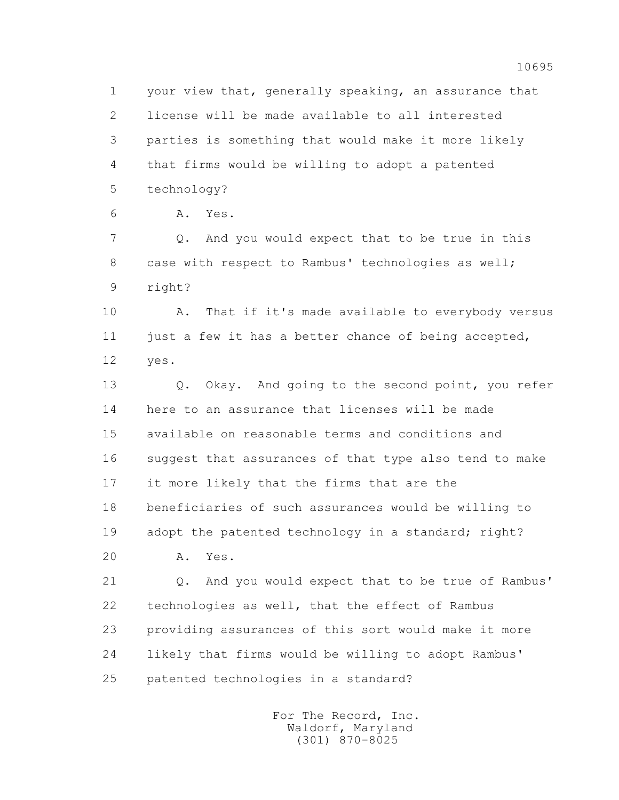1 your view that, generally speaking, an assurance that 2 license will be made available to all interested 3 parties is something that would make it more likely 4 that firms would be willing to adopt a patented 5 technology?

6 A. Yes.

 7 Q. And you would expect that to be true in this 8 case with respect to Rambus' technologies as well; 9 right?

10 A. That if it's made available to everybody versus 11 just a few it has a better chance of being accepted, 12 yes.

 13 Q. Okay. And going to the second point, you refer 14 here to an assurance that licenses will be made 15 available on reasonable terms and conditions and 16 suggest that assurances of that type also tend to make 17 it more likely that the firms that are the 18 beneficiaries of such assurances would be willing to 19 adopt the patented technology in a standard; right? 20 A. Yes.

 21 Q. And you would expect that to be true of Rambus' 22 technologies as well, that the effect of Rambus 23 providing assurances of this sort would make it more 24 likely that firms would be willing to adopt Rambus' 25 patented technologies in a standard?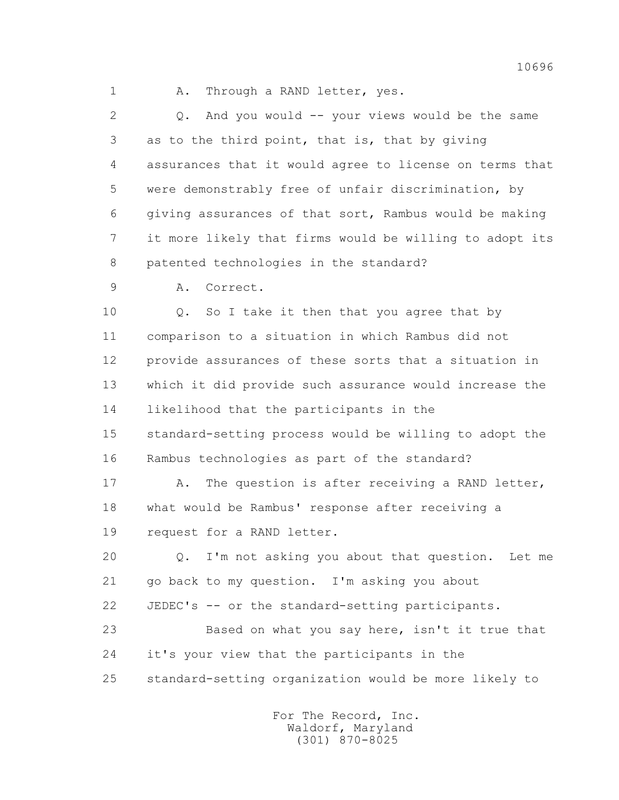1 A. Through a RAND letter, yes.

 2 Q. And you would -- your views would be the same 3 as to the third point, that is, that by giving 4 assurances that it would agree to license on terms that 5 were demonstrably free of unfair discrimination, by 6 giving assurances of that sort, Rambus would be making 7 it more likely that firms would be willing to adopt its 8 patented technologies in the standard?

9 A. Correct.

10 0. So I take it then that you agree that by 11 comparison to a situation in which Rambus did not 12 provide assurances of these sorts that a situation in 13 which it did provide such assurance would increase the 14 likelihood that the participants in the 15 standard-setting process would be willing to adopt the 16 Rambus technologies as part of the standard?

17 A. The question is after receiving a RAND letter, 18 what would be Rambus' response after receiving a 19 request for a RAND letter.

 20 Q. I'm not asking you about that question. Let me 21 go back to my question. I'm asking you about

22 JEDEC's -- or the standard-setting participants.

 23 Based on what you say here, isn't it true that 24 it's your view that the participants in the 25 standard-setting organization would be more likely to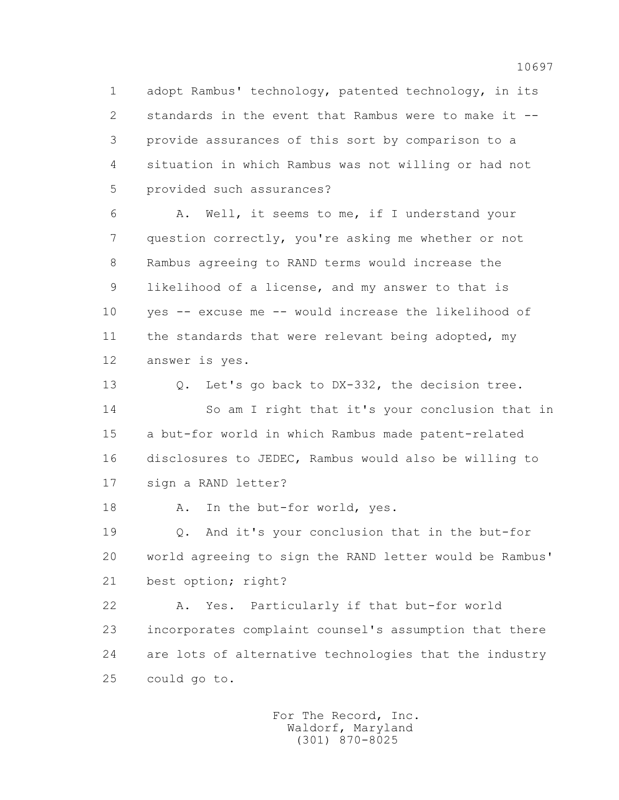1 adopt Rambus' technology, patented technology, in its 2 standards in the event that Rambus were to make it -- 3 provide assurances of this sort by comparison to a 4 situation in which Rambus was not willing or had not 5 provided such assurances?

 6 A. Well, it seems to me, if I understand your 7 question correctly, you're asking me whether or not 8 Rambus agreeing to RAND terms would increase the 9 likelihood of a license, and my answer to that is 10 yes -- excuse me -- would increase the likelihood of 11 the standards that were relevant being adopted, my 12 answer is yes.

 13 Q. Let's go back to DX-332, the decision tree. 14 So am I right that it's your conclusion that in 15 a but-for world in which Rambus made patent-related 16 disclosures to JEDEC, Rambus would also be willing to 17 sign a RAND letter?

18 A. In the but-for world, yes.

 19 Q. And it's your conclusion that in the but-for 20 world agreeing to sign the RAND letter would be Rambus' 21 best option; right?

 22 A. Yes. Particularly if that but-for world 23 incorporates complaint counsel's assumption that there 24 are lots of alternative technologies that the industry 25 could go to.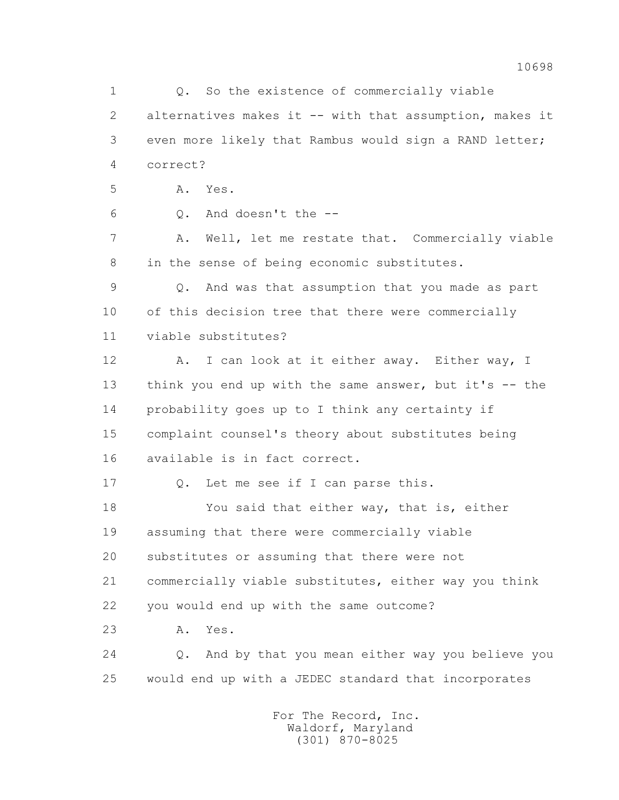1 0. So the existence of commercially viable 2 alternatives makes it -- with that assumption, makes it 3 even more likely that Rambus would sign a RAND letter; 4 correct? 5 A. Yes.  $6 \qquad \qquad$  0. And doesn't the  $-$ - 7 A. Well, let me restate that. Commercially viable 8 in the sense of being economic substitutes. 9 Q. And was that assumption that you made as part 10 of this decision tree that there were commercially 11 viable substitutes? 12 A. I can look at it either away. Either way, I 13 think you end up with the same answer, but it's -- the 14 probability goes up to I think any certainty if 15 complaint counsel's theory about substitutes being 16 available is in fact correct. 17 0. Let me see if I can parse this. 18 You said that either way, that is, either 19 assuming that there were commercially viable 20 substitutes or assuming that there were not 21 commercially viable substitutes, either way you think 22 you would end up with the same outcome? 23 A. Yes. 24 Q. And by that you mean either way you believe you 25 would end up with a JEDEC standard that incorporates For The Record, Inc. Waldorf, Maryland

(301) 870-8025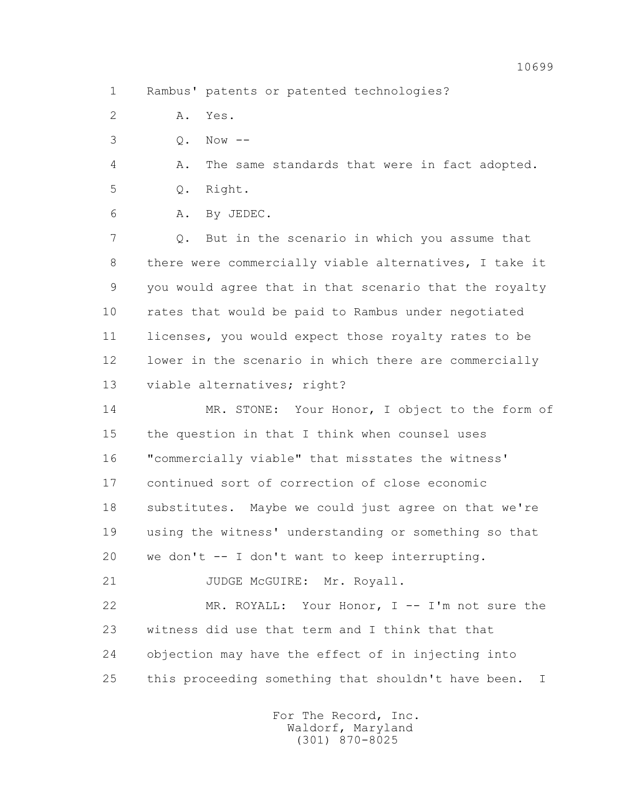1 Rambus' patents or patented technologies?

2 A. Yes.

3 Q. Now --

4 A. The same standards that were in fact adopted.

5 Q. Right.

6 A. By JEDEC.

 7 Q. But in the scenario in which you assume that 8 there were commercially viable alternatives, I take it 9 you would agree that in that scenario that the royalty 10 rates that would be paid to Rambus under negotiated 11 licenses, you would expect those royalty rates to be 12 lower in the scenario in which there are commercially 13 viable alternatives; right?

14 MR. STONE: Your Honor, I object to the form of 15 the question in that I think when counsel uses 16 "commercially viable" that misstates the witness' 17 continued sort of correction of close economic 18 substitutes. Maybe we could just agree on that we're 19 using the witness' understanding or something so that 20 we don't -- I don't want to keep interrupting.

21 JUDGE McGUIRE: Mr. Royall.

 22 MR. ROYALL: Your Honor, I -- I'm not sure the 23 witness did use that term and I think that that 24 objection may have the effect of in injecting into 25 this proceeding something that shouldn't have been. I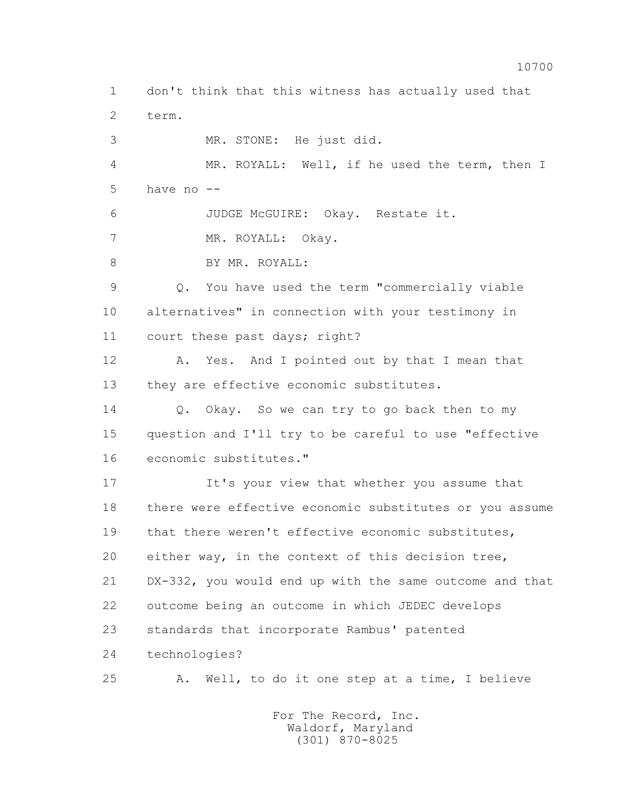1 don't think that this witness has actually used that 2 term. 3 MR. STONE: He just did. 4 MR. ROYALL: Well, if he used the term, then I 5 have no -- 6 JUDGE McGUIRE: Okay. Restate it. 7 MR. ROYALL: Okay. 8 BY MR. ROYALL: 9 Q. You have used the term "commercially viable 10 alternatives" in connection with your testimony in 11 court these past days; right? 12 A. Yes. And I pointed out by that I mean that 13 they are effective economic substitutes. 14 Q. Okay. So we can try to go back then to my 15 question and I'll try to be careful to use "effective 16 economic substitutes." 17 It's your view that whether you assume that 18 there were effective economic substitutes or you assume 19 that there weren't effective economic substitutes, 20 either way, in the context of this decision tree, 21 DX-332, you would end up with the same outcome and that 22 outcome being an outcome in which JEDEC develops 23 standards that incorporate Rambus' patented 24 technologies? 25 A. Well, to do it one step at a time, I believe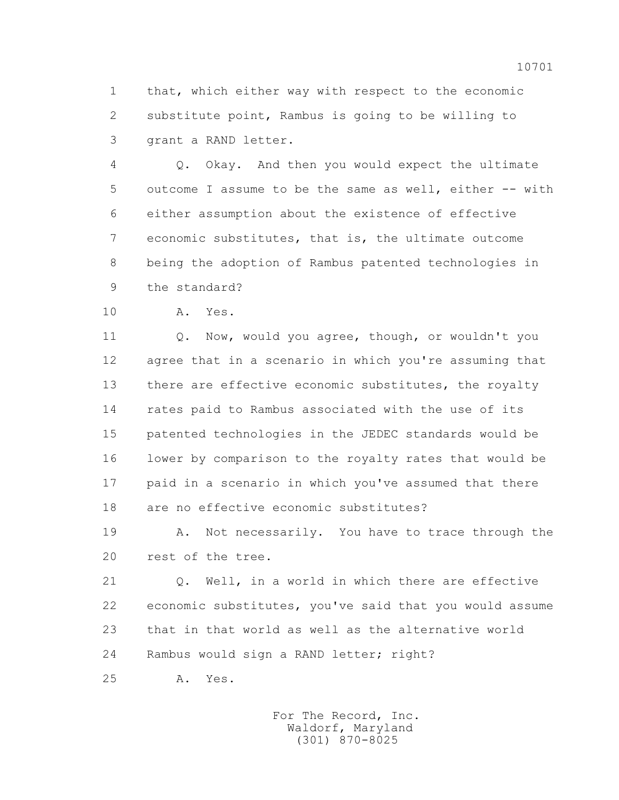1 that, which either way with respect to the economic 2 substitute point, Rambus is going to be willing to 3 grant a RAND letter.

 4 Q. Okay. And then you would expect the ultimate 5 outcome I assume to be the same as well, either -- with 6 either assumption about the existence of effective 7 economic substitutes, that is, the ultimate outcome 8 being the adoption of Rambus patented technologies in 9 the standard?

10 A. Yes.

 11 Q. Now, would you agree, though, or wouldn't you 12 agree that in a scenario in which you're assuming that 13 there are effective economic substitutes, the royalty 14 rates paid to Rambus associated with the use of its 15 patented technologies in the JEDEC standards would be 16 lower by comparison to the royalty rates that would be 17 paid in a scenario in which you've assumed that there 18 are no effective economic substitutes?

 19 A. Not necessarily. You have to trace through the 20 rest of the tree.

 21 Q. Well, in a world in which there are effective 22 economic substitutes, you've said that you would assume 23 that in that world as well as the alternative world 24 Rambus would sign a RAND letter; right?

25 A. Yes.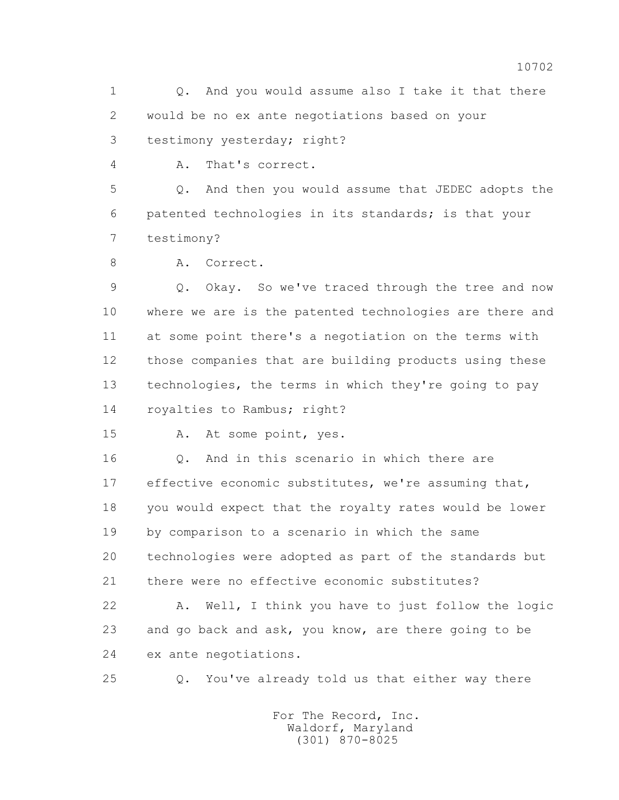1 0. And you would assume also I take it that there 2 would be no ex ante negotiations based on your 3 testimony yesterday; right?

4 A. That's correct.

 5 Q. And then you would assume that JEDEC adopts the 6 patented technologies in its standards; is that your 7 testimony?

8 A. Correct.

 9 Q. Okay. So we've traced through the tree and now 10 where we are is the patented technologies are there and 11 at some point there's a negotiation on the terms with 12 those companies that are building products using these 13 technologies, the terms in which they're going to pay 14 royalties to Rambus; right?

15 A. At some point, yes.

16 0. And in this scenario in which there are 17 effective economic substitutes, we're assuming that, 18 you would expect that the royalty rates would be lower 19 by comparison to a scenario in which the same 20 technologies were adopted as part of the standards but 21 there were no effective economic substitutes?

 22 A. Well, I think you have to just follow the logic 23 and go back and ask, you know, are there going to be 24 ex ante negotiations.

25 Q. You've already told us that either way there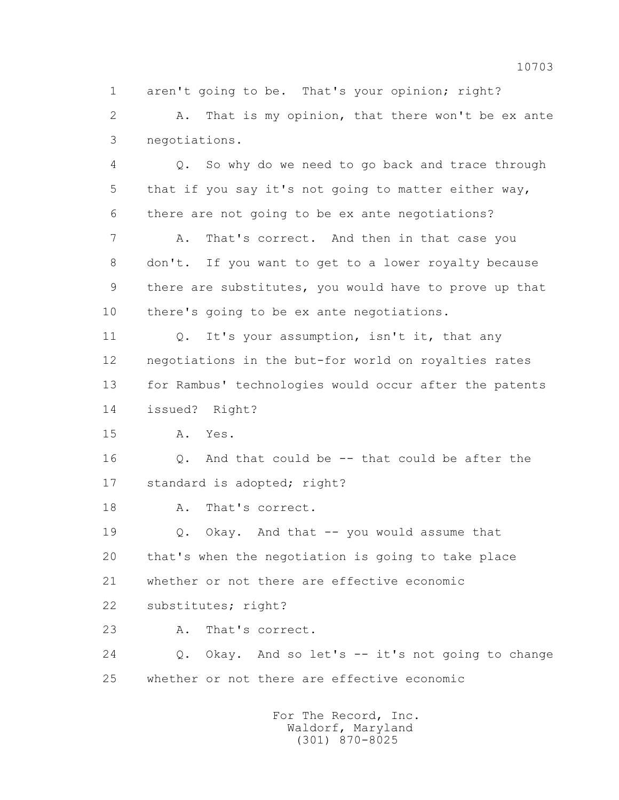1 aren't going to be. That's your opinion; right?

 2 A. That is my opinion, that there won't be ex ante 3 negotiations.

 4 Q. So why do we need to go back and trace through 5 that if you say it's not going to matter either way, 6 there are not going to be ex ante negotiations?

 7 A. That's correct. And then in that case you 8 don't. If you want to get to a lower royalty because 9 there are substitutes, you would have to prove up that 10 there's going to be ex ante negotiations.

11 0. It's your assumption, isn't it, that any 12 negotiations in the but-for world on royalties rates 13 for Rambus' technologies would occur after the patents 14 issued? Right?

15 A. Yes.

16 0. And that could be -- that could be after the 17 standard is adopted; right?

18 A. That's correct.

 19 Q. Okay. And that -- you would assume that 20 that's when the negotiation is going to take place 21 whether or not there are effective economic

22 substitutes; right?

23 A. That's correct.

 24 Q. Okay. And so let's -- it's not going to change 25 whether or not there are effective economic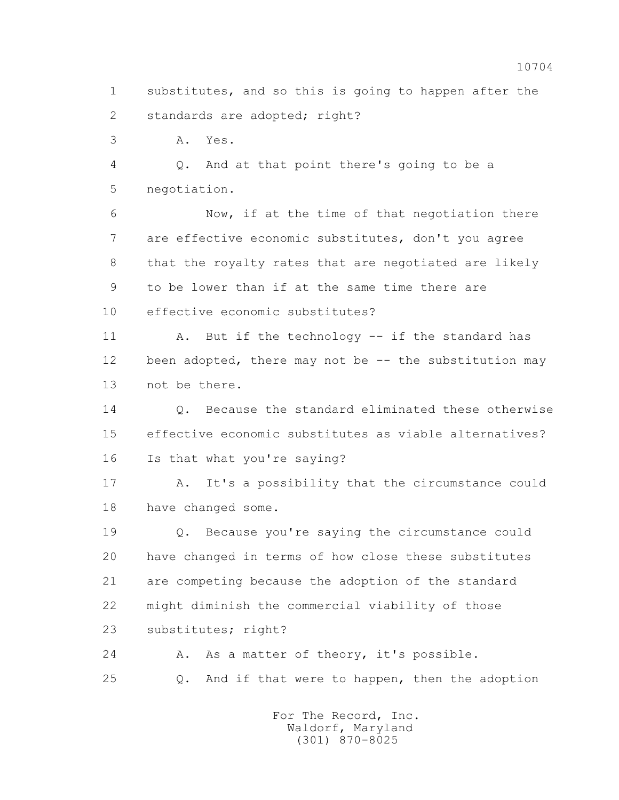1 substitutes, and so this is going to happen after the 2 standards are adopted; right?

3 A. Yes.

 4 Q. And at that point there's going to be a 5 negotiation.

 6 Now, if at the time of that negotiation there 7 are effective economic substitutes, don't you agree 8 that the royalty rates that are negotiated are likely 9 to be lower than if at the same time there are 10 effective economic substitutes?

11 A. But if the technology -- if the standard has 12 been adopted, there may not be -- the substitution may 13 not be there.

 14 Q. Because the standard eliminated these otherwise 15 effective economic substitutes as viable alternatives? 16 Is that what you're saying?

 17 A. It's a possibility that the circumstance could 18 have changed some.

 19 Q. Because you're saying the circumstance could 20 have changed in terms of how close these substitutes 21 are competing because the adoption of the standard 22 might diminish the commercial viability of those 23 substitutes; right?

24 A. As a matter of theory, it's possible. 25 Q. And if that were to happen, then the adoption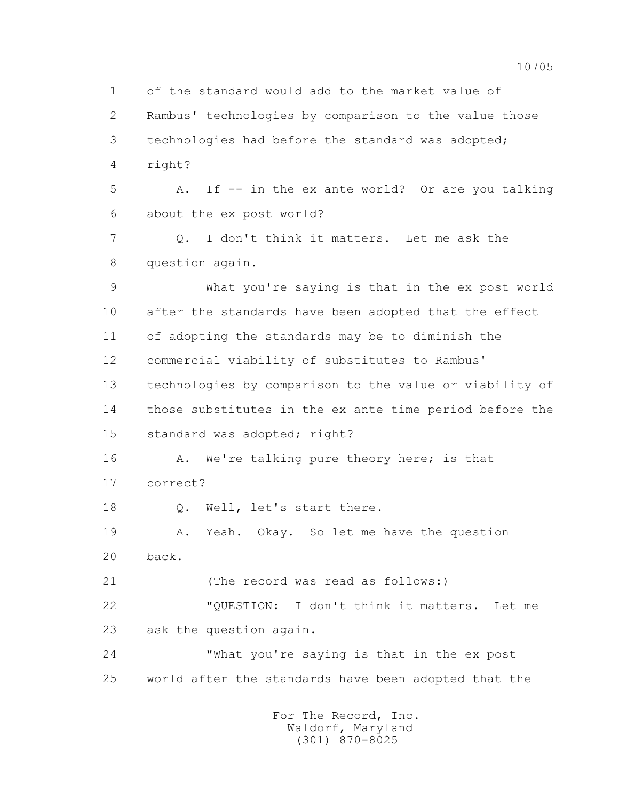1 of the standard would add to the market value of 2 Rambus' technologies by comparison to the value those 3 technologies had before the standard was adopted; 4 right? 5 A. If -- in the ex ante world? Or are you talking 6 about the ex post world? 7 Q. I don't think it matters. Let me ask the 8 question again. 9 What you're saying is that in the ex post world 10 after the standards have been adopted that the effect 11 of adopting the standards may be to diminish the 12 commercial viability of substitutes to Rambus' 13 technologies by comparison to the value or viability of 14 those substitutes in the ex ante time period before the 15 standard was adopted; right? 16 A. We're talking pure theory here; is that 17 correct? 18 Q. Well, let's start there. 19 A. Yeah. Okay. So let me have the question 20 back. 21 (The record was read as follows:) 22 "QUESTION: I don't think it matters. Let me 23 ask the question again. 24 "What you're saying is that in the ex post 25 world after the standards have been adopted that the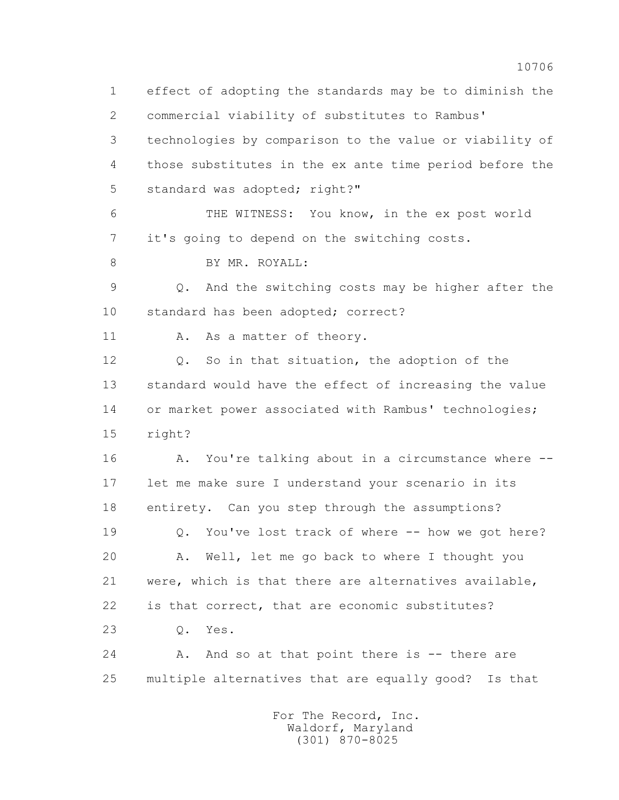1 effect of adopting the standards may be to diminish the 2 commercial viability of substitutes to Rambus' 3 technologies by comparison to the value or viability of 4 those substitutes in the ex ante time period before the 5 standard was adopted; right?" 6 THE WITNESS: You know, in the ex post world 7 it's going to depend on the switching costs. 8 BY MR. ROYALL: 9 Q. And the switching costs may be higher after the 10 standard has been adopted; correct? 11 A. As a matter of theory. 12 Q. So in that situation, the adoption of the 13 standard would have the effect of increasing the value 14 or market power associated with Rambus' technologies; 15 right? 16 A. You're talking about in a circumstance where -- 17 let me make sure I understand your scenario in its 18 entirety. Can you step through the assumptions? 19 Q. You've lost track of where -- how we got here? 20 A. Well, let me go back to where I thought you 21 were, which is that there are alternatives available, 22 is that correct, that are economic substitutes? 23 Q. Yes. 24 A. And so at that point there is -- there are 25 multiple alternatives that are equally good? Is that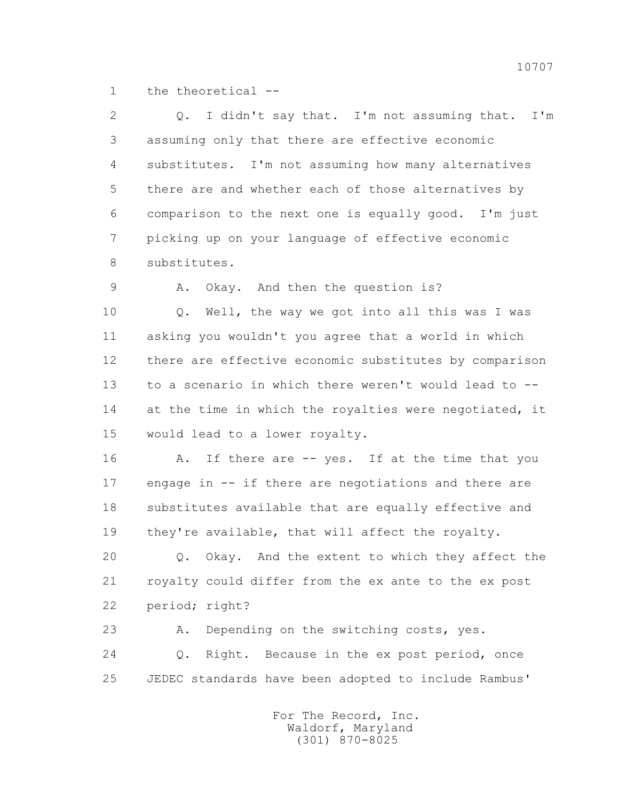1 the theoretical --

 2 Q. I didn't say that. I'm not assuming that. I'm 3 assuming only that there are effective economic 4 substitutes. I'm not assuming how many alternatives 5 there are and whether each of those alternatives by 6 comparison to the next one is equally good. I'm just 7 picking up on your language of effective economic 8 substitutes.

9 A. Okay. And then the question is?

 10 Q. Well, the way we got into all this was I was 11 asking you wouldn't you agree that a world in which 12 there are effective economic substitutes by comparison 13 to a scenario in which there weren't would lead to -- 14 at the time in which the royalties were negotiated, it 15 would lead to a lower royalty.

16 A. If there are -- yes. If at the time that you 17 engage in -- if there are negotiations and there are 18 substitutes available that are equally effective and 19 they're available, that will affect the royalty.

 20 Q. Okay. And the extent to which they affect the 21 royalty could differ from the ex ante to the ex post 22 period; right?

 23 A. Depending on the switching costs, yes. 24 Q. Right. Because in the ex post period, once 25 JEDEC standards have been adopted to include Rambus'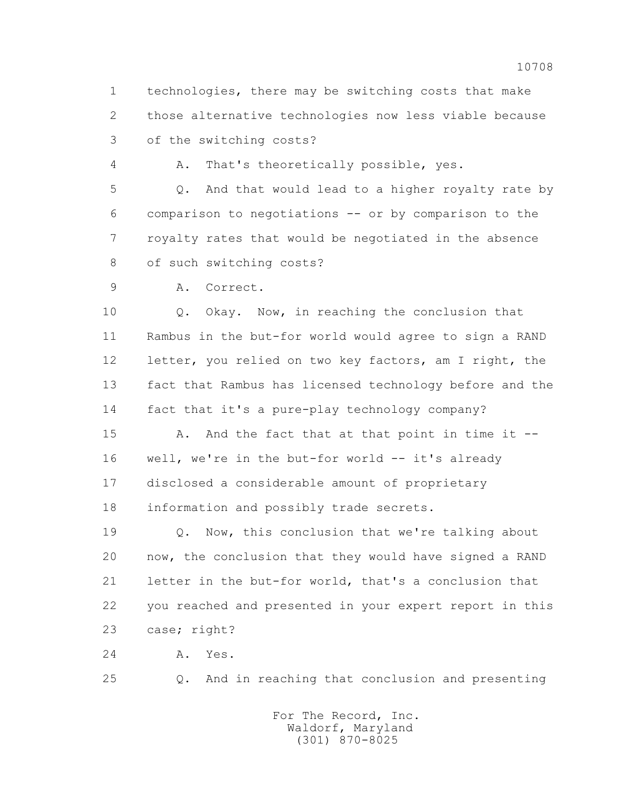1 technologies, there may be switching costs that make 2 those alternative technologies now less viable because 3 of the switching costs?

4 A. That's theoretically possible, yes.

 5 Q. And that would lead to a higher royalty rate by 6 comparison to negotiations -- or by comparison to the 7 royalty rates that would be negotiated in the absence 8 of such switching costs?

9 A. Correct.

 10 Q. Okay. Now, in reaching the conclusion that 11 Rambus in the but-for world would agree to sign a RAND 12 letter, you relied on two key factors, am I right, the 13 fact that Rambus has licensed technology before and the 14 fact that it's a pure-play technology company?

 15 A. And the fact that at that point in time it -- 16 well, we're in the but-for world -- it's already 17 disclosed a considerable amount of proprietary 18 information and possibly trade secrets.

 19 Q. Now, this conclusion that we're talking about 20 now, the conclusion that they would have signed a RAND 21 letter in the but-for world, that's a conclusion that 22 you reached and presented in your expert report in this 23 case; right?

24 A. Yes.

25 Q. And in reaching that conclusion and presenting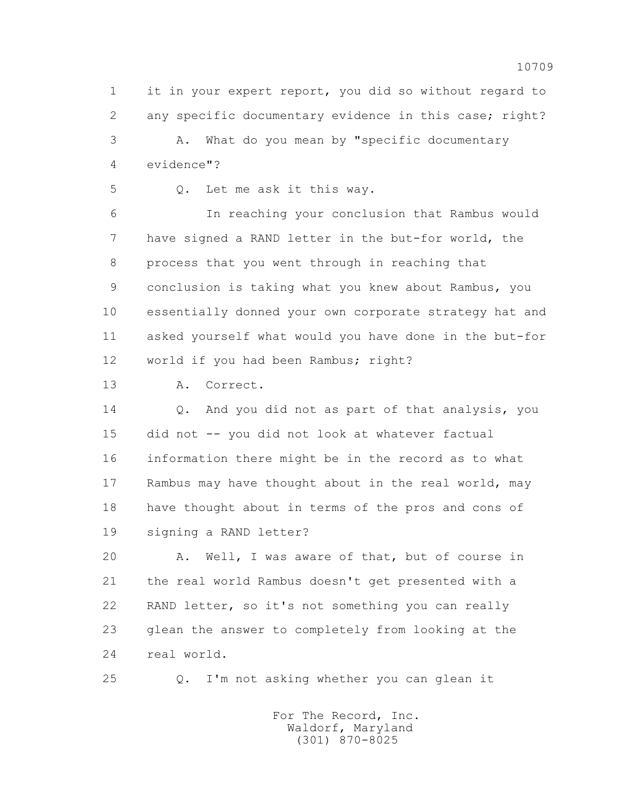1 it in your expert report, you did so without regard to 2 any specific documentary evidence in this case; right? 3 A. What do you mean by "specific documentary 4 evidence"?

5 Q. Let me ask it this way.

 6 In reaching your conclusion that Rambus would 7 have signed a RAND letter in the but-for world, the 8 process that you went through in reaching that 9 conclusion is taking what you knew about Rambus, you 10 essentially donned your own corporate strategy hat and 11 asked yourself what would you have done in the but-for 12 world if you had been Rambus; right?

13 A. Correct.

 14 Q. And you did not as part of that analysis, you 15 did not -- you did not look at whatever factual 16 information there might be in the record as to what 17 Rambus may have thought about in the real world, may 18 have thought about in terms of the pros and cons of 19 signing a RAND letter?

 20 A. Well, I was aware of that, but of course in 21 the real world Rambus doesn't get presented with a 22 RAND letter, so it's not something you can really 23 glean the answer to completely from looking at the 24 real world.

25 Q. I'm not asking whether you can glean it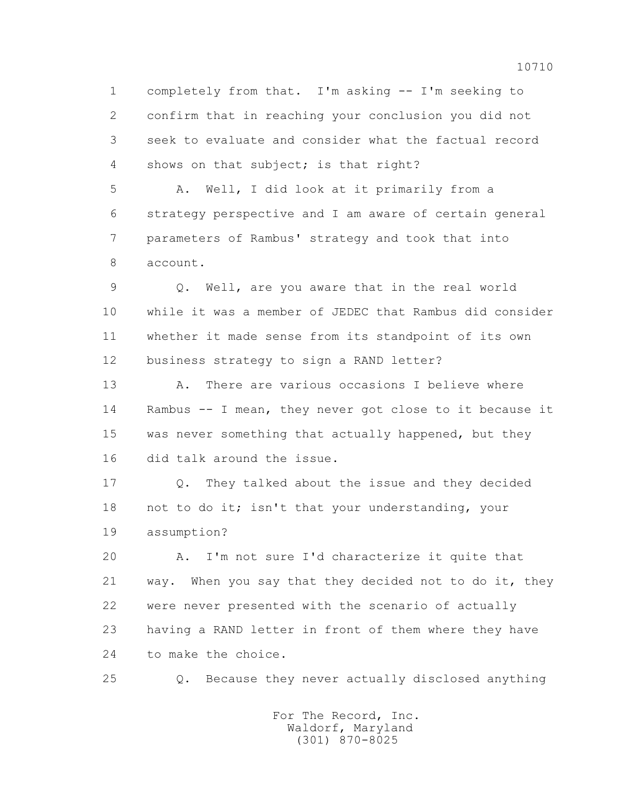1 completely from that. I'm asking -- I'm seeking to 2 confirm that in reaching your conclusion you did not 3 seek to evaluate and consider what the factual record 4 shows on that subject; is that right?

 5 A. Well, I did look at it primarily from a 6 strategy perspective and I am aware of certain general 7 parameters of Rambus' strategy and took that into 8 account.

 9 Q. Well, are you aware that in the real world 10 while it was a member of JEDEC that Rambus did consider 11 whether it made sense from its standpoint of its own 12 business strategy to sign a RAND letter?

13 A. There are various occasions I believe where 14 Rambus -- I mean, they never got close to it because it 15 was never something that actually happened, but they 16 did talk around the issue.

 17 Q. They talked about the issue and they decided 18 not to do it; isn't that your understanding, your 19 assumption?

 20 A. I'm not sure I'd characterize it quite that 21 way. When you say that they decided not to do it, they 22 were never presented with the scenario of actually 23 having a RAND letter in front of them where they have 24 to make the choice.

25 Q. Because they never actually disclosed anything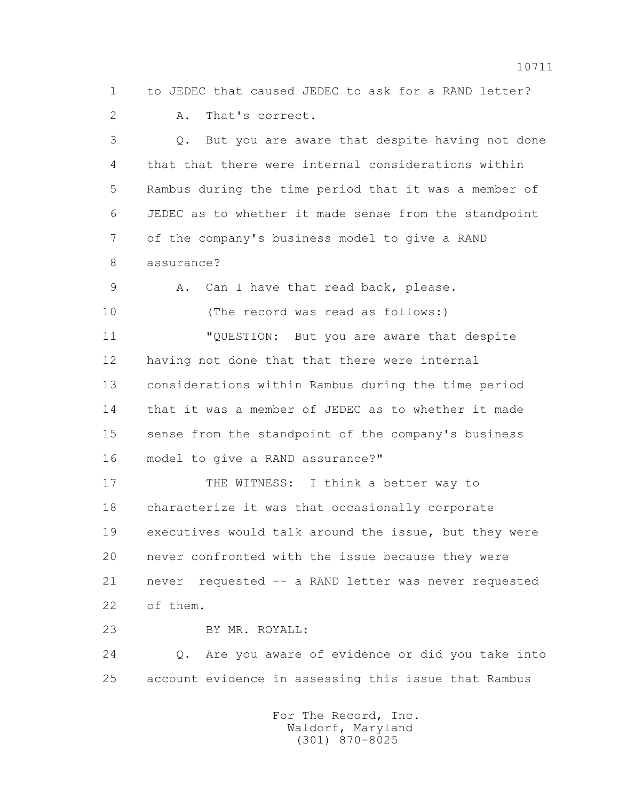1 to JEDEC that caused JEDEC to ask for a RAND letter?

2 A. That's correct.

 3 Q. But you are aware that despite having not done 4 that that there were internal considerations within 5 Rambus during the time period that it was a member of 6 JEDEC as to whether it made sense from the standpoint 7 of the company's business model to give a RAND 8 assurance?

9 A. Can I have that read back, please.

10 (The record was read as follows:)

 11 "QUESTION: But you are aware that despite 12 having not done that that there were internal 13 considerations within Rambus during the time period 14 that it was a member of JEDEC as to whether it made 15 sense from the standpoint of the company's business 16 model to give a RAND assurance?"

17 THE WITNESS: I think a better way to 18 characterize it was that occasionally corporate 19 executives would talk around the issue, but they were 20 never confronted with the issue because they were 21 never requested -- a RAND letter was never requested 22 of them.

23 BY MR. ROYALL:

 24 Q. Are you aware of evidence or did you take into 25 account evidence in assessing this issue that Rambus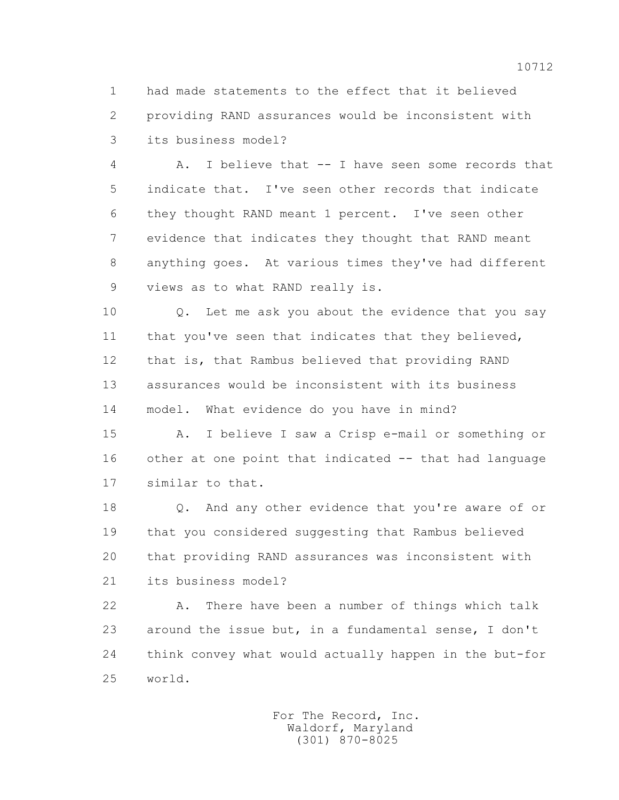1 had made statements to the effect that it believed 2 providing RAND assurances would be inconsistent with 3 its business model?

 4 A. I believe that -- I have seen some records that 5 indicate that. I've seen other records that indicate 6 they thought RAND meant 1 percent. I've seen other 7 evidence that indicates they thought that RAND meant 8 anything goes. At various times they've had different 9 views as to what RAND really is.

 10 Q. Let me ask you about the evidence that you say 11 that you've seen that indicates that they believed, 12 that is, that Rambus believed that providing RAND 13 assurances would be inconsistent with its business 14 model. What evidence do you have in mind?

 15 A. I believe I saw a Crisp e-mail or something or 16 other at one point that indicated -- that had language 17 similar to that.

 18 Q. And any other evidence that you're aware of or 19 that you considered suggesting that Rambus believed 20 that providing RAND assurances was inconsistent with 21 its business model?

 22 A. There have been a number of things which talk 23 around the issue but, in a fundamental sense, I don't 24 think convey what would actually happen in the but-for 25 world.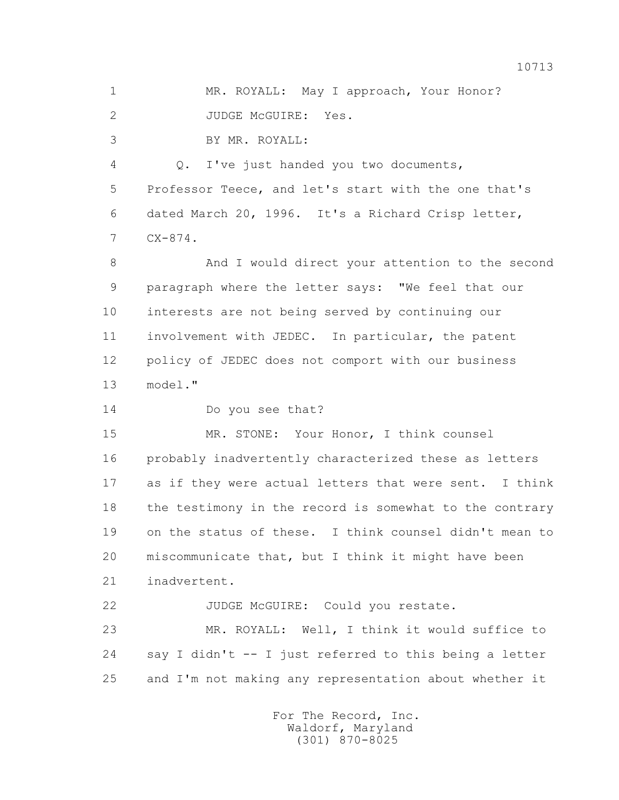1 MR. ROYALL: May I approach, Your Honor? 2 JUDGE McGUIRE: Yes.

3 BY MR. ROYALL:

 4 Q. I've just handed you two documents, 5 Professor Teece, and let's start with the one that's 6 dated March 20, 1996. It's a Richard Crisp letter, 7 CX-874.

 8 And I would direct your attention to the second 9 paragraph where the letter says: "We feel that our 10 interests are not being served by continuing our 11 involvement with JEDEC. In particular, the patent 12 policy of JEDEC does not comport with our business 13 model."

14 Do you see that?

 15 MR. STONE: Your Honor, I think counsel 16 probably inadvertently characterized these as letters 17 as if they were actual letters that were sent. I think 18 the testimony in the record is somewhat to the contrary 19 on the status of these. I think counsel didn't mean to 20 miscommunicate that, but I think it might have been 21 inadvertent.

22 JUDGE McGUIRE: Could you restate. 23 MR. ROYALL: Well, I think it would suffice to 24 say I didn't -- I just referred to this being a letter 25 and I'm not making any representation about whether it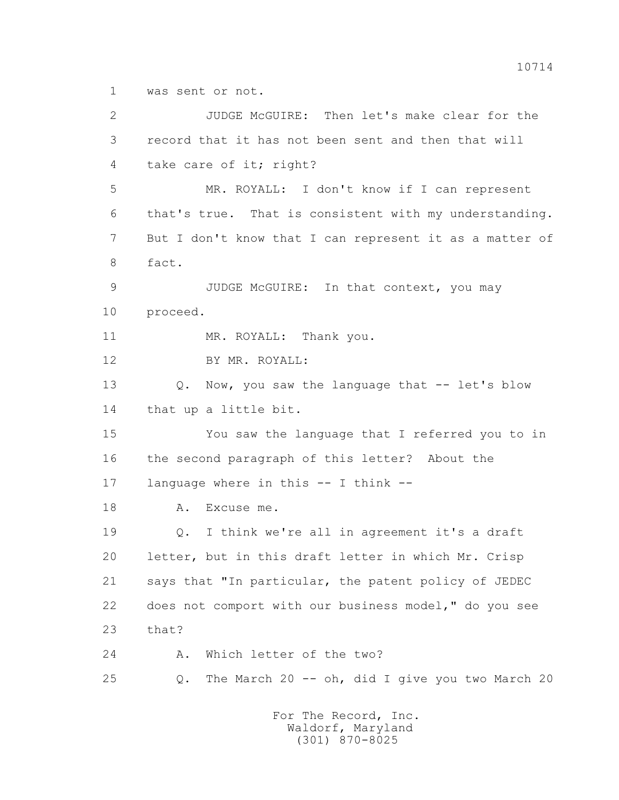1 was sent or not.

 2 JUDGE McGUIRE: Then let's make clear for the 3 record that it has not been sent and then that will 4 take care of it; right? 5 MR. ROYALL: I don't know if I can represent 6 that's true. That is consistent with my understanding. 7 But I don't know that I can represent it as a matter of 8 fact. 9 JUDGE McGUIRE: In that context, you may 10 proceed. 11 MR. ROYALL: Thank you. 12 BY MR. ROYALL: 13 O. Now, you saw the language that -- let's blow 14 that up a little bit. 15 You saw the language that I referred you to in 16 the second paragraph of this letter? About the 17 language where in this -- I think -- 18 A. Excuse me. 19 Q. I think we're all in agreement it's a draft 20 letter, but in this draft letter in which Mr. Crisp 21 says that "In particular, the patent policy of JEDEC 22 does not comport with our business model," do you see 23 that? 24 A. Which letter of the two? 25 Q. The March 20 -- oh, did I give you two March 20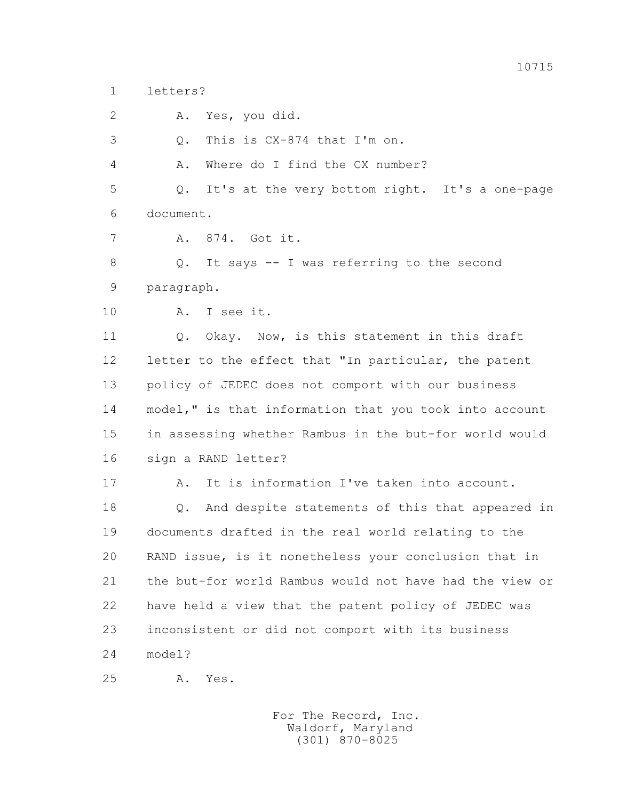1 letters?

2 A. Yes, you did.

3 Q. This is CX-874 that I'm on.

4 A. Where do I find the CX number?

 5 Q. It's at the very bottom right. It's a one-page 6 document.

7 A. 874. Got it.

 8 Q. It says -- I was referring to the second 9 paragraph.

10 A. I see it.

11 0. Okay. Now, is this statement in this draft 12 letter to the effect that "In particular, the patent 13 policy of JEDEC does not comport with our business 14 model," is that information that you took into account 15 in assessing whether Rambus in the but-for world would 16 sign a RAND letter?

 17 A. It is information I've taken into account. 18 Q. And despite statements of this that appeared in 19 documents drafted in the real world relating to the 20 RAND issue, is it nonetheless your conclusion that in 21 the but-for world Rambus would not have had the view or 22 have held a view that the patent policy of JEDEC was 23 inconsistent or did not comport with its business 24 model?

25 A. Yes.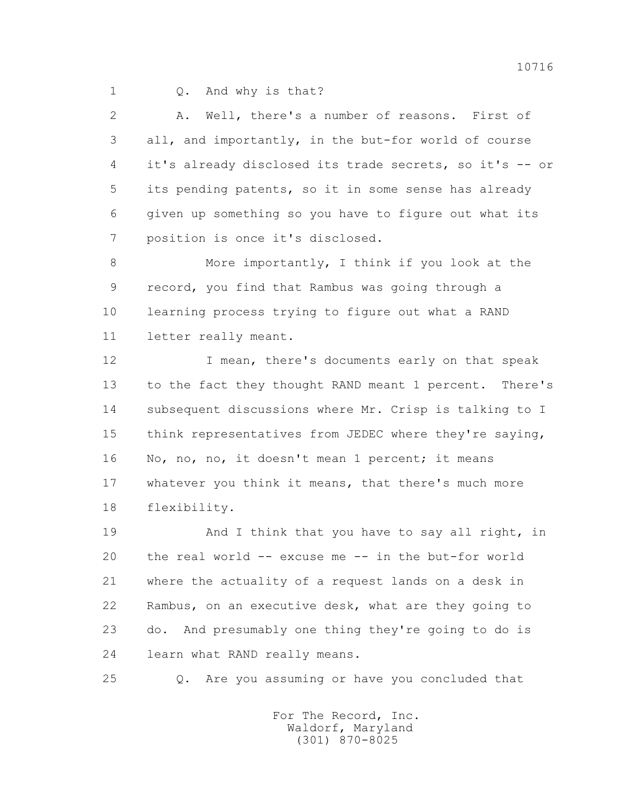1 0. And why is that?

 2 A. Well, there's a number of reasons. First of 3 all, and importantly, in the but-for world of course 4 it's already disclosed its trade secrets, so it's -- or 5 its pending patents, so it in some sense has already 6 given up something so you have to figure out what its 7 position is once it's disclosed.

 8 More importantly, I think if you look at the 9 record, you find that Rambus was going through a 10 learning process trying to figure out what a RAND 11 letter really meant.

12 I mean, there's documents early on that speak 13 to the fact they thought RAND meant 1 percent. There's 14 subsequent discussions where Mr. Crisp is talking to I 15 think representatives from JEDEC where they're saying, 16 No, no, no, it doesn't mean 1 percent; it means 17 whatever you think it means, that there's much more 18 flexibility.

19 And I think that you have to say all right, in 20 the real world -- excuse me -- in the but-for world 21 where the actuality of a request lands on a desk in 22 Rambus, on an executive desk, what are they going to 23 do. And presumably one thing they're going to do is 24 learn what RAND really means.

25 Q. Are you assuming or have you concluded that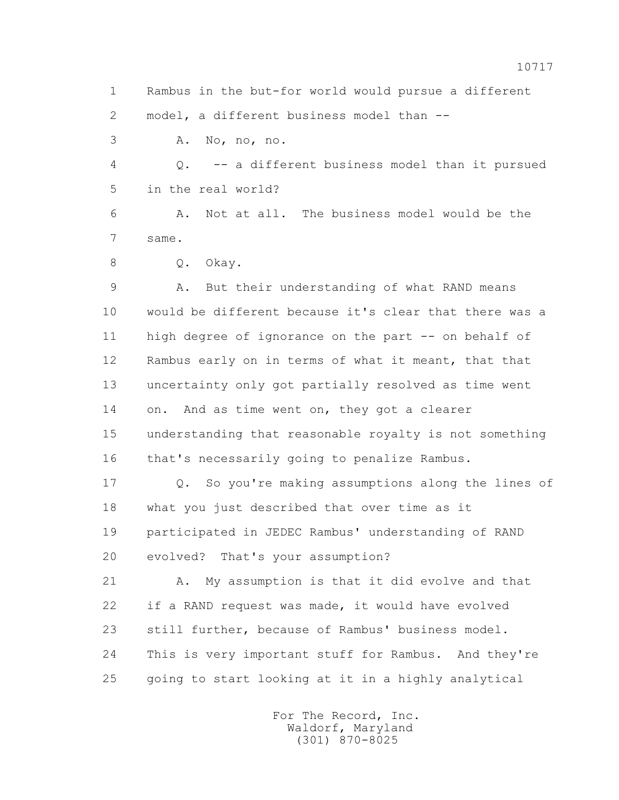1 Rambus in the but-for world would pursue a different 2 model, a different business model than --

3 A. No, no, no.

 4 Q. -- a different business model than it pursued 5 in the real world?

 6 A. Not at all. The business model would be the 7 same.

8 Q. Okay.

 9 A. But their understanding of what RAND means 10 would be different because it's clear that there was a 11 high degree of ignorance on the part -- on behalf of 12 Rambus early on in terms of what it meant, that that 13 uncertainty only got partially resolved as time went 14 on. And as time went on, they got a clearer 15 understanding that reasonable royalty is not something 16 that's necessarily going to penalize Rambus.

 17 Q. So you're making assumptions along the lines of 18 what you just described that over time as it 19 participated in JEDEC Rambus' understanding of RAND 20 evolved? That's your assumption?

 21 A. My assumption is that it did evolve and that 22 if a RAND request was made, it would have evolved 23 still further, because of Rambus' business model. 24 This is very important stuff for Rambus. And they're 25 going to start looking at it in a highly analytical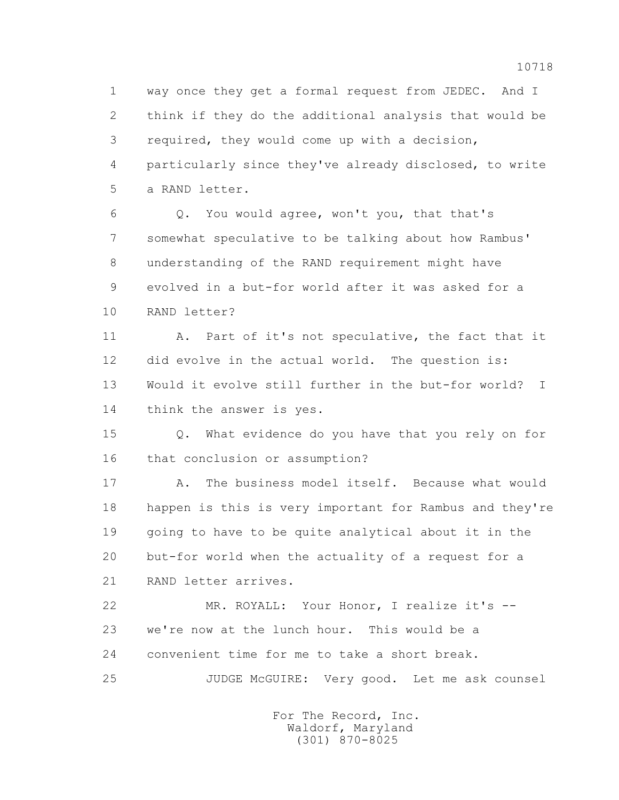1 way once they get a formal request from JEDEC. And I 2 think if they do the additional analysis that would be 3 required, they would come up with a decision, 4 particularly since they've already disclosed, to write 5 a RAND letter.

 6 Q. You would agree, won't you, that that's 7 somewhat speculative to be talking about how Rambus' 8 understanding of the RAND requirement might have 9 evolved in a but-for world after it was asked for a 10 RAND letter?

 11 A. Part of it's not speculative, the fact that it 12 did evolve in the actual world. The question is: 13 Would it evolve still further in the but-for world? I 14 think the answer is yes.

 15 Q. What evidence do you have that you rely on for 16 that conclusion or assumption?

 17 A. The business model itself. Because what would 18 happen is this is very important for Rambus and they're 19 going to have to be quite analytical about it in the 20 but-for world when the actuality of a request for a 21 RAND letter arrives.

 22 MR. ROYALL: Your Honor, I realize it's -- 23 we're now at the lunch hour. This would be a 24 convenient time for me to take a short break.

25 JUDGE McGUIRE: Very good. Let me ask counsel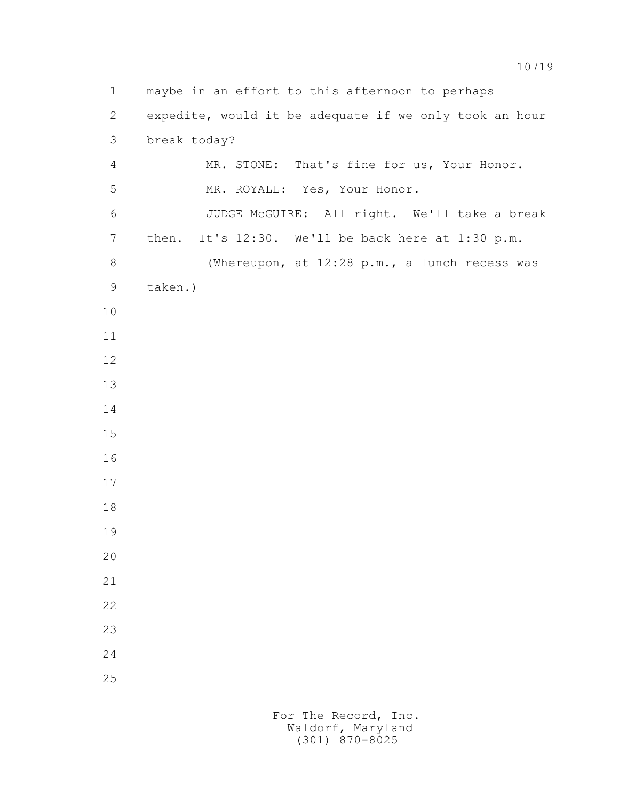1 maybe in an effort to this afternoon to perhaps 2 expedite, would it be adequate if we only took an hour 3 break today? 4 MR. STONE: That's fine for us, Your Honor. 5 MR. ROYALL: Yes, Your Honor. 6 JUDGE McGUIRE: All right. We'll take a break 7 then. It's 12:30. We'll be back here at 1:30 p.m. 8 (Whereupon, at 12:28 p.m., a lunch recess was 9 taken.) 10 11 12 13 14 15 16 17 18 19 20 21 22 23 24 25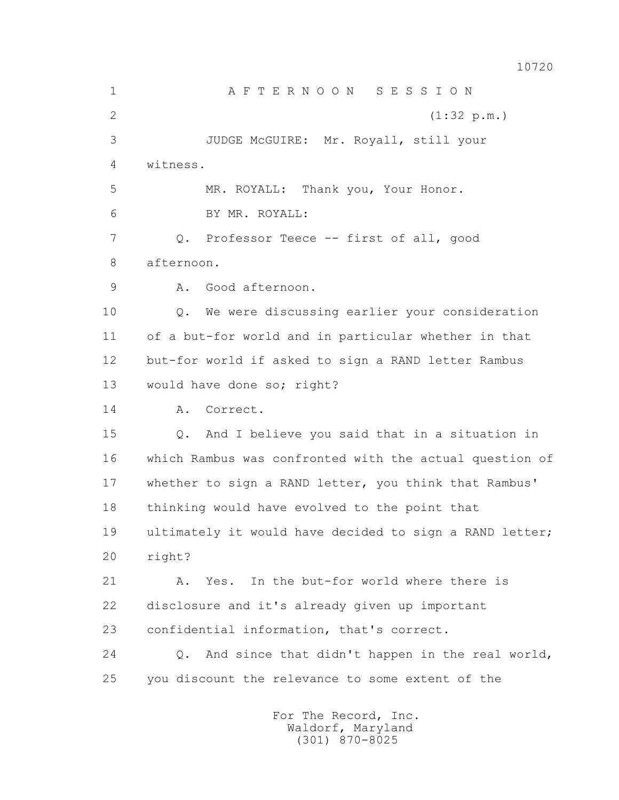10720

 1 A F T E R N O O N S E S S I O N 2 (1:32 p.m.) 3 JUDGE McGUIRE: Mr. Royall, still your 4 witness. 5 MR. ROYALL: Thank you, Your Honor. 6 BY MR. ROYALL: 7 Q. Professor Teece -- first of all, good 8 afternoon. 9 A. Good afternoon. 10 Q. We were discussing earlier your consideration 11 of a but-for world and in particular whether in that 12 but-for world if asked to sign a RAND letter Rambus 13 would have done so; right? 14 A. Correct. 15 Q. And I believe you said that in a situation in 16 which Rambus was confronted with the actual question of 17 whether to sign a RAND letter, you think that Rambus' 18 thinking would have evolved to the point that 19 ultimately it would have decided to sign a RAND letter; 20 right? 21 A. Yes. In the but-for world where there is 22 disclosure and it's already given up important 23 confidential information, that's correct. 24 Q. And since that didn't happen in the real world, 25 you discount the relevance to some extent of the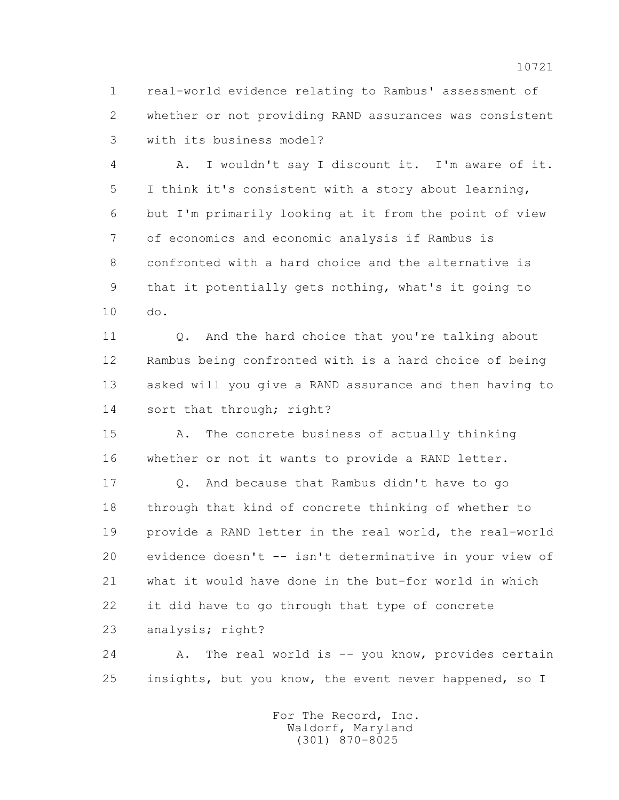1 real-world evidence relating to Rambus' assessment of 2 whether or not providing RAND assurances was consistent 3 with its business model?

 4 A. I wouldn't say I discount it. I'm aware of it. 5 I think it's consistent with a story about learning, 6 but I'm primarily looking at it from the point of view 7 of economics and economic analysis if Rambus is 8 confronted with a hard choice and the alternative is 9 that it potentially gets nothing, what's it going to 10 do.

11 0. And the hard choice that you're talking about 12 Rambus being confronted with is a hard choice of being 13 asked will you give a RAND assurance and then having to 14 sort that through; right?

 15 A. The concrete business of actually thinking 16 whether or not it wants to provide a RAND letter.

 17 Q. And because that Rambus didn't have to go 18 through that kind of concrete thinking of whether to 19 provide a RAND letter in the real world, the real-world 20 evidence doesn't -- isn't determinative in your view of 21 what it would have done in the but-for world in which 22 it did have to go through that type of concrete 23 analysis; right?

24 A. The real world is -- you know, provides certain 25 insights, but you know, the event never happened, so I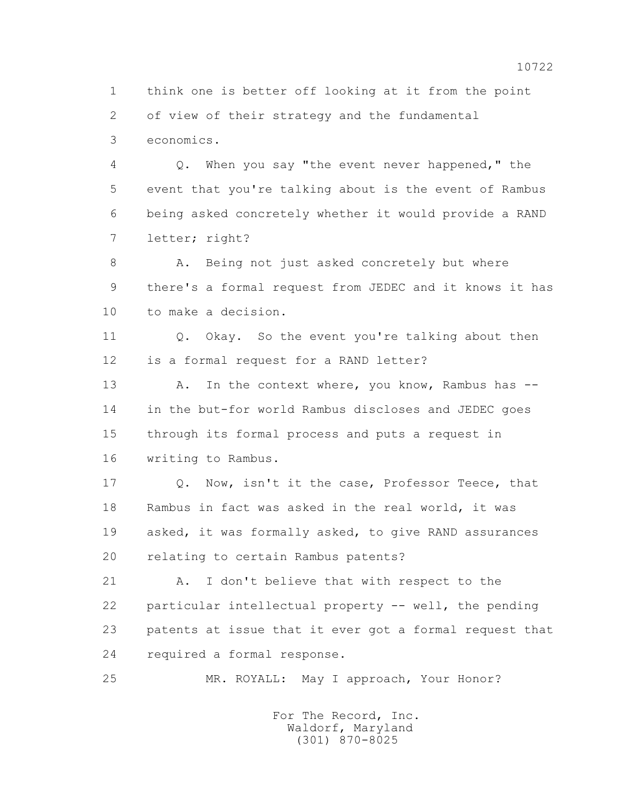1 think one is better off looking at it from the point 2 of view of their strategy and the fundamental 3 economics.

 4 Q. When you say "the event never happened," the 5 event that you're talking about is the event of Rambus 6 being asked concretely whether it would provide a RAND 7 letter; right?

 8 A. Being not just asked concretely but where 9 there's a formal request from JEDEC and it knows it has 10 to make a decision.

11 0. Okay. So the event you're talking about then 12 is a formal request for a RAND letter?

13 A. In the context where, you know, Rambus has -- 14 in the but-for world Rambus discloses and JEDEC goes 15 through its formal process and puts a request in 16 writing to Rambus.

 17 Q. Now, isn't it the case, Professor Teece, that 18 Rambus in fact was asked in the real world, it was 19 asked, it was formally asked, to give RAND assurances 20 relating to certain Rambus patents?

 21 A. I don't believe that with respect to the 22 particular intellectual property -- well, the pending 23 patents at issue that it ever got a formal request that 24 required a formal response.

25 MR. ROYALL: May I approach, Your Honor?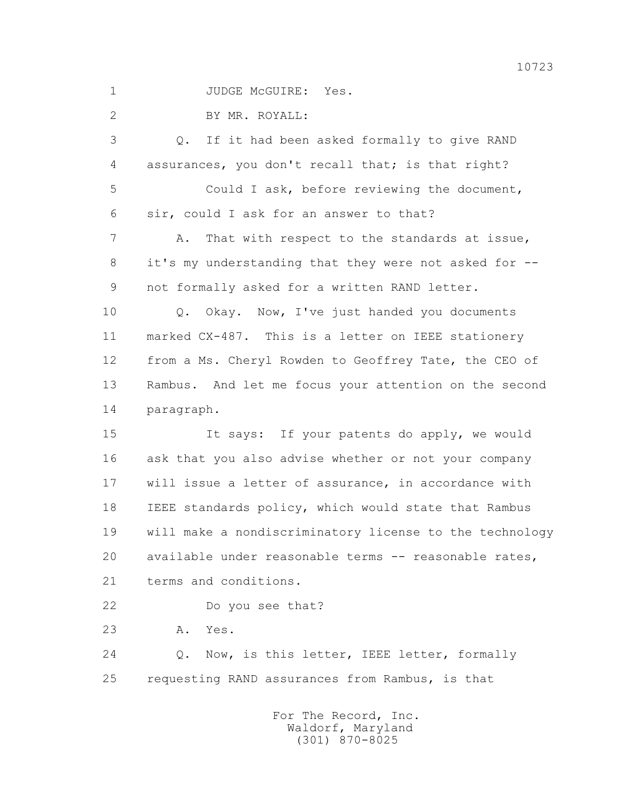1 JUDGE McGUIRE: Yes.

2 BY MR. ROYALL:

 3 Q. If it had been asked formally to give RAND 4 assurances, you don't recall that; is that right? 5 Could I ask, before reviewing the document, 6 sir, could I ask for an answer to that? 7 A. That with respect to the standards at issue, 8 it's my understanding that they were not asked for -- 9 not formally asked for a written RAND letter. 10 Q. Okay. Now, I've just handed you documents 11 marked CX-487. This is a letter on IEEE stationery 12 from a Ms. Cheryl Rowden to Geoffrey Tate, the CEO of 13 Rambus. And let me focus your attention on the second 14 paragraph. 15 It says: If your patents do apply, we would 16 ask that you also advise whether or not your company 17 will issue a letter of assurance, in accordance with 18 IEEE standards policy, which would state that Rambus

 19 will make a nondiscriminatory license to the technology 20 available under reasonable terms -- reasonable rates, 21 terms and conditions.

22 Do you see that?

23 A. Yes.

 24 Q. Now, is this letter, IEEE letter, formally 25 requesting RAND assurances from Rambus, is that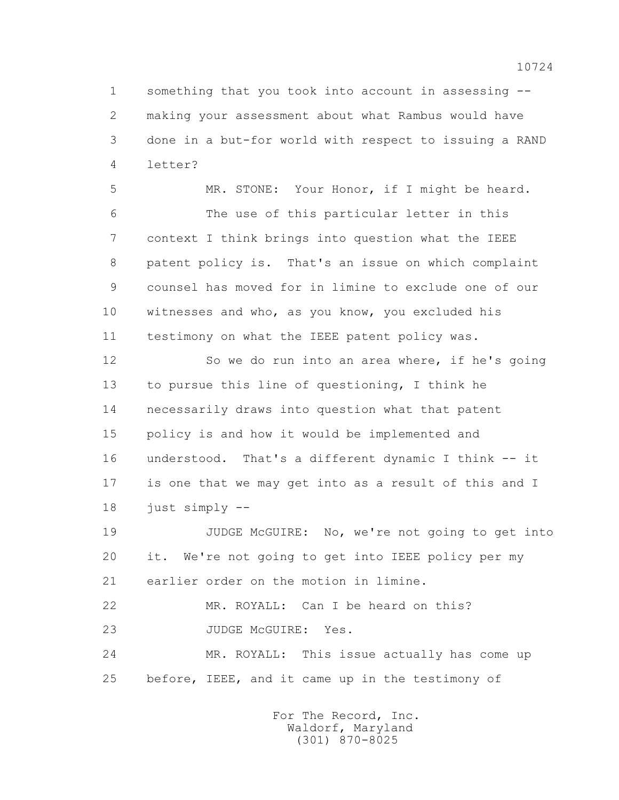1 something that you took into account in assessing -- 2 making your assessment about what Rambus would have 3 done in a but-for world with respect to issuing a RAND 4 letter?

 5 MR. STONE: Your Honor, if I might be heard. 6 The use of this particular letter in this 7 context I think brings into question what the IEEE 8 patent policy is. That's an issue on which complaint 9 counsel has moved for in limine to exclude one of our 10 witnesses and who, as you know, you excluded his 11 testimony on what the IEEE patent policy was.

 12 So we do run into an area where, if he's going 13 to pursue this line of questioning, I think he 14 necessarily draws into question what that patent 15 policy is and how it would be implemented and 16 understood. That's a different dynamic I think -- it 17 is one that we may get into as a result of this and I 18 just simply --

19 JUDGE McGUIRE: No, we're not going to get into 20 it. We're not going to get into IEEE policy per my 21 earlier order on the motion in limine.

 22 MR. ROYALL: Can I be heard on this? 23 JUDGE McGUIRE: Yes.

 24 MR. ROYALL: This issue actually has come up 25 before, IEEE, and it came up in the testimony of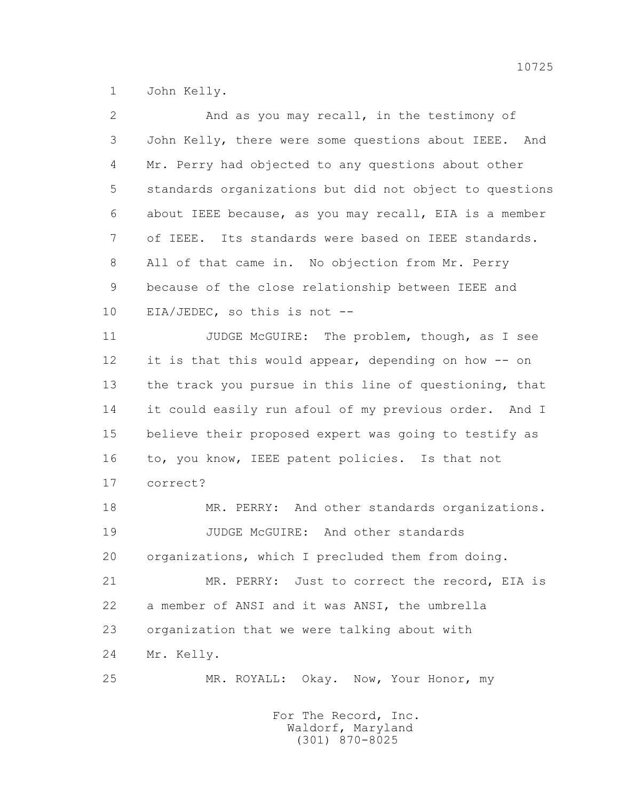1 John Kelly.

| $\overline{2}$ | And as you may recall, in the testimony of              |
|----------------|---------------------------------------------------------|
| 3              | John Kelly, there were some questions about IEEE. And   |
| 4              | Mr. Perry had objected to any questions about other     |
| 5              | standards organizations but did not object to questions |
| 6              | about IEEE because, as you may recall, EIA is a member  |
| 7              | of IEEE. Its standards were based on IEEE standards.    |
| 8              | All of that came in. No objection from Mr. Perry        |
| 9              | because of the close relationship between IEEE and      |
| 10             | EIA/JEDEC, so this is not --                            |
| 11             | JUDGE McGUIRE: The problem, though, as I see            |
| 12             | it is that this would appear, depending on how -- on    |
| 13             | the track you pursue in this line of questioning, that  |
| 14             | it could easily run afoul of my previous order. And I   |
| 15             | believe their proposed expert was going to testify as   |
| 16             | to, you know, IEEE patent policies. Is that not         |
| 17             | correct?                                                |
| 18             | MR. PERRY: And other standards organizations.           |
| 19             | JUDGE McGUIRE: And other standards                      |
| 20             | organizations, which I precluded them from doing.       |
| 21             | MR. PERRY: Just to correct the record, EIA is           |
| 22             | a member of ANSI and it was ANSI, the umbrella          |
| 23             | organization that we were talking about with            |
| 24             | Mr. Kelly.                                              |
| 25             | MR. ROYALL: Okay. Now, Your Honor, my                   |
|                |                                                         |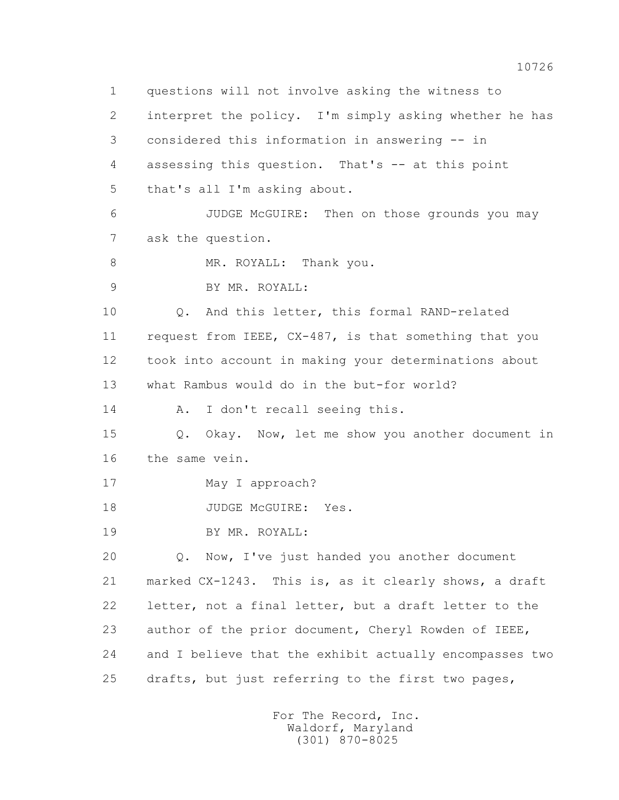1 questions will not involve asking the witness to 2 interpret the policy. I'm simply asking whether he has 3 considered this information in answering -- in 4 assessing this question. That's -- at this point 5 that's all I'm asking about. 6 JUDGE McGUIRE: Then on those grounds you may 7 ask the question. 8 MR. ROYALL: Thank you. 9 BY MR. ROYALL: 10 Q. And this letter, this formal RAND-related 11 request from IEEE, CX-487, is that something that you 12 took into account in making your determinations about 13 what Rambus would do in the but-for world? 14 A. I don't recall seeing this. 15 Q. Okay. Now, let me show you another document in 16 the same vein. 17 May I approach? 18 JUDGE McGUIRE: Yes. 19 BY MR. ROYALL: 20 0. Now, I've just handed you another document 21 marked CX-1243. This is, as it clearly shows, a draft 22 letter, not a final letter, but a draft letter to the 23 author of the prior document, Cheryl Rowden of IEEE, 24 and I believe that the exhibit actually encompasses two 25 drafts, but just referring to the first two pages,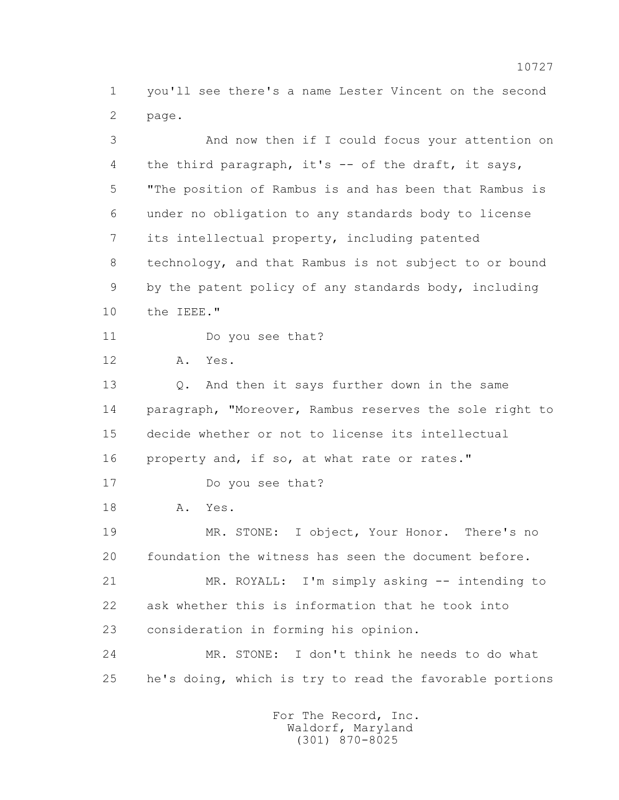1 you'll see there's a name Lester Vincent on the second 2 page.

 3 And now then if I could focus your attention on 4 the third paragraph, it's -- of the draft, it says, 5 "The position of Rambus is and has been that Rambus is 6 under no obligation to any standards body to license 7 its intellectual property, including patented 8 technology, and that Rambus is not subject to or bound 9 by the patent policy of any standards body, including 10 the IEEE." 11 Do you see that? 12 A. Yes. 13 Q. And then it says further down in the same 14 paragraph, "Moreover, Rambus reserves the sole right to 15 decide whether or not to license its intellectual 16 property and, if so, at what rate or rates." 17 Do you see that? 18 A. Yes. 19 MR. STONE: I object, Your Honor. There's no 20 foundation the witness has seen the document before. 21 MR. ROYALL: I'm simply asking -- intending to 22 ask whether this is information that he took into 23 consideration in forming his opinion. 24 MR. STONE: I don't think he needs to do what 25 he's doing, which is try to read the favorable portions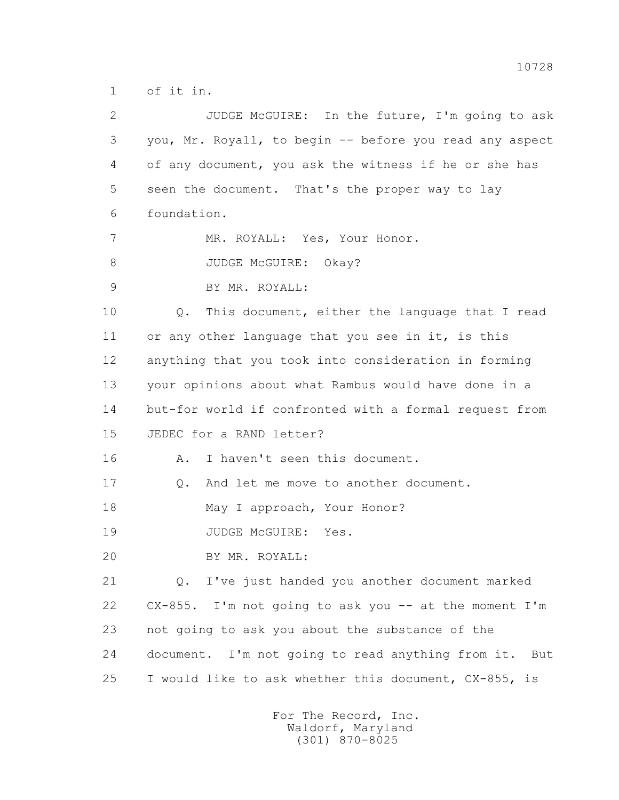1 of it in.

| $\overline{2}$ | JUDGE McGUIRE: In the future, I'm going to ask           |
|----------------|----------------------------------------------------------|
| 3              | you, Mr. Royall, to begin -- before you read any aspect  |
| 4              | of any document, you ask the witness if he or she has    |
| 5              | seen the document. That's the proper way to lay          |
| 6              | foundation.                                              |
| 7              | MR. ROYALL: Yes, Your Honor.                             |
| 8              | JUDGE McGUIRE: Okay?                                     |
| $\mathsf 9$    | BY MR. ROYALL:                                           |
| 10             | Q. This document, either the language that I read        |
| 11             | or any other language that you see in it, is this        |
| 12             | anything that you took into consideration in forming     |
| 13             | your opinions about what Rambus would have done in a     |
| 14             | but-for world if confronted with a formal request from   |
| 15             | JEDEC for a RAND letter?                                 |
| 16             | I haven't seen this document.<br>Α.                      |
| 17             | And let me move to another document.<br>$Q$ .            |
| 18             | May I approach, Your Honor?                              |
| 19             | JUDGE MCGUIRE:<br>Yes.                                   |
| 20             | BY MR. ROYALL:                                           |
| 21             | I've just handed you another document marked<br>Q.       |
| 22             | $CX-855$ . I'm not going to ask you -- at the moment I'm |
| 23             | not going to ask you about the substance of the          |
| 24             | document. I'm not going to read anything from it. But    |
| 25             | I would like to ask whether this document, CX-855, is    |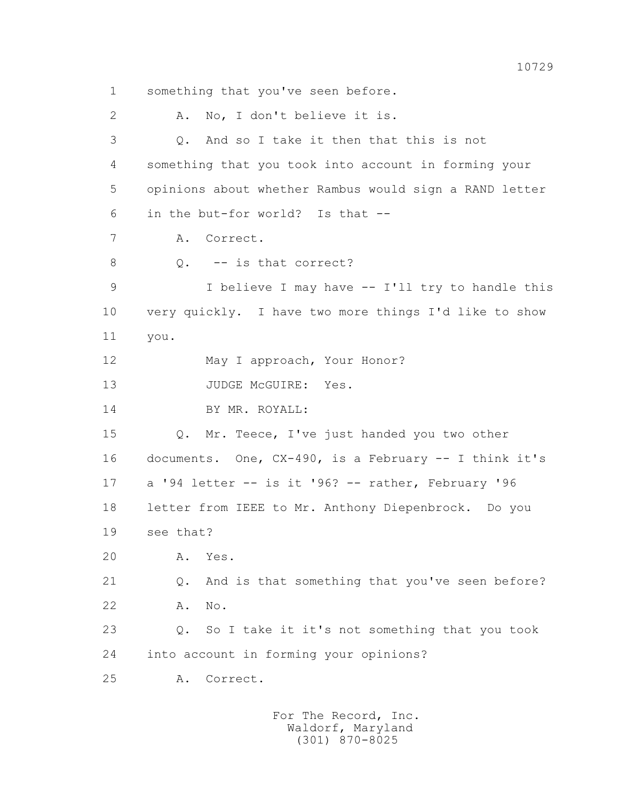1 something that you've seen before. 2 A. No, I don't believe it is. 3 Q. And so I take it then that this is not 4 something that you took into account in forming your 5 opinions about whether Rambus would sign a RAND letter 6 in the but-for world? Is that -- 7 A. Correct. 8 0. -- is that correct? 9 I believe I may have -- I'll try to handle this 10 very quickly. I have two more things I'd like to show 11 you. 12 May I approach, Your Honor? 13 JUDGE McGUIRE: Yes. 14 BY MR. ROYALL: 15 Q. Mr. Teece, I've just handed you two other 16 documents. One, CX-490, is a February -- I think it's 17 a '94 letter -- is it '96? -- rather, February '96 18 letter from IEEE to Mr. Anthony Diepenbrock. Do you 19 see that? 20 A. Yes. 21 Q. And is that something that you've seen before? 22 A. No. 23 Q. So I take it it's not something that you took 24 into account in forming your opinions? 25 A. Correct.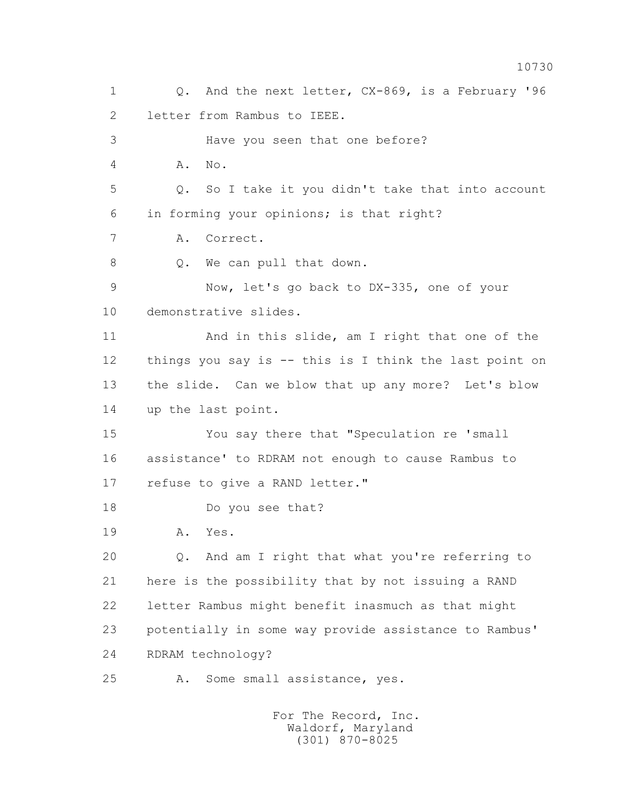1 Q. And the next letter, CX-869, is a February '96 2 letter from Rambus to IEEE. 3 Have you seen that one before? 4 A. No. 5 Q. So I take it you didn't take that into account 6 in forming your opinions; is that right? 7 A. Correct. 8 Q. We can pull that down. 9 Now, let's go back to DX-335, one of your 10 demonstrative slides. 11 And in this slide, am I right that one of the 12 things you say is -- this is I think the last point on 13 the slide. Can we blow that up any more? Let's blow 14 up the last point. 15 You say there that "Speculation re 'small 16 assistance' to RDRAM not enough to cause Rambus to 17 refuse to give a RAND letter." 18 Do you see that? 19 A. Yes. 20 Q. And am I right that what you're referring to 21 here is the possibility that by not issuing a RAND 22 letter Rambus might benefit inasmuch as that might 23 potentially in some way provide assistance to Rambus' 24 RDRAM technology? 25 A. Some small assistance, yes.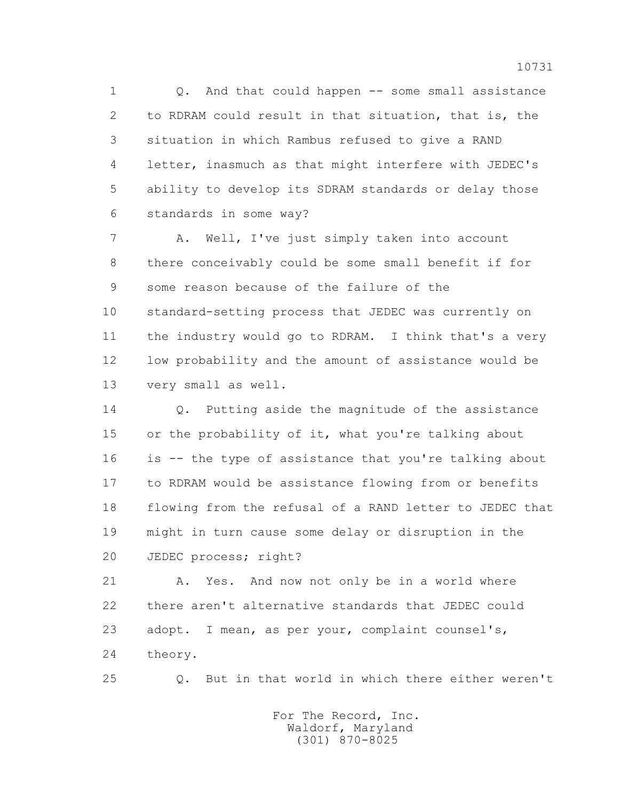1 Q. And that could happen -- some small assistance 2 to RDRAM could result in that situation, that is, the 3 situation in which Rambus refused to give a RAND 4 letter, inasmuch as that might interfere with JEDEC's 5 ability to develop its SDRAM standards or delay those 6 standards in some way?

 7 A. Well, I've just simply taken into account 8 there conceivably could be some small benefit if for 9 some reason because of the failure of the 10 standard-setting process that JEDEC was currently on 11 the industry would go to RDRAM. I think that's a very 12 low probability and the amount of assistance would be 13 very small as well.

 14 Q. Putting aside the magnitude of the assistance 15 or the probability of it, what you're talking about 16 is -- the type of assistance that you're talking about 17 to RDRAM would be assistance flowing from or benefits 18 flowing from the refusal of a RAND letter to JEDEC that 19 might in turn cause some delay or disruption in the 20 JEDEC process; right?

 21 A. Yes. And now not only be in a world where 22 there aren't alternative standards that JEDEC could 23 adopt. I mean, as per your, complaint counsel's, 24 theory.

25 Q. But in that world in which there either weren't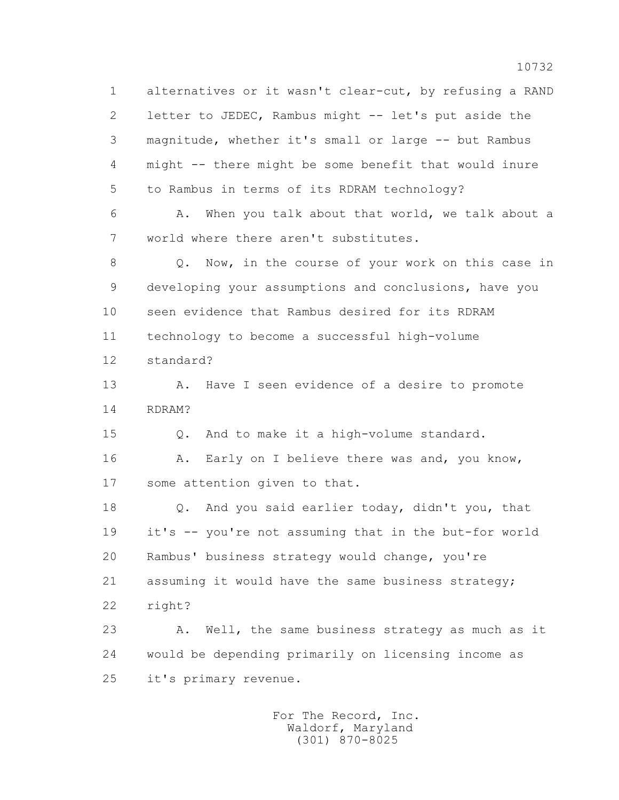1 alternatives or it wasn't clear-cut, by refusing a RAND 2 letter to JEDEC, Rambus might -- let's put aside the 3 magnitude, whether it's small or large -- but Rambus 4 might -- there might be some benefit that would inure 5 to Rambus in terms of its RDRAM technology?

 6 A. When you talk about that world, we talk about a 7 world where there aren't substitutes.

 8 Q. Now, in the course of your work on this case in 9 developing your assumptions and conclusions, have you 10 seen evidence that Rambus desired for its RDRAM 11 technology to become a successful high-volume 12 standard?

13 A. Have I seen evidence of a desire to promote 14 RDRAM?

15 Q. And to make it a high-volume standard.

 16 A. Early on I believe there was and, you know, 17 some attention given to that.

 18 Q. And you said earlier today, didn't you, that 19 it's -- you're not assuming that in the but-for world 20 Rambus' business strategy would change, you're 21 assuming it would have the same business strategy; 22 right?

23 A. Well, the same business strategy as much as it 24 would be depending primarily on licensing income as 25 it's primary revenue.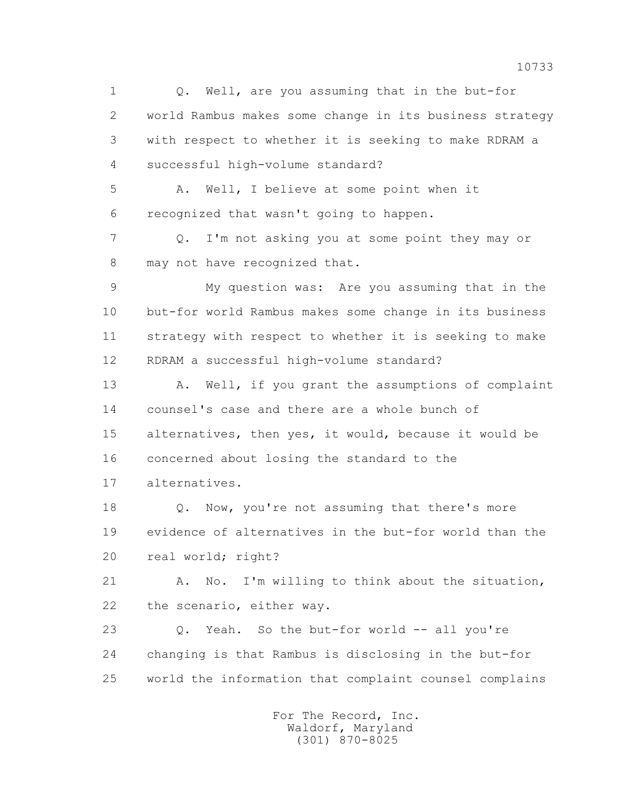1 0. Well, are you assuming that in the but-for 2 world Rambus makes some change in its business strategy 3 with respect to whether it is seeking to make RDRAM a 4 successful high-volume standard? 5 A. Well, I believe at some point when it 6 recognized that wasn't going to happen. 7 Q. I'm not asking you at some point they may or 8 may not have recognized that. 9 My question was: Are you assuming that in the 10 but-for world Rambus makes some change in its business 11 strategy with respect to whether it is seeking to make 12 RDRAM a successful high-volume standard? 13 A. Well, if you grant the assumptions of complaint 14 counsel's case and there are a whole bunch of 15 alternatives, then yes, it would, because it would be 16 concerned about losing the standard to the 17 alternatives. 18 **Q.** Now, you're not assuming that there's more 19 evidence of alternatives in the but-for world than the 20 real world; right? 21 A. No. I'm willing to think about the situation, 22 the scenario, either way. 23 Q. Yeah. So the but-for world -- all you're 24 changing is that Rambus is disclosing in the but-for 25 world the information that complaint counsel complains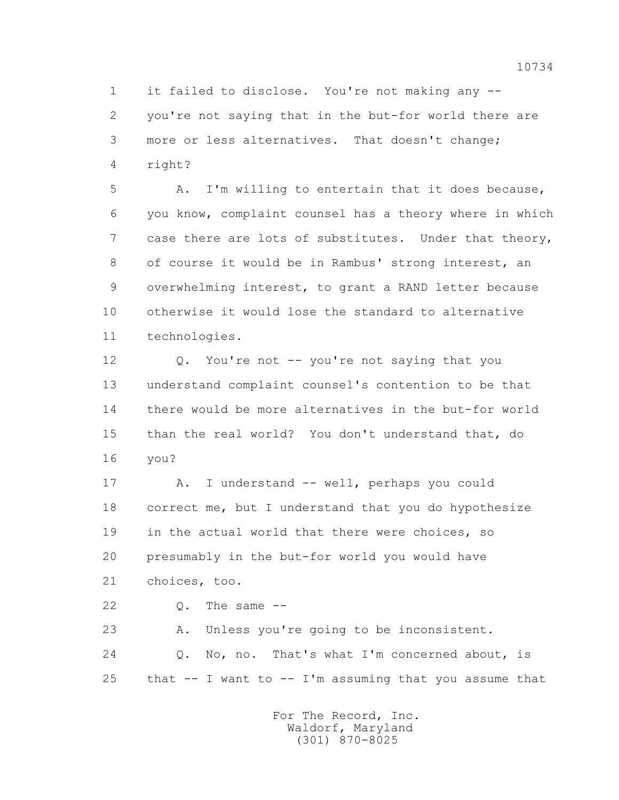1 it failed to disclose. You're not making any -- 2 you're not saying that in the but-for world there are 3 more or less alternatives. That doesn't change; 4 right?

 5 A. I'm willing to entertain that it does because, 6 you know, complaint counsel has a theory where in which 7 case there are lots of substitutes. Under that theory, 8 of course it would be in Rambus' strong interest, an 9 overwhelming interest, to grant a RAND letter because 10 otherwise it would lose the standard to alternative 11 technologies.

 12 Q. You're not -- you're not saying that you 13 understand complaint counsel's contention to be that 14 there would be more alternatives in the but-for world 15 than the real world? You don't understand that, do 16 you?

 17 A. I understand -- well, perhaps you could 18 correct me, but I understand that you do hypothesize 19 in the actual world that there were choices, so 20 presumably in the but-for world you would have 21 choices, too.

 $22$  0. The same  $-$ 

 23 A. Unless you're going to be inconsistent. 24 Q. No, no. That's what I'm concerned about, is 25 that  $-$  I want to  $-$  I'm assuming that you assume that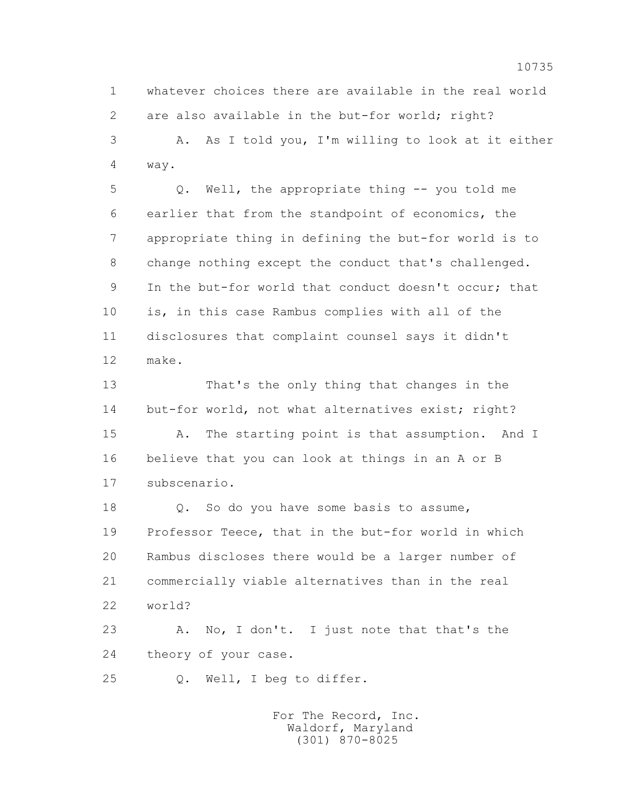1 whatever choices there are available in the real world 2 are also available in the but-for world; right? 3 A. As I told you, I'm willing to look at it either

4 way.

 5 Q. Well, the appropriate thing -- you told me 6 earlier that from the standpoint of economics, the 7 appropriate thing in defining the but-for world is to 8 change nothing except the conduct that's challenged. 9 In the but-for world that conduct doesn't occur; that 10 is, in this case Rambus complies with all of the 11 disclosures that complaint counsel says it didn't 12 make.

 13 That's the only thing that changes in the 14 but-for world, not what alternatives exist; right?

 15 A. The starting point is that assumption. And I 16 believe that you can look at things in an A or B 17 subscenario.

18 Q. So do you have some basis to assume, 19 Professor Teece, that in the but-for world in which 20 Rambus discloses there would be a larger number of 21 commercially viable alternatives than in the real 22 world?

23 A. No, I don't. I just note that that's the 24 theory of your case.

25 Q. Well, I beg to differ.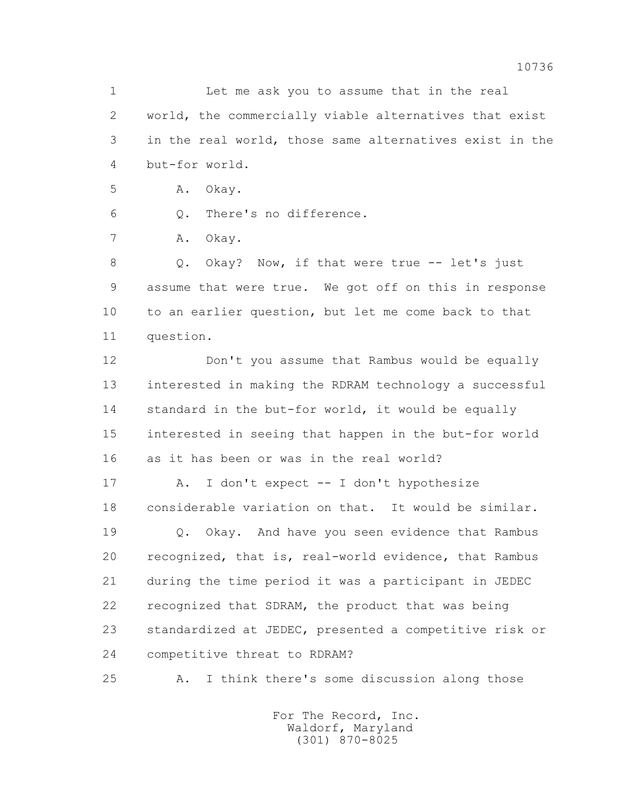1 Let me ask you to assume that in the real 2 world, the commercially viable alternatives that exist 3 in the real world, those same alternatives exist in the 4 but-for world.

5 A. Okay.

6 Q. There's no difference.

7 A. Okay.

8 Q. Okay? Now, if that were true -- let's just 9 assume that were true. We got off on this in response 10 to an earlier question, but let me come back to that 11 question.

 12 Don't you assume that Rambus would be equally 13 interested in making the RDRAM technology a successful 14 standard in the but-for world, it would be equally 15 interested in seeing that happen in the but-for world 16 as it has been or was in the real world?

17 A. I don't expect -- I don't hypothesize 18 considerable variation on that. It would be similar.

 19 Q. Okay. And have you seen evidence that Rambus 20 recognized, that is, real-world evidence, that Rambus 21 during the time period it was a participant in JEDEC 22 recognized that SDRAM, the product that was being 23 standardized at JEDEC, presented a competitive risk or 24 competitive threat to RDRAM?

25 A. I think there's some discussion along those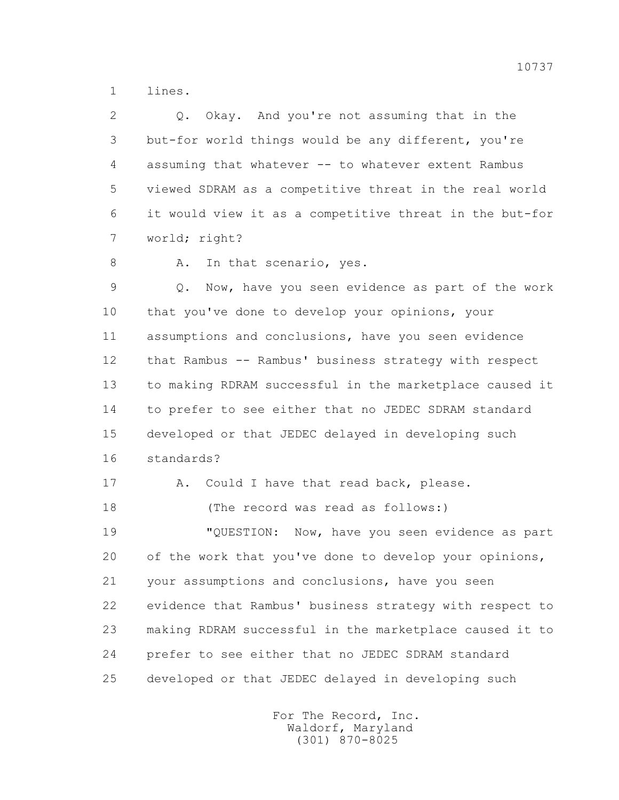1 lines.

 2 Q. Okay. And you're not assuming that in the 3 but-for world things would be any different, you're 4 assuming that whatever -- to whatever extent Rambus 5 viewed SDRAM as a competitive threat in the real world 6 it would view it as a competitive threat in the but-for 7 world; right?

8 A. In that scenario, yes.

 9 Q. Now, have you seen evidence as part of the work 10 that you've done to develop your opinions, your 11 assumptions and conclusions, have you seen evidence 12 that Rambus -- Rambus' business strategy with respect 13 to making RDRAM successful in the marketplace caused it 14 to prefer to see either that no JEDEC SDRAM standard 15 developed or that JEDEC delayed in developing such 16 standards?

17 A. Could I have that read back, please. 18 (The record was read as follows:) 19 "QUESTION: Now, have you seen evidence as part 20 of the work that you've done to develop your opinions, 21 your assumptions and conclusions, have you seen 22 evidence that Rambus' business strategy with respect to 23 making RDRAM successful in the marketplace caused it to 24 prefer to see either that no JEDEC SDRAM standard 25 developed or that JEDEC delayed in developing such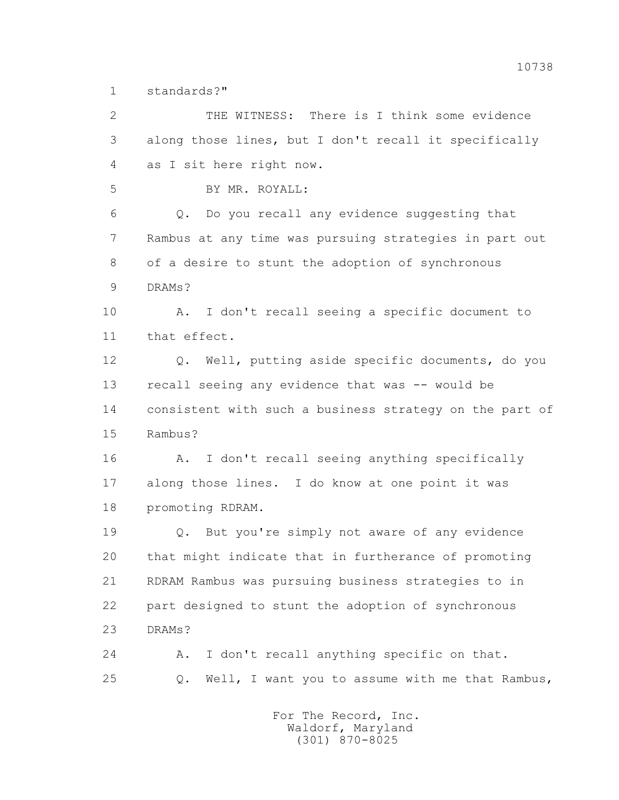1 standards?"

 2 THE WITNESS: There is I think some evidence 3 along those lines, but I don't recall it specifically 4 as I sit here right now. 5 BY MR. ROYALL: 6 Q. Do you recall any evidence suggesting that 7 Rambus at any time was pursuing strategies in part out 8 of a desire to stunt the adoption of synchronous 9 DRAMs? 10 A. I don't recall seeing a specific document to 11 that effect. 12 Q. Well, putting aside specific documents, do you 13 recall seeing any evidence that was -- would be 14 consistent with such a business strategy on the part of 15 Rambus? 16 A. I don't recall seeing anything specifically 17 along those lines. I do know at one point it was 18 promoting RDRAM. 19 Q. But you're simply not aware of any evidence 20 that might indicate that in furtherance of promoting 21 RDRAM Rambus was pursuing business strategies to in 22 part designed to stunt the adoption of synchronous 23 DRAMs? 24 A. I don't recall anything specific on that. 25 Q. Well, I want you to assume with me that Rambus,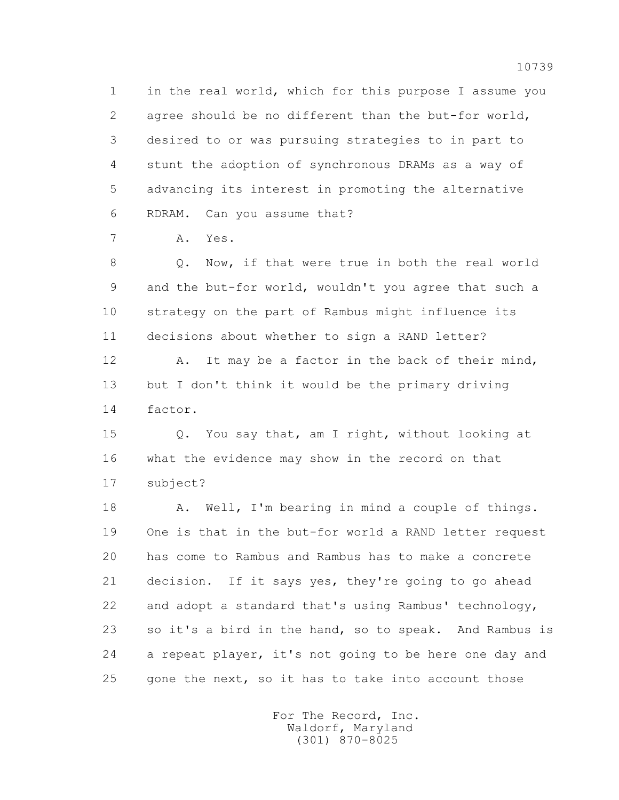1 in the real world, which for this purpose I assume you 2 agree should be no different than the but-for world, 3 desired to or was pursuing strategies to in part to 4 stunt the adoption of synchronous DRAMs as a way of 5 advancing its interest in promoting the alternative 6 RDRAM. Can you assume that?

7 A. Yes.

 8 Q. Now, if that were true in both the real world 9 and the but-for world, wouldn't you agree that such a 10 strategy on the part of Rambus might influence its 11 decisions about whether to sign a RAND letter?

12 A. It may be a factor in the back of their mind, 13 but I don't think it would be the primary driving 14 factor.

 15 Q. You say that, am I right, without looking at 16 what the evidence may show in the record on that 17 subject?

 18 A. Well, I'm bearing in mind a couple of things. 19 One is that in the but-for world a RAND letter request 20 has come to Rambus and Rambus has to make a concrete 21 decision. If it says yes, they're going to go ahead 22 and adopt a standard that's using Rambus' technology, 23 so it's a bird in the hand, so to speak. And Rambus is 24 a repeat player, it's not going to be here one day and 25 gone the next, so it has to take into account those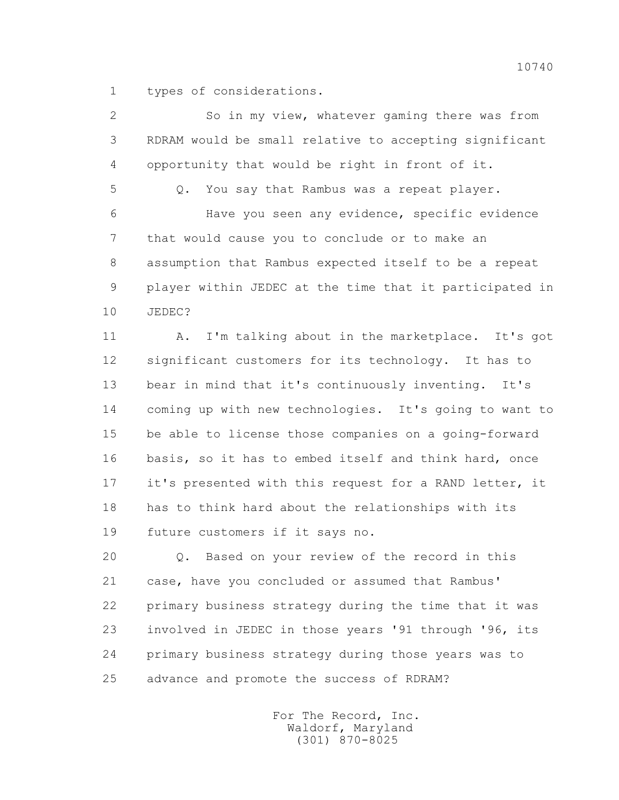1 types of considerations.

| $\overline{2}$ | So in my view, whatever gaming there was from             |
|----------------|-----------------------------------------------------------|
| 3              | RDRAM would be small relative to accepting significant    |
| 4              | opportunity that would be right in front of it.           |
| 5              | You say that Rambus was a repeat player.<br>$Q_{\bullet}$ |
| 6              | Have you seen any evidence, specific evidence             |
| 7              | that would cause you to conclude or to make an            |
| 8              | assumption that Rambus expected itself to be a repeat     |
| 9              | player within JEDEC at the time that it participated in   |
| 10             | JEDEC?                                                    |
| 11             | I'm talking about in the marketplace. It's got<br>Α.      |
| 12             | significant customers for its technology. It has to       |
| 13             | bear in mind that it's continuously inventing.<br>It's    |
| 14             | coming up with new technologies. It's going to want to    |
| 15             | be able to license those companies on a going-forward     |
| 16             | basis, so it has to embed itself and think hard, once     |
| 17             | it's presented with this request for a RAND letter, it    |
| 18             | has to think hard about the relationships with its        |
| 19             | future customers if it says no.                           |
|                |                                                           |

 20 Q. Based on your review of the record in this 21 case, have you concluded or assumed that Rambus' 22 primary business strategy during the time that it was 23 involved in JEDEC in those years '91 through '96, its 24 primary business strategy during those years was to 25 advance and promote the success of RDRAM?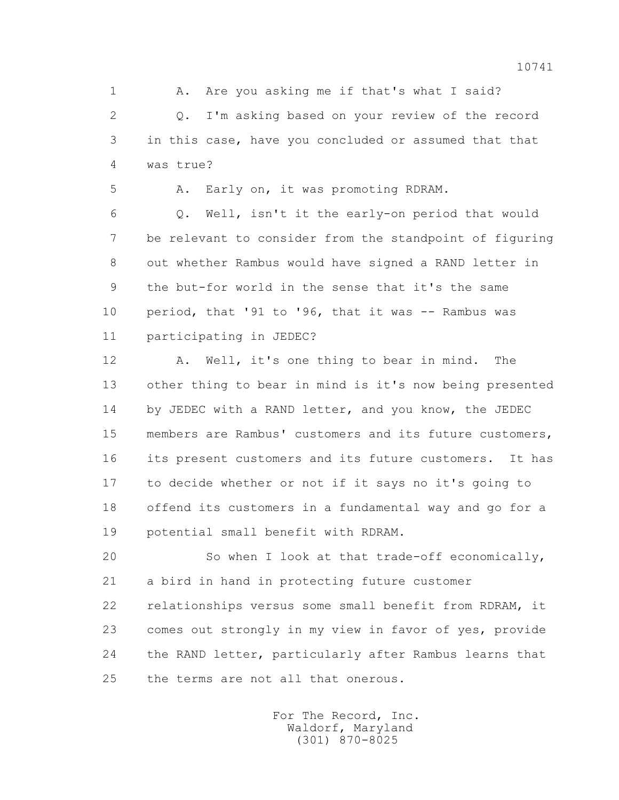1 A. Are you asking me if that's what I said? 2 Q. I'm asking based on your review of the record 3 in this case, have you concluded or assumed that that 4 was true?

5 A. Early on, it was promoting RDRAM.

 6 Q. Well, isn't it the early-on period that would 7 be relevant to consider from the standpoint of figuring 8 out whether Rambus would have signed a RAND letter in 9 the but-for world in the sense that it's the same 10 period, that '91 to '96, that it was -- Rambus was 11 participating in JEDEC?

 12 A. Well, it's one thing to bear in mind. The 13 other thing to bear in mind is it's now being presented 14 by JEDEC with a RAND letter, and you know, the JEDEC 15 members are Rambus' customers and its future customers, 16 its present customers and its future customers. It has 17 to decide whether or not if it says no it's going to 18 offend its customers in a fundamental way and go for a 19 potential small benefit with RDRAM.

 20 So when I look at that trade-off economically, 21 a bird in hand in protecting future customer 22 relationships versus some small benefit from RDRAM, it 23 comes out strongly in my view in favor of yes, provide 24 the RAND letter, particularly after Rambus learns that 25 the terms are not all that onerous.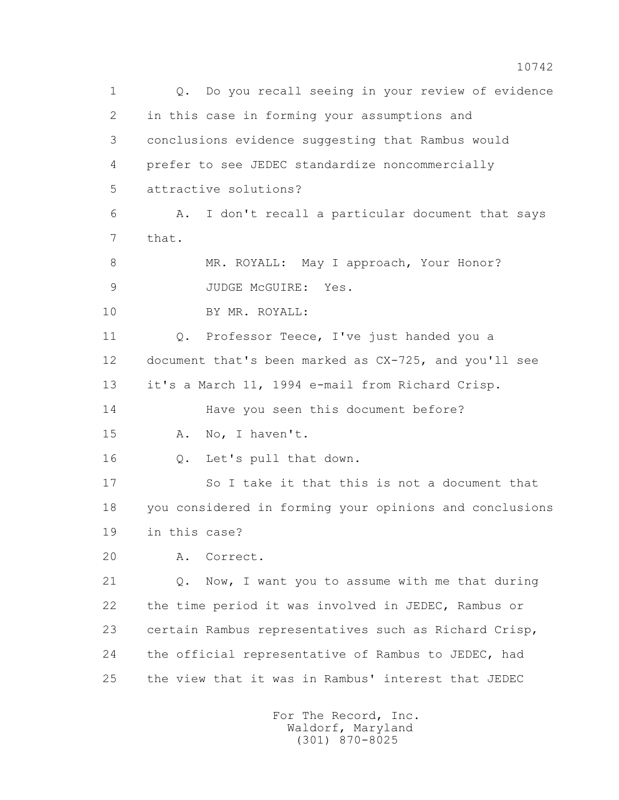1 Q. Do you recall seeing in your review of evidence 2 in this case in forming your assumptions and 3 conclusions evidence suggesting that Rambus would 4 prefer to see JEDEC standardize noncommercially 5 attractive solutions? 6 A. I don't recall a particular document that says 7 that. 8 MR. ROYALL: May I approach, Your Honor? 9 JUDGE McGUIRE: Yes. 10 BY MR. ROYALL: 11 Q. Professor Teece, I've just handed you a 12 document that's been marked as CX-725, and you'll see 13 it's a March 11, 1994 e-mail from Richard Crisp. 14 Have you seen this document before? 15 A. No, I haven't. 16 Q. Let's pull that down. 17 So I take it that this is not a document that 18 you considered in forming your opinions and conclusions 19 in this case? 20 A. Correct. 21 Q. Now, I want you to assume with me that during 22 the time period it was involved in JEDEC, Rambus or 23 certain Rambus representatives such as Richard Crisp, 24 the official representative of Rambus to JEDEC, had 25 the view that it was in Rambus' interest that JEDEC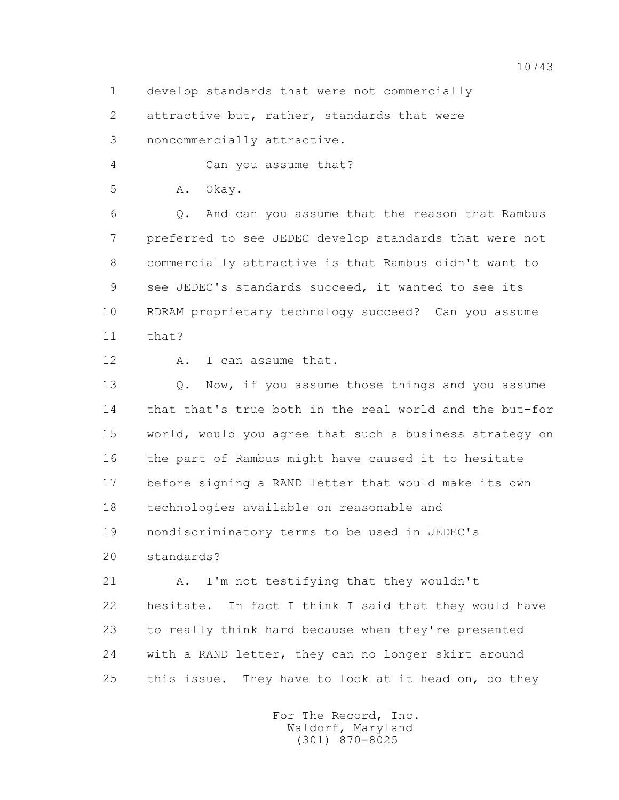1 develop standards that were not commercially

2 attractive but, rather, standards that were

3 noncommercially attractive.

4 Can you assume that?

5 A. Okay.

 6 Q. And can you assume that the reason that Rambus 7 preferred to see JEDEC develop standards that were not 8 commercially attractive is that Rambus didn't want to 9 see JEDEC's standards succeed, it wanted to see its 10 RDRAM proprietary technology succeed? Can you assume  $11 + hat?$ 

12 A. I can assume that.

13 0. Now, if you assume those things and you assume 14 that that's true both in the real world and the but-for 15 world, would you agree that such a business strategy on 16 the part of Rambus might have caused it to hesitate 17 before signing a RAND letter that would make its own 18 technologies available on reasonable and 19 nondiscriminatory terms to be used in JEDEC's 20 standards?

 21 A. I'm not testifying that they wouldn't 22 hesitate. In fact I think I said that they would have 23 to really think hard because when they're presented 24 with a RAND letter, they can no longer skirt around 25 this issue. They have to look at it head on, do they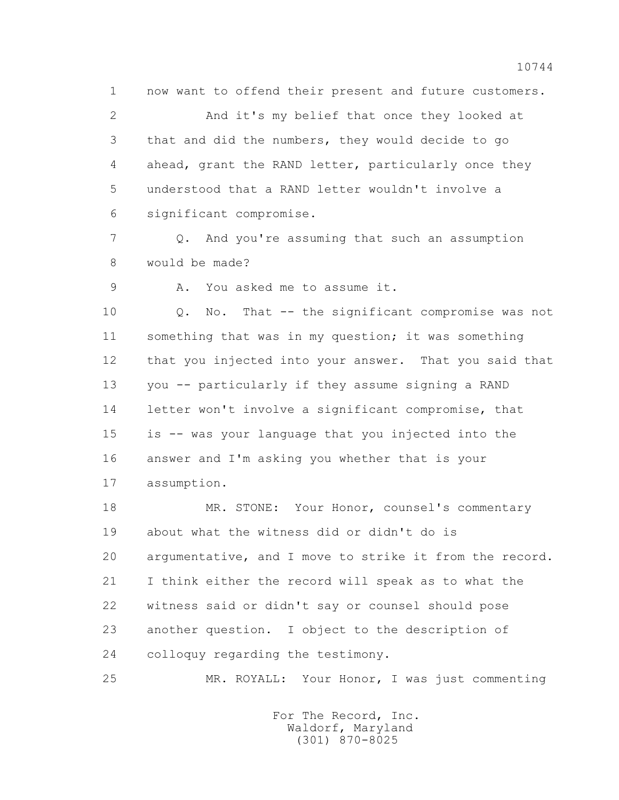1 now want to offend their present and future customers. 2 And it's my belief that once they looked at 3 that and did the numbers, they would decide to go 4 ahead, grant the RAND letter, particularly once they 5 understood that a RAND letter wouldn't involve a 6 significant compromise.

 7 Q. And you're assuming that such an assumption 8 would be made?

9 A. You asked me to assume it.

 10 Q. No. That -- the significant compromise was not 11 something that was in my question; it was something 12 that you injected into your answer. That you said that 13 you -- particularly if they assume signing a RAND 14 letter won't involve a significant compromise, that 15 is -- was your language that you injected into the 16 answer and I'm asking you whether that is your 17 assumption.

 18 MR. STONE: Your Honor, counsel's commentary 19 about what the witness did or didn't do is 20 argumentative, and I move to strike it from the record. 21 I think either the record will speak as to what the 22 witness said or didn't say or counsel should pose 23 another question. I object to the description of 24 colloquy regarding the testimony.

25 MR. ROYALL: Your Honor, I was just commenting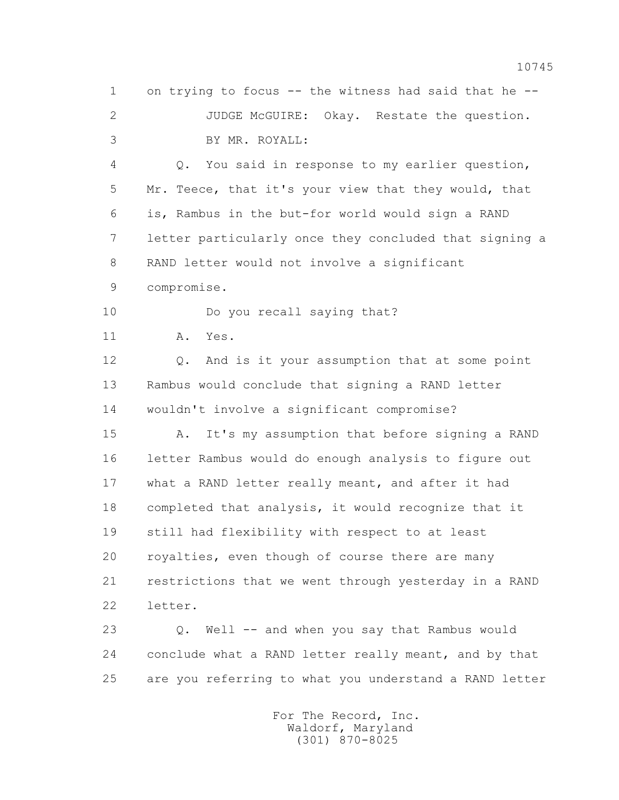1 on trying to focus -- the witness had said that he -- 2 JUDGE McGUIRE: Okay. Restate the question. 3 BY MR. ROYALL: 4 Q. You said in response to my earlier question, 5 Mr. Teece, that it's your view that they would, that 6 is, Rambus in the but-for world would sign a RAND 7 letter particularly once they concluded that signing a

8 RAND letter would not involve a significant

9 compromise.

10 Do you recall saying that?

11 A. Yes.

 12 Q. And is it your assumption that at some point 13 Rambus would conclude that signing a RAND letter 14 wouldn't involve a significant compromise?

 15 A. It's my assumption that before signing a RAND 16 letter Rambus would do enough analysis to figure out 17 what a RAND letter really meant, and after it had 18 completed that analysis, it would recognize that it 19 still had flexibility with respect to at least 20 royalties, even though of course there are many 21 restrictions that we went through yesterday in a RAND 22 letter.

 23 Q. Well -- and when you say that Rambus would 24 conclude what a RAND letter really meant, and by that 25 are you referring to what you understand a RAND letter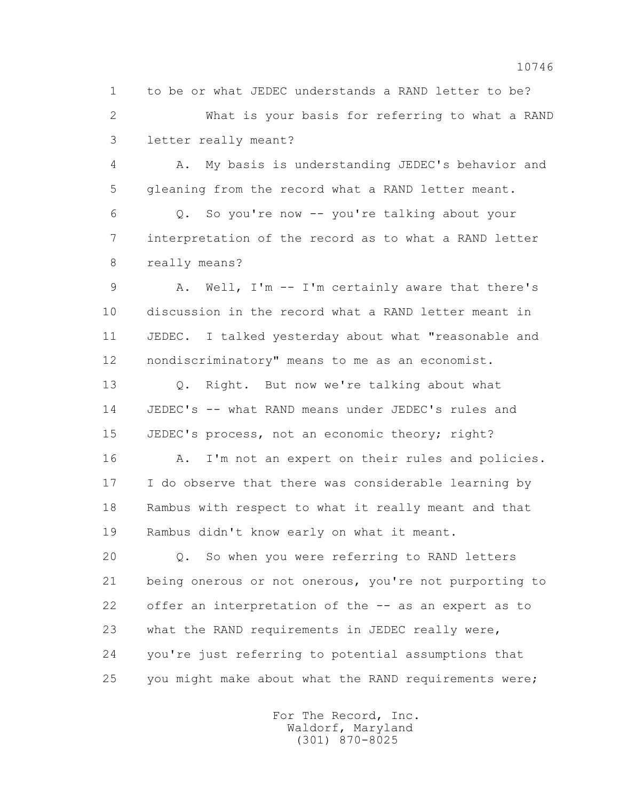1 to be or what JEDEC understands a RAND letter to be? 2 What is your basis for referring to what a RAND 3 letter really meant?

 4 A. My basis is understanding JEDEC's behavior and 5 gleaning from the record what a RAND letter meant.

 6 Q. So you're now -- you're talking about your 7 interpretation of the record as to what a RAND letter 8 really means?

 9 A. Well, I'm -- I'm certainly aware that there's 10 discussion in the record what a RAND letter meant in 11 JEDEC. I talked yesterday about what "reasonable and 12 nondiscriminatory" means to me as an economist.

 13 Q. Right. But now we're talking about what 14 JEDEC's -- what RAND means under JEDEC's rules and 15 JEDEC's process, not an economic theory; right?

16 A. I'm not an expert on their rules and policies. 17 I do observe that there was considerable learning by 18 Rambus with respect to what it really meant and that 19 Rambus didn't know early on what it meant.

 20 Q. So when you were referring to RAND letters 21 being onerous or not onerous, you're not purporting to 22 offer an interpretation of the -- as an expert as to 23 what the RAND requirements in JEDEC really were, 24 you're just referring to potential assumptions that 25 you might make about what the RAND requirements were;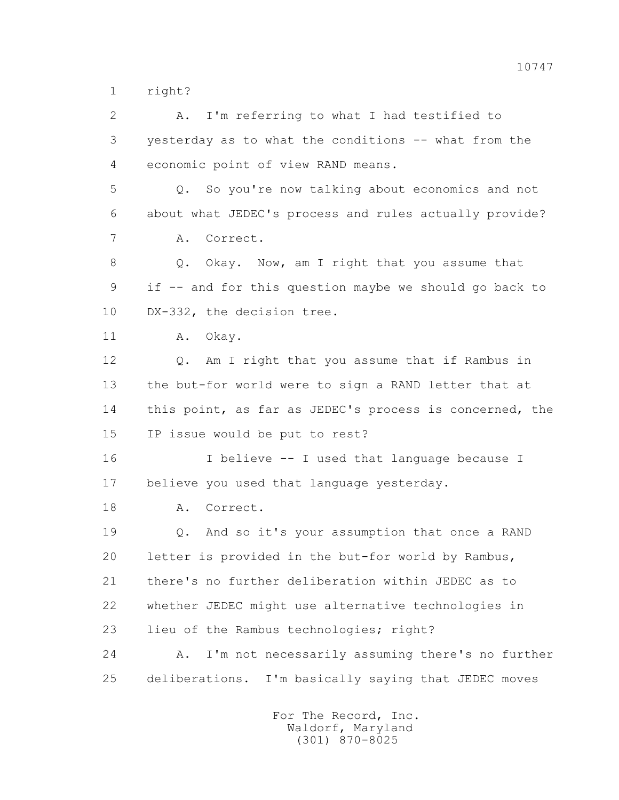1 right?

| $\overline{2}$ | I'm referring to what I had testified to<br>Α.          |
|----------------|---------------------------------------------------------|
| 3              | yesterday as to what the conditions -- what from the    |
| 4              | economic point of view RAND means.                      |
| 5              | Q. So you're now talking about economics and not        |
| 6              | about what JEDEC's process and rules actually provide?  |
| 7              | Correct.<br>Α.                                          |
| 8              | Okay. Now, am I right that you assume that<br>Q.        |
| 9              | if -- and for this question maybe we should go back to  |
| 10             | DX-332, the decision tree.                              |
| 11             | Okay.<br>Α.                                             |
| 12             | Q. Am I right that you assume that if Rambus in         |
| 13             | the but-for world were to sign a RAND letter that at    |
| 14             | this point, as far as JEDEC's process is concerned, the |
| 15             | IP issue would be put to rest?                          |
| 16             | I believe -- I used that language because I             |
| 17             | believe you used that language yesterday.               |
| 18             | Correct.<br>Α.                                          |
| 19             | Q. And so it's your assumption that once a RAND         |
| 20             | letter is provided in the but-for world by Rambus,      |
| 21             | there's no further deliberation within JEDEC as to      |
| 22             | whether JEDEC might use alternative technologies in     |
| 23             | lieu of the Rambus technologies; right?                 |
| 24             | I'm not necessarily assuming there's no further<br>Α.   |
| 25             | deliberations. I'm basically saying that JEDEC moves    |
|                |                                                         |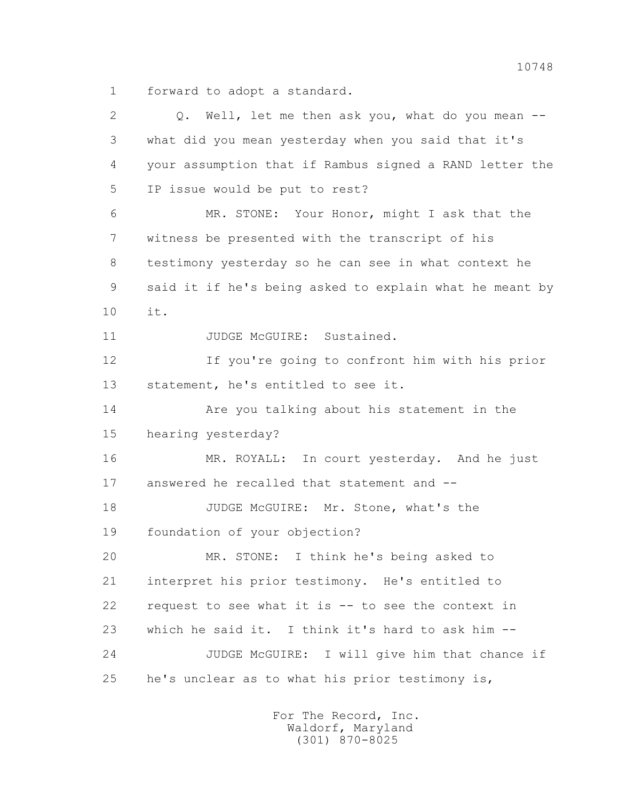1 forward to adopt a standard.

| $\overline{2}$ | Q. Well, let me then ask you, what do you mean --       |
|----------------|---------------------------------------------------------|
| 3              | what did you mean yesterday when you said that it's     |
| 4              | your assumption that if Rambus signed a RAND letter the |
| 5              | IP issue would be put to rest?                          |
| 6              | MR. STONE: Your Honor, might I ask that the             |
| 7              | witness be presented with the transcript of his         |
| 8              | testimony yesterday so he can see in what context he    |
| 9              | said it if he's being asked to explain what he meant by |
| 10             | it.                                                     |
| 11             | JUDGE McGUIRE: Sustained.                               |
| 12             | If you're going to confront him with his prior          |
| 13             | statement, he's entitled to see it.                     |
| 14             | Are you talking about his statement in the              |
| 15             | hearing yesterday?                                      |
| 16             | MR. ROYALL: In court yesterday. And he just             |
| 17             | answered he recalled that statement and --              |
| 18             | JUDGE McGUIRE: Mr. Stone, what's the                    |
| 19             | foundation of your objection?                           |
| 20             | I think he's being asked to<br>MR. STONE:               |
| 21             | interpret his prior testimony. He's entitled to         |
| 22             | request to see what it is -- to see the context in      |
| 23             | which he said it. I think it's hard to ask him --       |
| 24             | JUDGE McGUIRE: I will give him that chance if           |
| 25             | he's unclear as to what his prior testimony is,         |
|                |                                                         |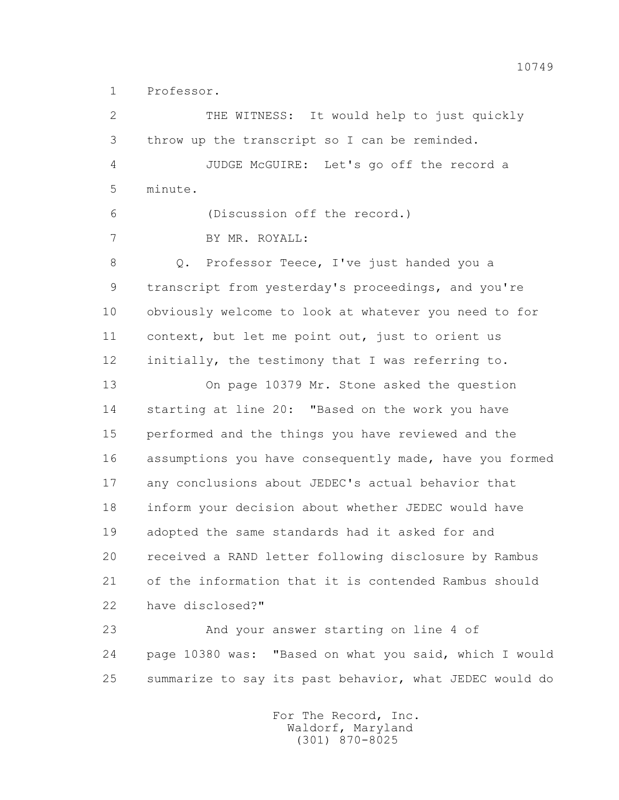1 Professor.

 2 THE WITNESS: It would help to just quickly 3 throw up the transcript so I can be reminded. 4 JUDGE McGUIRE: Let's go off the record a 5 minute. 6 (Discussion off the record.) 7 BY MR. ROYALL: 8 Q. Professor Teece, I've just handed you a 9 transcript from yesterday's proceedings, and you're 10 obviously welcome to look at whatever you need to for 11 context, but let me point out, just to orient us 12 initially, the testimony that I was referring to. 13 On page 10379 Mr. Stone asked the question 14 starting at line 20: "Based on the work you have 15 performed and the things you have reviewed and the 16 assumptions you have consequently made, have you formed 17 any conclusions about JEDEC's actual behavior that 18 inform your decision about whether JEDEC would have 19 adopted the same standards had it asked for and 20 received a RAND letter following disclosure by Rambus 21 of the information that it is contended Rambus should 22 have disclosed?" 23 And your answer starting on line 4 of

 24 page 10380 was: "Based on what you said, which I would 25 summarize to say its past behavior, what JEDEC would do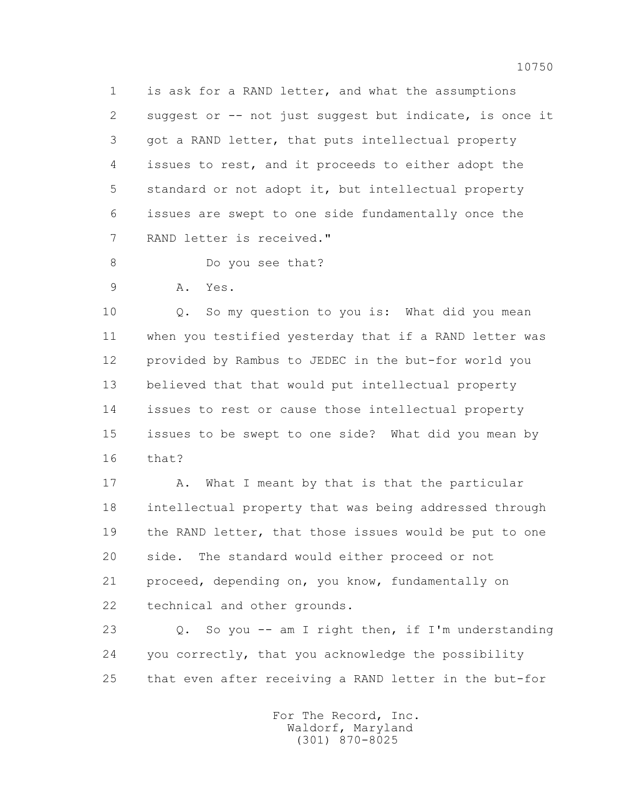1 is ask for a RAND letter, and what the assumptions 2 suggest or -- not just suggest but indicate, is once it 3 got a RAND letter, that puts intellectual property 4 issues to rest, and it proceeds to either adopt the 5 standard or not adopt it, but intellectual property 6 issues are swept to one side fundamentally once the 7 RAND letter is received."

8 Do you see that?

9 A. Yes.

 10 Q. So my question to you is: What did you mean 11 when you testified yesterday that if a RAND letter was 12 provided by Rambus to JEDEC in the but-for world you 13 believed that that would put intellectual property 14 issues to rest or cause those intellectual property 15 issues to be swept to one side? What did you mean by 16 that?

17 A. What I meant by that is that the particular 18 intellectual property that was being addressed through 19 the RAND letter, that those issues would be put to one 20 side. The standard would either proceed or not 21 proceed, depending on, you know, fundamentally on 22 technical and other grounds.

 23 Q. So you -- am I right then, if I'm understanding 24 you correctly, that you acknowledge the possibility 25 that even after receiving a RAND letter in the but-for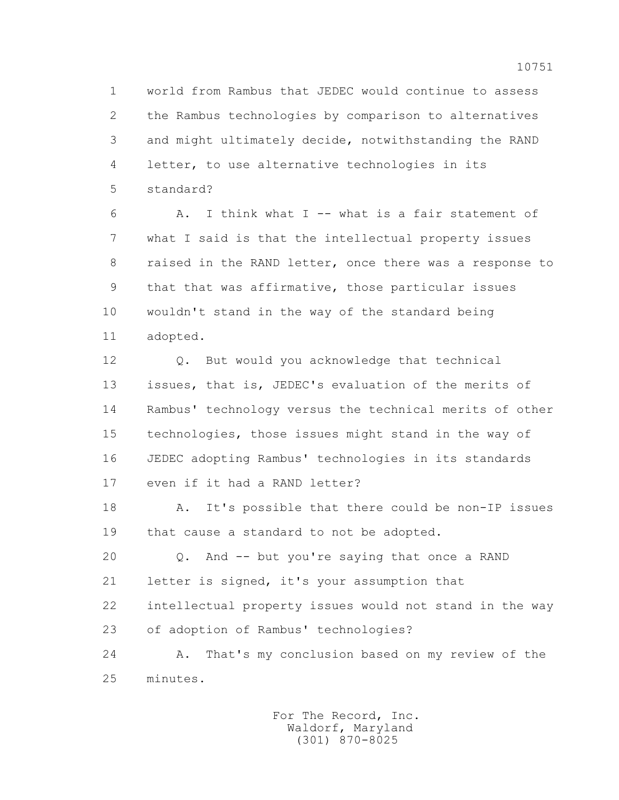1 world from Rambus that JEDEC would continue to assess 2 the Rambus technologies by comparison to alternatives 3 and might ultimately decide, notwithstanding the RAND 4 letter, to use alternative technologies in its 5 standard?

 6 A. I think what I -- what is a fair statement of 7 what I said is that the intellectual property issues 8 raised in the RAND letter, once there was a response to 9 that that was affirmative, those particular issues 10 wouldn't stand in the way of the standard being 11 adopted.

 12 Q. But would you acknowledge that technical 13 issues, that is, JEDEC's evaluation of the merits of 14 Rambus' technology versus the technical merits of other 15 technologies, those issues might stand in the way of 16 JEDEC adopting Rambus' technologies in its standards 17 even if it had a RAND letter?

 18 A. It's possible that there could be non-IP issues 19 that cause a standard to not be adopted.

 20 Q. And -- but you're saying that once a RAND 21 letter is signed, it's your assumption that 22 intellectual property issues would not stand in the way 23 of adoption of Rambus' technologies?

 24 A. That's my conclusion based on my review of the 25 minutes.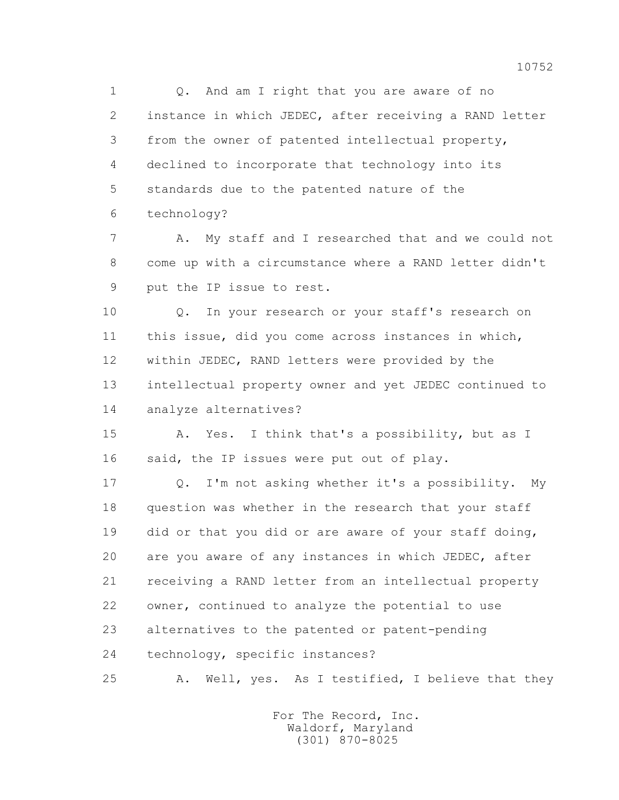1 0. And am I right that you are aware of no 2 instance in which JEDEC, after receiving a RAND letter 3 from the owner of patented intellectual property, 4 declined to incorporate that technology into its 5 standards due to the patented nature of the 6 technology?

 7 A. My staff and I researched that and we could not 8 come up with a circumstance where a RAND letter didn't 9 put the IP issue to rest.

 10 Q. In your research or your staff's research on 11 this issue, did you come across instances in which, 12 within JEDEC, RAND letters were provided by the 13 intellectual property owner and yet JEDEC continued to 14 analyze alternatives?

 15 A. Yes. I think that's a possibility, but as I 16 said, the IP issues were put out of play.

 17 Q. I'm not asking whether it's a possibility. My 18 question was whether in the research that your staff 19 did or that you did or are aware of your staff doing, 20 are you aware of any instances in which JEDEC, after 21 receiving a RAND letter from an intellectual property 22 owner, continued to analyze the potential to use 23 alternatives to the patented or patent-pending 24 technology, specific instances?

25 A. Well, yes. As I testified, I believe that they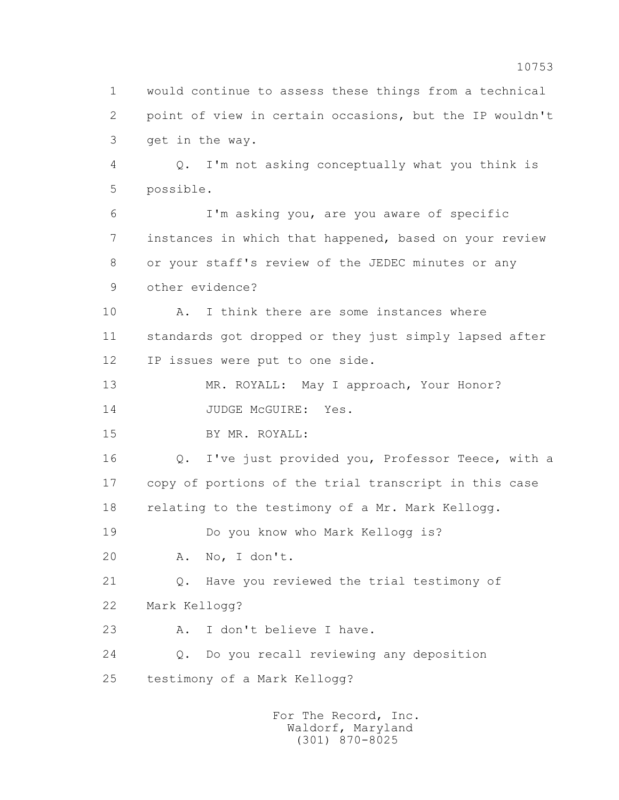1 would continue to assess these things from a technical 2 point of view in certain occasions, but the IP wouldn't 3 get in the way. 4 Q. I'm not asking conceptually what you think is 5 possible. 6 I'm asking you, are you aware of specific 7 instances in which that happened, based on your review 8 or your staff's review of the JEDEC minutes or any 9 other evidence? 10 A. I think there are some instances where 11 standards got dropped or they just simply lapsed after 12 IP issues were put to one side. 13 MR. ROYALL: May I approach, Your Honor? 14 JUDGE McGUIRE: Yes. 15 BY MR. ROYALL: 16 Q. I've just provided you, Professor Teece, with a 17 copy of portions of the trial transcript in this case 18 relating to the testimony of a Mr. Mark Kellogg. 19 Do you know who Mark Kellogg is? 20 A. No, I don't. 21 Q. Have you reviewed the trial testimony of 22 Mark Kellogg? 23 A. I don't believe I have. 24 Q. Do you recall reviewing any deposition 25 testimony of a Mark Kellogg?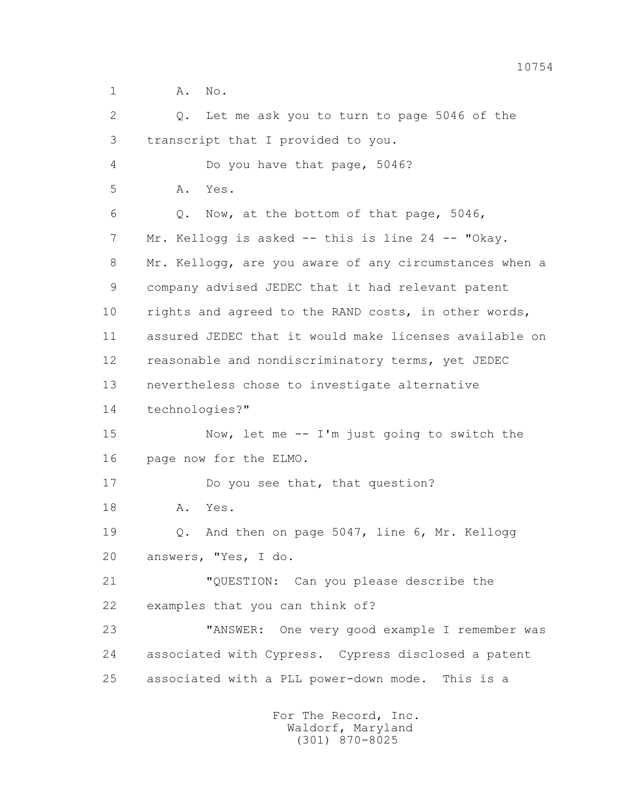1 A. No.

| $\overline{2}$ | Let me ask you to turn to page 5046 of the<br>$Q$ .    |
|----------------|--------------------------------------------------------|
| 3              | transcript that I provided to you.                     |
| 4              | Do you have that page, 5046?                           |
| 5              | Α.<br>Yes.                                             |
| 6              | Now, at the bottom of that page, 5046,<br>$Q$ .        |
| 7              | Mr. Kellogg is asked -- this is line 24 -- "Okay.      |
| 8              | Mr. Kellogg, are you aware of any circumstances when a |
| 9              | company advised JEDEC that it had relevant patent      |
| 10             | rights and agreed to the RAND costs, in other words,   |
| 11             | assured JEDEC that it would make licenses available on |
| 12             | reasonable and nondiscriminatory terms, yet JEDEC      |
| 13             | nevertheless chose to investigate alternative          |
| 14             | technologies?"                                         |
| 15             | Now, let me -- I'm just going to switch the            |
| 16             | page now for the ELMO.                                 |
| 17             | Do you see that, that question?                        |
| 18             | Yes.<br>Α.                                             |
| 19             | And then on page 5047, line 6, Mr. Kellogg<br>Q.       |
| 20             | answers, "Yes, I do.                                   |
| 21             | "QUESTION: Can you please describe the                 |
| 22             | examples that you can think of?                        |
| 23             | "ANSWER:<br>One very good example I remember was       |
| 24             | associated with Cypress. Cypress disclosed a patent    |
| 25             | associated with a PLL power-down mode. This is a       |
|                |                                                        |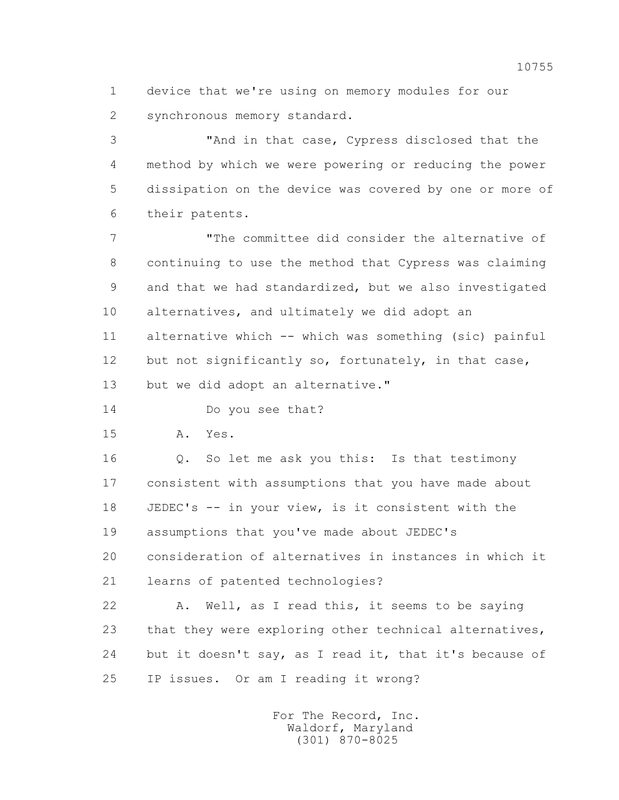1 device that we're using on memory modules for our 2 synchronous memory standard.

 3 "And in that case, Cypress disclosed that the 4 method by which we were powering or reducing the power 5 dissipation on the device was covered by one or more of 6 their patents.

 7 "The committee did consider the alternative of 8 continuing to use the method that Cypress was claiming 9 and that we had standardized, but we also investigated 10 alternatives, and ultimately we did adopt an 11 alternative which -- which was something (sic) painful 12 but not significantly so, fortunately, in that case, 13 but we did adopt an alternative."

14 Do you see that?

15 A. Yes.

 16 Q. So let me ask you this: Is that testimony 17 consistent with assumptions that you have made about 18 JEDEC's -- in your view, is it consistent with the 19 assumptions that you've made about JEDEC's 20 consideration of alternatives in instances in which it 21 learns of patented technologies?

 22 A. Well, as I read this, it seems to be saying 23 that they were exploring other technical alternatives, 24 but it doesn't say, as I read it, that it's because of 25 IP issues. Or am I reading it wrong?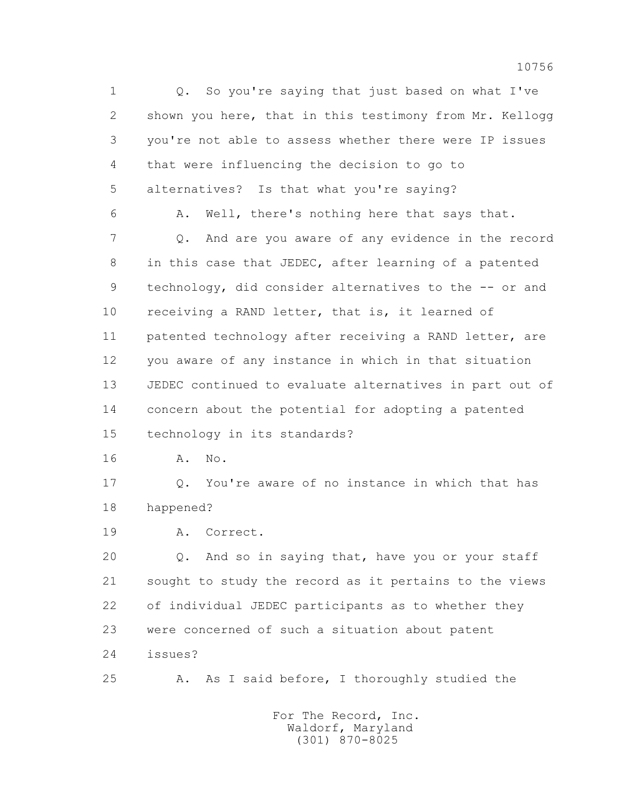1 Q. So you're saying that just based on what I've 2 shown you here, that in this testimony from Mr. Kellogg 3 you're not able to assess whether there were IP issues 4 that were influencing the decision to go to 5 alternatives? Is that what you're saying? 6 A. Well, there's nothing here that says that. 7 Q. And are you aware of any evidence in the record 8 in this case that JEDEC, after learning of a patented 9 technology, did consider alternatives to the -- or and 10 receiving a RAND letter, that is, it learned of 11 patented technology after receiving a RAND letter, are 12 you aware of any instance in which in that situation 13 JEDEC continued to evaluate alternatives in part out of 14 concern about the potential for adopting a patented 15 technology in its standards? 16 A. No.

 17 Q. You're aware of no instance in which that has 18 happened?

19 A. Correct.

 20 Q. And so in saying that, have you or your staff 21 sought to study the record as it pertains to the views 22 of individual JEDEC participants as to whether they 23 were concerned of such a situation about patent 24 issues?

25 A. As I said before, I thoroughly studied the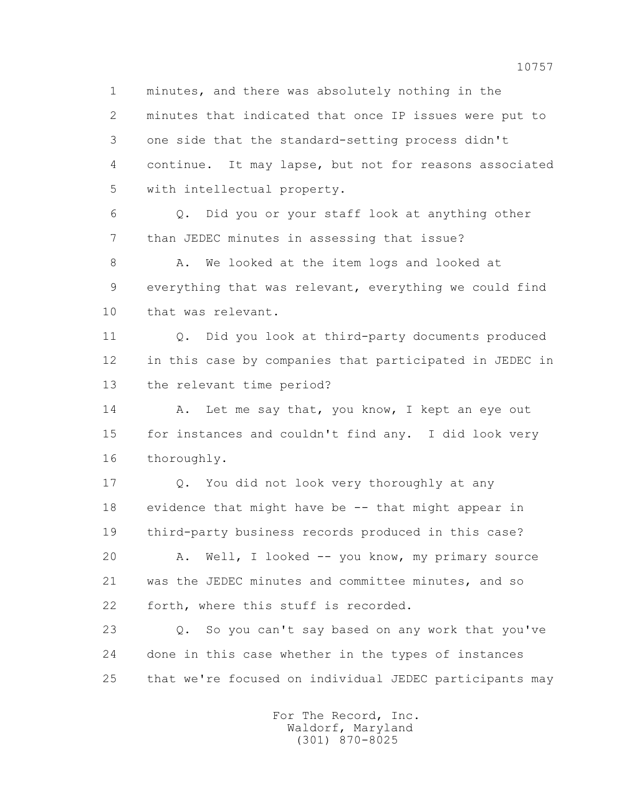1 minutes, and there was absolutely nothing in the 2 minutes that indicated that once IP issues were put to 3 one side that the standard-setting process didn't 4 continue. It may lapse, but not for reasons associated 5 with intellectual property.

 6 Q. Did you or your staff look at anything other 7 than JEDEC minutes in assessing that issue?

8 A. We looked at the item logs and looked at 9 everything that was relevant, everything we could find 10 that was relevant.

 11 Q. Did you look at third-party documents produced 12 in this case by companies that participated in JEDEC in 13 the relevant time period?

14 A. Let me say that, you know, I kept an eye out 15 for instances and couldn't find any. I did look very 16 thoroughly.

 17 Q. You did not look very thoroughly at any 18 evidence that might have be -- that might appear in 19 third-party business records produced in this case?

 20 A. Well, I looked -- you know, my primary source 21 was the JEDEC minutes and committee minutes, and so 22 forth, where this stuff is recorded.

 23 Q. So you can't say based on any work that you've 24 done in this case whether in the types of instances 25 that we're focused on individual JEDEC participants may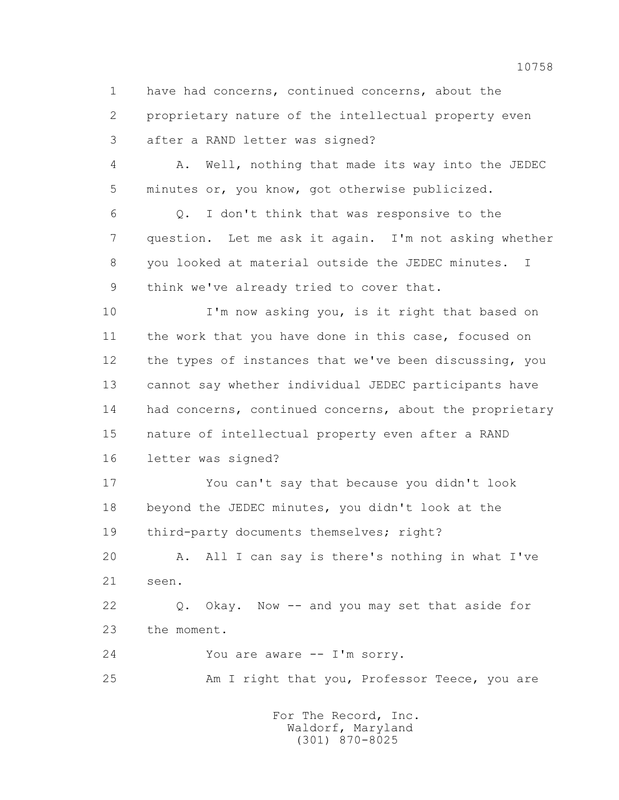1 have had concerns, continued concerns, about the 2 proprietary nature of the intellectual property even 3 after a RAND letter was signed?

 4 A. Well, nothing that made its way into the JEDEC 5 minutes or, you know, got otherwise publicized.

 6 Q. I don't think that was responsive to the 7 question. Let me ask it again. I'm not asking whether 8 you looked at material outside the JEDEC minutes. I 9 think we've already tried to cover that.

 10 I'm now asking you, is it right that based on 11 the work that you have done in this case, focused on 12 the types of instances that we've been discussing, you 13 cannot say whether individual JEDEC participants have 14 had concerns, continued concerns, about the proprietary 15 nature of intellectual property even after a RAND 16 letter was signed?

 17 You can't say that because you didn't look 18 beyond the JEDEC minutes, you didn't look at the 19 third-party documents themselves; right?

 20 A. All I can say is there's nothing in what I've 21 seen.

 22 Q. Okay. Now -- and you may set that aside for 23 the moment.

24 You are aware -- I'm sorry.

25 Am I right that you, Professor Teece, you are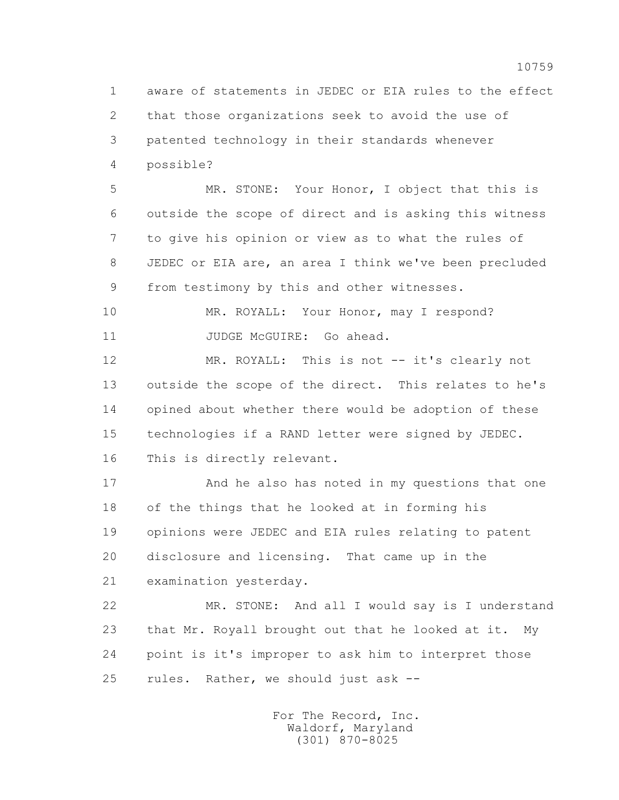1 aware of statements in JEDEC or EIA rules to the effect 2 that those organizations seek to avoid the use of 3 patented technology in their standards whenever 4 possible?

 5 MR. STONE: Your Honor, I object that this is 6 outside the scope of direct and is asking this witness 7 to give his opinion or view as to what the rules of 8 JEDEC or EIA are, an area I think we've been precluded 9 from testimony by this and other witnesses.

10 MR. ROYALL: Your Honor, may I respond? 11 JUDGE McGUIRE: Go ahead.

12 MR. ROYALL: This is not -- it's clearly not 13 outside the scope of the direct. This relates to he's 14 opined about whether there would be adoption of these 15 technologies if a RAND letter were signed by JEDEC. 16 This is directly relevant.

 17 And he also has noted in my questions that one 18 of the things that he looked at in forming his 19 opinions were JEDEC and EIA rules relating to patent 20 disclosure and licensing. That came up in the 21 examination yesterday.

 22 MR. STONE: And all I would say is I understand 23 that Mr. Royall brought out that he looked at it. My 24 point is it's improper to ask him to interpret those 25 rules. Rather, we should just ask --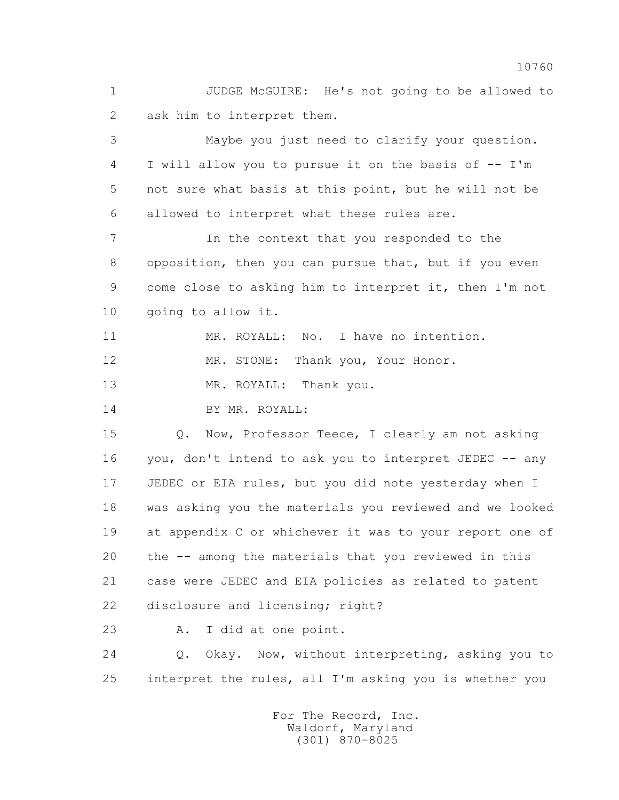1 JUDGE McGUIRE: He's not going to be allowed to 2 ask him to interpret them.

 3 Maybe you just need to clarify your question. 4 I will allow you to pursue it on the basis of -- I'm 5 not sure what basis at this point, but he will not be 6 allowed to interpret what these rules are.

 7 In the context that you responded to the 8 opposition, then you can pursue that, but if you even 9 come close to asking him to interpret it, then I'm not 10 going to allow it.

11 MR. ROYALL: No. I have no intention.

12 MR. STONE: Thank you, Your Honor.

13 MR. ROYALL: Thank you.

14 BY MR. ROYALL:

15 0. Now, Professor Teece, I clearly am not asking 16 you, don't intend to ask you to interpret JEDEC -- any 17 JEDEC or EIA rules, but you did note yesterday when I 18 was asking you the materials you reviewed and we looked 19 at appendix C or whichever it was to your report one of 20 the -- among the materials that you reviewed in this 21 case were JEDEC and EIA policies as related to patent 22 disclosure and licensing; right?

23 A. I did at one point.

 24 Q. Okay. Now, without interpreting, asking you to 25 interpret the rules, all I'm asking you is whether you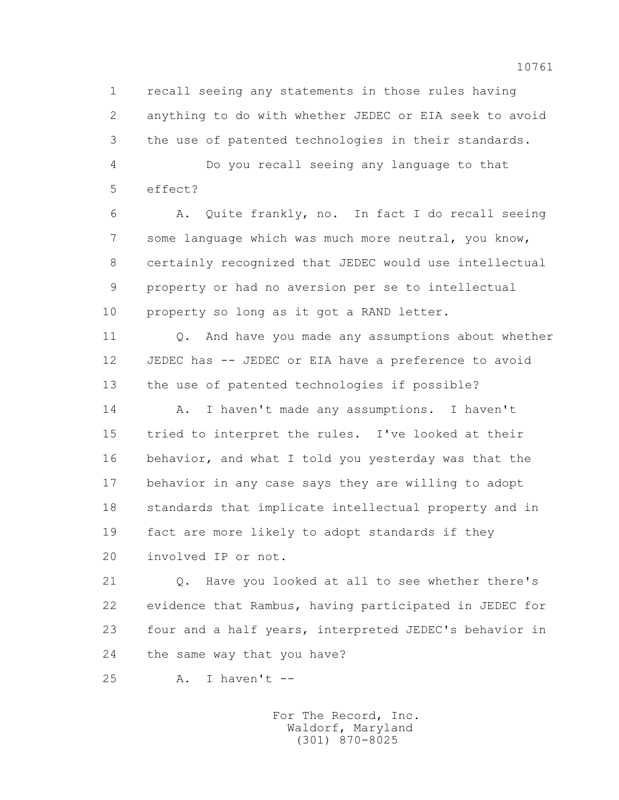1 recall seeing any statements in those rules having 2 anything to do with whether JEDEC or EIA seek to avoid 3 the use of patented technologies in their standards.

 4 Do you recall seeing any language to that 5 effect?

 6 A. Quite frankly, no. In fact I do recall seeing 7 some language which was much more neutral, you know, 8 certainly recognized that JEDEC would use intellectual 9 property or had no aversion per se to intellectual 10 property so long as it got a RAND letter.

11 0. And have you made any assumptions about whether 12 JEDEC has -- JEDEC or EIA have a preference to avoid 13 the use of patented technologies if possible?

 14 A. I haven't made any assumptions. I haven't 15 tried to interpret the rules. I've looked at their 16 behavior, and what I told you yesterday was that the 17 behavior in any case says they are willing to adopt 18 standards that implicate intellectual property and in 19 fact are more likely to adopt standards if they 20 involved IP or not.

 21 Q. Have you looked at all to see whether there's 22 evidence that Rambus, having participated in JEDEC for 23 four and a half years, interpreted JEDEC's behavior in 24 the same way that you have?

25 A. I haven't --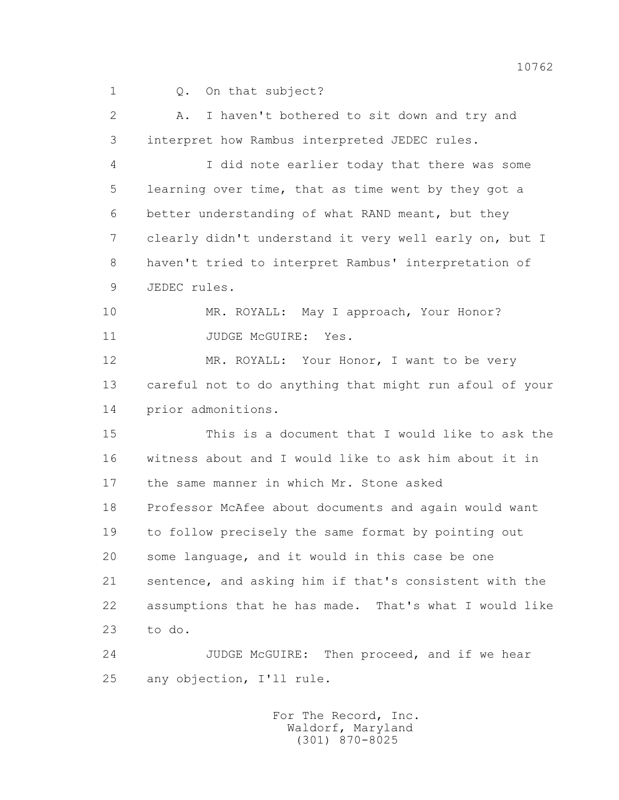1 0. On that subject?

 2 A. I haven't bothered to sit down and try and 3 interpret how Rambus interpreted JEDEC rules.

 4 I did note earlier today that there was some 5 learning over time, that as time went by they got a 6 better understanding of what RAND meant, but they 7 clearly didn't understand it very well early on, but I 8 haven't tried to interpret Rambus' interpretation of 9 JEDEC rules.

10 MR. ROYALL: May I approach, Your Honor? 11 JUDGE McGUIRE: Yes.

12 MR. ROYALL: Your Honor, I want to be very 13 careful not to do anything that might run afoul of your 14 prior admonitions.

 15 This is a document that I would like to ask the 16 witness about and I would like to ask him about it in 17 the same manner in which Mr. Stone asked 18 Professor McAfee about documents and again would want 19 to follow precisely the same format by pointing out 20 some language, and it would in this case be one 21 sentence, and asking him if that's consistent with the 22 assumptions that he has made. That's what I would like 23 to do.

24 JUDGE McGUIRE: Then proceed, and if we hear 25 any objection, I'll rule.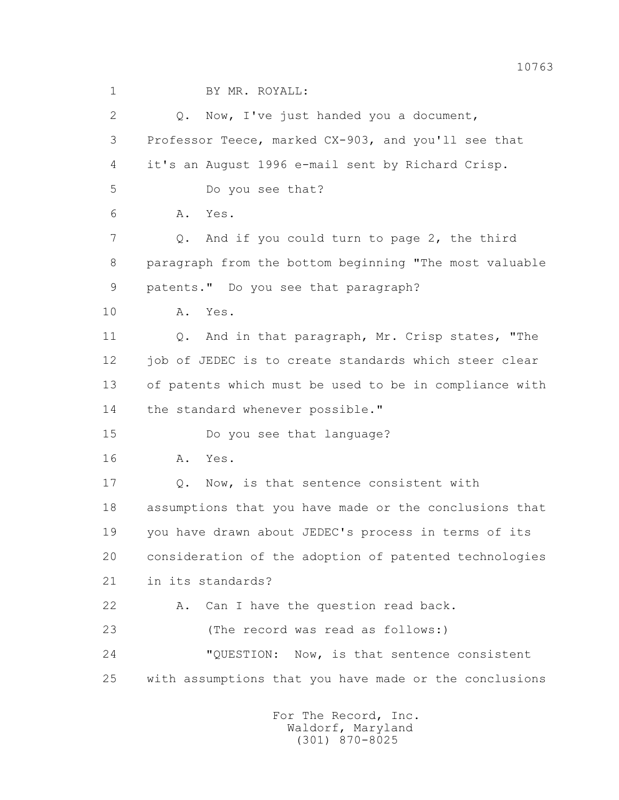| $\mathbf 1$  | BY MR. ROYALL:                                         |
|--------------|--------------------------------------------------------|
| $\mathbf{2}$ | Now, I've just handed you a document,<br>Q.            |
| 3            | Professor Teece, marked CX-903, and you'll see that    |
| 4            | it's an August 1996 e-mail sent by Richard Crisp.      |
| 5            | Do you see that?                                       |
| 6            | Α.<br>Yes.                                             |
| 7            | And if you could turn to page 2, the third<br>Q.       |
| 8            | paragraph from the bottom beginning "The most valuable |
| 9            | patents." Do you see that paragraph?                   |
| 10           | Α.<br>Yes.                                             |
| 11           | And in that paragraph, Mr. Crisp states, "The<br>Q.    |
| 12           | job of JEDEC is to create standards which steer clear  |
| 13           | of patents which must be used to be in compliance with |
| 14           | the standard whenever possible."                       |
| 15           | Do you see that language?                              |
| 16           | Yes.<br>Α.                                             |
| 17           | Now, is that sentence consistent with<br>Q.            |
| 18           | assumptions that you have made or the conclusions that |
| 19           | you have drawn about JEDEC's process in terms of its   |
| 20           | consideration of the adoption of patented technologies |
| 21           | in its standards?                                      |
| 22           | Can I have the question read back.<br>Α.               |
| 23           | (The record was read as follows:)                      |
| 24           | "QUESTION: Now, is that sentence consistent            |
| 25           | with assumptions that you have made or the conclusions |
|              |                                                        |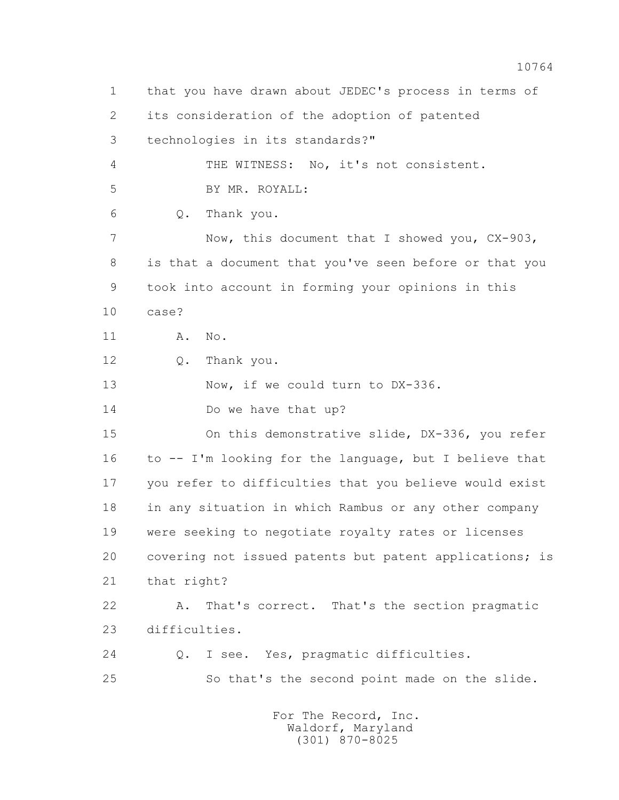1 that you have drawn about JEDEC's process in terms of 2 its consideration of the adoption of patented 3 technologies in its standards?" 4 THE WITNESS: No, it's not consistent. 5 BY MR. ROYALL: 6 Q. Thank you. 7 Now, this document that I showed you,  $CX-903$ , 8 is that a document that you've seen before or that you 9 took into account in forming your opinions in this 10 case? 11 A. No. 12 Q. Thank you. 13 Now, if we could turn to DX-336. 14 Do we have that up? 15 On this demonstrative slide, DX-336, you refer 16 to -- I'm looking for the language, but I believe that 17 you refer to difficulties that you believe would exist 18 in any situation in which Rambus or any other company 19 were seeking to negotiate royalty rates or licenses 20 covering not issued patents but patent applications; is 21 that right? 22 A. That's correct. That's the section pragmatic 23 difficulties. 24 Q. I see. Yes, pragmatic difficulties. 25 So that's the second point made on the slide. For The Record, Inc.

 Waldorf, Maryland (301) 870-8025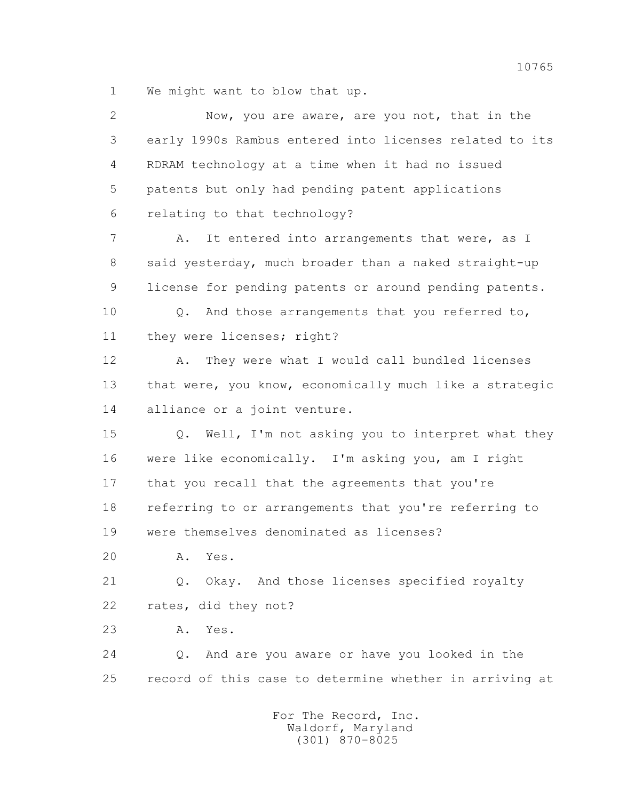1 We might want to blow that up.

| $\overline{2}$ | Now, you are aware, are you not, that in the                  |
|----------------|---------------------------------------------------------------|
| 3              | early 1990s Rambus entered into licenses related to its       |
| 4              | RDRAM technology at a time when it had no issued              |
| 5              | patents but only had pending patent applications              |
| 6              | relating to that technology?                                  |
| 7              | It entered into arrangements that were, as I<br>Α.            |
| 8              | said yesterday, much broader than a naked straight-up         |
| 9              | license for pending patents or around pending patents.        |
| 10             | Q. And those arrangements that you referred to,               |
| 11             | they were licenses; right?                                    |
| 12             | They were what I would call bundled licenses<br>Α.            |
| 13             | that were, you know, economically much like a strategic       |
| 14             | alliance or a joint venture.                                  |
| 15             | Q. Well, I'm not asking you to interpret what they            |
| 16             | were like economically. I'm asking you, am I right            |
| 17             | that you recall that the agreements that you're               |
| 18             | referring to or arrangements that you're referring to         |
| 19             | were themselves denominated as licenses?                      |
| 20             | Yes.<br>Α.                                                    |
| 21             | Okay. And those licenses specified royalty<br>$\mathsf{Q}$ .  |
| 22             | rates, did they not?                                          |
| 23             | Yes.<br>Α.                                                    |
| 24             | And are you aware or have you looked in the<br>$Q_{\bullet}$  |
| 25             | record of this case to determine whether in arriving at       |
|                | For The Record, Inc.<br>Waldorf, Maryland<br>$(301)$ 870-8025 |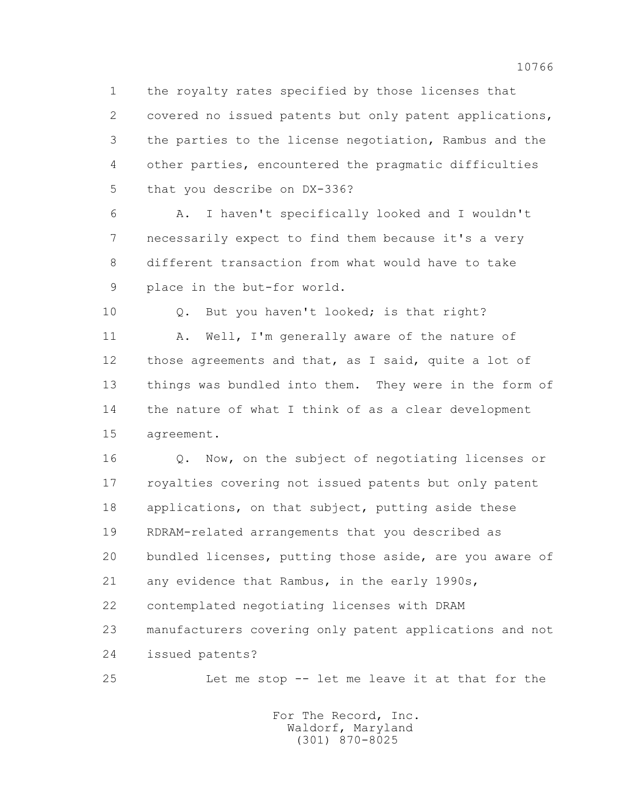1 the royalty rates specified by those licenses that 2 covered no issued patents but only patent applications, 3 the parties to the license negotiation, Rambus and the 4 other parties, encountered the pragmatic difficulties 5 that you describe on DX-336?

 6 A. I haven't specifically looked and I wouldn't 7 necessarily expect to find them because it's a very 8 different transaction from what would have to take 9 place in the but-for world.

10 0. But you haven't looked; is that right?

11 A. Well, I'm generally aware of the nature of 12 those agreements and that, as I said, quite a lot of 13 things was bundled into them. They were in the form of 14 the nature of what I think of as a clear development 15 agreement.

 16 Q. Now, on the subject of negotiating licenses or 17 royalties covering not issued patents but only patent 18 applications, on that subject, putting aside these 19 RDRAM-related arrangements that you described as 20 bundled licenses, putting those aside, are you aware of 21 any evidence that Rambus, in the early 1990s, 22 contemplated negotiating licenses with DRAM 23 manufacturers covering only patent applications and not 24 issued patents?

25 Let me stop -- let me leave it at that for the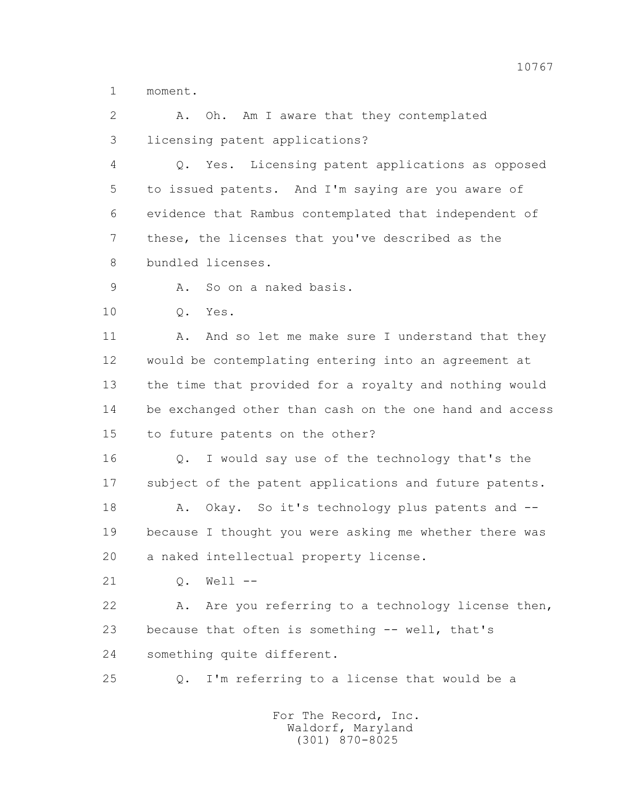1 moment.

 2 A. Oh. Am I aware that they contemplated 3 licensing patent applications?

 4 Q. Yes. Licensing patent applications as opposed 5 to issued patents. And I'm saying are you aware of 6 evidence that Rambus contemplated that independent of 7 these, the licenses that you've described as the 8 bundled licenses.

9 A. So on a naked basis.

10 Q. Yes.

11 A. And so let me make sure I understand that they 12 would be contemplating entering into an agreement at 13 the time that provided for a royalty and nothing would 14 be exchanged other than cash on the one hand and access 15 to future patents on the other?

16 0. I would say use of the technology that's the 17 subject of the patent applications and future patents.

 18 A. Okay. So it's technology plus patents and -- 19 because I thought you were asking me whether there was 20 a naked intellectual property license.

21 0. Well --

22 A. Are you referring to a technology license then, 23 because that often is something -- well, that's 24 something quite different.

25 Q. I'm referring to a license that would be a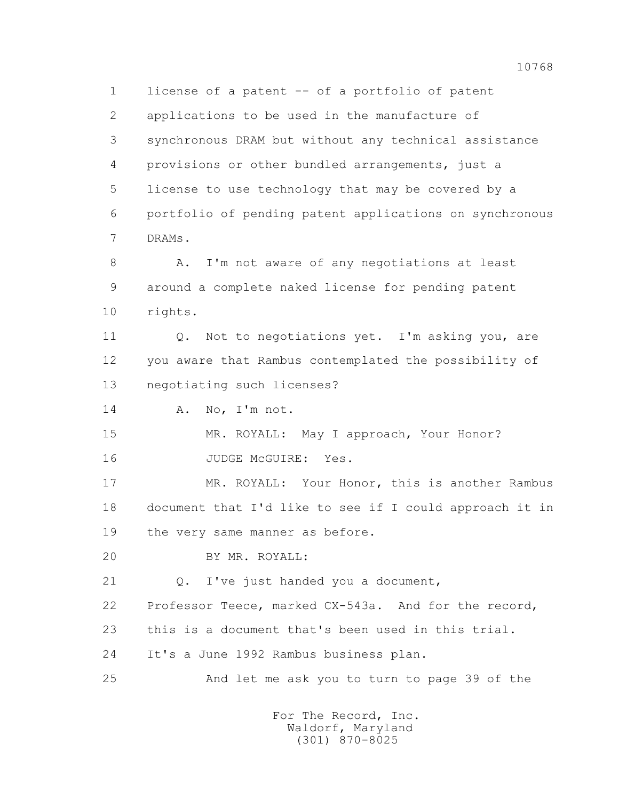1 license of a patent -- of a portfolio of patent 2 applications to be used in the manufacture of 3 synchronous DRAM but without any technical assistance 4 provisions or other bundled arrangements, just a 5 license to use technology that may be covered by a 6 portfolio of pending patent applications on synchronous 7 DRAMs.

 8 A. I'm not aware of any negotiations at least 9 around a complete naked license for pending patent 10 rights.

 11 Q. Not to negotiations yet. I'm asking you, are 12 you aware that Rambus contemplated the possibility of 13 negotiating such licenses?

14 A. No, I'm not.

 15 MR. ROYALL: May I approach, Your Honor? 16 JUDGE McGUIRE: Yes.

 17 MR. ROYALL: Your Honor, this is another Rambus 18 document that I'd like to see if I could approach it in 19 the very same manner as before.

20 BY MR. ROYALL:

21 Q. I've just handed you a document,

22 Professor Teece, marked CX-543a. And for the record,

23 this is a document that's been used in this trial.

24 It's a June 1992 Rambus business plan.

25 And let me ask you to turn to page 39 of the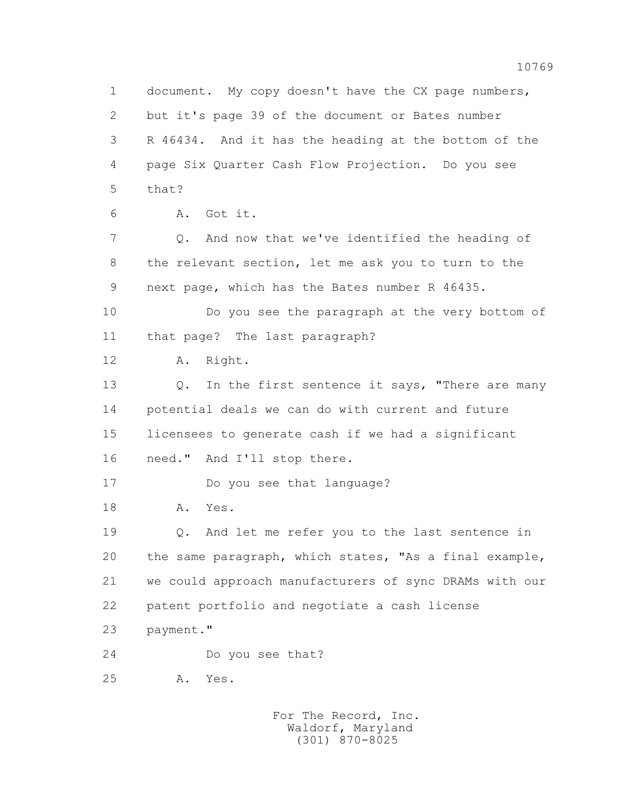1 document. My copy doesn't have the CX page numbers, 2 but it's page 39 of the document or Bates number 3 R 46434. And it has the heading at the bottom of the 4 page Six Quarter Cash Flow Projection. Do you see 5 that? 6 A. Got it. 7 Q. And now that we've identified the heading of 8 the relevant section, let me ask you to turn to the 9 next page, which has the Bates number R 46435. 10 Do you see the paragraph at the very bottom of 11 that page? The last paragraph? 12 A. Right. 13 Q. In the first sentence it says, "There are many 14 potential deals we can do with current and future 15 licensees to generate cash if we had a significant 16 need." And I'll stop there. 17 Do you see that language? 18 A. Yes. 19 Q. And let me refer you to the last sentence in 20 the same paragraph, which states, "As a final example, 21 we could approach manufacturers of sync DRAMs with our 22 patent portfolio and negotiate a cash license 23 payment." 24 Do you see that? 25 A. Yes.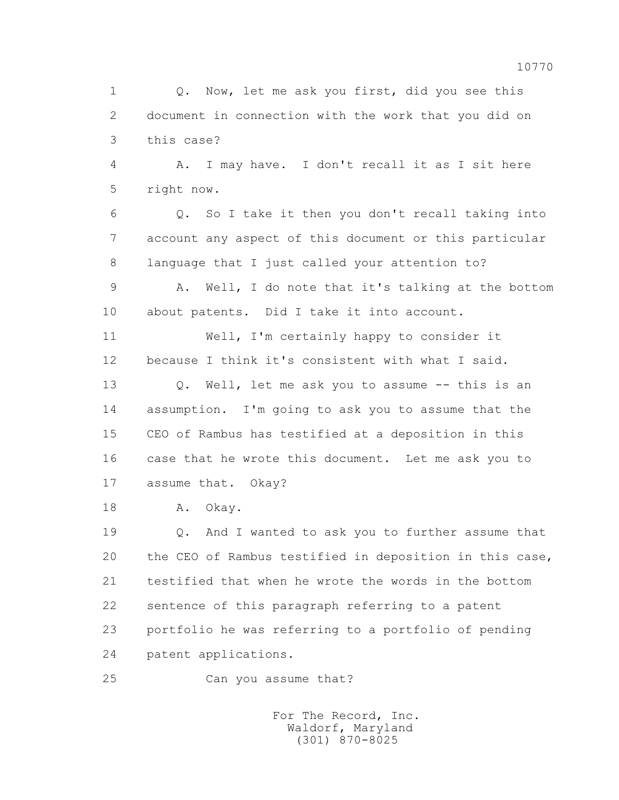1 0. Now, let me ask you first, did you see this 2 document in connection with the work that you did on 3 this case?

 4 A. I may have. I don't recall it as I sit here 5 right now.

 6 Q. So I take it then you don't recall taking into 7 account any aspect of this document or this particular 8 language that I just called your attention to?

 9 A. Well, I do note that it's talking at the bottom 10 about patents. Did I take it into account.

 11 Well, I'm certainly happy to consider it 12 because I think it's consistent with what I said.

13 O. Well, let me ask you to assume -- this is an 14 assumption. I'm going to ask you to assume that the 15 CEO of Rambus has testified at a deposition in this 16 case that he wrote this document. Let me ask you to 17 assume that. Okay?

18 A. Okay.

 19 Q. And I wanted to ask you to further assume that 20 the CEO of Rambus testified in deposition in this case, 21 testified that when he wrote the words in the bottom 22 sentence of this paragraph referring to a patent 23 portfolio he was referring to a portfolio of pending 24 patent applications.

25 Can you assume that?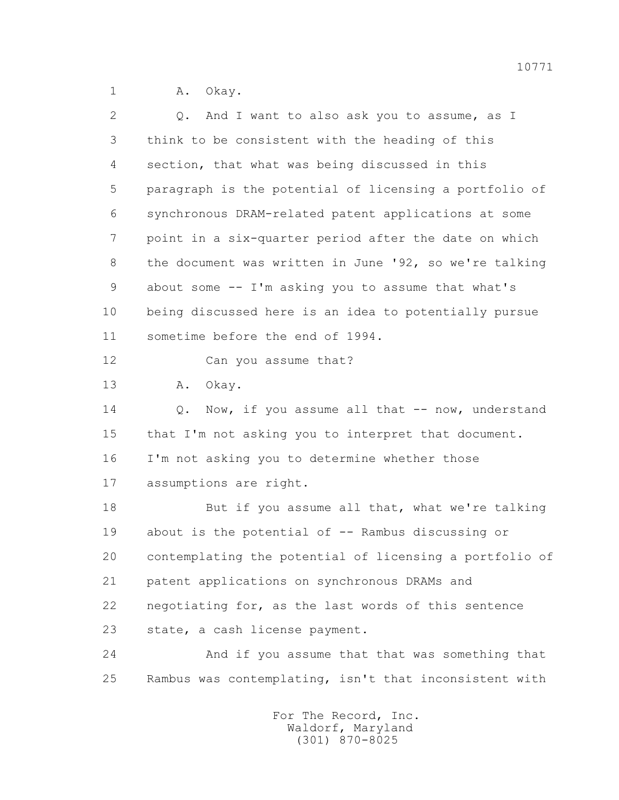1 A. Okay.

| $\overline{2}$ | And I want to also ask you to assume, as I<br>Q.        |
|----------------|---------------------------------------------------------|
| 3              | think to be consistent with the heading of this         |
| 4              | section, that what was being discussed in this          |
| 5              | paragraph is the potential of licensing a portfolio of  |
| 6              | synchronous DRAM-related patent applications at some    |
| 7              | point in a six-quarter period after the date on which   |
| 8              | the document was written in June '92, so we're talking  |
| 9              | about some -- I'm asking you to assume that what's      |
| 10             | being discussed here is an idea to potentially pursue   |
| 11             | sometime before the end of 1994.                        |
| 12             | Can you assume that?                                    |
| 13             | Okay.<br>Α.                                             |
| 14             | Now, if you assume all that -- now, understand<br>Q.    |
| 15             | that I'm not asking you to interpret that document.     |
| 16             | I'm not asking you to determine whether those           |
| 17             | assumptions are right.                                  |
| 18             | But if you assume all that, what we're talking          |
| 19             | about is the potential of -- Rambus discussing or       |
| 20             | contemplating the potential of licensing a portfolio of |
| 21             | patent applications on synchronous DRAMs and            |
| 22             | negotiating for, as the last words of this sentence     |
| 23             | state, a cash license payment.                          |
| 24             | And if you assume that that was something that          |
| 25             | Rambus was contemplating, isn't that inconsistent with  |
|                |                                                         |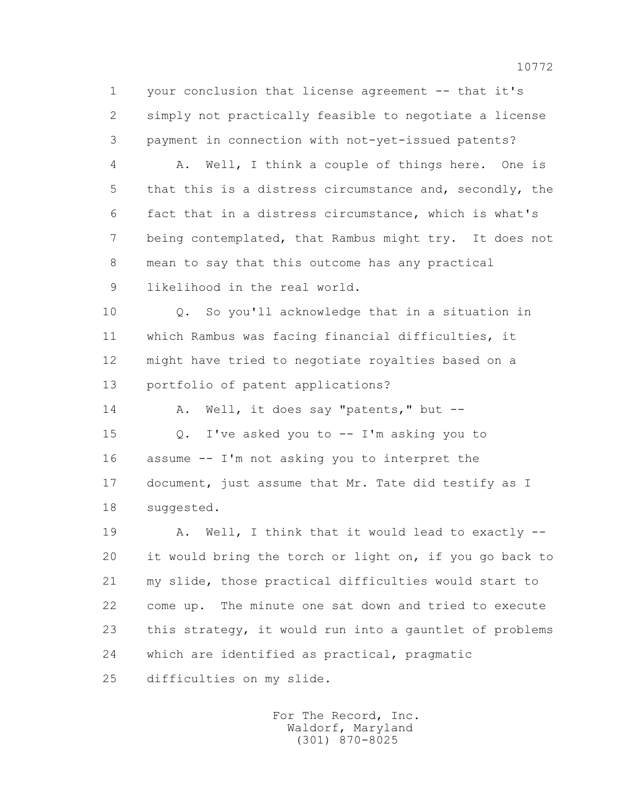1 your conclusion that license agreement -- that it's 2 simply not practically feasible to negotiate a license 3 payment in connection with not-yet-issued patents?

 4 A. Well, I think a couple of things here. One is 5 that this is a distress circumstance and, secondly, the 6 fact that in a distress circumstance, which is what's 7 being contemplated, that Rambus might try. It does not 8 mean to say that this outcome has any practical 9 likelihood in the real world.

 10 Q. So you'll acknowledge that in a situation in 11 which Rambus was facing financial difficulties, it 12 might have tried to negotiate royalties based on a 13 portfolio of patent applications?

14 A. Well, it does say "patents," but --

 15 Q. I've asked you to -- I'm asking you to 16 assume -- I'm not asking you to interpret the 17 document, just assume that Mr. Tate did testify as I 18 suggested.

19 A. Well, I think that it would lead to exactly -- 20 it would bring the torch or light on, if you go back to 21 my slide, those practical difficulties would start to 22 come up. The minute one sat down and tried to execute 23 this strategy, it would run into a gauntlet of problems 24 which are identified as practical, pragmatic 25 difficulties on my slide.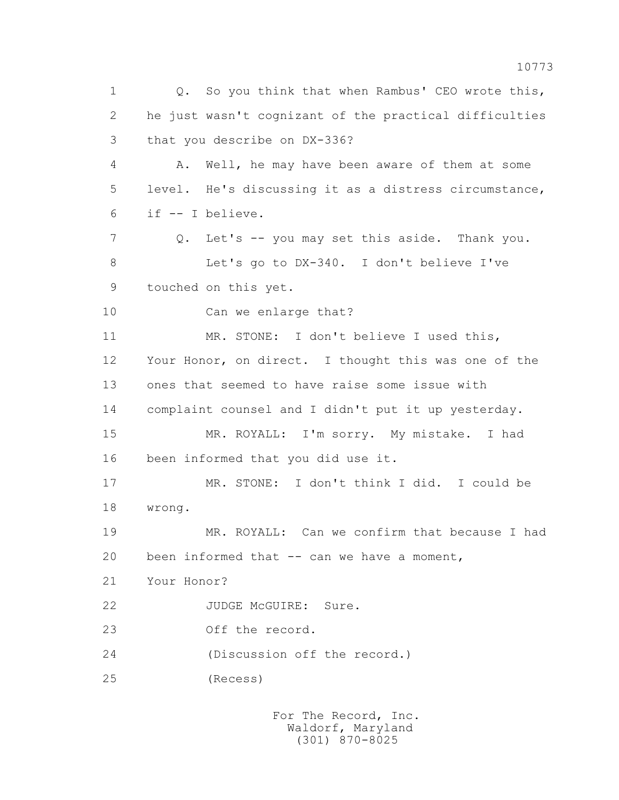1 Q. So you think that when Rambus' CEO wrote this, 2 he just wasn't cognizant of the practical difficulties 3 that you describe on DX-336? 4 A. Well, he may have been aware of them at some 5 level. He's discussing it as a distress circumstance, 6 if -- I believe. 7 Q. Let's -- you may set this aside. Thank you. 8 Let's go to DX-340. I don't believe I've 9 touched on this yet. 10 Can we enlarge that? 11 MR. STONE: I don't believe I used this, 12 Your Honor, on direct. I thought this was one of the 13 ones that seemed to have raise some issue with 14 complaint counsel and I didn't put it up yesterday. 15 MR. ROYALL: I'm sorry. My mistake. I had 16 been informed that you did use it. 17 MR. STONE: I don't think I did. I could be 18 wrong. 19 MR. ROYALL: Can we confirm that because I had 20 been informed that -- can we have a moment, 21 Your Honor? 22 JUDGE McGUIRE: Sure. 23 Off the record. 24 (Discussion off the record.) 25 (Recess)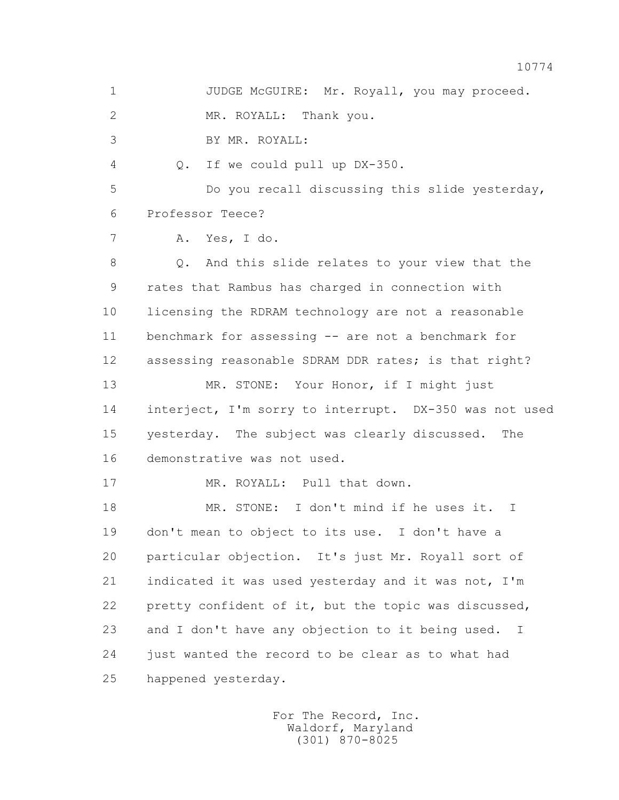1 JUDGE McGUIRE: Mr. Royall, you may proceed. 2 MR. ROYALL: Thank you. 3 BY MR. ROYALL: 4 Q. If we could pull up DX-350. 5 Do you recall discussing this slide yesterday, 6 Professor Teece? 7 A. Yes, I do. 8 Q. And this slide relates to your view that the 9 rates that Rambus has charged in connection with 10 licensing the RDRAM technology are not a reasonable 11 benchmark for assessing -- are not a benchmark for 12 assessing reasonable SDRAM DDR rates; is that right? 13 MR. STONE: Your Honor, if I might just 14 interject, I'm sorry to interrupt. DX-350 was not used 15 yesterday. The subject was clearly discussed. The 16 demonstrative was not used. 17 MR. ROYALL: Pull that down. 18 MR. STONE: I don't mind if he uses it. I 19 don't mean to object to its use. I don't have a 20 particular objection. It's just Mr. Royall sort of 21 indicated it was used yesterday and it was not, I'm 22 pretty confident of it, but the topic was discussed, 23 and I don't have any objection to it being used. I 24 just wanted the record to be clear as to what had 25 happened yesterday.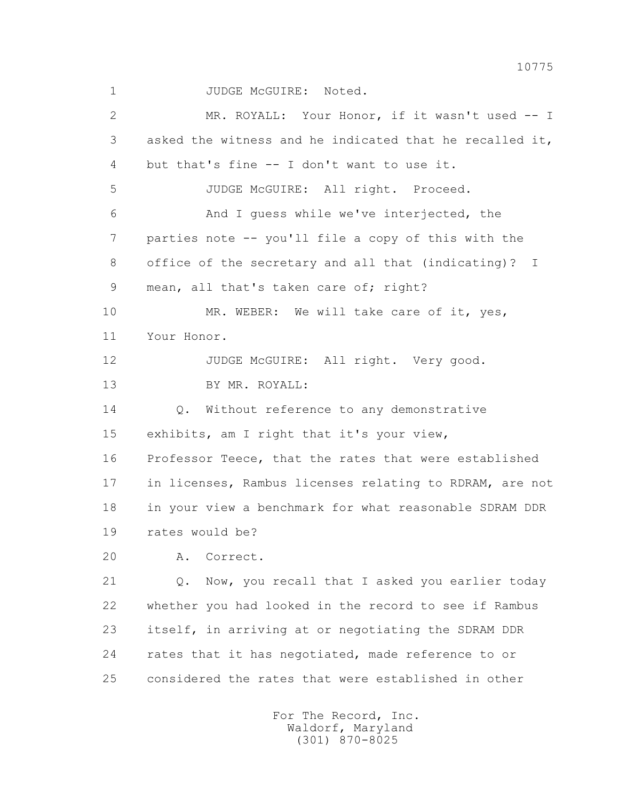1 JUDGE McGUIRE: Noted.

 2 MR. ROYALL: Your Honor, if it wasn't used -- I 3 asked the witness and he indicated that he recalled it, 4 but that's fine -- I don't want to use it. 5 JUDGE McGUIRE: All right. Proceed. 6 And I guess while we've interjected, the 7 parties note -- you'll file a copy of this with the 8 office of the secretary and all that (indicating)? I 9 mean, all that's taken care of; right? 10 MR. WEBER: We will take care of it, yes, 11 Your Honor. 12 JUDGE McGUIRE: All right. Very good. 13 BY MR. ROYALL: 14 Q. Without reference to any demonstrative 15 exhibits, am I right that it's your view, 16 Professor Teece, that the rates that were established 17 in licenses, Rambus licenses relating to RDRAM, are not 18 in your view a benchmark for what reasonable SDRAM DDR 19 rates would be? 20 A. Correct. 21 Q. Now, you recall that I asked you earlier today 22 whether you had looked in the record to see if Rambus 23 itself, in arriving at or negotiating the SDRAM DDR 24 rates that it has negotiated, made reference to or 25 considered the rates that were established in other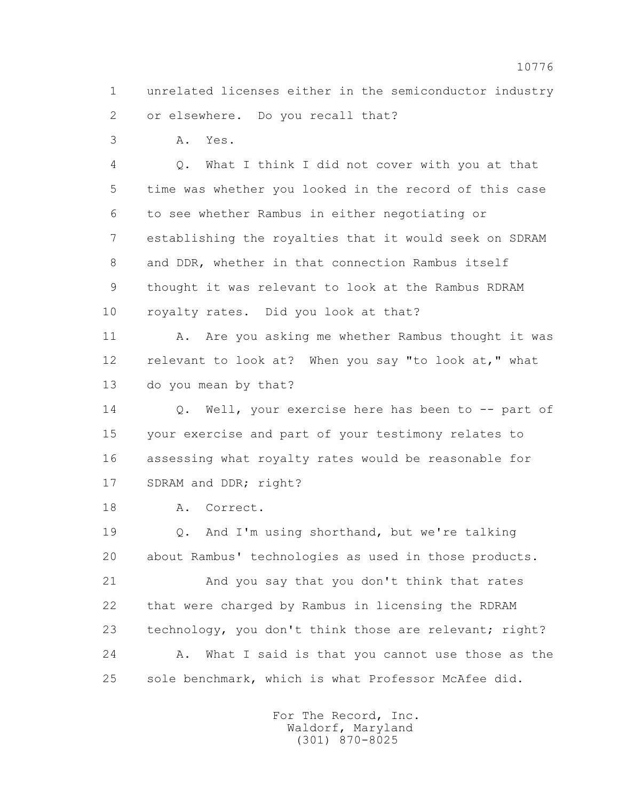1 unrelated licenses either in the semiconductor industry 2 or elsewhere. Do you recall that?

3 A. Yes.

 4 Q. What I think I did not cover with you at that 5 time was whether you looked in the record of this case 6 to see whether Rambus in either negotiating or 7 establishing the royalties that it would seek on SDRAM 8 and DDR, whether in that connection Rambus itself 9 thought it was relevant to look at the Rambus RDRAM 10 royalty rates. Did you look at that?

11 A. Are you asking me whether Rambus thought it was 12 relevant to look at? When you say "to look at, " what 13 do you mean by that?

 14 Q. Well, your exercise here has been to -- part of 15 your exercise and part of your testimony relates to 16 assessing what royalty rates would be reasonable for 17 SDRAM and DDR; right?

18 A. Correct.

 19 Q. And I'm using shorthand, but we're talking 20 about Rambus' technologies as used in those products.

 21 And you say that you don't think that rates 22 that were charged by Rambus in licensing the RDRAM 23 technology, you don't think those are relevant; right? 24 A. What I said is that you cannot use those as the 25 sole benchmark, which is what Professor McAfee did.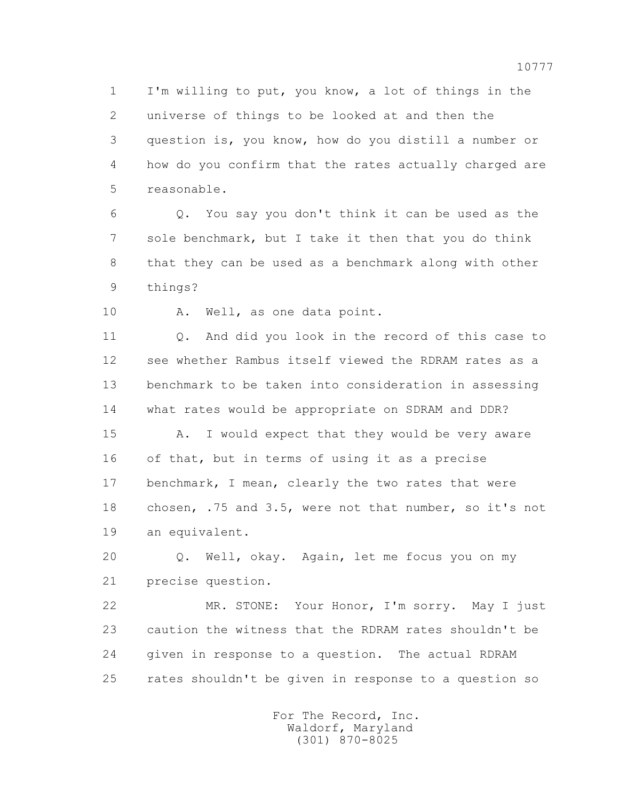1 I'm willing to put, you know, a lot of things in the 2 universe of things to be looked at and then the 3 question is, you know, how do you distill a number or 4 how do you confirm that the rates actually charged are 5 reasonable.

 6 Q. You say you don't think it can be used as the 7 sole benchmark, but I take it then that you do think 8 that they can be used as a benchmark along with other 9 things?

10 A. Well, as one data point.

 11 Q. And did you look in the record of this case to 12 see whether Rambus itself viewed the RDRAM rates as a 13 benchmark to be taken into consideration in assessing 14 what rates would be appropriate on SDRAM and DDR?

 15 A. I would expect that they would be very aware 16 of that, but in terms of using it as a precise 17 benchmark, I mean, clearly the two rates that were 18 chosen, .75 and 3.5, were not that number, so it's not 19 an equivalent.

 20 Q. Well, okay. Again, let me focus you on my 21 precise question.

 22 MR. STONE: Your Honor, I'm sorry. May I just 23 caution the witness that the RDRAM rates shouldn't be 24 given in response to a question. The actual RDRAM 25 rates shouldn't be given in response to a question so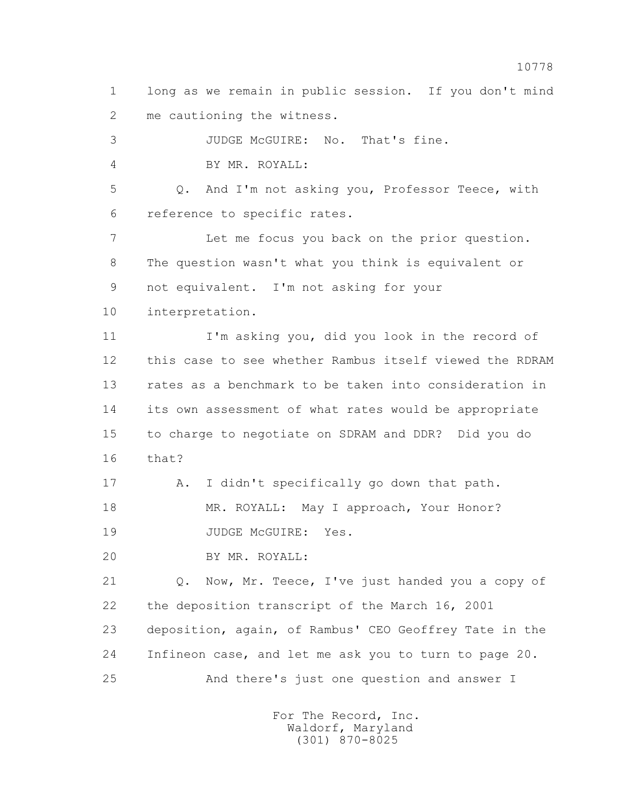1 long as we remain in public session. If you don't mind 2 me cautioning the witness.

 3 JUDGE McGUIRE: No. That's fine. 4 BY MR. ROYALL: 5 Q. And I'm not asking you, Professor Teece, with 6 reference to specific rates. 7 Let me focus you back on the prior question. 8 The question wasn't what you think is equivalent or 9 not equivalent. I'm not asking for your 10 interpretation.

 11 I'm asking you, did you look in the record of 12 this case to see whether Rambus itself viewed the RDRAM 13 rates as a benchmark to be taken into consideration in 14 its own assessment of what rates would be appropriate 15 to charge to negotiate on SDRAM and DDR? Did you do 16 that?

 17 A. I didn't specifically go down that path. 18 MR. ROYALL: May I approach, Your Honor? 19 JUDGE McGUIRE: Yes.

20 BY MR. ROYALL:

 21 Q. Now, Mr. Teece, I've just handed you a copy of 22 the deposition transcript of the March 16, 2001 23 deposition, again, of Rambus' CEO Geoffrey Tate in the 24 Infineon case, and let me ask you to turn to page 20. 25 And there's just one question and answer I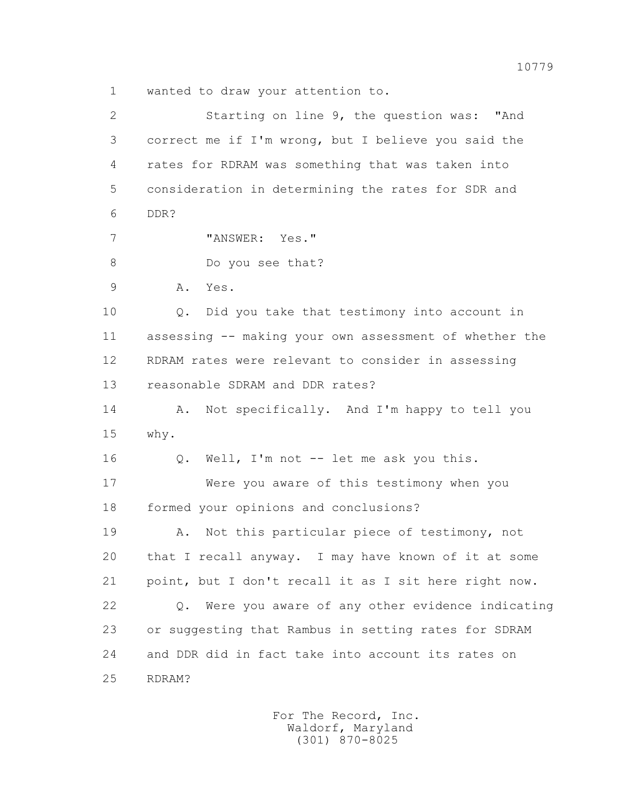1 wanted to draw your attention to.

 2 Starting on line 9, the question was: "And 3 correct me if I'm wrong, but I believe you said the 4 rates for RDRAM was something that was taken into 5 consideration in determining the rates for SDR and 6 DDR? 7 "ANSWER: Yes." 8 Do you see that? 9 A. Yes. 10 Q. Did you take that testimony into account in 11 assessing -- making your own assessment of whether the 12 RDRAM rates were relevant to consider in assessing 13 reasonable SDRAM and DDR rates? 14 A. Not specifically. And I'm happy to tell you 15 why. 16 Q. Well, I'm not -- let me ask you this. 17 Were you aware of this testimony when you 18 formed your opinions and conclusions? 19 A. Not this particular piece of testimony, not 20 that I recall anyway. I may have known of it at some 21 point, but I don't recall it as I sit here right now. 22 Q. Were you aware of any other evidence indicating 23 or suggesting that Rambus in setting rates for SDRAM 24 and DDR did in fact take into account its rates on 25 RDRAM?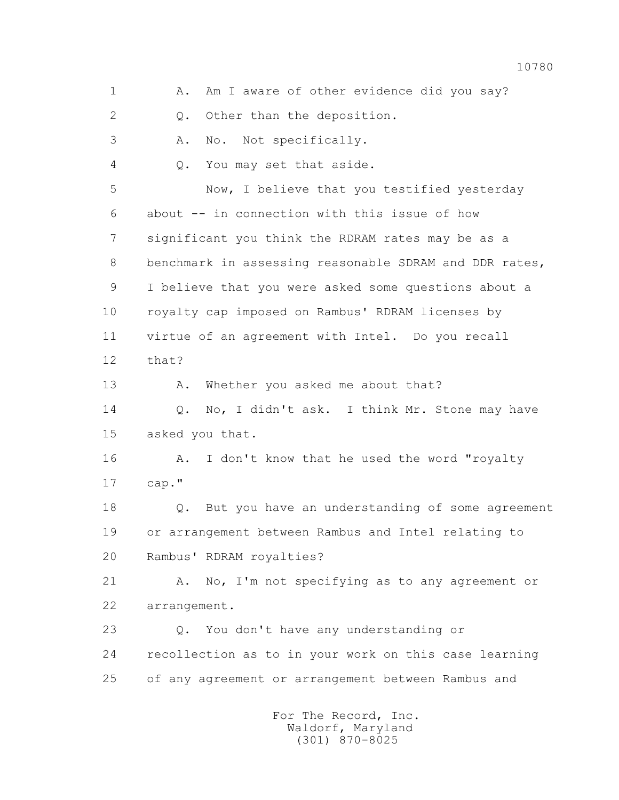1 A. Am I aware of other evidence did you say? 2 Q. Other than the deposition. 3 A. No. Not specifically. 4 Q. You may set that aside. 5 Now, I believe that you testified yesterday 6 about -- in connection with this issue of how 7 significant you think the RDRAM rates may be as a 8 benchmark in assessing reasonable SDRAM and DDR rates, 9 I believe that you were asked some questions about a 10 royalty cap imposed on Rambus' RDRAM licenses by 11 virtue of an agreement with Intel. Do you recall 12 that? 13 A. Whether you asked me about that? 14 Q. No, I didn't ask. I think Mr. Stone may have 15 asked you that. 16 A. I don't know that he used the word "royalty 17 cap." 18 Q. But you have an understanding of some agreement 19 or arrangement between Rambus and Intel relating to 20 Rambus' RDRAM royalties? 21 A. No, I'm not specifying as to any agreement or 22 arrangement. 23 Q. You don't have any understanding or 24 recollection as to in your work on this case learning 25 of any agreement or arrangement between Rambus and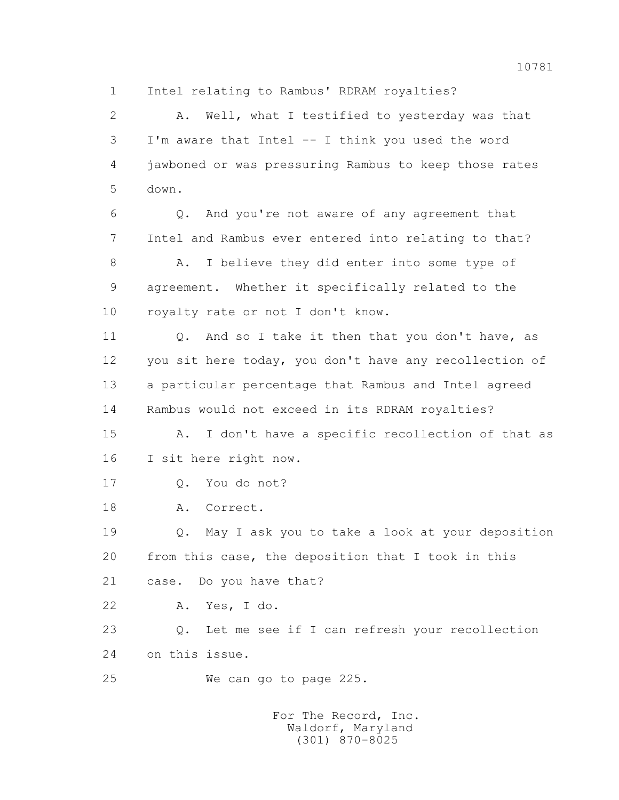1 Intel relating to Rambus' RDRAM royalties?

 2 A. Well, what I testified to yesterday was that 3 I'm aware that Intel -- I think you used the word 4 jawboned or was pressuring Rambus to keep those rates 5 down.

 6 Q. And you're not aware of any agreement that 7 Intel and Rambus ever entered into relating to that? 8 A. I believe they did enter into some type of 9 agreement. Whether it specifically related to the 10 royalty rate or not I don't know.

11 0. And so I take it then that you don't have, as 12 you sit here today, you don't have any recollection of 13 a particular percentage that Rambus and Intel agreed 14 Rambus would not exceed in its RDRAM royalties?

 15 A. I don't have a specific recollection of that as 16 I sit here right now.

17 Q. You do not?

18 A. Correct.

 19 Q. May I ask you to take a look at your deposition 20 from this case, the deposition that I took in this 21 case. Do you have that?

22 A. Yes, I do.

 23 Q. Let me see if I can refresh your recollection 24 on this issue.

25 We can go to page 225.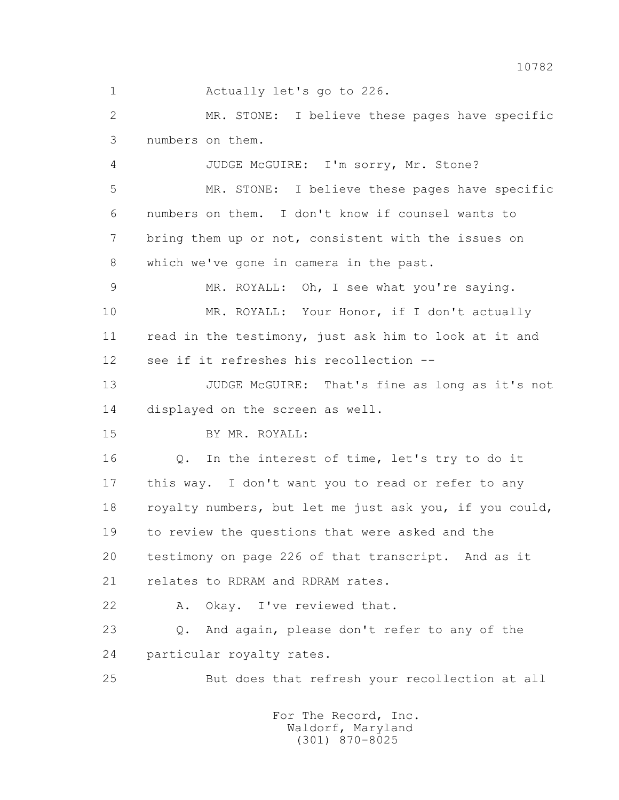1 Actually let's go to 226.

 2 MR. STONE: I believe these pages have specific 3 numbers on them.

4 JUDGE McGUIRE: I'm sorry, Mr. Stone?

 5 MR. STONE: I believe these pages have specific 6 numbers on them. I don't know if counsel wants to 7 bring them up or not, consistent with the issues on 8 which we've gone in camera in the past.

9 MR. ROYALL: Oh, I see what you're saying. 10 MR. ROYALL: Your Honor, if I don't actually 11 read in the testimony, just ask him to look at it and 12 see if it refreshes his recollection --

 13 JUDGE McGUIRE: That's fine as long as it's not 14 displayed on the screen as well.

15 BY MR. ROYALL:

 16 Q. In the interest of time, let's try to do it 17 this way. I don't want you to read or refer to any 18 royalty numbers, but let me just ask you, if you could, 19 to review the questions that were asked and the 20 testimony on page 226 of that transcript. And as it 21 relates to RDRAM and RDRAM rates.

22 A. Okay. I've reviewed that.

 23 Q. And again, please don't refer to any of the 24 particular royalty rates.

25 But does that refresh your recollection at all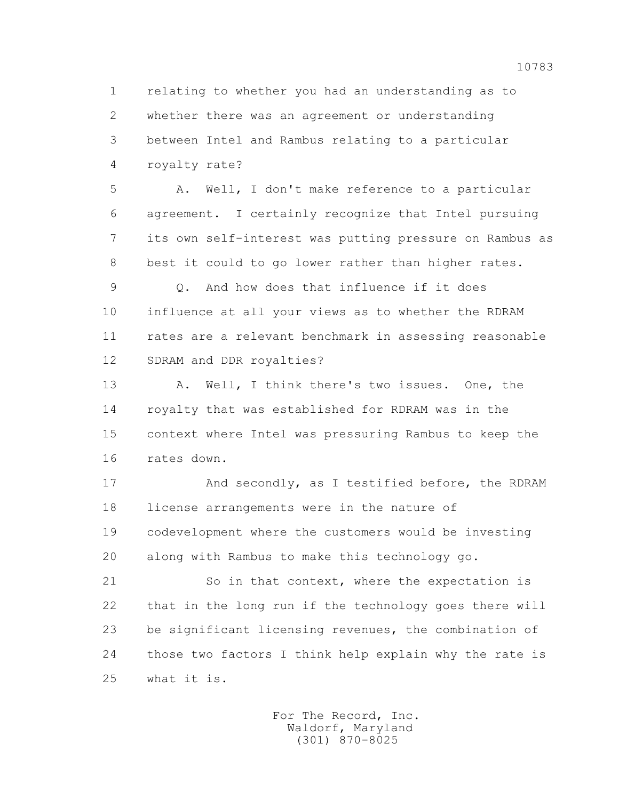1 relating to whether you had an understanding as to 2 whether there was an agreement or understanding 3 between Intel and Rambus relating to a particular 4 royalty rate?

 5 A. Well, I don't make reference to a particular 6 agreement. I certainly recognize that Intel pursuing 7 its own self-interest was putting pressure on Rambus as 8 best it could to go lower rather than higher rates.

 9 Q. And how does that influence if it does 10 influence at all your views as to whether the RDRAM 11 rates are a relevant benchmark in assessing reasonable 12 SDRAM and DDR royalties?

 13 A. Well, I think there's two issues. One, the 14 royalty that was established for RDRAM was in the 15 context where Intel was pressuring Rambus to keep the 16 rates down.

 17 And secondly, as I testified before, the RDRAM 18 license arrangements were in the nature of 19 codevelopment where the customers would be investing 20 along with Rambus to make this technology go.

21 So in that context, where the expectation is 22 that in the long run if the technology goes there will 23 be significant licensing revenues, the combination of 24 those two factors I think help explain why the rate is 25 what it is.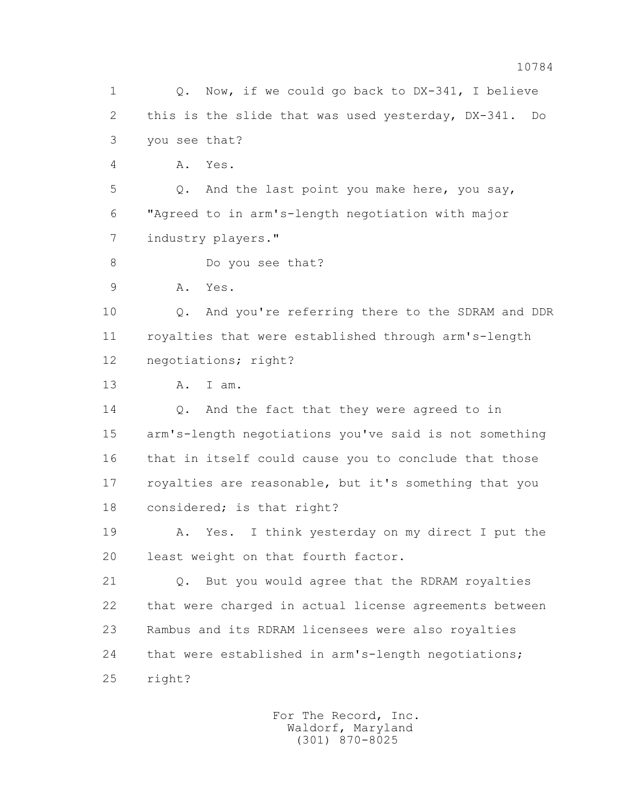1 Q. Now, if we could go back to DX-341, I believe 2 this is the slide that was used yesterday, DX-341. Do 3 you see that? 4 A. Yes. 5 Q. And the last point you make here, you say, 6 "Agreed to in arm's-length negotiation with major 7 industry players." 8 Do you see that? 9 A. Yes. 10 Q. And you're referring there to the SDRAM and DDR 11 royalties that were established through arm's-length 12 negotiations; right? 13 A. I am. 14 Q. And the fact that they were agreed to in 15 arm's-length negotiations you've said is not something 16 that in itself could cause you to conclude that those 17 royalties are reasonable, but it's something that you 18 considered; is that right? 19 A. Yes. I think yesterday on my direct I put the 20 least weight on that fourth factor. 21 Q. But you would agree that the RDRAM royalties 22 that were charged in actual license agreements between 23 Rambus and its RDRAM licensees were also royalties 24 that were established in arm's-length negotiations; 25 right?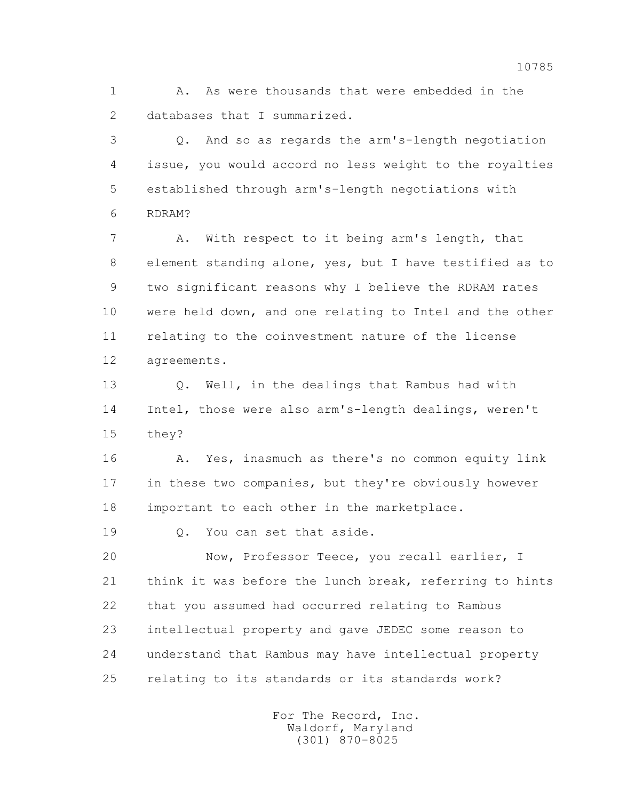1 A. As were thousands that were embedded in the 2 databases that I summarized.

 3 Q. And so as regards the arm's-length negotiation 4 issue, you would accord no less weight to the royalties 5 established through arm's-length negotiations with 6 RDRAM?

 7 A. With respect to it being arm's length, that 8 element standing alone, yes, but I have testified as to 9 two significant reasons why I believe the RDRAM rates 10 were held down, and one relating to Intel and the other 11 relating to the coinvestment nature of the license 12 agreements.

 13 Q. Well, in the dealings that Rambus had with 14 Intel, those were also arm's-length dealings, weren't 15 they?

 16 A. Yes, inasmuch as there's no common equity link 17 in these two companies, but they're obviously however 18 important to each other in the marketplace.

19 0. You can set that aside.

 20 Now, Professor Teece, you recall earlier, I 21 think it was before the lunch break, referring to hints 22 that you assumed had occurred relating to Rambus 23 intellectual property and gave JEDEC some reason to 24 understand that Rambus may have intellectual property 25 relating to its standards or its standards work?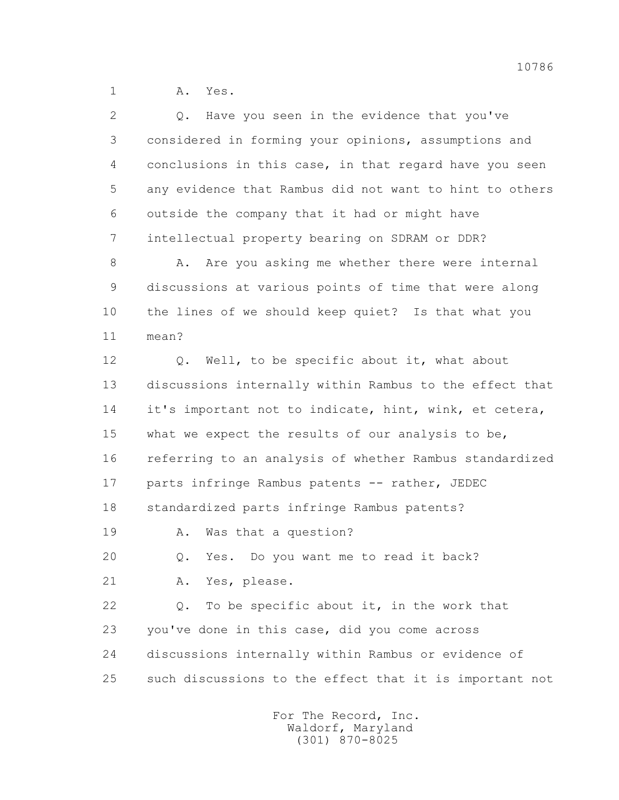1 A. Yes.

| 2  | Have you seen in the evidence that you've<br>Q.         |
|----|---------------------------------------------------------|
| 3  | considered in forming your opinions, assumptions and    |
| 4  | conclusions in this case, in that regard have you seen  |
| 5  | any evidence that Rambus did not want to hint to others |
| 6  | outside the company that it had or might have           |
| 7  | intellectual property bearing on SDRAM or DDR?          |
| 8  | Are you asking me whether there were internal<br>Α.     |
| 9  | discussions at various points of time that were along   |
| 10 | the lines of we should keep quiet? Is that what you     |
| 11 | mean?                                                   |
| 12 | Well, to be specific about it, what about<br>Q.         |
| 13 | discussions internally within Rambus to the effect that |
| 14 | it's important not to indicate, hint, wink, et cetera,  |
| 15 | what we expect the results of our analysis to be,       |
| 16 | referring to an analysis of whether Rambus standardized |
| 17 | parts infringe Rambus patents -- rather, JEDEC          |
| 18 | standardized parts infringe Rambus patents?             |
| 19 | Was that a question?<br>Α.                              |
| 20 | Do you want me to read it back?<br>Yes.<br>Q.           |
| 21 | Yes, please.<br>Α.                                      |
| 22 | To be specific about it, in the work that<br>Q.         |
| 23 | you've done in this case, did you come across           |
| 24 | discussions internally within Rambus or evidence of     |
| 25 | such discussions to the effect that it is important not |
|    |                                                         |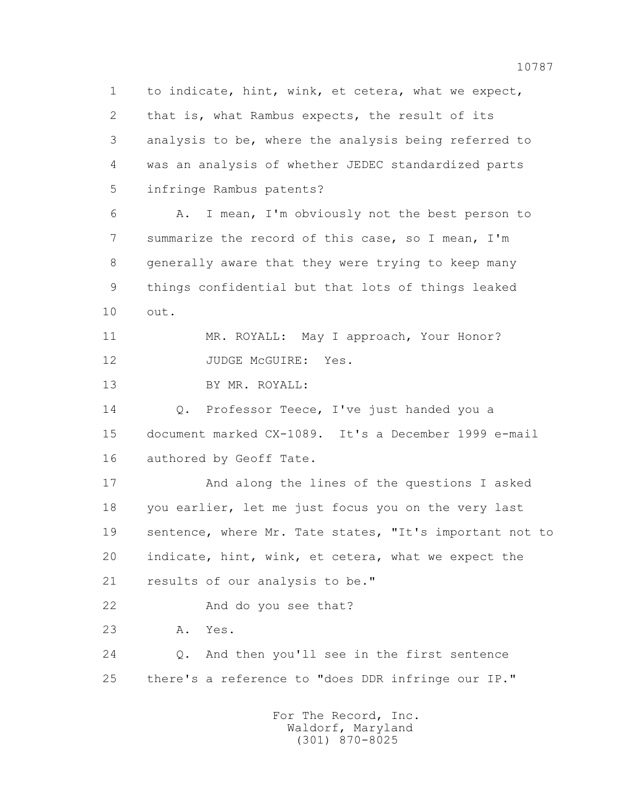1 to indicate, hint, wink, et cetera, what we expect, 2 that is, what Rambus expects, the result of its 3 analysis to be, where the analysis being referred to 4 was an analysis of whether JEDEC standardized parts 5 infringe Rambus patents?

 6 A. I mean, I'm obviously not the best person to 7 summarize the record of this case, so I mean, I'm 8 generally aware that they were trying to keep many 9 things confidential but that lots of things leaked 10 out.

 11 MR. ROYALL: May I approach, Your Honor? 12 JUDGE McGUIRE: Yes.

13 BY MR. ROYALL:

 14 Q. Professor Teece, I've just handed you a 15 document marked CX-1089. It's a December 1999 e-mail 16 authored by Geoff Tate.

 17 And along the lines of the questions I asked 18 you earlier, let me just focus you on the very last 19 sentence, where Mr. Tate states, "It's important not to 20 indicate, hint, wink, et cetera, what we expect the 21 results of our analysis to be."

22 And do you see that?

23 A. Yes.

 24 Q. And then you'll see in the first sentence 25 there's a reference to "does DDR infringe our IP."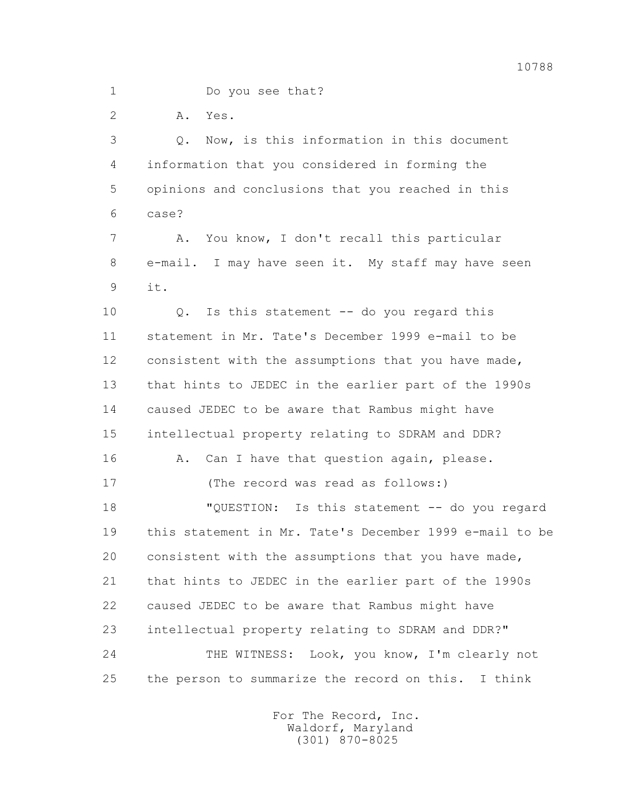2 A. Yes.

 3 Q. Now, is this information in this document 4 information that you considered in forming the 5 opinions and conclusions that you reached in this 6 case? 7 A. You know, I don't recall this particular 8 e-mail. I may have seen it. My staff may have seen 9 it. 10 Q. Is this statement -- do you regard this 11 statement in Mr. Tate's December 1999 e-mail to be 12 consistent with the assumptions that you have made, 13 that hints to JEDEC in the earlier part of the 1990s 14 caused JEDEC to be aware that Rambus might have 15 intellectual property relating to SDRAM and DDR? 16 A. Can I have that question again, please. 17 (The record was read as follows:) 18 "QUESTION: Is this statement -- do you regard 19 this statement in Mr. Tate's December 1999 e-mail to be 20 consistent with the assumptions that you have made, 21 that hints to JEDEC in the earlier part of the 1990s 22 caused JEDEC to be aware that Rambus might have 23 intellectual property relating to SDRAM and DDR?" 24 THE WITNESS: Look, you know, I'm clearly not 25 the person to summarize the record on this. I think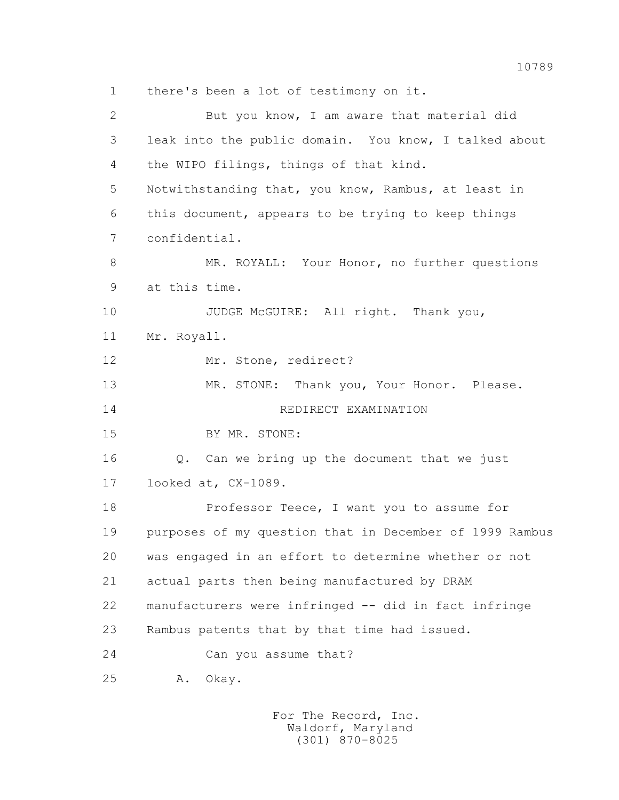1 there's been a lot of testimony on it. 2 But you know, I am aware that material did 3 leak into the public domain. You know, I talked about 4 the WIPO filings, things of that kind. 5 Notwithstanding that, you know, Rambus, at least in 6 this document, appears to be trying to keep things 7 confidential. 8 MR. ROYALL: Your Honor, no further questions 9 at this time. 10 JUDGE McGUIRE: All right. Thank you, 11 Mr. Royall. 12 Mr. Stone, redirect? 13 MR. STONE: Thank you, Your Honor. Please. 14 REDIRECT EXAMINATION 15 BY MR. STONE: 16 Q. Can we bring up the document that we just 17 looked at, CX-1089. 18 Professor Teece, I want you to assume for 19 purposes of my question that in December of 1999 Rambus 20 was engaged in an effort to determine whether or not 21 actual parts then being manufactured by DRAM 22 manufacturers were infringed -- did in fact infringe 23 Rambus patents that by that time had issued. 24 Can you assume that? 25 A. Okay.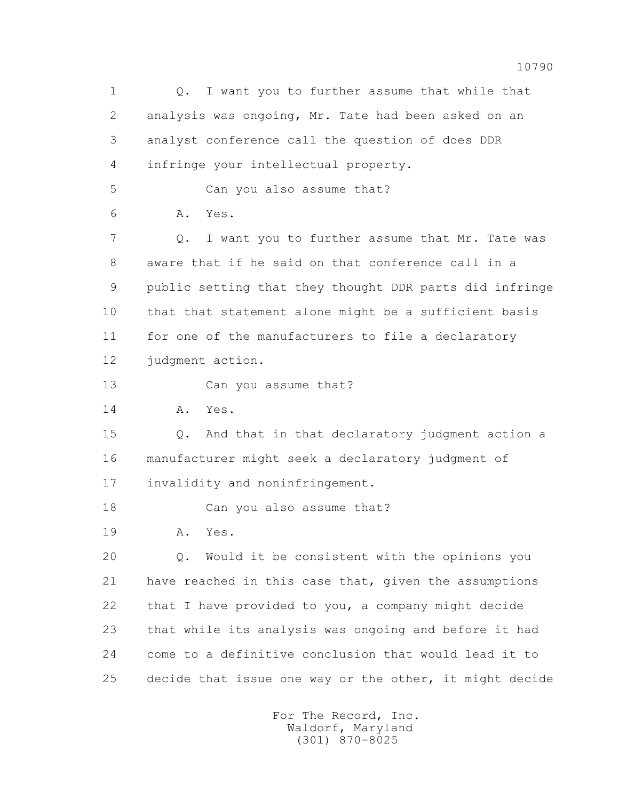1 Q. I want you to further assume that while that 2 analysis was ongoing, Mr. Tate had been asked on an 3 analyst conference call the question of does DDR 4 infringe your intellectual property. 5 Can you also assume that? 6 A. Yes. 7 Q. I want you to further assume that Mr. Tate was 8 aware that if he said on that conference call in a 9 public setting that they thought DDR parts did infringe 10 that that statement alone might be a sufficient basis 11 for one of the manufacturers to file a declaratory 12 judgment action. 13 Can you assume that? 14 A. Yes. 15 Q. And that in that declaratory judgment action a 16 manufacturer might seek a declaratory judgment of 17 invalidity and noninfringement. 18 Can you also assume that? 19 A. Yes. 20 Q. Would it be consistent with the opinions you 21 have reached in this case that, given the assumptions 22 that I have provided to you, a company might decide 23 that while its analysis was ongoing and before it had 24 come to a definitive conclusion that would lead it to 25 decide that issue one way or the other, it might decide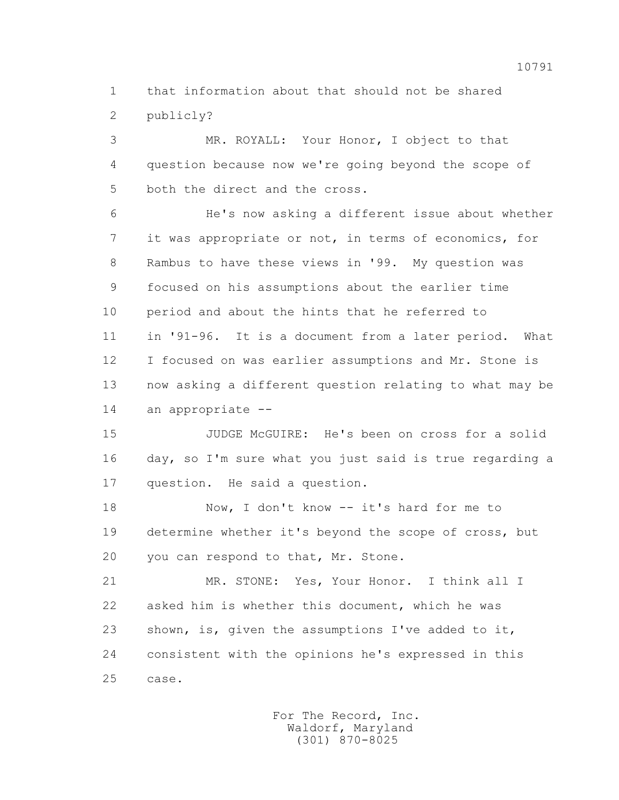1 that information about that should not be shared 2 publicly?

 3 MR. ROYALL: Your Honor, I object to that 4 question because now we're going beyond the scope of 5 both the direct and the cross.

 6 He's now asking a different issue about whether 7 it was appropriate or not, in terms of economics, for 8 Rambus to have these views in '99. My question was 9 focused on his assumptions about the earlier time 10 period and about the hints that he referred to 11 in '91-96. It is a document from a later period. What 12 I focused on was earlier assumptions and Mr. Stone is 13 now asking a different question relating to what may be 14 an appropriate --

 15 JUDGE McGUIRE: He's been on cross for a solid 16 day, so I'm sure what you just said is true regarding a 17 question. He said a question.

18 Now, I don't know -- it's hard for me to 19 determine whether it's beyond the scope of cross, but 20 you can respond to that, Mr. Stone.

 21 MR. STONE: Yes, Your Honor. I think all I 22 asked him is whether this document, which he was 23 shown, is, given the assumptions I've added to it, 24 consistent with the opinions he's expressed in this 25 case.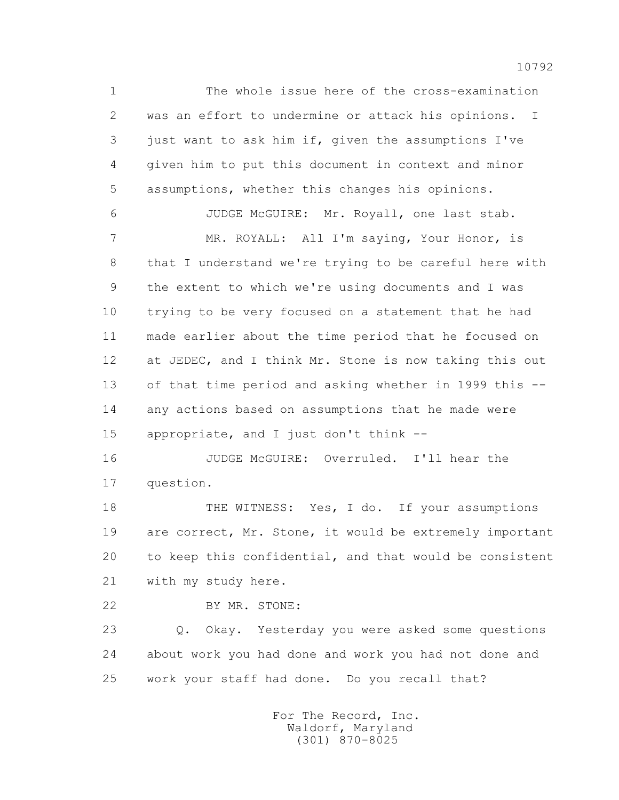1 The whole issue here of the cross-examination 2 was an effort to undermine or attack his opinions. I 3 just want to ask him if, given the assumptions I've 4 given him to put this document in context and minor 5 assumptions, whether this changes his opinions. 6 JUDGE McGUIRE: Mr. Royall, one last stab.

 7 MR. ROYALL: All I'm saying, Your Honor, is 8 that I understand we're trying to be careful here with 9 the extent to which we're using documents and I was 10 trying to be very focused on a statement that he had 11 made earlier about the time period that he focused on 12 at JEDEC, and I think Mr. Stone is now taking this out 13 of that time period and asking whether in 1999 this -- 14 any actions based on assumptions that he made were 15 appropriate, and I just don't think --

 16 JUDGE McGUIRE: Overruled. I'll hear the 17 question.

 18 THE WITNESS: Yes, I do. If your assumptions 19 are correct, Mr. Stone, it would be extremely important 20 to keep this confidential, and that would be consistent 21 with my study here.

22 BY MR. STONE:

 23 Q. Okay. Yesterday you were asked some questions 24 about work you had done and work you had not done and 25 work your staff had done. Do you recall that?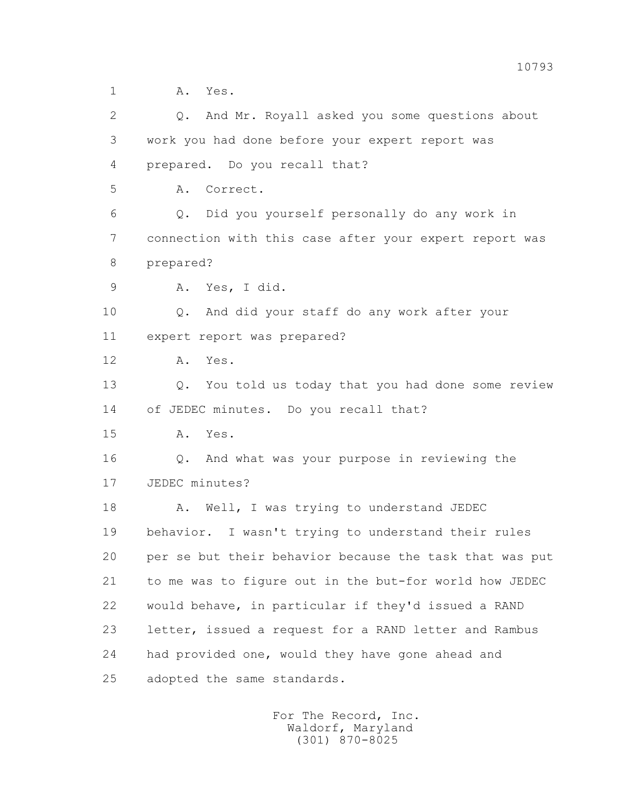| $\overline{2}$ | Q. And Mr. Royall asked you some questions about        |
|----------------|---------------------------------------------------------|
| 3              | work you had done before your expert report was         |
| 4              | prepared. Do you recall that?                           |
| 5              | Correct.<br>Α.                                          |
| 6              | Did you yourself personally do any work in<br>Q.        |
| 7              | connection with this case after your expert report was  |
| 8              | prepared?                                               |
| $\mathcal{G}$  | Yes, I did.<br>Α.                                       |
| 10             | And did your staff do any work after your<br>Q.         |
| 11             | expert report was prepared?                             |
| 12             | Yes.<br>Α.                                              |
| 13             | Q. You told us today that you had done some review      |
| 14             | of JEDEC minutes. Do you recall that?                   |
| 15             | A. Yes.                                                 |
| 16             | Q. And what was your purpose in reviewing the           |
| 17             | JEDEC minutes?                                          |
| 18             | Well, I was trying to understand JEDEC<br>Α.            |
| 19             | behavior. I wasn't trying to understand their rules     |
| 20             | per se but their behavior because the task that was put |
| 21             | to me was to figure out in the but-for world how JEDEC  |
| 22             | would behave, in particular if they'd issued a RAND     |
| 23             | letter, issued a request for a RAND letter and Rambus   |
| 24             | had provided one, would they have gone ahead and        |
| 25             | adopted the same standards.                             |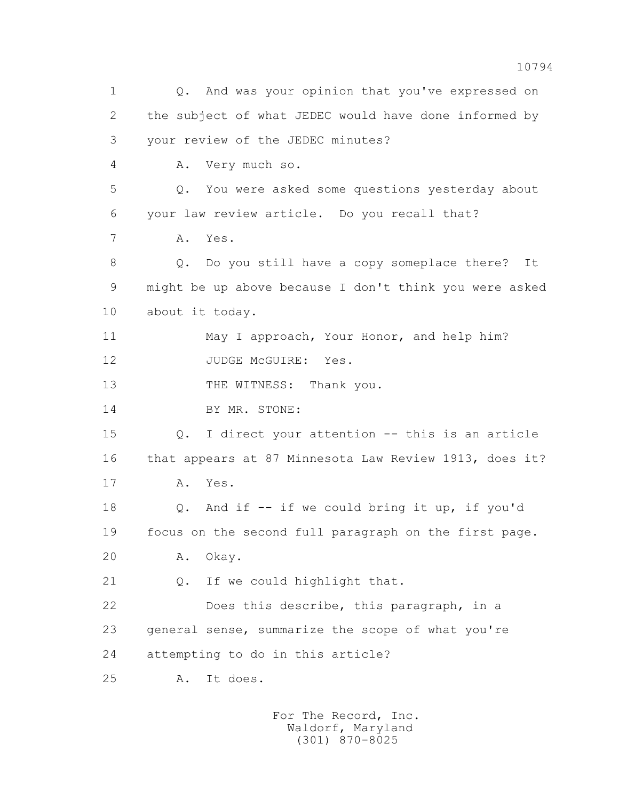1 Q. And was your opinion that you've expressed on 2 the subject of what JEDEC would have done informed by 3 your review of the JEDEC minutes? 4 A. Very much so. 5 Q. You were asked some questions yesterday about 6 your law review article. Do you recall that? 7 A. Yes. 8 Q. Do you still have a copy someplace there? It 9 might be up above because I don't think you were asked 10 about it today. 11 May I approach, Your Honor, and help him? 12 JUDGE McGUIRE: Yes. 13 THE WITNESS: Thank you. 14 BY MR. STONE: 15 Q. I direct your attention -- this is an article 16 that appears at 87 Minnesota Law Review 1913, does it? 17 A. Yes. 18 Q. And if -- if we could bring it up, if you'd 19 focus on the second full paragraph on the first page. 20 A. Okay. 21 Q. If we could highlight that. 22 Does this describe, this paragraph, in a 23 general sense, summarize the scope of what you're 24 attempting to do in this article? 25 A. It does.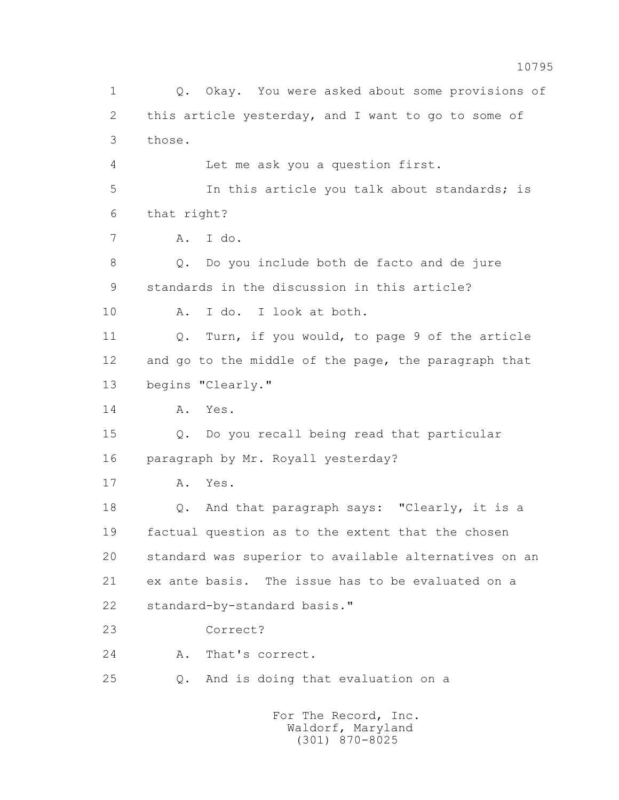1 Q. Okay. You were asked about some provisions of 2 this article yesterday, and I want to go to some of 3 those. 4 Let me ask you a question first. 5 In this article you talk about standards; is 6 that right? 7 A. I do. 8 Q. Do you include both de facto and de jure 9 standards in the discussion in this article? 10 A. I do. I look at both. 11 Q. Turn, if you would, to page 9 of the article 12 and go to the middle of the page, the paragraph that 13 begins "Clearly." 14 A. Yes. 15 Q. Do you recall being read that particular 16 paragraph by Mr. Royall yesterday? 17 A. Yes. 18 Q. And that paragraph says: "Clearly, it is a 19 factual question as to the extent that the chosen 20 standard was superior to available alternatives on an 21 ex ante basis. The issue has to be evaluated on a 22 standard-by-standard basis." 23 Correct? 24 A. That's correct. 25 Q. And is doing that evaluation on a For The Record, Inc. Waldorf, Maryland

(301) 870-8025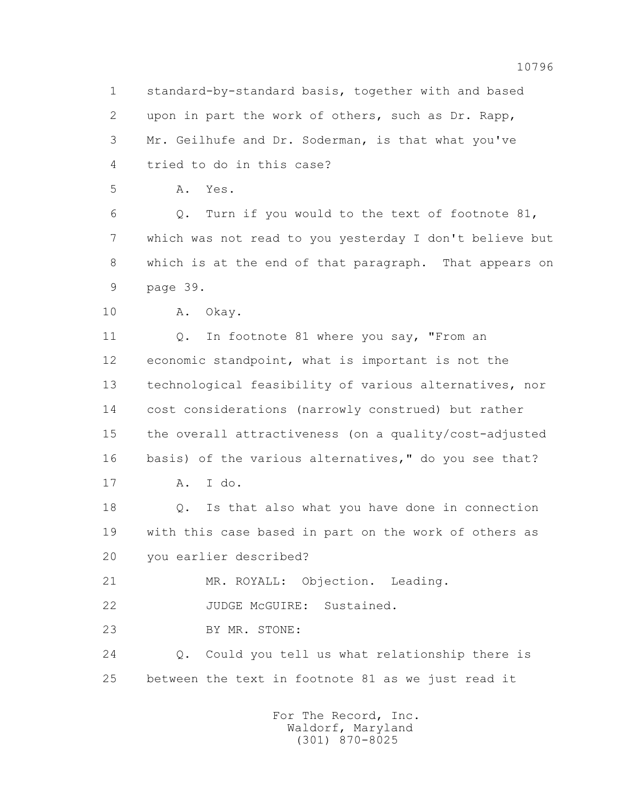1 standard-by-standard basis, together with and based 2 upon in part the work of others, such as Dr. Rapp, 3 Mr. Geilhufe and Dr. Soderman, is that what you've 4 tried to do in this case?

5 A. Yes.

 6 Q. Turn if you would to the text of footnote 81, 7 which was not read to you yesterday I don't believe but 8 which is at the end of that paragraph. That appears on 9 page 39.

10 A. Okay.

11 Q. In footnote 81 where you say, "From an 12 economic standpoint, what is important is not the 13 technological feasibility of various alternatives, nor 14 cost considerations (narrowly construed) but rather 15 the overall attractiveness (on a quality/cost-adjusted 16 basis) of the various alternatives," do you see that? 17 A. I do.

 18 Q. Is that also what you have done in connection 19 with this case based in part on the work of others as 20 you earlier described?

21 MR. ROYALL: Objection. Leading.

22 JUDGE McGUIRE: Sustained.

23 BY MR. STONE:

 24 Q. Could you tell us what relationship there is 25 between the text in footnote 81 as we just read it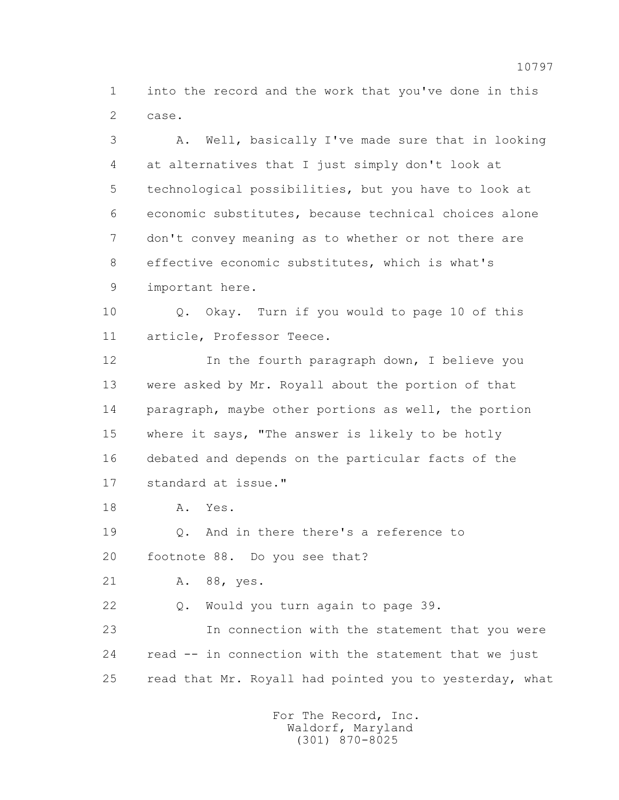1 into the record and the work that you've done in this 2 case.

 3 A. Well, basically I've made sure that in looking 4 at alternatives that I just simply don't look at 5 technological possibilities, but you have to look at 6 economic substitutes, because technical choices alone 7 don't convey meaning as to whether or not there are 8 effective economic substitutes, which is what's 9 important here.

 10 Q. Okay. Turn if you would to page 10 of this 11 article, Professor Teece.

12 In the fourth paragraph down, I believe you 13 were asked by Mr. Royall about the portion of that 14 paragraph, maybe other portions as well, the portion 15 where it says, "The answer is likely to be hotly 16 debated and depends on the particular facts of the 17 standard at issue."

18 A. Yes.

19 Q. And in there there's a reference to

20 footnote 88. Do you see that?

21 A. 88, yes.

22 Q. Would you turn again to page 39.

 23 In connection with the statement that you were 24 read -- in connection with the statement that we just 25 read that Mr. Royall had pointed you to yesterday, what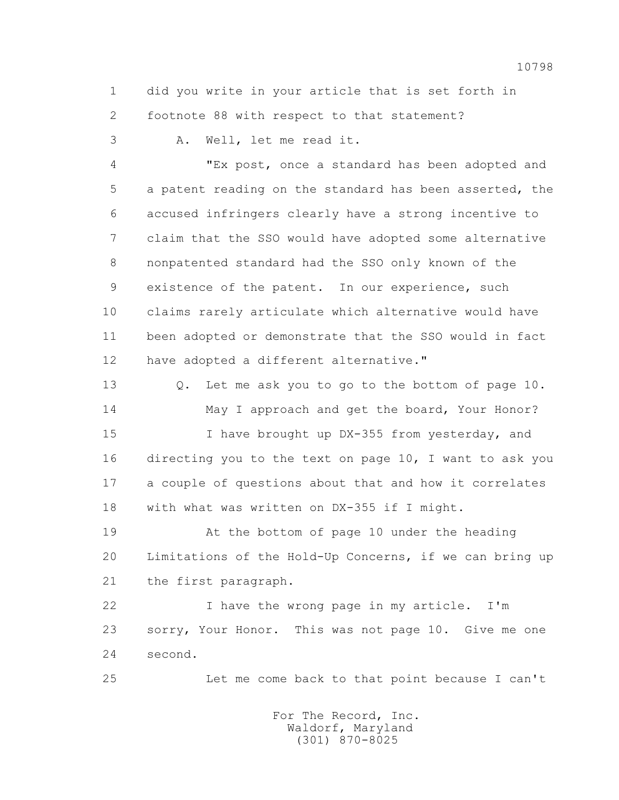1 did you write in your article that is set forth in 2 footnote 88 with respect to that statement?

3 A. Well, let me read it.

 4 "Ex post, once a standard has been adopted and 5 a patent reading on the standard has been asserted, the 6 accused infringers clearly have a strong incentive to 7 claim that the SSO would have adopted some alternative 8 nonpatented standard had the SSO only known of the 9 existence of the patent. In our experience, such 10 claims rarely articulate which alternative would have 11 been adopted or demonstrate that the SSO would in fact 12 have adopted a different alternative."

 13 Q. Let me ask you to go to the bottom of page 10. 14 May I approach and get the board, Your Honor?

 15 I have brought up DX-355 from yesterday, and 16 directing you to the text on page 10, I want to ask you 17 a couple of questions about that and how it correlates 18 with what was written on DX-355 if I might.

 19 At the bottom of page 10 under the heading 20 Limitations of the Hold-Up Concerns, if we can bring up 21 the first paragraph.

 22 I have the wrong page in my article. I'm 23 sorry, Your Honor. This was not page 10. Give me one 24 second.

25 Let me come back to that point because I can't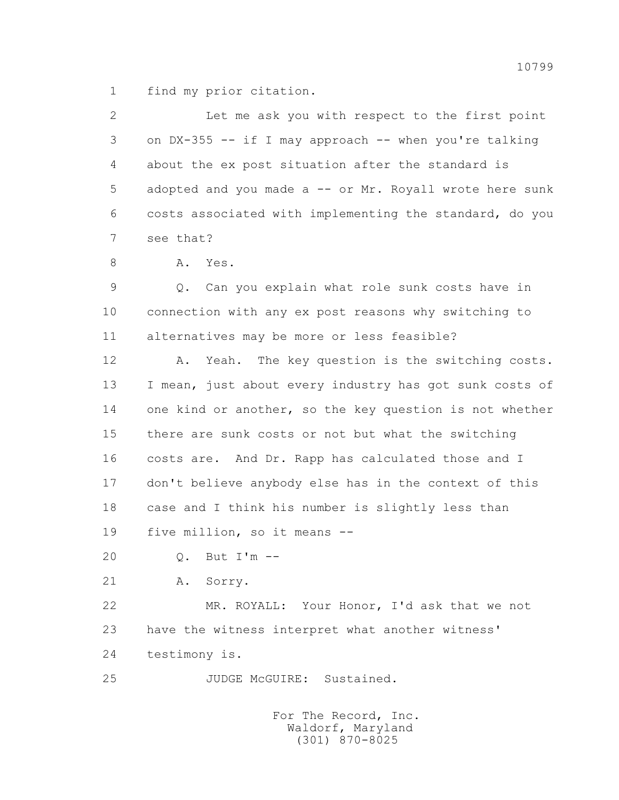1 find my prior citation.

 2 Let me ask you with respect to the first point 3 on DX-355 -- if I may approach -- when you're talking 4 about the ex post situation after the standard is 5 adopted and you made a -- or Mr. Royall wrote here sunk 6 costs associated with implementing the standard, do you 7 see that?

8 A. Yes.

 9 Q. Can you explain what role sunk costs have in 10 connection with any ex post reasons why switching to 11 alternatives may be more or less feasible?

 12 A. Yeah. The key question is the switching costs. 13 I mean, just about every industry has got sunk costs of 14 one kind or another, so the key question is not whether 15 there are sunk costs or not but what the switching 16 costs are. And Dr. Rapp has calculated those and I 17 don't believe anybody else has in the context of this 18 case and I think his number is slightly less than 19 five million, so it means --

20 Q. But I'm --

21 A. Sorry.

 22 MR. ROYALL: Your Honor, I'd ask that we not 23 have the witness interpret what another witness' 24 testimony is.

25 JUDGE McGUIRE: Sustained.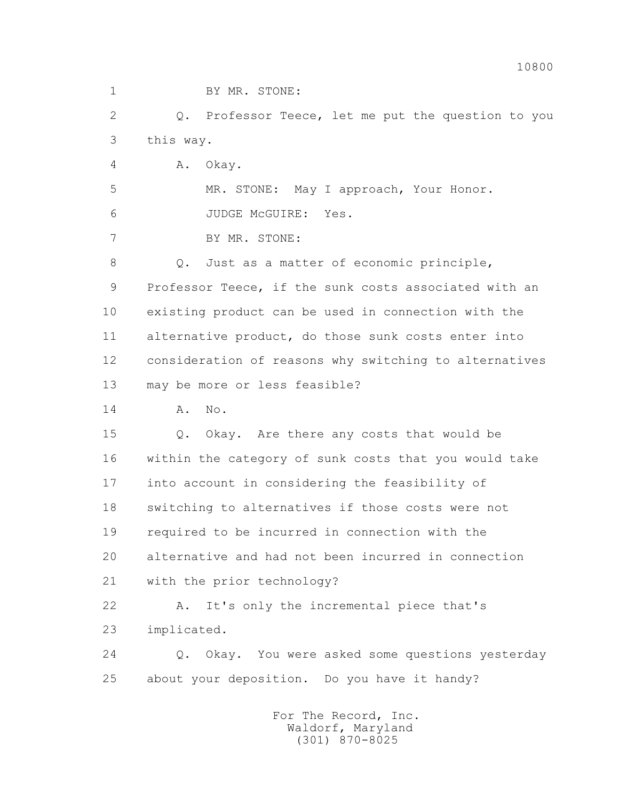1 BY MR. STONE:

 2 Q. Professor Teece, let me put the question to you 3 this way.

4 A. Okay.

5 MR. STONE: May I approach, Your Honor.

6 JUDGE McGUIRE: Yes.

7 BY MR. STONE:

 8 Q. Just as a matter of economic principle, 9 Professor Teece, if the sunk costs associated with an 10 existing product can be used in connection with the 11 alternative product, do those sunk costs enter into 12 consideration of reasons why switching to alternatives 13 may be more or less feasible?

14 A. No.

 15 Q. Okay. Are there any costs that would be 16 within the category of sunk costs that you would take 17 into account in considering the feasibility of 18 switching to alternatives if those costs were not 19 required to be incurred in connection with the 20 alternative and had not been incurred in connection 21 with the prior technology?

 22 A. It's only the incremental piece that's 23 implicated.

 24 Q. Okay. You were asked some questions yesterday 25 about your deposition. Do you have it handy?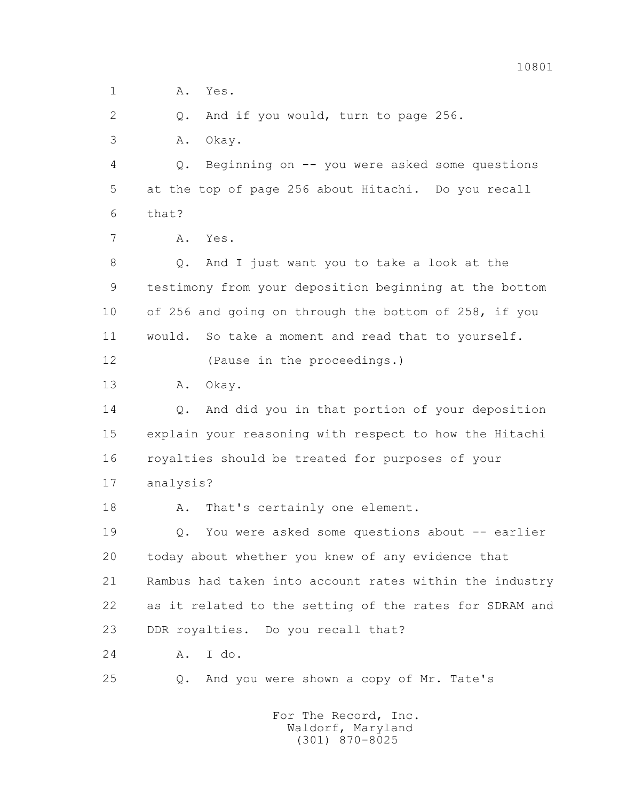1 A. Yes.

2 Q. And if you would, turn to page 256.

3 A. Okay.

 4 Q. Beginning on -- you were asked some questions 5 at the top of page 256 about Hitachi. Do you recall 6 that?

7 A. Yes.

 8 Q. And I just want you to take a look at the 9 testimony from your deposition beginning at the bottom 10 of 256 and going on through the bottom of 258, if you 11 would. So take a moment and read that to yourself.

12 (Pause in the proceedings.)

13 A. Okay.

 14 Q. And did you in that portion of your deposition 15 explain your reasoning with respect to how the Hitachi 16 royalties should be treated for purposes of your 17 analysis?

18 A. That's certainly one element.

 19 Q. You were asked some questions about -- earlier 20 today about whether you knew of any evidence that 21 Rambus had taken into account rates within the industry 22 as it related to the setting of the rates for SDRAM and 23 DDR royalties. Do you recall that?

24 A. I do.

25 Q. And you were shown a copy of Mr. Tate's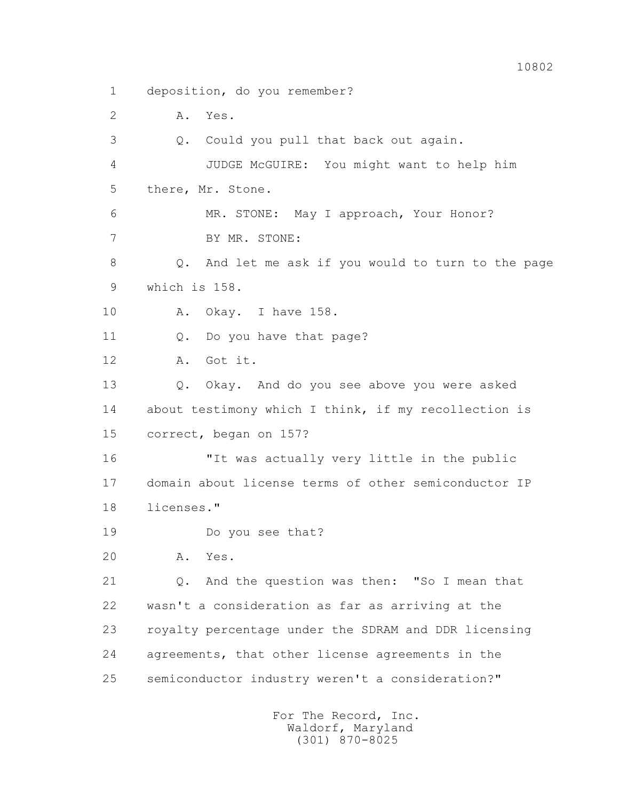1 deposition, do you remember?

2 A. Yes.

 3 Q. Could you pull that back out again. 4 JUDGE McGUIRE: You might want to help him 5 there, Mr. Stone. 6 MR. STONE: May I approach, Your Honor? 7 BY MR. STONE: 8 Q. And let me ask if you would to turn to the page 9 which is 158. 10 A. Okay. I have 158. 11 Q. Do you have that page? 12 A. Got it. 13 Q. Okay. And do you see above you were asked 14 about testimony which I think, if my recollection is 15 correct, began on 157? 16 "It was actually very little in the public 17 domain about license terms of other semiconductor IP 18 licenses." 19 Do you see that? 20 A. Yes.

 21 Q. And the question was then: "So I mean that 22 wasn't a consideration as far as arriving at the 23 royalty percentage under the SDRAM and DDR licensing 24 agreements, that other license agreements in the 25 semiconductor industry weren't a consideration?"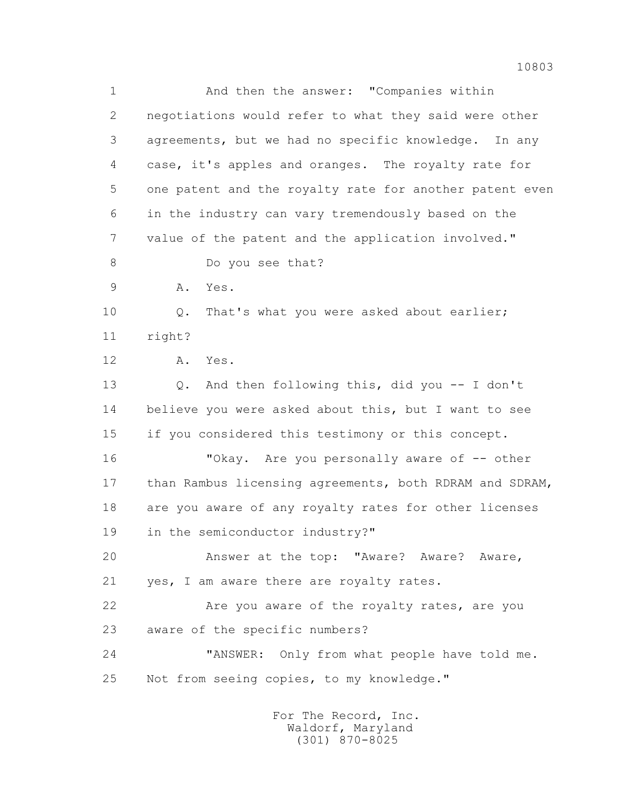1 And then the answer: "Companies within 2 negotiations would refer to what they said were other 3 agreements, but we had no specific knowledge. In any 4 case, it's apples and oranges. The royalty rate for 5 one patent and the royalty rate for another patent even 6 in the industry can vary tremendously based on the 7 value of the patent and the application involved." 8 Do you see that? 9 A. Yes. 10 Q. That's what you were asked about earlier; 11 right? 12 A. Yes. 13 Q. And then following this, did you -- I don't 14 believe you were asked about this, but I want to see 15 if you considered this testimony or this concept. 16 "Okay. Are you personally aware of -- other 17 than Rambus licensing agreements, both RDRAM and SDRAM, 18 are you aware of any royalty rates for other licenses 19 in the semiconductor industry?" 20 Answer at the top: "Aware? Aware? Aware, 21 yes, I am aware there are royalty rates. 22 Are you aware of the royalty rates, are you 23 aware of the specific numbers? 24 "ANSWER: Only from what people have told me. 25 Not from seeing copies, to my knowledge."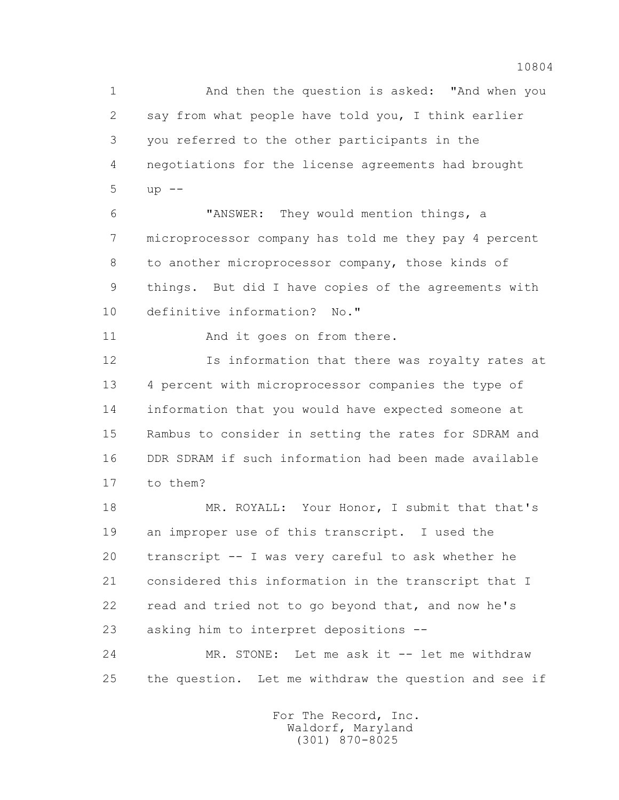1 And then the question is asked: "And when you 2 say from what people have told you, I think earlier 3 you referred to the other participants in the 4 negotiations for the license agreements had brought  $5$  up  $-$ 

 6 "ANSWER: They would mention things, a 7 microprocessor company has told me they pay 4 percent 8 to another microprocessor company, those kinds of 9 things. But did I have copies of the agreements with 10 definitive information? No."

11 And it goes on from there.

 12 Is information that there was royalty rates at 13 4 percent with microprocessor companies the type of 14 information that you would have expected someone at 15 Rambus to consider in setting the rates for SDRAM and 16 DDR SDRAM if such information had been made available 17 to them?

 18 MR. ROYALL: Your Honor, I submit that that's 19 an improper use of this transcript. I used the 20 transcript -- I was very careful to ask whether he 21 considered this information in the transcript that I 22 read and tried not to go beyond that, and now he's 23 asking him to interpret depositions --

 24 MR. STONE: Let me ask it -- let me withdraw 25 the question. Let me withdraw the question and see if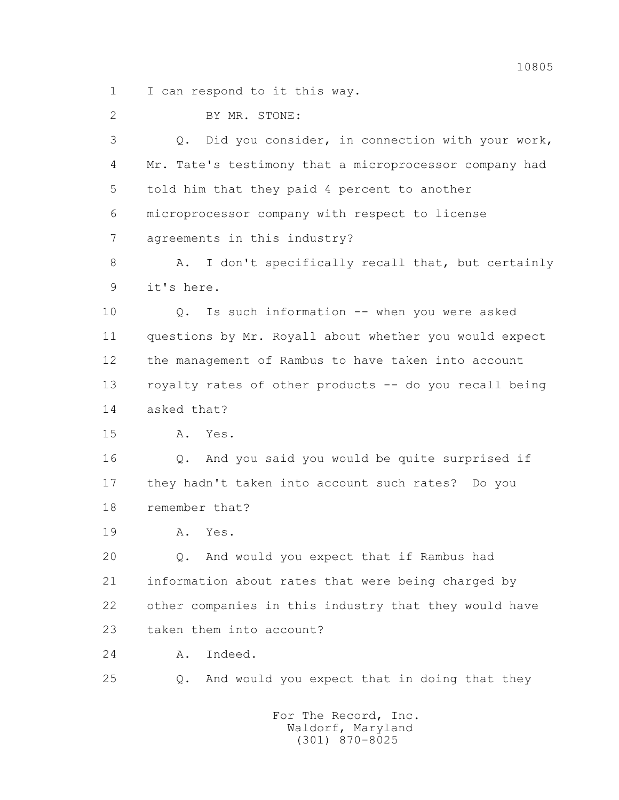1 I can respond to it this way.

 2 BY MR. STONE: 3 Q. Did you consider, in connection with your work, 4 Mr. Tate's testimony that a microprocessor company had 5 told him that they paid 4 percent to another 6 microprocessor company with respect to license 7 agreements in this industry? 8 A. I don't specifically recall that, but certainly 9 it's here. 10 Q. Is such information -- when you were asked 11 questions by Mr. Royall about whether you would expect 12 the management of Rambus to have taken into account 13 royalty rates of other products -- do you recall being 14 asked that? 15 A. Yes. 16 Q. And you said you would be quite surprised if 17 they hadn't taken into account such rates? Do you 18 remember that? 19 A. Yes. 20 Q. And would you expect that if Rambus had 21 information about rates that were being charged by 22 other companies in this industry that they would have 23 taken them into account? 24 A. Indeed. 25 Q. And would you expect that in doing that they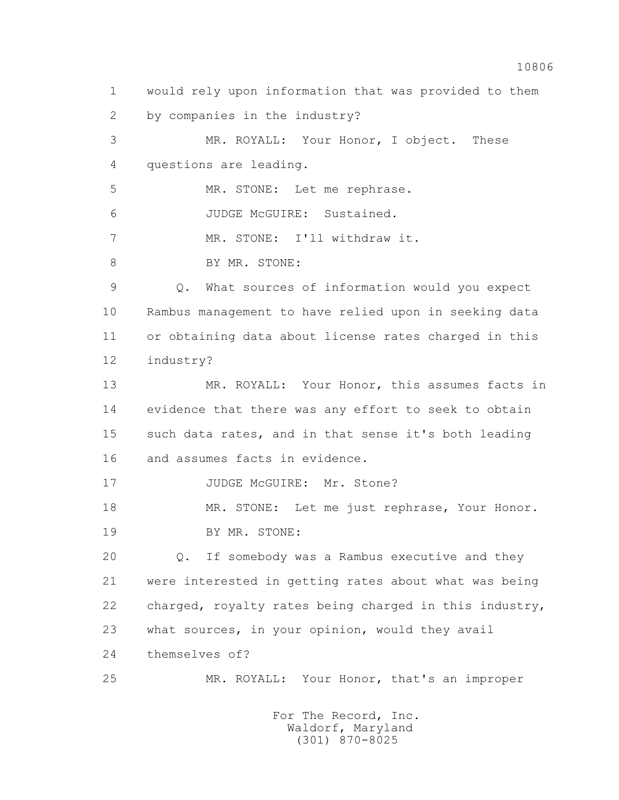1 would rely upon information that was provided to them 2 by companies in the industry? 3 MR. ROYALL: Your Honor, I object. These 4 questions are leading. 5 MR. STONE: Let me rephrase. 6 JUDGE McGUIRE: Sustained. 7 MR. STONE: I'll withdraw it. 8 BY MR. STONE: 9 Q. What sources of information would you expect 10 Rambus management to have relied upon in seeking data 11 or obtaining data about license rates charged in this 12 industry? 13 MR. ROYALL: Your Honor, this assumes facts in 14 evidence that there was any effort to seek to obtain 15 such data rates, and in that sense it's both leading 16 and assumes facts in evidence. 17 JUDGE McGUIRE: Mr. Stone? 18 MR. STONE: Let me just rephrase, Your Honor. 19 BY MR. STONE: 20 Q. If somebody was a Rambus executive and they 21 were interested in getting rates about what was being 22 charged, royalty rates being charged in this industry, 23 what sources, in your opinion, would they avail 24 themselves of? 25 MR. ROYALL: Your Honor, that's an improper For The Record, Inc.

> Waldorf, Maryland (301) 870-8025

10806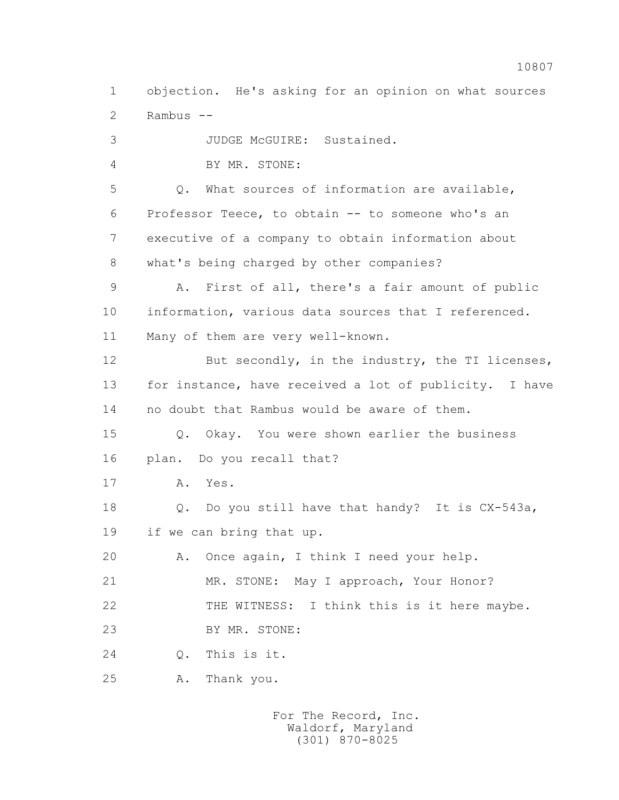1 objection. He's asking for an opinion on what sources 2 Rambus --

 3 JUDGE McGUIRE: Sustained. 4 BY MR. STONE: 5 Q. What sources of information are available, 6 Professor Teece, to obtain -- to someone who's an 7 executive of a company to obtain information about 8 what's being charged by other companies? 9 A. First of all, there's a fair amount of public 10 information, various data sources that I referenced. 11 Many of them are very well-known. 12 But secondly, in the industry, the TI licenses, 13 for instance, have received a lot of publicity. I have 14 no doubt that Rambus would be aware of them. 15 Q. Okay. You were shown earlier the business 16 plan. Do you recall that? 17 A. Yes. 18 Q. Do you still have that handy? It is CX-543a, 19 if we can bring that up. 20 A. Once again, I think I need your help. 21 MR. STONE: May I approach, Your Honor? 22 THE WITNESS: I think this is it here maybe. 23 BY MR. STONE: 24 Q. This is it. 25 A. Thank you.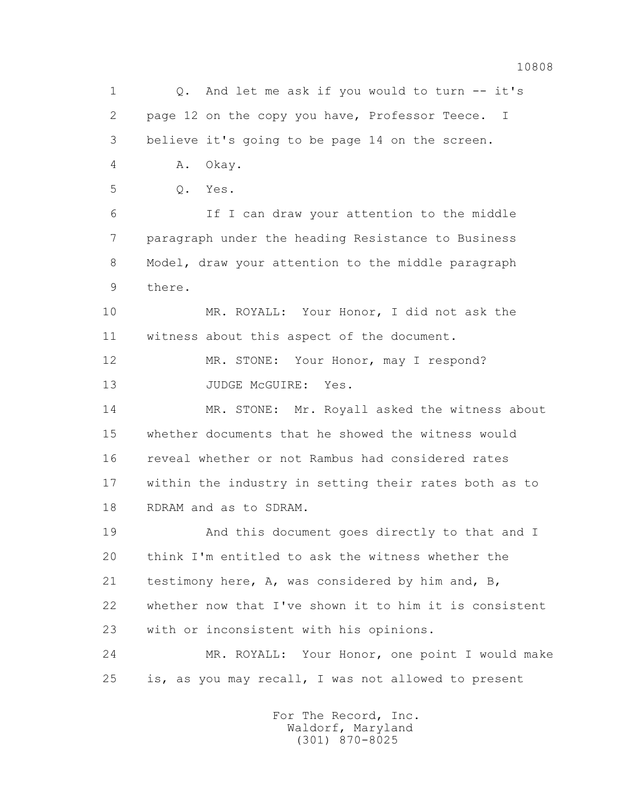1 0. And let me ask if you would to turn -- it's 2 page 12 on the copy you have, Professor Teece. I 3 believe it's going to be page 14 on the screen. 4 A. Okay. 5 Q. Yes. 6 If I can draw your attention to the middle 7 paragraph under the heading Resistance to Business 8 Model, draw your attention to the middle paragraph 9 there. 10 MR. ROYALL: Your Honor, I did not ask the 11 witness about this aspect of the document. 12 MR. STONE: Your Honor, may I respond? 13 JUDGE McGUIRE: Yes. 14 MR. STONE: Mr. Royall asked the witness about 15 whether documents that he showed the witness would 16 reveal whether or not Rambus had considered rates 17 within the industry in setting their rates both as to 18 RDRAM and as to SDRAM. 19 And this document goes directly to that and I 20 think I'm entitled to ask the witness whether the 21 testimony here, A, was considered by him and, B, 22 whether now that I've shown it to him it is consistent 23 with or inconsistent with his opinions. 24 MR. ROYALL: Your Honor, one point I would make 25 is, as you may recall, I was not allowed to present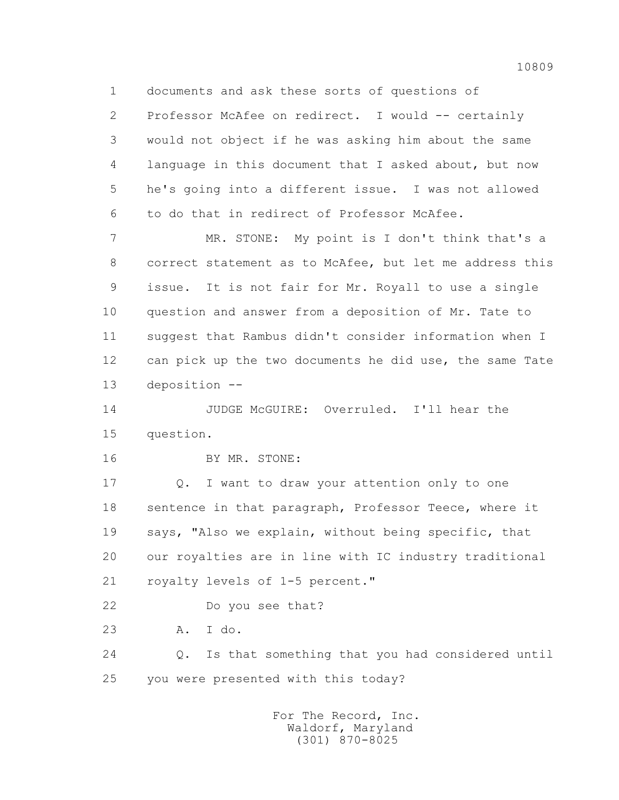1 documents and ask these sorts of questions of

 2 Professor McAfee on redirect. I would -- certainly 3 would not object if he was asking him about the same 4 language in this document that I asked about, but now 5 he's going into a different issue. I was not allowed 6 to do that in redirect of Professor McAfee.

 7 MR. STONE: My point is I don't think that's a 8 correct statement as to McAfee, but let me address this 9 issue. It is not fair for Mr. Royall to use a single 10 question and answer from a deposition of Mr. Tate to 11 suggest that Rambus didn't consider information when I 12 can pick up the two documents he did use, the same Tate 13 deposition --

 14 JUDGE McGUIRE: Overruled. I'll hear the 15 question.

16 BY MR. STONE:

 17 Q. I want to draw your attention only to one 18 sentence in that paragraph, Professor Teece, where it 19 says, "Also we explain, without being specific, that 20 our royalties are in line with IC industry traditional 21 royalty levels of 1-5 percent."

22 Do you see that?

23 A. I do.

 24 Q. Is that something that you had considered until 25 you were presented with this today?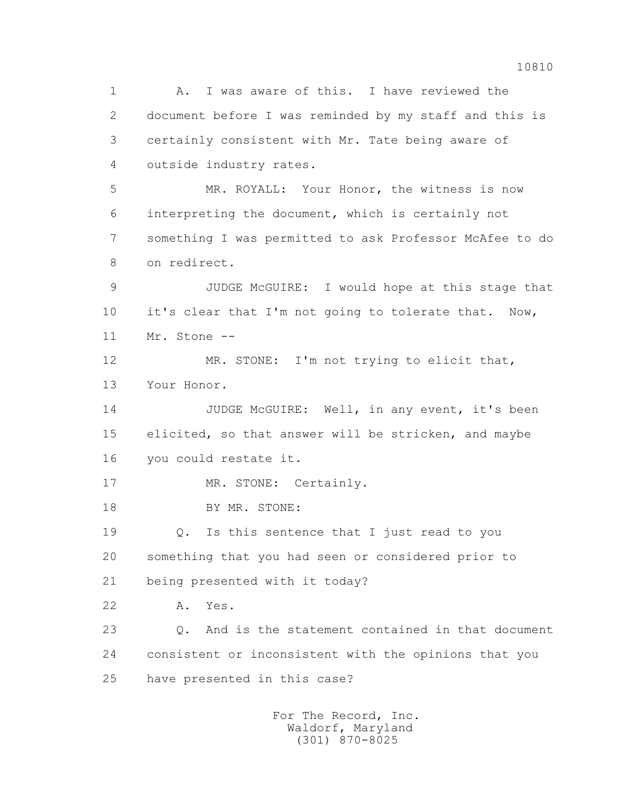1 A. I was aware of this. I have reviewed the 2 document before I was reminded by my staff and this is 3 certainly consistent with Mr. Tate being aware of 4 outside industry rates. 5 MR. ROYALL: Your Honor, the witness is now 6 interpreting the document, which is certainly not 7 something I was permitted to ask Professor McAfee to do 8 on redirect. 9 JUDGE McGUIRE: I would hope at this stage that 10 it's clear that I'm not going to tolerate that. Now, 11 Mr. Stone -- 12 MR. STONE: I'm not trying to elicit that, 13 Your Honor. 14 JUDGE McGUIRE: Well, in any event, it's been 15 elicited, so that answer will be stricken, and maybe 16 you could restate it. 17 MR. STONE: Certainly. 18 BY MR. STONE: 19 Q. Is this sentence that I just read to you 20 something that you had seen or considered prior to 21 being presented with it today? 22 A. Yes. 23 Q. And is the statement contained in that document 24 consistent or inconsistent with the opinions that you 25 have presented in this case?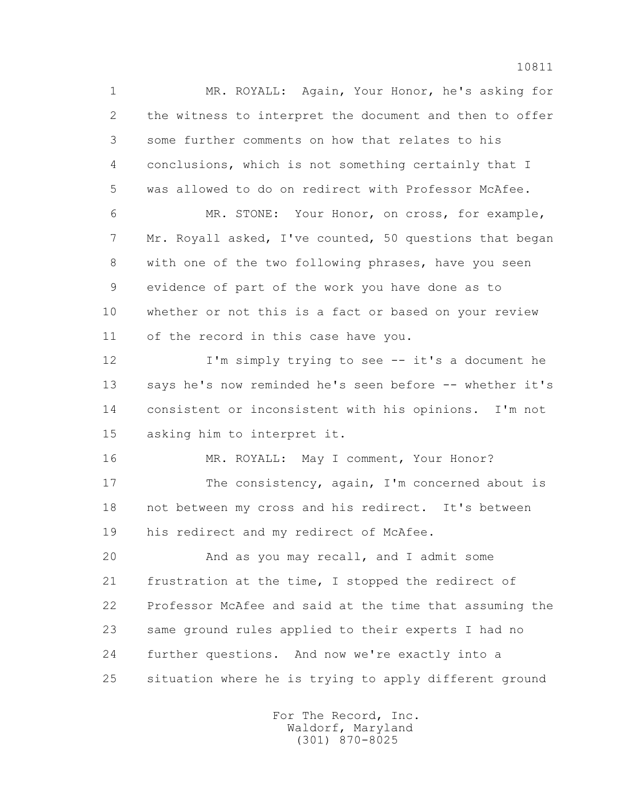1 MR. ROYALL: Again, Your Honor, he's asking for 2 the witness to interpret the document and then to offer 3 some further comments on how that relates to his 4 conclusions, which is not something certainly that I 5 was allowed to do on redirect with Professor McAfee. 6 MR. STONE: Your Honor, on cross, for example,

 7 Mr. Royall asked, I've counted, 50 questions that began 8 with one of the two following phrases, have you seen 9 evidence of part of the work you have done as to 10 whether or not this is a fact or based on your review 11 of the record in this case have you.

 12 I'm simply trying to see -- it's a document he 13 says he's now reminded he's seen before -- whether it's 14 consistent or inconsistent with his opinions. I'm not 15 asking him to interpret it.

 16 MR. ROYALL: May I comment, Your Honor? 17 The consistency, again, I'm concerned about is 18 not between my cross and his redirect. It's between 19 his redirect and my redirect of McAfee.

 20 And as you may recall, and I admit some 21 frustration at the time, I stopped the redirect of 22 Professor McAfee and said at the time that assuming the 23 same ground rules applied to their experts I had no 24 further questions. And now we're exactly into a 25 situation where he is trying to apply different ground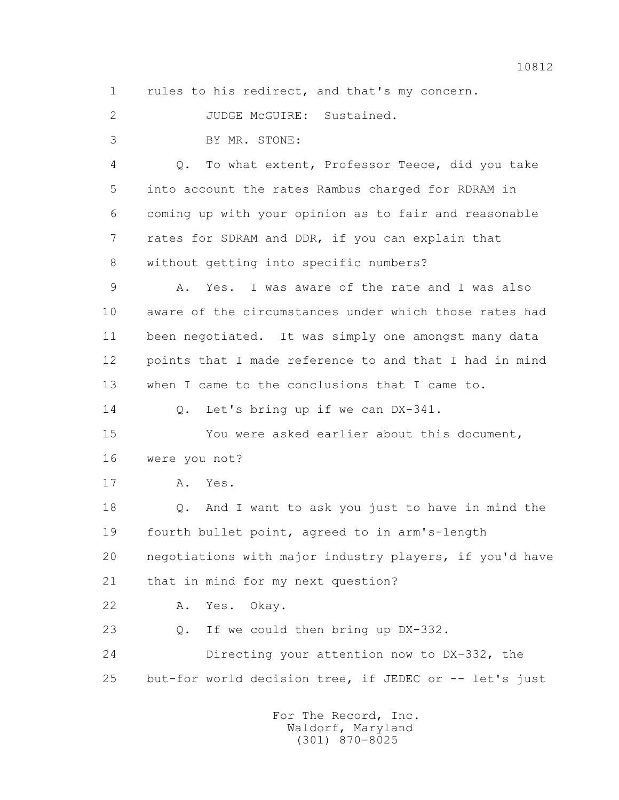1 rules to his redirect, and that's my concern.

2 JUDGE McGUIRE: Sustained.

3 BY MR. STONE:

 4 Q. To what extent, Professor Teece, did you take 5 into account the rates Rambus charged for RDRAM in 6 coming up with your opinion as to fair and reasonable 7 rates for SDRAM and DDR, if you can explain that 8 without getting into specific numbers?

 9 A. Yes. I was aware of the rate and I was also 10 aware of the circumstances under which those rates had 11 been negotiated. It was simply one amongst many data 12 points that I made reference to and that I had in mind 13 when I came to the conclusions that I came to.

14 Q. Let's bring up if we can DX-341.

 15 You were asked earlier about this document, 16 were you not?

17 A. Yes.

 18 Q. And I want to ask you just to have in mind the 19 fourth bullet point, agreed to in arm's-length 20 negotiations with major industry players, if you'd have 21 that in mind for my next question?

22 A. Yes. Okay.

23 Q. If we could then bring up DX-332.

 24 Directing your attention now to DX-332, the 25 but-for world decision tree, if JEDEC or -- let's just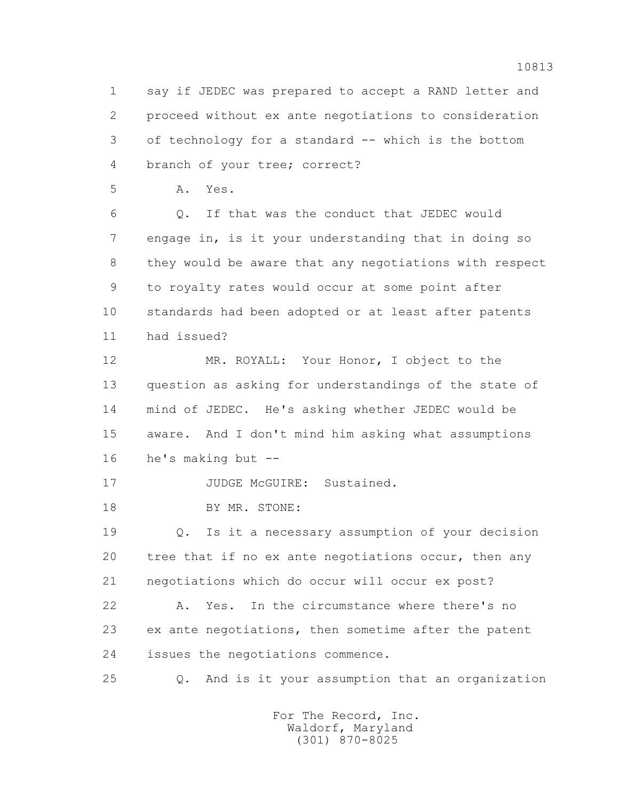1 say if JEDEC was prepared to accept a RAND letter and 2 proceed without ex ante negotiations to consideration 3 of technology for a standard -- which is the bottom 4 branch of your tree; correct?

5 A. Yes.

 6 Q. If that was the conduct that JEDEC would 7 engage in, is it your understanding that in doing so 8 they would be aware that any negotiations with respect 9 to royalty rates would occur at some point after 10 standards had been adopted or at least after patents 11 had issued?

 12 MR. ROYALL: Your Honor, I object to the 13 question as asking for understandings of the state of 14 mind of JEDEC. He's asking whether JEDEC would be 15 aware. And I don't mind him asking what assumptions 16 he's making but --

17 JUDGE McGUIRE: Sustained.

18 BY MR. STONE:

 19 Q. Is it a necessary assumption of your decision 20 tree that if no ex ante negotiations occur, then any 21 negotiations which do occur will occur ex post?

 22 A. Yes. In the circumstance where there's no 23 ex ante negotiations, then sometime after the patent 24 issues the negotiations commence.

25 Q. And is it your assumption that an organization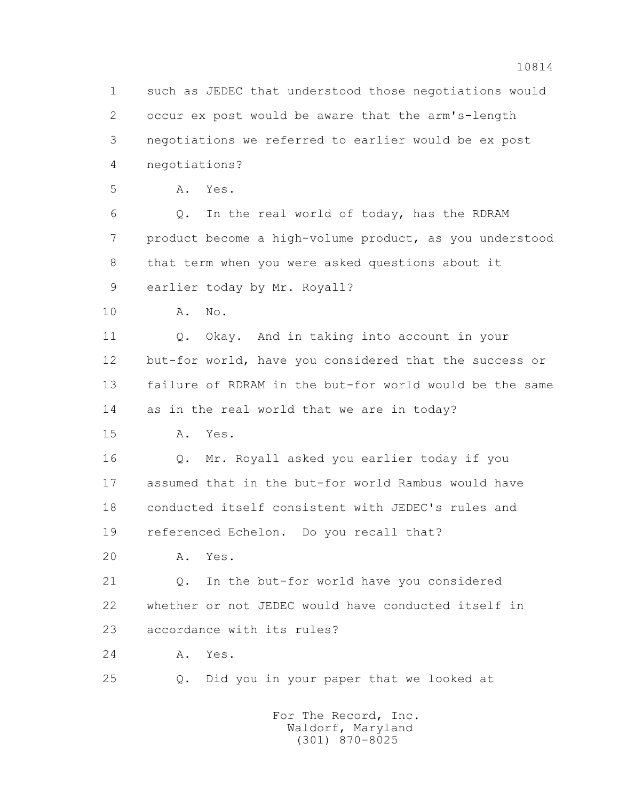1 such as JEDEC that understood those negotiations would 2 occur ex post would be aware that the arm's-length 3 negotiations we referred to earlier would be ex post 4 negotiations? 5 A. Yes. 6 Q. In the real world of today, has the RDRAM 7 product become a high-volume product, as you understood 8 that term when you were asked questions about it 9 earlier today by Mr. Royall? 10 A. No. 11 Q. Okay. And in taking into account in your 12 but-for world, have you considered that the success or 13 failure of RDRAM in the but-for world would be the same 14 as in the real world that we are in today? 15 A. Yes. 16 Q. Mr. Royall asked you earlier today if you 17 assumed that in the but-for world Rambus would have 18 conducted itself consistent with JEDEC's rules and 19 referenced Echelon. Do you recall that? 20 A. Yes. 21 Q. In the but-for world have you considered 22 whether or not JEDEC would have conducted itself in 23 accordance with its rules? 24 A. Yes. 25 Q. Did you in your paper that we looked at For The Record, Inc. Waldorf, Maryland

(301) 870-8025

10814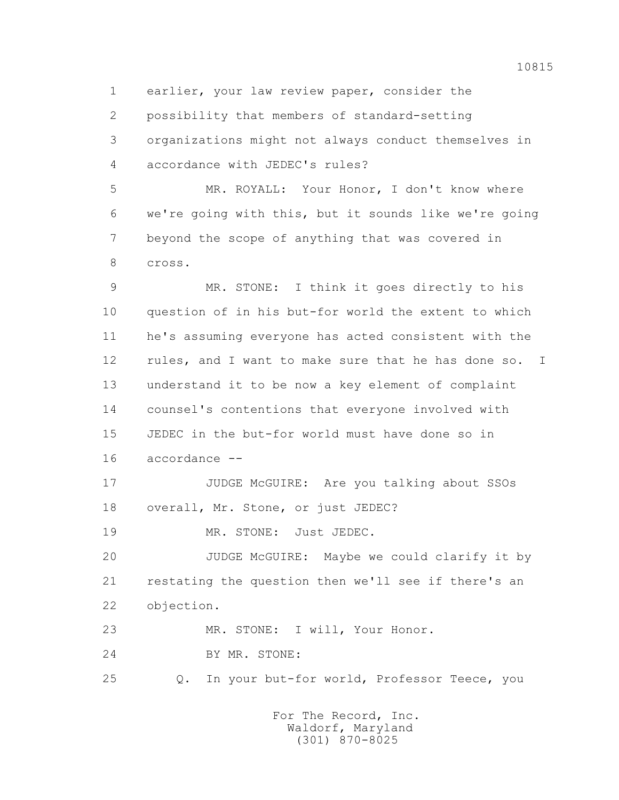1 earlier, your law review paper, consider the

2 possibility that members of standard-setting

 3 organizations might not always conduct themselves in 4 accordance with JEDEC's rules?

 5 MR. ROYALL: Your Honor, I don't know where 6 we're going with this, but it sounds like we're going 7 beyond the scope of anything that was covered in 8 cross.

 9 MR. STONE: I think it goes directly to his 10 question of in his but-for world the extent to which 11 he's assuming everyone has acted consistent with the 12 rules, and I want to make sure that he has done so. I 13 understand it to be now a key element of complaint 14 counsel's contentions that everyone involved with 15 JEDEC in the but-for world must have done so in 16 accordance --

17 JUDGE McGUIRE: Are you talking about SSOs 18 overall, Mr. Stone, or just JEDEC?

19 MR. STONE: Just JEDEC.

 20 JUDGE McGUIRE: Maybe we could clarify it by 21 restating the question then we'll see if there's an 22 objection.

23 MR. STONE: I will, Your Honor.

24 BY MR. STONE:

25 Q. In your but-for world, Professor Teece, you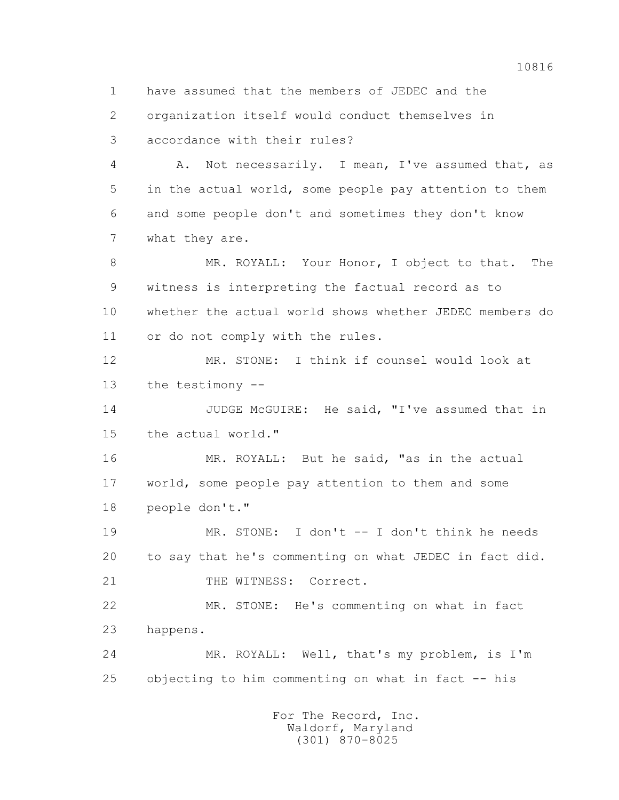1 have assumed that the members of JEDEC and the 2 organization itself would conduct themselves in 3 accordance with their rules? 4 A. Not necessarily. I mean, I've assumed that, as 5 in the actual world, some people pay attention to them 6 and some people don't and sometimes they don't know 7 what they are. 8 MR. ROYALL: Your Honor, I object to that. The 9 witness is interpreting the factual record as to 10 whether the actual world shows whether JEDEC members do 11 or do not comply with the rules. 12 MR. STONE: I think if counsel would look at 13 the testimony -- 14 JUDGE McGUIRE: He said, "I've assumed that in 15 the actual world." 16 MR. ROYALL: But he said, "as in the actual 17 world, some people pay attention to them and some 18 people don't." 19 MR. STONE: I don't -- I don't think he needs 20 to say that he's commenting on what JEDEC in fact did. 21 THE WITNESS: Correct. 22 MR. STONE: He's commenting on what in fact 23 happens. 24 MR. ROYALL: Well, that's my problem, is I'm 25 objecting to him commenting on what in fact -- his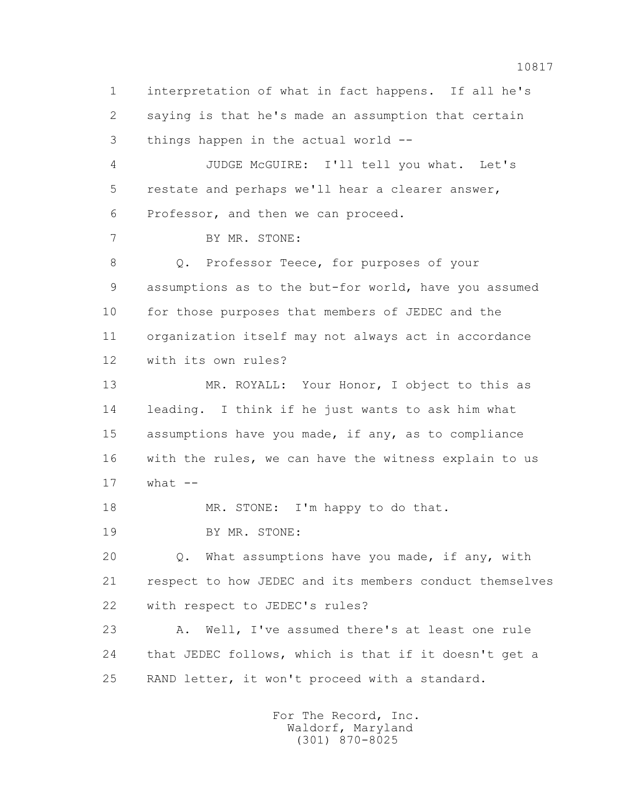1 interpretation of what in fact happens. If all he's 2 saying is that he's made an assumption that certain 3 things happen in the actual world -- 4 JUDGE McGUIRE: I'll tell you what. Let's 5 restate and perhaps we'll hear a clearer answer, 6 Professor, and then we can proceed. 7 BY MR. STONE: 8 Q. Professor Teece, for purposes of your 9 assumptions as to the but-for world, have you assumed 10 for those purposes that members of JEDEC and the 11 organization itself may not always act in accordance 12 with its own rules? 13 MR. ROYALL: Your Honor, I object to this as 14 leading. I think if he just wants to ask him what 15 assumptions have you made, if any, as to compliance 16 with the rules, we can have the witness explain to us  $17$  what  $-$ 18 MR. STONE: I'm happy to do that. 19 BY MR. STONE: 20 Q. What assumptions have you made, if any, with 21 respect to how JEDEC and its members conduct themselves 22 with respect to JEDEC's rules? 23 A. Well, I've assumed there's at least one rule 24 that JEDEC follows, which is that if it doesn't get a 25 RAND letter, it won't proceed with a standard.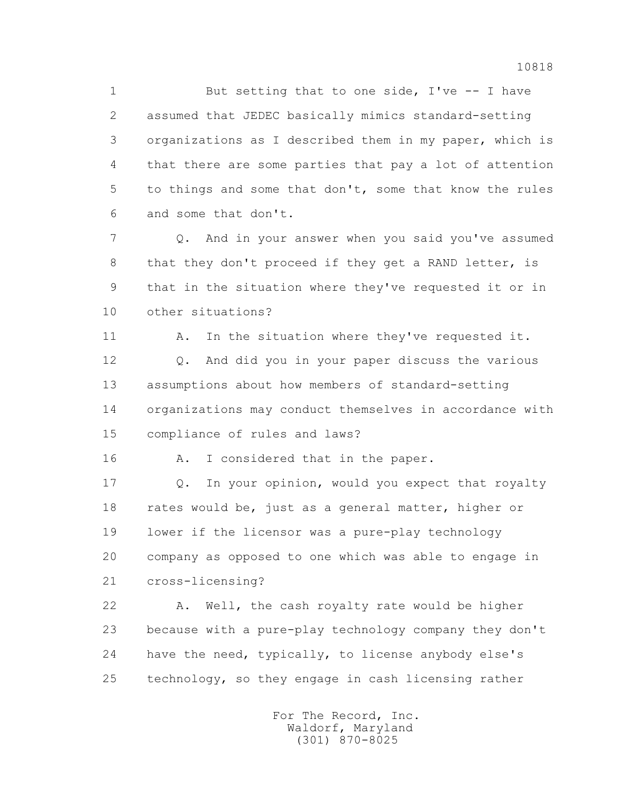1 But setting that to one side, I've -- I have 2 assumed that JEDEC basically mimics standard-setting 3 organizations as I described them in my paper, which is 4 that there are some parties that pay a lot of attention 5 to things and some that don't, some that know the rules 6 and some that don't.

 7 Q. And in your answer when you said you've assumed 8 that they don't proceed if they get a RAND letter, is 9 that in the situation where they've requested it or in 10 other situations?

11 A. In the situation where they've requested it. 12 Q. And did you in your paper discuss the various 13 assumptions about how members of standard-setting 14 organizations may conduct themselves in accordance with 15 compliance of rules and laws?

16 A. I considered that in the paper.

 17 Q. In your opinion, would you expect that royalty 18 rates would be, just as a general matter, higher or 19 lower if the licensor was a pure-play technology 20 company as opposed to one which was able to engage in 21 cross-licensing?

 22 A. Well, the cash royalty rate would be higher 23 because with a pure-play technology company they don't 24 have the need, typically, to license anybody else's 25 technology, so they engage in cash licensing rather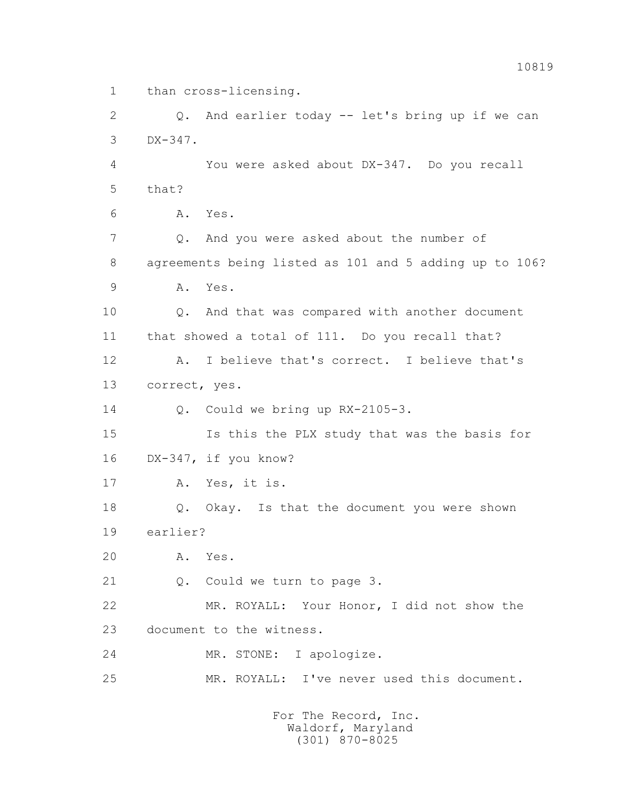1 than cross-licensing.

 2 Q. And earlier today -- let's bring up if we can 3 DX-347. 4 You were asked about DX-347. Do you recall 5 that? 6 A. Yes. 7 Q. And you were asked about the number of 8 agreements being listed as 101 and 5 adding up to 106? 9 A. Yes. 10 Q. And that was compared with another document 11 that showed a total of 111. Do you recall that? 12 A. I believe that's correct. I believe that's 13 correct, yes. 14 Q. Could we bring up RX-2105-3. 15 Is this the PLX study that was the basis for 16 DX-347, if you know? 17 A. Yes, it is. 18 Q. Okay. Is that the document you were shown 19 earlier? 20 A. Yes. 21 Q. Could we turn to page 3. 22 MR. ROYALL: Your Honor, I did not show the 23 document to the witness. 24 MR. STONE: I apologize. 25 MR. ROYALL: I've never used this document. For The Record, Inc.

 Waldorf, Maryland (301) 870-8025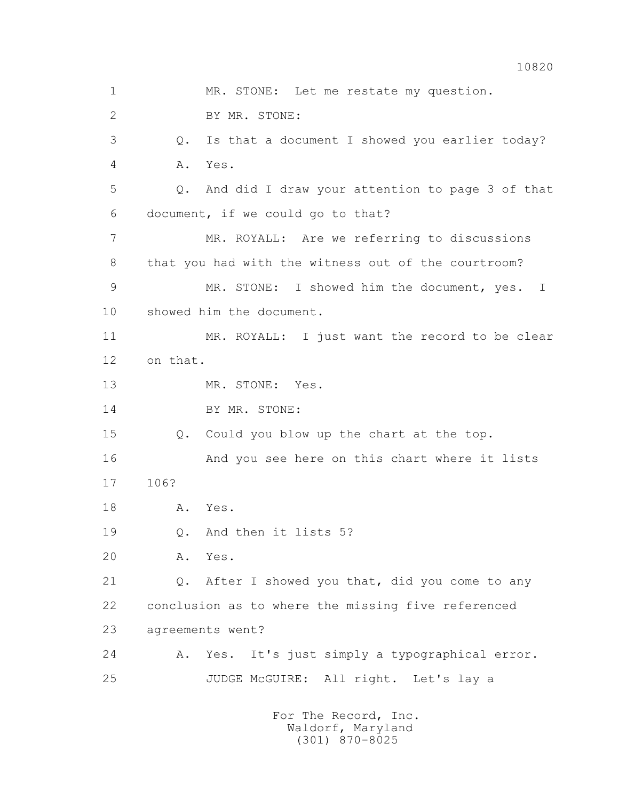1 MR. STONE: Let me restate my question. 2 BY MR. STONE: 3 Q. Is that a document I showed you earlier today? 4 A. Yes. 5 Q. And did I draw your attention to page 3 of that 6 document, if we could go to that? 7 MR. ROYALL: Are we referring to discussions 8 that you had with the witness out of the courtroom? 9 MR. STONE: I showed him the document, yes. I 10 showed him the document. 11 MR. ROYALL: I just want the record to be clear 12 on that. 13 MR. STONE: Yes. 14 BY MR. STONE: 15 Q. Could you blow up the chart at the top. 16 And you see here on this chart where it lists 17 106? 18 A. Yes. 19 Q. And then it lists 5? 20 A. Yes. 21 Q. After I showed you that, did you come to any 22 conclusion as to where the missing five referenced 23 agreements went? 24 A. Yes. It's just simply a typographical error. 25 JUDGE McGUIRE: All right. Let's lay a For The Record, Inc.

> Waldorf, Maryland (301) 870-8025

10820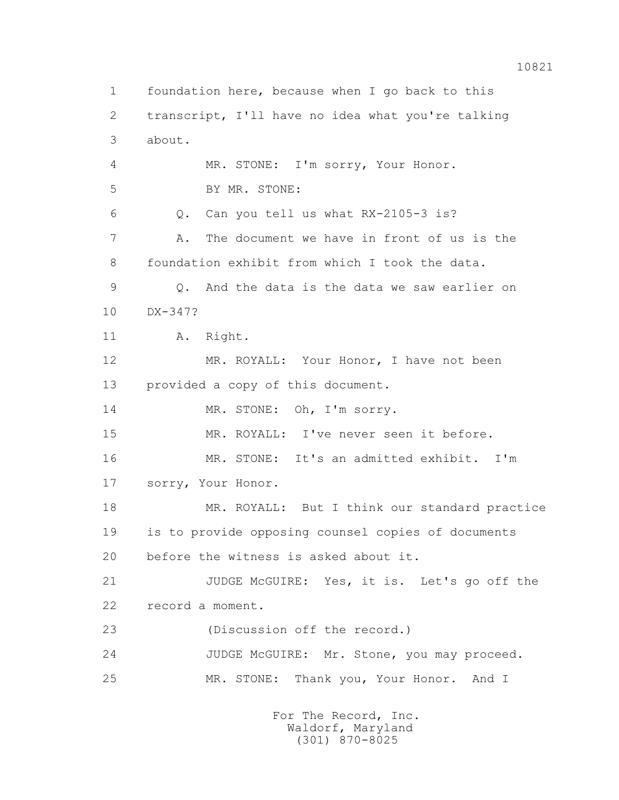1 foundation here, because when I go back to this 2 transcript, I'll have no idea what you're talking 3 about. 4 MR. STONE: I'm sorry, Your Honor. 5 BY MR. STONE: 6 Q. Can you tell us what RX-2105-3 is? 7 A. The document we have in front of us is the 8 foundation exhibit from which I took the data. 9 Q. And the data is the data we saw earlier on 10 DX-347? 11 A. Right. 12 MR. ROYALL: Your Honor, I have not been 13 provided a copy of this document. 14 MR. STONE: Oh, I'm sorry. 15 MR. ROYALL: I've never seen it before. 16 MR. STONE: It's an admitted exhibit. I'm 17 sorry, Your Honor. 18 MR. ROYALL: But I think our standard practice 19 is to provide opposing counsel copies of documents 20 before the witness is asked about it. 21 JUDGE McGUIRE: Yes, it is. Let's go off the 22 record a moment. 23 (Discussion off the record.) 24 JUDGE McGUIRE: Mr. Stone, you may proceed. 25 MR. STONE: Thank you, Your Honor. And I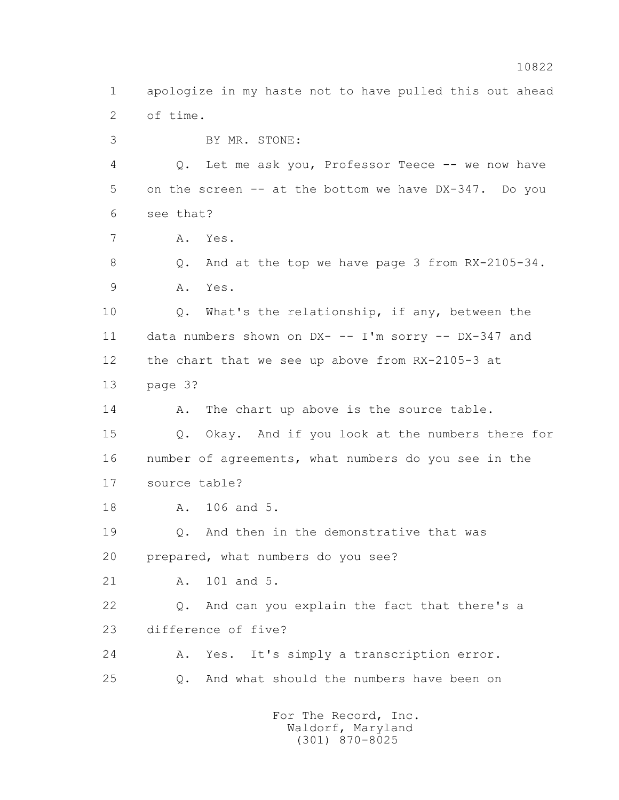1 apologize in my haste not to have pulled this out ahead 2 of time. 3 BY MR. STONE: 4 Q. Let me ask you, Professor Teece -- we now have 5 on the screen -- at the bottom we have DX-347. Do you 6 see that? 7 A. Yes. 8 Q. And at the top we have page 3 from RX-2105-34. 9 A. Yes. 10 Q. What's the relationship, if any, between the 11 data numbers shown on DX- -- I'm sorry -- DX-347 and 12 the chart that we see up above from RX-2105-3 at 13 page 3? 14 A. The chart up above is the source table. 15 Q. Okay. And if you look at the numbers there for 16 number of agreements, what numbers do you see in the 17 source table? 18 A. 106 and 5. 19 Q. And then in the demonstrative that was 20 prepared, what numbers do you see? 21 A. 101 and 5. 22 Q. And can you explain the fact that there's a 23 difference of five? 24 A. Yes. It's simply a transcription error. 25 Q. And what should the numbers have been on For The Record, Inc.

 Waldorf, Maryland (301) 870-8025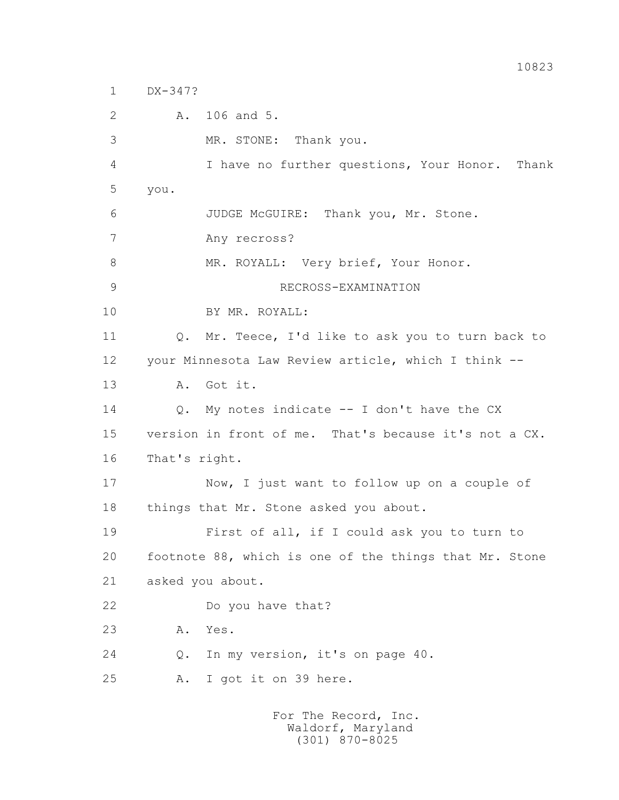1 DX-347?

2 A. 106 and 5.

3 MR. STONE: Thank you.

 4 I have no further questions, Your Honor. Thank 5 you.

6 JUDGE McGUIRE: Thank you, Mr. Stone.

7 Any recross?

8 MR. ROYALL: Very brief, Your Honor.

9 RECROSS-EXAMINATION

10 BY MR. ROYALL:

11 Q. Mr. Teece, I'd like to ask you to turn back to 12 your Minnesota Law Review article, which I think -- 13 A. Got it.

14 Q. My notes indicate -- I don't have the CX 15 version in front of me. That's because it's not a CX. 16 That's right.

 17 Now, I just want to follow up on a couple of 18 things that Mr. Stone asked you about.

 19 First of all, if I could ask you to turn to 20 footnote 88, which is one of the things that Mr. Stone 21 asked you about.

22 Do you have that?

23 A. Yes.

24 Q. In my version, it's on page 40.

25 A. I got it on 39 here.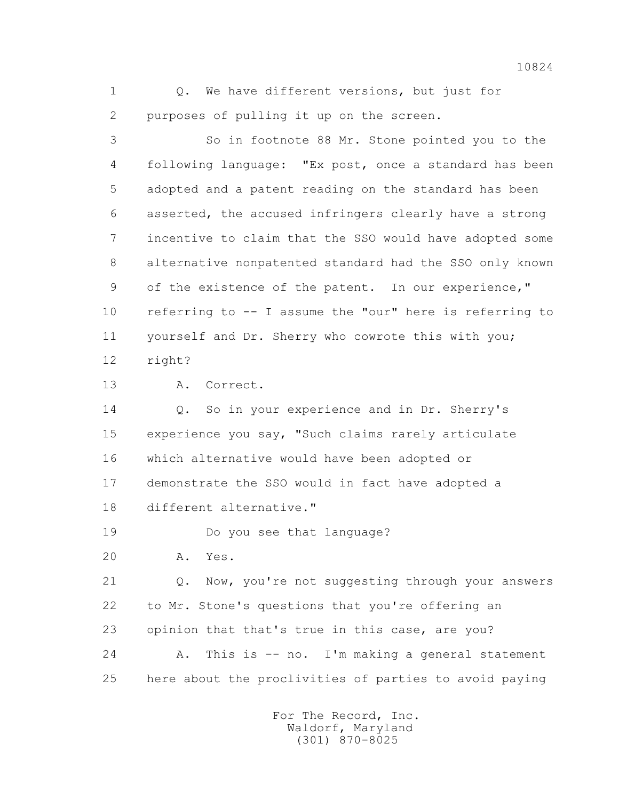1 0. We have different versions, but just for 2 purposes of pulling it up on the screen.

 3 So in footnote 88 Mr. Stone pointed you to the 4 following language: "Ex post, once a standard has been 5 adopted and a patent reading on the standard has been 6 asserted, the accused infringers clearly have a strong 7 incentive to claim that the SSO would have adopted some 8 alternative nonpatented standard had the SSO only known 9 of the existence of the patent. In our experience," 10 referring to -- I assume the "our" here is referring to 11 yourself and Dr. Sherry who cowrote this with you; 12 right?

13 A. Correct.

 14 Q. So in your experience and in Dr. Sherry's 15 experience you say, "Such claims rarely articulate 16 which alternative would have been adopted or 17 demonstrate the SSO would in fact have adopted a 18 different alternative."

19 Do you see that language?

20 A. Yes.

 21 Q. Now, you're not suggesting through your answers 22 to Mr. Stone's questions that you're offering an 23 opinion that that's true in this case, are you? 24 A. This is -- no. I'm making a general statement

25 here about the proclivities of parties to avoid paying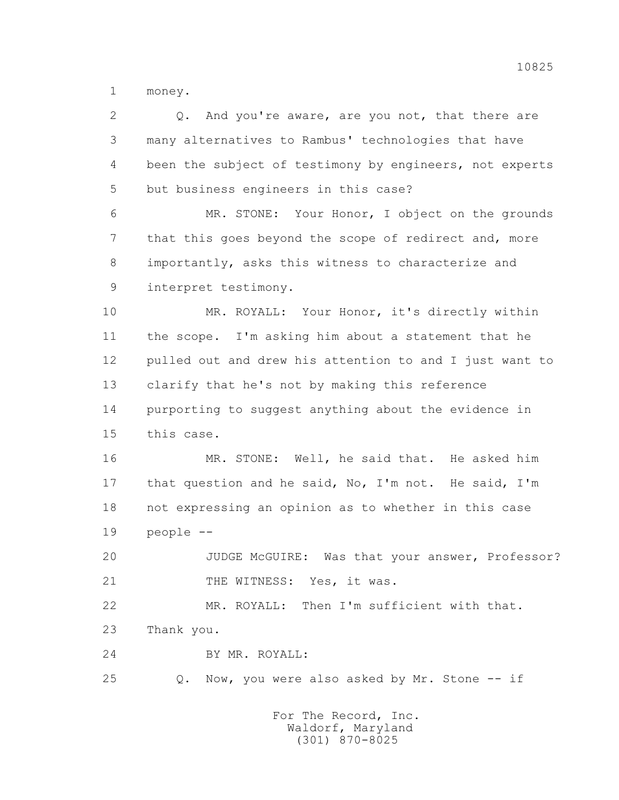1 money.

| 2  | And you're aware, are you not, that there are<br>$Q_{\bullet}$ |
|----|----------------------------------------------------------------|
| 3  | many alternatives to Rambus' technologies that have            |
| 4  | been the subject of testimony by engineers, not experts        |
| 5  | but business engineers in this case?                           |
| 6  | MR. STONE: Your Honor, I object on the grounds                 |
| 7  | that this goes beyond the scope of redirect and, more          |
| 8  | importantly, asks this witness to characterize and             |
| 9  | interpret testimony.                                           |
| 10 | MR. ROYALL: Your Honor, it's directly within                   |
| 11 | the scope. I'm asking him about a statement that he            |
| 12 | pulled out and drew his attention to and I just want to        |
| 13 | clarify that he's not by making this reference                 |
| 14 | purporting to suggest anything about the evidence in           |
| 15 | this case.                                                     |
| 16 | MR. STONE: Well, he said that. He asked him                    |
| 17 | that question and he said, No, I'm not. He said, I'm           |
| 18 | not expressing an opinion as to whether in this case           |
| 19 | people --                                                      |
| 20 | JUDGE MCGUIRE:<br>Was that your answer, Professor?             |
| 21 | THE WITNESS: Yes, it was.                                      |
| 22 | MR. ROYALL: Then I'm sufficient with that.                     |
| 23 | Thank you.                                                     |
| 24 | BY MR. ROYALL:                                                 |
| 25 | Now, you were also asked by Mr. Stone -- if<br>Q.              |
|    | For The Record, Inc.                                           |

Waldorf, Maryland (301) 870-8025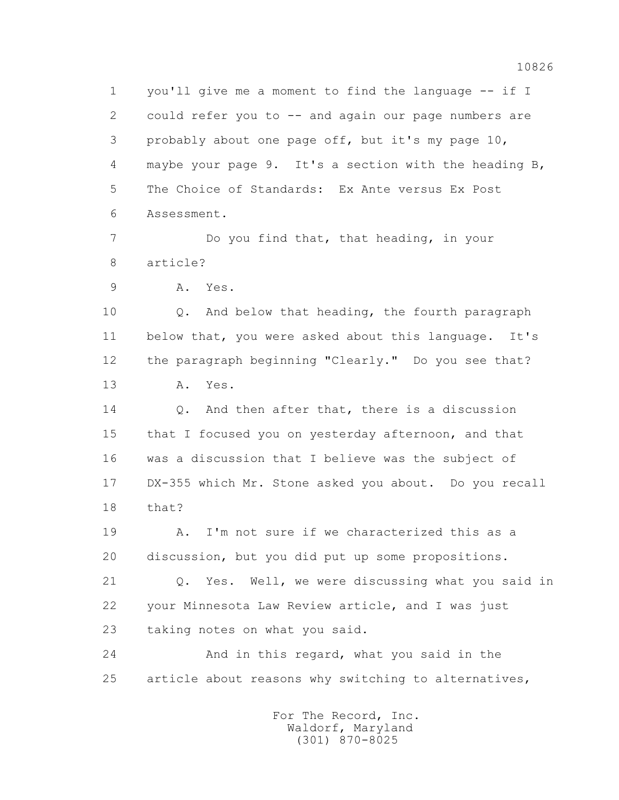1 you'll give me a moment to find the language -- if I 2 could refer you to -- and again our page numbers are 3 probably about one page off, but it's my page 10, 4 maybe your page 9. It's a section with the heading B, 5 The Choice of Standards: Ex Ante versus Ex Post 6 Assessment.

 7 Do you find that, that heading, in your 8 article?

9 A. Yes.

 10 Q. And below that heading, the fourth paragraph 11 below that, you were asked about this language. It's 12 the paragraph beginning "Clearly." Do you see that? 13 A. Yes.

14 0. And then after that, there is a discussion 15 that I focused you on yesterday afternoon, and that 16 was a discussion that I believe was the subject of 17 DX-355 which Mr. Stone asked you about. Do you recall 18 that?

 19 A. I'm not sure if we characterized this as a 20 discussion, but you did put up some propositions.

 21 Q. Yes. Well, we were discussing what you said in 22 your Minnesota Law Review article, and I was just 23 taking notes on what you said.

 24 And in this regard, what you said in the 25 article about reasons why switching to alternatives,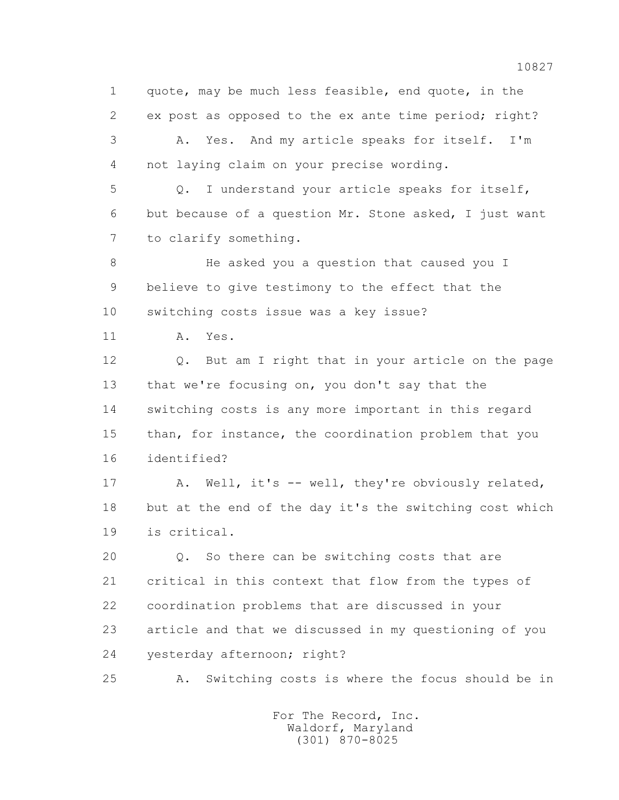1 quote, may be much less feasible, end quote, in the 2 ex post as opposed to the ex ante time period; right? 3 A. Yes. And my article speaks for itself. I'm 4 not laying claim on your precise wording. 5 Q. I understand your article speaks for itself, 6 but because of a question Mr. Stone asked, I just want 7 to clarify something. 8 He asked you a question that caused you I 9 believe to give testimony to the effect that the 10 switching costs issue was a key issue? 11 A. Yes. 12 Q. But am I right that in your article on the page 13 that we're focusing on, you don't say that the 14 switching costs is any more important in this regard 15 than, for instance, the coordination problem that you 16 identified? 17 A. Well, it's -- well, they're obviously related, 18 but at the end of the day it's the switching cost which 19 is critical. 20 Q. So there can be switching costs that are 21 critical in this context that flow from the types of 22 coordination problems that are discussed in your 23 article and that we discussed in my questioning of you 24 yesterday afternoon; right?

25 A. Switching costs is where the focus should be in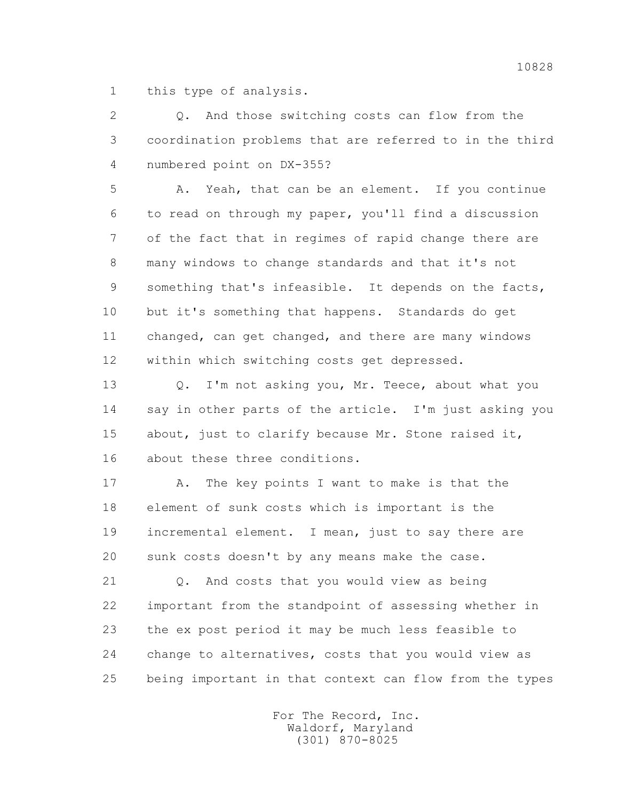1 this type of analysis.

 2 Q. And those switching costs can flow from the 3 coordination problems that are referred to in the third 4 numbered point on DX-355?

 5 A. Yeah, that can be an element. If you continue 6 to read on through my paper, you'll find a discussion 7 of the fact that in regimes of rapid change there are 8 many windows to change standards and that it's not 9 something that's infeasible. It depends on the facts, 10 but it's something that happens. Standards do get 11 changed, can get changed, and there are many windows 12 within which switching costs get depressed.

 13 Q. I'm not asking you, Mr. Teece, about what you 14 say in other parts of the article. I'm just asking you 15 about, just to clarify because Mr. Stone raised it, 16 about these three conditions.

 17 A. The key points I want to make is that the 18 element of sunk costs which is important is the 19 incremental element. I mean, just to say there are 20 sunk costs doesn't by any means make the case.

 21 Q. And costs that you would view as being 22 important from the standpoint of assessing whether in 23 the ex post period it may be much less feasible to 24 change to alternatives, costs that you would view as 25 being important in that context can flow from the types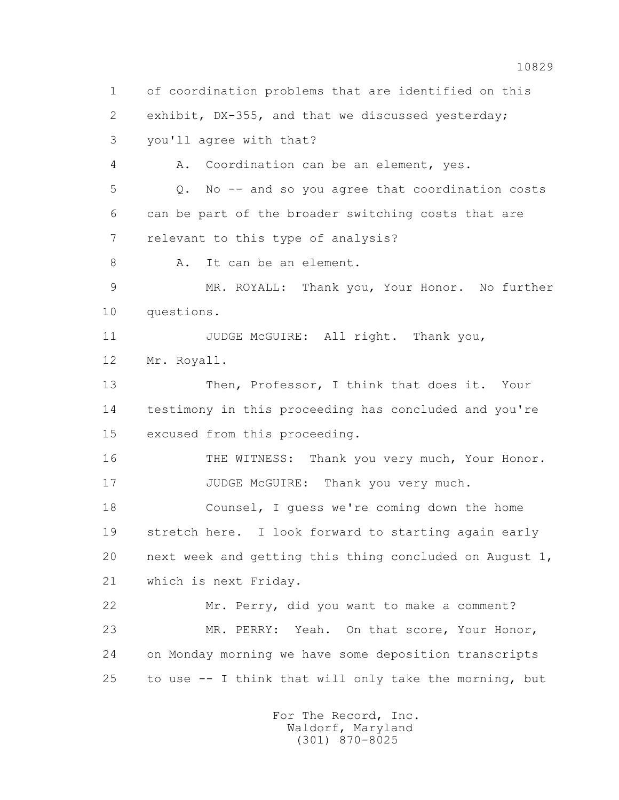1 of coordination problems that are identified on this 2 exhibit, DX-355, and that we discussed yesterday; 3 you'll agree with that? 4 A. Coordination can be an element, yes. 5 Q. No -- and so you agree that coordination costs 6 can be part of the broader switching costs that are 7 relevant to this type of analysis? 8 A. It can be an element. 9 MR. ROYALL: Thank you, Your Honor. No further 10 questions. 11 JUDGE McGUIRE: All right. Thank you, 12 Mr. Royall. 13 Then, Professor, I think that does it. Your 14 testimony in this proceeding has concluded and you're 15 excused from this proceeding. 16 THE WITNESS: Thank you very much, Your Honor. 17 JUDGE McGUIRE: Thank you very much. 18 Counsel, I guess we're coming down the home 19 stretch here. I look forward to starting again early 20 next week and getting this thing concluded on August 1, 21 which is next Friday. 22 Mr. Perry, did you want to make a comment? 23 MR. PERRY: Yeah. On that score, Your Honor, 24 on Monday morning we have some deposition transcripts 25 to use -- I think that will only take the morning, but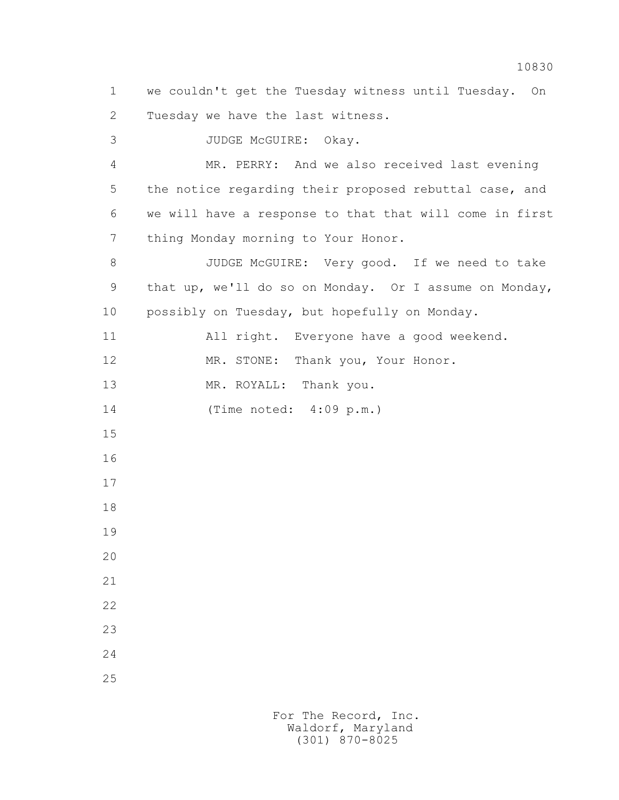1 we couldn't get the Tuesday witness until Tuesday. On 2 Tuesday we have the last witness. 3 JUDGE McGUIRE: Okay. 4 MR. PERRY: And we also received last evening 5 the notice regarding their proposed rebuttal case, and 6 we will have a response to that that will come in first 7 thing Monday morning to Your Honor. 8 JUDGE McGUIRE: Very good. If we need to take 9 that up, we'll do so on Monday. Or I assume on Monday, 10 possibly on Tuesday, but hopefully on Monday. 11 All right. Everyone have a good weekend. 12 MR. STONE: Thank you, Your Honor. 13 MR. ROYALL: Thank you. 14 (Time noted: 4:09 p.m.) 15 16 17 18 19 20 21 22 23 24 25